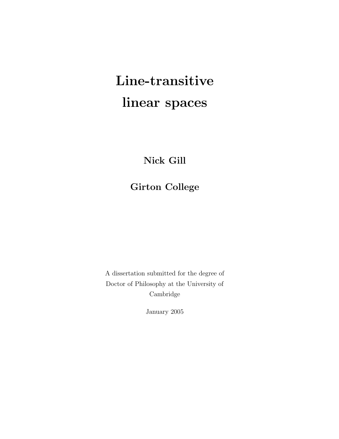# Line-transitive linear spaces

Nick Gill

Girton College

A dissertation submitted for the degree of Doctor of Philosophy at the University of Cambridge

January 2005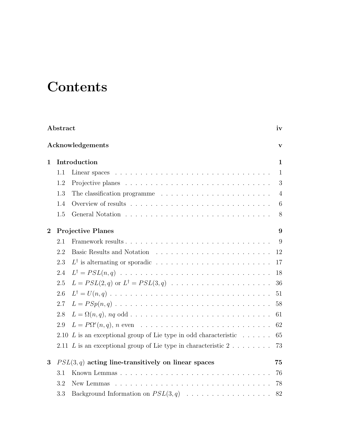# **Contents**

| Abstract<br>iv   |                                                            |                                                                                                        |                |  |
|------------------|------------------------------------------------------------|--------------------------------------------------------------------------------------------------------|----------------|--|
|                  |                                                            | Acknowledgements                                                                                       | $\mathbf{V}$   |  |
| $\mathbf{1}$     |                                                            | Introduction                                                                                           | $\mathbf{1}$   |  |
|                  | 1.1                                                        |                                                                                                        | 1              |  |
|                  | 1.2                                                        |                                                                                                        | 3              |  |
|                  | 1.3                                                        |                                                                                                        | $\overline{4}$ |  |
|                  | 1.4                                                        |                                                                                                        | 6              |  |
|                  | 1.5                                                        |                                                                                                        | 8              |  |
| $\boldsymbol{2}$ | <b>Projective Planes</b>                                   |                                                                                                        |                |  |
|                  | 2.1                                                        |                                                                                                        | 9              |  |
|                  | 2.2                                                        |                                                                                                        | 12             |  |
|                  | 2.3                                                        |                                                                                                        | 17             |  |
|                  | 2.4                                                        |                                                                                                        | 18             |  |
|                  | 2.5                                                        | $L = PSL(2, q)$ or $L^{\dagger} = PSL(3, q) \dots \dots \dots \dots \dots \dots \dots \dots$           | 36             |  |
|                  | 2.6                                                        |                                                                                                        | 51             |  |
|                  | 2.7                                                        | $L = PSp(n, q) \dots \dots \dots \dots \dots \dots \dots \dots \dots \dots \dots \dots \dots$          | 58             |  |
|                  | 2.8                                                        |                                                                                                        | 61             |  |
|                  | 2.9                                                        | $L = P\Omega^{\epsilon}(n,q), n$ even $\ldots \ldots \ldots \ldots \ldots \ldots \ldots \ldots \ldots$ | 62             |  |
|                  | 2.10                                                       | L is an exceptional group of Lie type in odd characteristic $\dots$ .                                  | 65             |  |
|                  |                                                            | 2.11 L is an exceptional group of Lie type in characteristic 2                                         | 73             |  |
| 3                | $PSL(3,q)$ acting line-transitively on linear spaces<br>75 |                                                                                                        |                |  |
|                  | 3.1                                                        |                                                                                                        | 76             |  |
|                  | 3.2                                                        |                                                                                                        | 78             |  |
|                  | 3.3                                                        | Background Information on $PSL(3,q)$                                                                   | 82             |  |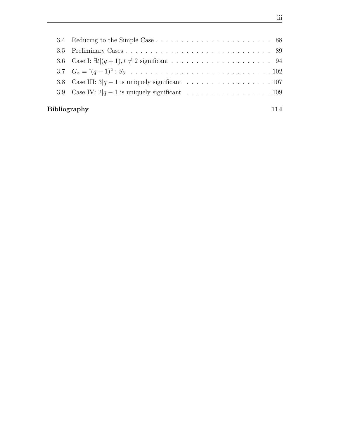| 3.8 Case III: $3 q-1$ is uniquely significant 107 |
|---------------------------------------------------|
| 3.9 Case IV: $2 q-1$ is uniquely significant 109  |
|                                                   |

# Bibliography 114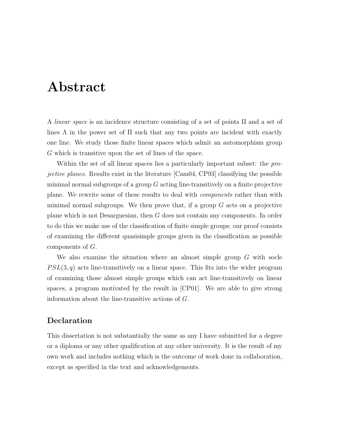# Abstract

A linear space is an incidence structure consisting of a set of points Π and a set of lines  $\Lambda$  in the power set of  $\Pi$  such that any two points are incident with exactly one line. We study those finite linear spaces which admit an automorphism group G which is transitive upon the set of lines of the space.

Within the set of all linear spaces lies a particularly important subset: the projective planes. Results exist in the literature [Cam04, CP93] classifying the possible minimal normal subgroups of a group G acting line-transitively on a finite projective plane. We rewrite some of these results to deal with components rather than with minimal normal subgroups. We then prove that, if a group  $G$  acts on a projective plane which is not Desarguesian, then G does not contain any components. In order to do this we make use of the classification of finite simple groups; our proof consists of examining the different quasisimple groups given in the classification as possible components of G.

We also examine the situation where an almost simple group  $G$  with socle  $PSL(3, q)$  acts line-transitively on a linear space. This fits into the wider program of examining those almost simple groups which can act line-transitively on linear spaces, a program motivated by the result in [CP01]. We are able to give strong information about the line-transitive actions of G.

### Declaration

This dissertation is not substantially the same as any I have submitted for a degree or a diploma or any other qualification at any other university. It is the result of my own work and includes nothing which is the outcome of work done in collaboration, except as specified in the text and acknowledgements.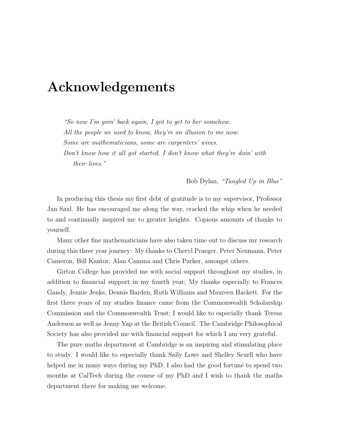# Acknowledgements

"So now I'm goin' back again, I got to get to her somehow. All the people we used to know, they're an illusion to me now. Some are mathematicians, some are carpenters' wives. Don't know how it all got started, I don't know what they're doin' with their lives."

Bob Dylan, "Tangled Up in Blue"

In producing this thesis my first debt of gratitude is to my supervisor, Professor Jan Saxl. He has encouraged me along the way, cracked the whip when he needed to and continually inspired me to greater heights. Copious amounts of thanks to yourself.

Many other fine mathematicians have also taken time out to discuss my research during this three year journey: My thanks to Cheryl Praeger, Peter Neumann, Peter Cameron, Bill Kantor, Alan Camina and Chris Parker, amongst others.

Girton College has provided me with social support throughout my studies, in addition to financial support in my fourth year; My thanks especially to Frances Gandy, Jennie Jenks, Dennis Barden, Ruth Williams and Maureen Hackett. For the first three years of my studies finance came from the Commonwealth Scholarship Commission and the Commonwealth Trust; I would like to especially thank Teresa Anderson as well as Jenny Yap at the British Council. The Cambridge Philosophical Society has also provided me with financial support for which I am very grateful.

The pure maths department at Cambridge is an inspiring and stimulating place to study. I would like to especially thank Sally Lowe and Shelley Scurll who have helped me in many ways during my PhD. I also had the good fortune to spend two months at CalTech during the course of my PhD and I wish to thank the maths department there for making me welcome.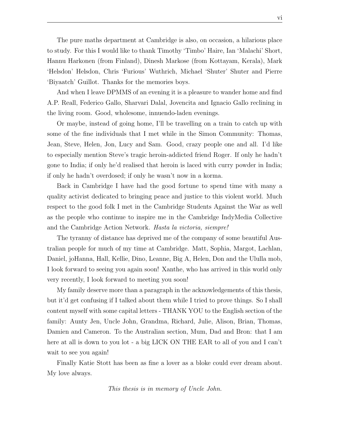The pure maths department at Cambridge is also, on occasion, a hilarious place to study. For this I would like to thank Timothy 'Timbo' Haire, Ian 'Malachi' Short, Hannu Harkonen (from Finland), Dinesh Markose (from Kottayam, Kerala), Mark 'Helsdon' Helsdon, Chris 'Furious' Wuthrich, Michael 'Shuter' Shuter and Pierre 'Biyaatch' Guillot. Thanks for the memories boys.

And when I leave DPMMS of an evening it is a pleasure to wander home and find A.P. Reall, Federico Gallo, Sharvari Dalal, Jovencita and Ignacio Gallo reclining in the living room. Good, wholesome, innuendo-laden evenings.

Or maybe, instead of going home, I'll be travelling on a train to catch up with some of the fine individuals that I met while in the Simon Community: Thomas, Jean, Steve, Helen, Jon, Lucy and Sam. Good, crazy people one and all. I'd like to especially mention Steve's tragic heroin-addicted friend Roger. If only he hadn't gone to India; if only he'd realised that heroin is laced with curry powder in India; if only he hadn't overdosed; if only he wasn't now in a korma.

Back in Cambridge I have had the good fortune to spend time with many a quality activist dedicated to bringing peace and justice to this violent world. Much respect to the good folk I met in the Cambridge Students Against the War as well as the people who continue to inspire me in the Cambridge IndyMedia Collective and the Cambridge Action Network. Hasta la victoria, siempre!

The tyranny of distance has deprived me of the company of some beautiful Australian people for much of my time at Cambridge. Matt, Sophia, Margot, Lachlan, Daniel, joHanna, Hall, Kellie, Dino, Leanne, Big A, Helen, Don and the Ululla mob, I look forward to seeing you again soon! Xanthe, who has arrived in this world only very recently, I look forward to meeting you soon!

My family deserve more than a paragraph in the acknowledgements of this thesis, but it'd get confusing if I talked about them while I tried to prove things. So I shall content myself with some capital letters - THANK YOU to the English section of the family: Aunty Jen, Uncle John, Grandma, Richard, Julie, Alison, Brian, Thomas, Damien and Cameron. To the Australian section, Mum, Dad and Bron: that I am here at all is down to you lot - a big LICK ON THE EAR to all of you and I can't wait to see you again!

Finally Katie Stott has been as fine a lover as a bloke could ever dream about. My love always.

This thesis is in memory of Uncle John.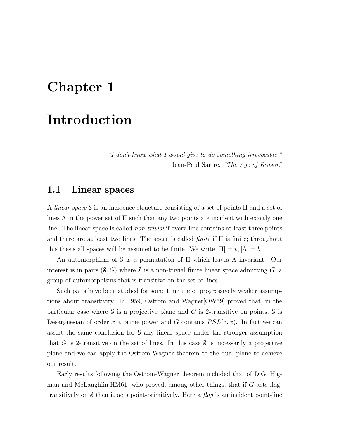# Chapter 1

# Introduction

"I don't know what I would give to do something irrevocable." Jean-Paul Sartre, "The Age of Reason"

# 1.1 Linear spaces

A *linear space* S is an incidence structure consisting of a set of points  $\Pi$  and a set of lines  $\Lambda$  in the power set of  $\Pi$  such that any two points are incident with exactly one line. The linear space is called non-trivial if every line contains at least three points and there are at least two lines. The space is called *finite* if  $\Pi$  is finite; throughout this thesis all spaces will be assumed to be finite. We write  $|\Pi| = v, |\Lambda| = b$ .

An automorphism of S is a permutation of  $\Pi$  which leaves  $\Lambda$  invariant. Our interest is in pairs  $(8, G)$  where S is a non-trivial finite linear space admitting G, a group of automorphisms that is transitive on the set of lines.

Such pairs have been studied for some time under progressively weaker assumptions about transitivity. In 1959, Ostrom and Wagner[OW59] proved that, in the particular case where S is a projective plane and  $G$  is 2-transitive on points, S is Desarguesian of order x a prime power and G contains  $PSL(3, x)$ . In fact we can assert the same conclusion for S any linear space under the stronger assumption that  $G$  is 2-transitive on the set of lines. In this case  $\delta$  is necessarily a projective plane and we can apply the Ostrom-Wagner theorem to the dual plane to achieve our result.

Early results following the Ostrom-Wagner theorem included that of D.G. Higman and McLaughlin  $H(M61)$  who proved, among other things, that if G acts flagtransitively on S then it acts point-primitively. Here a  $flag$  is an incident point-line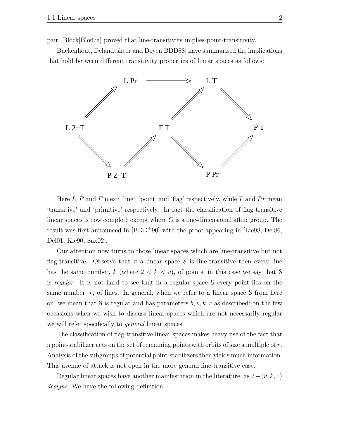pair. Block[Blo67a] proved that line-transitivity implies point-transitivity.

Buekenhout, Delandtsheer and Doyen[BDD88] have summarised the implications that hold between different transitivity properties of linear spaces as follows:



Here  $L, P$  and F mean 'line', 'point' and 'flag' respectively, while T and Pr mean 'transitive' and 'primitive' respectively. In fact the classification of flag-transitive linear spaces is now complete except where  $G$  is a one-dimensional affine group. The result was first announced in [BDD<sup>+</sup>90] with the proof appearing in [Lie98, Del86, Del01, Kle90, Sax02].

Our attention now turns to those linear spaces which are line-transitive but not flag-transitive. Observe that if a linear space S is line-transitive then every line has the same number, k (where  $2 < k < v$ ), of points; in this case we say that S is regular. It is not hard to see that in a regular space S every point lies on the same number,  $r$ , of lines. In general, when we refer to a linear space  $\delta$  from here on, we mean that S is regular and has parameters  $b, v, k, r$  as described; on the few occasions when we wish to discuss linear spaces which are not necessarily regular we will refer specifically to *general* linear spaces.

The classification of flag-transitive linear spaces makes heavy use of the fact that a point-stabilizer acts on the set of remaining points with orbits of size a multiple of  $r$ . Analysis of the subgroups of potential point-stabilizers then yields much information. This avenue of attack is not open in the more general line-transitive case.

Regular linear spaces have another manifestation in the literature, as  $2-(v, k, 1)$ designs. We have the following definition: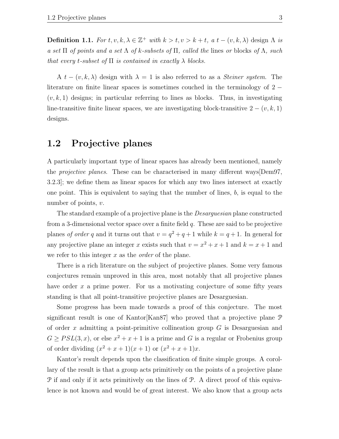**Definition 1.1.** For  $t, v, k, \lambda \in \mathbb{Z}^+$  with  $k > t, v > k + t$ , a  $t - (v, k, \lambda)$  design  $\Lambda$  is a set  $\Pi$  of points and a set  $\Lambda$  of k-subsets of  $\Pi$ , called the lines or blocks of  $\Lambda$ , such that every t-subset of  $\Pi$  is contained in exactly  $\lambda$  blocks.

A  $t - (v, k, \lambda)$  design with  $\lambda = 1$  is also referred to as a *Steiner system*. The literature on finite linear spaces is sometimes couched in the terminology of 2 −  $(v, k, 1)$  designs; in particular referring to lines as blocks. Thus, in investigating line-transitive finite linear spaces, we are investigating block-transitive  $2 - (v, k, 1)$ designs.

## 1.2 Projective planes

A particularly important type of linear spaces has already been mentioned, namely the projective planes. These can be characterised in many different ways[Dem97, 3.2.3]; we define them as linear spaces for which any two lines intersect at exactly one point. This is equivalent to saying that the number of lines, b, is equal to the number of points, v.

The standard example of a projective plane is the *Desarguesian* plane constructed from a 3-dimensional vector space over a finite field  $q$ . These are said to be projective planes of order q and it turns out that  $v = q^2 + q + 1$  while  $k = q + 1$ . In general for any projective plane an integer x exists such that  $v = x^2 + x + 1$  and  $k = x + 1$  and we refer to this integer  $x$  as the *order* of the plane.

There is a rich literature on the subject of projective planes. Some very famous conjectures remain unproved in this area, most notably that all projective planes have order  $x$  a prime power. For us a motivating conjecture of some fifty years standing is that all point-transitive projective planes are Desarguesian.

Some progress has been made towards a proof of this conjecture. The most significant result is one of Kantor[Kan87] who proved that a projective plane P of order x admitting a point-primitive collineation group  $G$  is Desarguesian and  $G \geq PSL(3, x)$ , or else  $x^2 + x + 1$  is a prime and G is a regular or Frobenius group of order dividing  $(x^2 + x + 1)(x + 1)$  or  $(x^2 + x + 1)x$ .

Kantor's result depends upon the classification of finite simple groups. A corollary of the result is that a group acts primitively on the points of a projective plane P if and only if it acts primitively on the lines of P. A direct proof of this equivalence is not known and would be of great interest. We also know that a group acts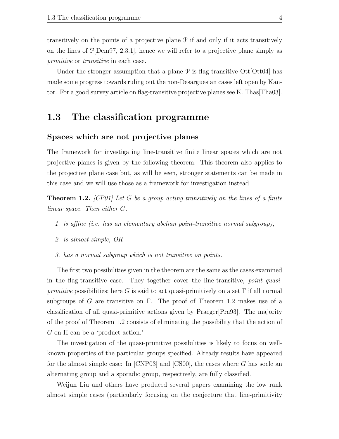transitively on the points of a projective plane  $\mathcal P$  if and only if it acts transitively on the lines of  $\mathcal{P}[\text{Dem}97, 2.3.1]$ , hence we will refer to a projective plane simply as primitive or transitive in each case.

Under the stronger assumption that a plane  $\mathcal P$  is flag-transitive Ott [Ott04] has made some progress towards ruling out the non-Desarguesian cases left open by Kantor. For a good survey article on flag-transitive projective planes see K. Thas[Tha03].

# 1.3 The classification programme

### Spaces which are not projective planes

The framework for investigating line-transitive finite linear spaces which are not projective planes is given by the following theorem. This theorem also applies to the projective plane case but, as will be seen, stronger statements can be made in this case and we will use those as a framework for investigation instead.

**Theorem 1.2.** [CP01] Let G be a group acting transitively on the lines of a finite linear space. Then either G,

- 1. is affine (i.e. has an elementary abelian point-transitive normal subgroup),
- 2. is almost simple, OR
- 3. has a normal subgroup which is not transitive on points.

The first two possibilities given in the theorem are the same as the cases examined in the flag-transitive case. They together cover the line-transitive, point quasi*primitive* possibilities; here G is said to act quasi-primitively on a set  $\Gamma$  if all normal subgroups of G are transitive on Γ. The proof of Theorem 1.2 makes use of a classification of all quasi-primitive actions given by Praeger[Pra93]. The majority of the proof of Theorem 1.2 consists of eliminating the possibility that the action of G on Π can be a 'product action.'

The investigation of the quasi-primitive possibilities is likely to focus on wellknown properties of the particular groups specified. Already results have appeared for the almost simple case: In [CNP03] and [CS00], the cases where G has socle an alternating group and a sporadic group, respectively, are fully classified.

Weijun Liu and others have produced several papers examining the low rank almost simple cases (particularly focusing on the conjecture that line-primitivity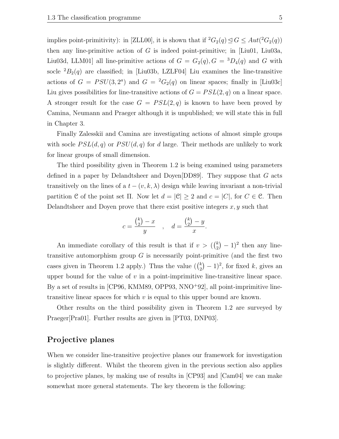implies point-primitivity): in [ZLL00], it is shown that if  ${}^2G_2(q) \leq G \leq Aut({}^2G_2(q))$ then any line-primitive action of G is indeed point-primitive; in  $[Liu01, Liu03a]$ , Liu03d, LLM01] all line-primitive actions of  $G = G_2(q), G = {}^3D_4(q)$  and G with socle  ${}^{2}B_{2}(q)$  are classified; in [Liu03b, LZLF04] Liu examines the line-transitive actions of  $G = PSU(3, 2^a)$  and  $G = {}^2G_2(q)$  on linear spaces; finally in [Liu03c] Liu gives possibilities for line-transitive actions of  $G = PSL(2, q)$  on a linear space. A stronger result for the case  $G = PSL(2,q)$  is known to have been proved by Camina, Neumann and Praeger although it is unpublished; we will state this in full in Chapter 3.

Finally Zalesskii and Camina are investigating actions of almost simple groups with socle  $PSL(d, q)$  or  $PSU(d, q)$  for d large. Their methods are unlikely to work for linear groups of small dimension.

The third possibility given in Theorem 1.2 is being examined using parameters defined in a paper by Delandtsheer and Doyen[DD89]. They suppose that G acts transitively on the lines of a  $t - (v, k, \lambda)$  design while leaving invariant a non-trivial partition C of the point set  $\Pi$ . Now let  $d = |\mathcal{C}| \geq 2$  and  $c = |C|$ , for  $C \in \mathcal{C}$ . Then Delandtsheer and Doyen prove that there exist positive integers  $x, y$  such that

$$
c = \frac{{k \choose 2} - x}{y}
$$
,  $d = \frac{{k \choose 2} - y}{x}$ .

An immediate corollary of this result is that if  $v > (k_2^k)$  $\binom{k}{2}$  – 1)<sup>2</sup> then any linetransitive automorphism group  $G$  is necessarily point-primitive (and the first two cases given in Theorem 1.2 apply.) Thus the value  $\binom{k}{2}$  $\binom{k}{2}$  – 1)<sup>2</sup>, for fixed k, gives an upper bound for the value of  $v$  in a point-imprimitive line-transitive linear space. By a set of results in [CP96, KMM89, OPP93, NNO<sup>+</sup>92], all point-imprimitive linetransitive linear spaces for which  $v$  is equal to this upper bound are known.

Other results on the third possibility given in Theorem 1.2 are surveyed by Praeger[Pra01]. Further results are given in [PT03, DNP03].

#### Projective planes

When we consider line-transitive projective planes our framework for investigation is slightly different. Whilst the theorem given in the previous section also applies to projective planes, by making use of results in [CP93] and [Cam04] we can make somewhat more general statements. The key theorem is the following: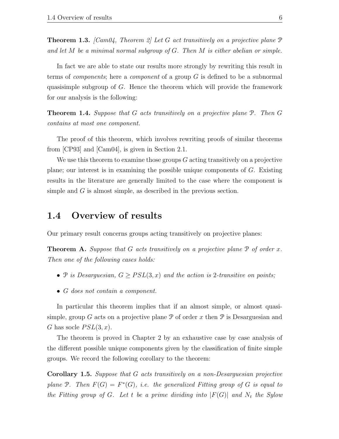**Theorem 1.3.** [Cam04, Theorem 2] Let G act transitively on a projective plane  $\mathcal{P}$ and let M be a minimal normal subgroup of  $G$ . Then M is either abelian or simple.

In fact we are able to state our results more strongly by rewriting this result in terms of *components*; here a *component* of a group  $G$  is defined to be a subnormal quasisimple subgroup of G. Hence the theorem which will provide the framework for our analysis is the following:

**Theorem 1.4.** Suppose that G acts transitively on a projective plane  $\mathcal{P}$ . Then G contains at most one component.

The proof of this theorem, which involves rewriting proofs of similar theorems from [CP93] and [Cam04], is given in Section 2.1.

We use this theorem to examine those groups  $G$  acting transitively on a projective plane; our interest is in examining the possible unique components of G. Existing results in the literature are generally limited to the case where the component is simple and G is almost simple, as described in the previous section.

# 1.4 Overview of results

Our primary result concerns groups acting transitively on projective planes:

**Theorem A.** Suppose that G acts transitively on a projective plane  $\mathcal{P}$  of order x. Then one of the following cases holds:

- P is Desarguesian,  $G \geq PSL(3, x)$  and the action is 2-transitive on points;
- G does not contain a component.

In particular this theorem implies that if an almost simple, or almost quasisimple, group G acts on a projective plane  $P$  of order x then  $P$  is Desarguesian and G has socle  $PSL(3, x)$ .

The theorem is proved in Chapter 2 by an exhaustive case by case analysis of the different possible unique components given by the classification of finite simple groups. We record the following corollary to the theorem:

Corollary 1.5. Suppose that G acts transitively on a non-Desarguesian projective plane P. Then  $F(G) = F^*(G)$ , i.e. the generalized Fitting group of G is equal to the Fitting group of G. Let t be a prime dividing into  $|F(G)|$  and  $N_t$  the Sylow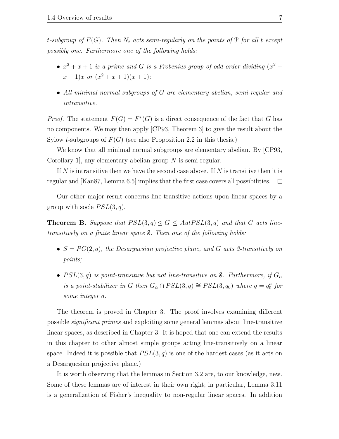t-subgroup of  $F(G)$ . Then  $N_t$  acts semi-regularly on the points of  $\mathfrak P$  for all t except possibly one. Furthermore one of the following holds:

- $x^2 + x + 1$  is a prime and G is a Frobenius group of odd order dividing  $(x^2 +$  $(x+1)x$  or  $(x^2+x+1)(x+1);$
- All minimal normal subgroups of G are elementary abelian, semi-regular and intransitive.

*Proof.* The statement  $F(G) = F^*(G)$  is a direct consequence of the fact that G has no components. We may then apply [CP93, Theorem 3] to give the result about the Sylow *t*-subgroups of  $F(G)$  (see also Proposition 2.2 in this thesis.)

We know that all minimal normal subgroups are elementary abelian. By [CP93, Corollary 1, any elementary abelian group  $N$  is semi-regular.

If  $N$  is intransitive then we have the second case above. If  $N$  is transitive then it is regular and [Kan87, Lemma 6.5] implies that the first case covers all possibilities.  $\Box$ 

Our other major result concerns line-transitive actions upon linear spaces by a group with socle  $PSL(3, q)$ .

**Theorem B.** Suppose that  $PSL(3, q) \leq G \leq AutPSL(3, q)$  and that G acts linetransitively on a finite linear space S. Then one of the following holds:

- $S = PG(2, q)$ , the Desarguesian projective plane, and G acts 2-transitively on points;
- $PSL(3, q)$  is point-transitive but not line-transitive on S. Furthermore, if  $G_{\alpha}$ is a point-stabilizer in G then  $G_{\alpha} \cap PSL(3, q) \cong PSL(3, q_0)$  where  $q = q_0^a$  for some integer a.

The theorem is proved in Chapter 3. The proof involves examining different possible significant primes and exploiting some general lemmas about line-transitive linear spaces, as described in Chapter 3. It is hoped that one can extend the results in this chapter to other almost simple groups acting line-transitively on a linear space. Indeed it is possible that  $PSL(3, q)$  is one of the hardest cases (as it acts on a Desarguesian projective plane.)

It is worth observing that the lemmas in Section 3.2 are, to our knowledge, new. Some of these lemmas are of interest in their own right; in particular, Lemma 3.11 is a generalization of Fisher's inequality to non-regular linear spaces. In addition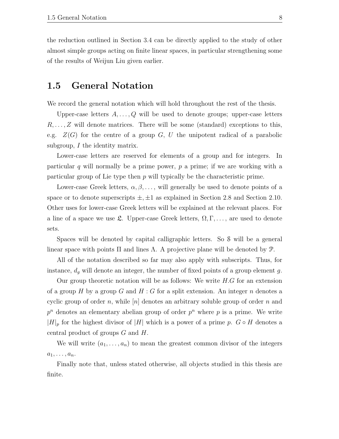the reduction outlined in Section 3.4 can be directly applied to the study of other almost simple groups acting on finite linear spaces, in particular strengthening some of the results of Weijun Liu given earlier.

# 1.5 General Notation

We record the general notation which will hold throughout the rest of the thesis.

Upper-case letters  $A, \ldots, Q$  will be used to denote groups; upper-case letters  $R, \ldots, Z$  will denote matrices. There will be some (standard) exceptions to this, e.g.  $Z(G)$  for the centre of a group G, U the unipotent radical of a parabolic subgroup, I the identity matrix.

Lower-case letters are reserved for elements of a group and for integers. In particular q will normally be a prime power,  $p$  a prime; if we are working with a particular group of Lie type then  $p$  will typically be the characteristic prime.

Lower-case Greek letters,  $\alpha, \beta, \ldots$ , will generally be used to denote points of a space or to denote superscripts  $\pm$ ,  $\pm 1$  as explained in Section 2.8 and Section 2.10. Other uses for lower-case Greek letters will be explained at the relevant places. For a line of a space we use  $\mathfrak{L}$ . Upper-case Greek letters,  $\Omega, \Gamma, \ldots$ , are used to denote sets.

Spaces will be denoted by capital calligraphic letters. So S will be a general linear space with points  $\Pi$  and lines  $\Lambda$ . A projective plane will be denoted by  $\mathcal{P}$ .

All of the notation described so far may also apply with subscripts. Thus, for instance,  $d_g$  will denote an integer, the number of fixed points of a group element g.

Our group theoretic notation will be as follows: We write  $H.G$  for an extension of a group H by a group G and  $H : G$  for a split extension. An integer n denotes a cyclic group of order n, while  $[n]$  denotes an arbitrary soluble group of order n and  $p^n$  denotes an elementary abelian group of order  $p^n$  where p is a prime. We write  $|H|_p$  for the highest divisor of  $|H|$  which is a power of a prime p.  $G \circ H$  denotes a central product of groups  $G$  and  $H$ .

We will write  $(a_1, \ldots, a_n)$  to mean the greatest common divisor of the integers  $a_1, \ldots, a_n$ .

Finally note that, unless stated otherwise, all objects studied in this thesis are finite.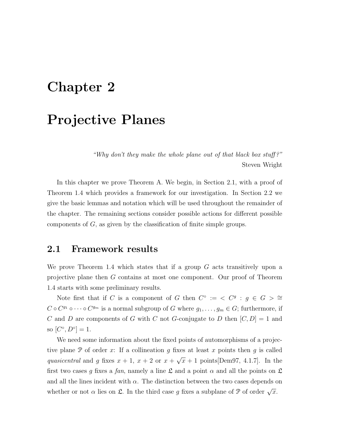# Chapter 2

# Projective Planes

"Why don't they make the whole plane out of that black box stuff?" Steven Wright

In this chapter we prove Theorem A. We begin, in Section 2.1, with a proof of Theorem 1.4 which provides a framework for our investigation. In Section 2.2 we give the basic lemmas and notation which will be used throughout the remainder of the chapter. The remaining sections consider possible actions for different possible components of  $G$ , as given by the classification of finite simple groups.

## 2.1 Framework results

We prove Theorem 1.4 which states that if a group  $G$  acts transitively upon a projective plane then G contains at most one component. Our proof of Theorem 1.4 starts with some preliminary results.

Note first that if C is a component of G then  $C^{\circ} := \langle C^g : g \in G \rangle \cong$  $C \circ C^{g_1} \circ \cdots \circ C^{g_m}$  is a normal subgroup of G where  $g_1, \ldots, g_m \in G$ ; furthermore, if C and D are components of G with C not G-conjugate to D then  $[C, D] = 1$  and so  $[C^{\circ}, D^{\circ}] = 1$ .

We need some information about the fixed points of automorphisms of a projective plane P of order x: If a collineation q fixes at least x points then q is called quasicentral and g fixes  $x + 1$ ,  $x + 2$  or  $x + \sqrt{x} + 1$  points [Dem97, 4.1.7]. In the first two cases g fixes a fan, namely a line  $\mathfrak L$  and a point  $\alpha$  and all the points on  $\mathfrak L$ and all the lines incident with  $\alpha$ . The distinction between the two cases depends on whether or not  $\alpha$  lies on  $\mathfrak{L}$ . In the third case g fixes a subplane of  $\mathfrak{P}$  of order  $\sqrt{x}$ .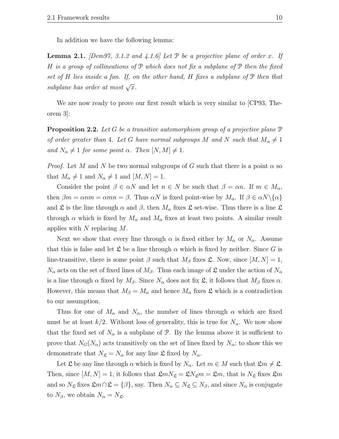In addition we have the following lemma:

**Lemma 2.1.** [Dem97, 3.1.2 and 4.1.6] Let P be a projective plane of order x. If H is a group of collineations of P which does not fix a subplane of P then the fixed set of H lies inside a fan. If, on the other hand, H fixes a subplane of P then that subplane has order at most  $\sqrt{x}$ .

We are now ready to prove our first result which is very similar to [CP93, Theorem 3]:

**Proposition 2.2.** Let G be a transitive automorphism group of a projective plane  $\mathcal{P}$ of order greater than 4. Let G have normal subgroups M and N such that  $M_{\alpha} \neq 1$ and  $N_{\alpha} \neq 1$  for some point  $\alpha$ . Then  $[N, M] \neq 1$ .

*Proof.* Let M and N be two normal subgroups of G such that there is a point  $\alpha$  so that  $M_{\alpha} \neq 1$  and  $N_{\alpha} \neq 1$  and  $[M, N] = 1$ .

Consider the point  $\beta \in \alpha N$  and let  $n \in N$  be such that  $\beta = \alpha n$ . If  $m \in M_\alpha$ , then  $\beta m = \alpha nm = \alpha mn = \beta$ . Thus  $\alpha N$  is fixed point-wise by  $M_{\alpha}$ . If  $\beta \in \alpha N \setminus {\alpha}$ and  $\mathfrak L$  is the line through  $\alpha$  and  $\beta$ , then  $M_\alpha$  fixes  $\mathfrak L$  set-wise. Thus there is a line  $\mathfrak L$ through  $\alpha$  which is fixed by  $M_{\alpha}$  and  $M_{\alpha}$  fixes at least two points. A similar result applies with  $N$  replacing  $M$ .

Next we show that every line through  $\alpha$  is fixed either by  $M_{\alpha}$  or  $N_{\alpha}$ . Assume that this is false and let  $\mathfrak L$  be a line through  $\alpha$  which is fixed by neither. Since G is line-transitive, there is some point  $\beta$  such that  $M_{\beta}$  fixes  $\mathfrak{L}$ . Now, since  $[M, N] = 1$ ,  $N_{\alpha}$  acts on the set of fixed lines of  $M_{\beta}$ . Thus each image of  $\mathfrak{L}$  under the action of  $N_{\alpha}$ is a line through  $\alpha$  fixed by  $M_{\beta}$ . Since  $N_{\alpha}$  does not fix  $\mathfrak{L}$ , it follows that  $M_{\beta}$  fixes  $\alpha$ . However, this means that  $M_{\beta} = M_{\alpha}$  and hence  $M_{\alpha}$  fixes  $\mathfrak{L}$  which is a contradiction to our assumption.

Thus for one of  $M_{\alpha}$  and  $N_{\alpha}$ , the number of lines through  $\alpha$  which are fixed must be at least  $k/2$ . Without loss of generality, this is true for  $N_{\alpha}$ . We now show that the fixed set of  $N_{\alpha}$  is a subplane of P. By the lemma above it is sufficient to prove that  $N_G(N_\alpha)$  acts transitively on the set of lines fixed by  $N_\alpha$ ; to show this we demonstrate that  $N_{\mathfrak{L}} = N_{\alpha}$  for any line  $\mathfrak{L}$  fixed by  $N_{\alpha}$ .

Let  $\mathfrak L$  be any line through  $\alpha$  which is fixed by  $N_{\alpha}$ . Let  $m \in M$  such that  $\mathfrak L m \neq \mathfrak L$ . Then, since  $[M, N] = 1$ , it follows that  $\mathfrak{L}mN_{\mathfrak{L}} = \mathfrak{L}N_{\mathfrak{L}}m = \mathfrak{L}m$ , that is  $N_{\mathfrak{L}}$  fixes  $\mathfrak{L}m$ and so  $N_{\mathfrak{L}}$  fixes  $\mathfrak{L}m \cap \mathfrak{L} = {\beta}$ , say. Then  $N_{\alpha} \subseteq N_{\mathfrak{L}} \subseteq N_{\beta}$ , and since  $N_{\alpha}$  is conjugate to  $N_{\beta}$ , we obtain  $N_{\alpha} = N_{\mathfrak{L}}$ .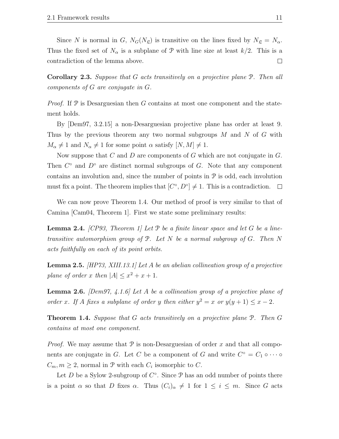Since N is normal in G,  $N_G(N_{\mathfrak{L}})$  is transitive on the lines fixed by  $N_{\mathfrak{L}} = N_{\alpha}$ . Thus the fixed set of  $N_{\alpha}$  is a subplane of P with line size at least  $k/2$ . This is a contradiction of the lemma above.  $\Box$ 

Corollary 2.3. Suppose that G acts transitively on a projective plane P. Then all components of G are conjugate in G.

*Proof.* If  $\mathcal P$  is Desarguesian then G contains at most one component and the statement holds.

By [Dem97, 3.2.15] a non-Desarguesian projective plane has order at least 9. Thus by the previous theorem any two normal subgroups  $M$  and  $N$  of  $G$  with  $M_{\alpha} \neq 1$  and  $N_{\alpha} \neq 1$  for some point  $\alpha$  satisfy  $[N, M] \neq 1$ .

Now suppose that  $C$  and  $D$  are components of  $G$  which are not conjugate in  $G$ . Then  $C^{\circ}$  and  $D^{\circ}$  are distinct normal subgroups of G. Note that any component contains an involution and, since the number of points in  $\mathcal P$  is odd, each involution must fix a point. The theorem implies that  $[C^{\circ}, D^{\circ}] \neq 1$ . This is a contradiction.

We can now prove Theorem 1.4. Our method of proof is very similar to that of Camina [Cam04, Theorem 1]. First we state some preliminary results:

**Lemma 2.4.** [CP93, Theorem 1] Let  $P$  be a finite linear space and let  $G$  be a linetransitive automorphism group of  $\mathcal{P}$ . Let N be a normal subgroup of G. Then N acts faithfully on each of its point orbits.

**Lemma 2.5.** [HP73, XIII.13.1] Let A be an abelian collineation group of a projective plane of order x then  $|A| \leq x^2 + x + 1$ .

**Lemma 2.6.** [Dem97, 4.1.6] Let A be a collineation group of a projective plane of order x. If A fixes a subplane of order y then either  $y^2 = x$  or  $y(y+1) \leq x-2$ .

**Theorem 1.4.** Suppose that  $G$  acts transitively on a projective plane  $\mathcal{P}$ . Then  $G$ contains at most one component.

*Proof.* We may assume that  $\mathcal P$  is non-Desarguesian of order x and that all components are conjugate in G. Let C be a component of G and write  $C^{\circ} = C_1 \circ \cdots \circ$  $C_m, m \geq 2$ , normal in  $\mathcal P$  with each  $C_i$  isomorphic to  $C$ .

Let D be a Sylow 2-subgroup of  $C^{\circ}$ . Since P has an odd number of points there is a point  $\alpha$  so that D fixes  $\alpha$ . Thus  $(C_i)_{\alpha} \neq 1$  for  $1 \leq i \leq m$ . Since G acts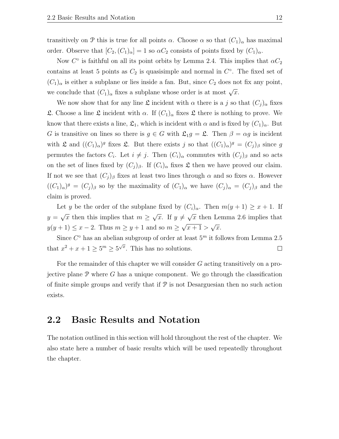transitively on P this is true for all points  $\alpha$ . Choose  $\alpha$  so that  $(C_1)_{\alpha}$  has maximal order. Observe that  $[C_2,(C_1)_\alpha]=1$  so  $\alpha C_2$  consists of points fixed by  $(C_1)_\alpha$ .

Now  $C^{\circ}$  is faithful on all its point orbits by Lemma 2.4. This implies that  $\alpha C_2$ contains at least 5 points as  $C_2$  is quasisimple and normal in  $C^{\circ}$ . The fixed set of  $(C_1)_{\alpha}$  is either a subplane or lies inside a fan. But, since  $C_2$  does not fix any point, we conclude that  $(C_1)_{\alpha}$  fixes a subplane whose order is at most  $\sqrt{x}$ .

We now show that for any line  $\mathfrak L$  incident with  $\alpha$  there is a j so that  $(C_j)_{\alpha}$  fixes **L.** Choose a line **L** incident with  $\alpha$ . If  $(C_1)_{\alpha}$  fixes **L** there is nothing to prove. We know that there exists a line,  $\mathfrak{L}_1$ , which is incident with  $\alpha$  and is fixed by  $(C_1)_{\alpha}$ . But G is transitive on lines so there is  $g \in G$  with  $\mathfrak{L}_1 g = \mathfrak{L}$ . Then  $\beta = \alpha g$  is incident with  $\mathfrak L$  and  $((C_1)_{\alpha})^g$  fixes  $\mathfrak L$ . But there exists j so that  $((C_1)_{\alpha})^g = (C_j)_{\beta}$  since g permutes the factors  $C_i$ . Let  $i \neq j$ . Then  $(C_i)_{\alpha}$  commutes with  $(C_j)_{\beta}$  and so acts on the set of lines fixed by  $(C_i)_{\beta}$ . If  $(C_i)_{\alpha}$  fixes  $\mathfrak L$  then we have proved our claim. If not we see that  $(C_i)_{\beta}$  fixes at least two lines through  $\alpha$  and so fixes  $\alpha$ . However  $((C_1)_{\alpha})^g = (C_j)_{\beta}$  so by the maximality of  $(C_1)_{\alpha}$  we have  $(C_j)_{\alpha} = (C_j)_{\beta}$  and the claim is proved.

Let y be the order of the subplane fixed by  $(C_i)_{\alpha}$ . Then  $m(y+1) \geq x+1$ . If  $y = \sqrt{x}$  then this implies that  $m \geq \sqrt{x}$ . If  $y \neq \sqrt{x}$  then Lemma 2.6 implies that  $y(y+1) \leq x-2$ . Thus  $m \geq y+1$  and so  $m \geq \sqrt{x+1} > \sqrt{x}$ .

Since  $C^{\circ}$  has an abelian subgroup of order at least  $5^{m}$  it follows from Lemma 2.5 that  $x^2 + x + 1 \ge 5^m \ge 5^{\sqrt{x}}$ . This has no solutions.  $\Box$ 

For the remainder of this chapter we will consider G acting transitively on a projective plane  $P$  where  $G$  has a unique component. We go through the classification of finite simple groups and verify that if  $P$  is not Desarguesian then no such action exists.

## 2.2 Basic Results and Notation

The notation outlined in this section will hold throughout the rest of the chapter. We also state here a number of basic results which will be used repeatedly throughout the chapter.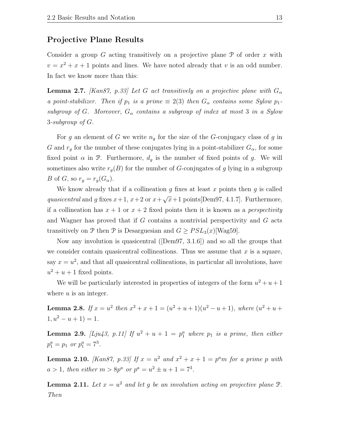#### Projective Plane Results

Consider a group G acting transitively on a projective plane  $\mathcal P$  of order x with  $v = x^2 + x + 1$  points and lines. We have noted already that v is an odd number. In fact we know more than this:

**Lemma 2.7.** [Kan87, p.33] Let G act transitively on a projective plane with  $G_{\alpha}$ a point-stabilizer. Then if  $p_1$  is a prime  $\equiv 2(3)$  then  $G_{\alpha}$  contains some Sylow  $p_1$ subgroup of G. Moreover,  $G_{\alpha}$  contains a subgroup of index at most 3 in a Sylow 3-subgroup of G.

For g an element of G we write  $n_q$  for the size of the G-conjugacy class of g in G and  $r_g$  for the number of these conjugates lying in a point-stabilizer  $G_\alpha$ , for some fixed point  $\alpha$  in  $\mathcal{P}$ . Furthermore,  $d_q$  is the number of fixed points of g. We will sometimes also write  $r_q(B)$  for the number of G-conjugates of g lying in a subgroup B of G, so  $r_g = r_g(G_\alpha)$ .

We know already that if a collineation g fixes at least x points then g is called quasicentral and g fixes  $x+1$ ,  $x+2$  or  $x+\sqrt{x}+1$  points[Dem97, 4.1.7]. Furthermore, if a collineation has  $x + 1$  or  $x + 2$  fixed points then it is known as a *perspectivity* and Wagner has proved that if G contains a nontrivial perspectivity and G acts transitively on P then P is Desarguesian and  $G \geq PSL_3(x)$ [Wag59].

Now any involution is quasicentral ([Dem97, 3.1.6]) and so all the groups that we consider contain quasicentral collineations. Thus we assume that  $x$  is a square, say  $x = u^2$ , and that all quasicentral collineations, in particular all involutions, have  $u^2 + u + 1$  fixed points.

We will be particularly interested in properties of integers of the form  $u^2 + u + 1$ where  $u$  is an integer.

**Lemma 2.8.** If  $x = u^2$  then  $x^2 + x + 1 = (u^2 + u + 1)(u^2 - u + 1)$ , where  $(u^2 + u +$  $1, u^2 - u + 1) = 1.$ 

**Lemma 2.9.** [Lju<sub>4</sub>3, p.11] If  $u^2 + u + 1 = p_1^a$  where  $p_1$  is a prime, then either  $p_1^a = p_1$  or  $p_1^a = 7^3$ .

**Lemma 2.10.** [Kan87, p.33] If  $x = u^2$  and  $x^2 + x + 1 = p^a m$  for a prime p with  $a > 1$ , then either  $m > 8p^a$  or  $p^a = u^2 \pm u + 1 = 7^3$ .

**Lemma 2.11.** Let  $x = u^2$  and let g be an involution acting on projective plane  $\mathcal{P}$ . Then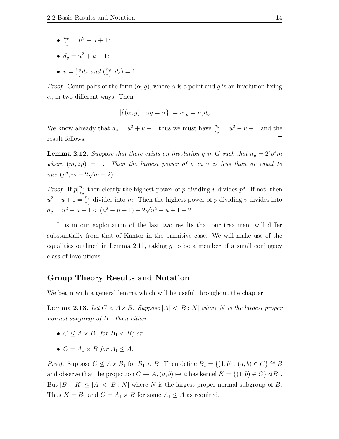- $\bullet$   $\frac{n_g}{r_g}$  $\frac{n_g}{r_g} = u^2 - u + 1;$
- $d_g = u^2 + u + 1;$
- $\bullet\,\,v=\frac{n_g}{r_g}$  $\frac{n_g}{r_g}d_g$  and  $(\frac{n_g}{r_g}$  $\frac{n_g}{r_g}, d_g) = 1.$

*Proof.* Count pairs of the form  $(\alpha, g)$ , where  $\alpha$  is a point and g is an involution fixing  $\alpha$ , in two different ways. Then

$$
|\{(\alpha, g) : \alpha g = \alpha\}| = v r_g = n_g d_g
$$

We know already that  $d_g = u^2 + u + 1$  thus we must have  $\frac{n_g}{r_g}$  $\frac{n_g}{r_g} = u^2 - u + 1$  and the result follows. □

**Lemma 2.12.** Suppose that there exists an involution g in G such that  $n_g = 2^c p^a m$ where  $(m, 2p) = 1$ . Then the largest power of p in v is less than or equal to  $max(p^a, m+2\sqrt{m}+2).$ 

*Proof.* If  $p\vert \frac{n_g}{r_g}$  $\frac{n_g}{r_g}$  then clearly the highest power of p dividing v divides  $p^a$ . If not, then  $u^2 - u + 1 = \frac{n_g}{r_g}$  $\frac{n_g}{r_g}$  divides into m. Then the highest power of p dividing v divides into  $d_g = u^2 + u + 1 < (u^2 - u + 1) + 2\sqrt{u^2 - u + 1} + 2.$  $\Box$ 

It is in our exploitation of the last two results that our treatment will differ substantially from that of Kantor in the primitive case. We will make use of the equalities outlined in Lemma 2.11, taking  $q$  to be a member of a small conjugacy class of involutions.

#### Group Theory Results and Notation

We begin with a general lemma which will be useful throughout the chapter.

**Lemma 2.13.** Let  $C < A \times B$ . Suppose  $|A| < |B : N|$  where N is the largest proper normal subgroup of B. Then either:

- $C \leq A \times B_1$  for  $B_1 \leq B$ ; or
- $C = A_1 \times B$  for  $A_1 \leq A$ .

*Proof.* Suppose  $C \nleq A \times B_1$  for  $B_1 \lt B$ . Then define  $B_1 = \{(1, b) : (a, b) \in C\} \cong B$ and observe that the projection  $C \to A$ ,  $(a, b) \mapsto a$  has kernel  $K = \{(1, b) \in C\} \triangleleft B_1$ . But  $|B_1: K| \leq |A| < |B: N|$  where N is the largest proper normal subgroup of B. Thus  $K = B_1$  and  $C = A_1 \times B$  for some  $A_1 \leq A$  as required.  $\Box$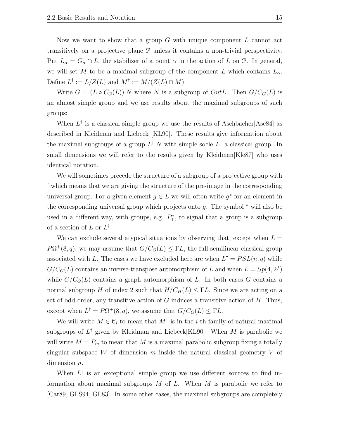Now we want to show that a group  $G$  with unique component  $L$  cannot act transitively on a projective plane P unless it contains a non-trivial perspectivity. Put  $L_{\alpha} = G_{\alpha} \cap L$ , the stabilizer of a point  $\alpha$  in the action of L on P. In general, we will set M to be a maximal subgroup of the component L which contains  $L_{\alpha}$ . Define  $L^{\dagger} := L/Z(L)$  and  $M^{\dagger} := M/(Z(L) \cap M)$ .

Write  $G = (L \circ C_G(L)).N$  where N is a subgroup of  $OutL$ . Then  $G/C_G(L)$  is an almost simple group and we use results about the maximal subgroups of such groups:

When  $L^{\dagger}$  is a classical simple group we use the results of Aschbacher [Asc84] as described in Kleidman and Liebeck [KL90]. These results give information about the maximal subgroups of a group  $L^{\dagger}.N$  with simple socle  $L^{\dagger}$  a classical group. In small dimensions we will refer to the results given by Kleidman [Kle87] who uses identical notation.

We will sometimes precede the structure of a subgroup of a projective group with ˆ which means that we are giving the structure of the pre-image in the corresponding universal group. For a given element  $g \in L$  we will often write  $g^*$  for an element in the corresponding universal group which projects onto  $g$ . The symbol  $*$  will also be used in a different way, with groups, e.g.  $P_1^*$ , to signal that a group is a subgroup of a section of L or  $L^{\dagger}$ .

We can exclude several atypical situations by observing that, except when  $L =$  $P\Omega^+(8,q)$ , we may assume that  $G/C_G(L) \leq \Gamma L$ , the full semilinear classical group associated with L. The cases we have excluded here are when  $L^{\dagger} = PSL(n, q)$  while  $G/C_G(L)$  contains an inverse-transpose automorphism of L and when  $L = Sp(4, 2^f)$ while  $G/C<sub>G</sub>(L)$  contains a graph automorphism of L. In both cases G contains a normal subgroup H of index 2 such that  $H/C_H(L) \leq \Gamma L$ . Since we are acting on a set of odd order, any transitive action of  $G$  induces a transitive action of  $H$ . Thus, except when  $L^{\dagger} = P\Omega^+(8, q)$ , we assume that  $G/C_G(L) \leq \Gamma L$ .

We will write  $M \in \mathcal{C}_i$  to mean that  $M^{\dagger}$  is in the *i*-th family of natural maximal subgroups of  $L^{\dagger}$  given by Kleidman and Liebeck[KL90]. When M is parabolic we will write  $M = P_m$  to mean that M is a maximal parabolic subgroup fixing a totally singular subspace W of dimension  $m$  inside the natural classical geometry V of dimension  $n$ .

When  $L^{\dagger}$  is an exceptional simple group we use different sources to find information about maximal subgroups  $M$  of  $L$ . When  $M$  is parabolic we refer to [Car89, GLS94, GL83]. In some other cases, the maximal subgroups are completely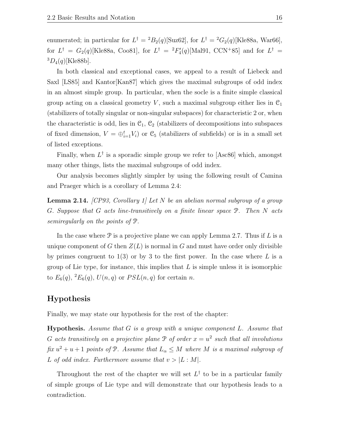enumerated; in particular for  $L^{\dagger} = {}^2B_2(q)[Suz62]$ , for  $L^{\dagger} = {}^2G_2(q)[K]$ le88a, War66], for  $L^{\dagger} = G_2(q)$ [Kle88a, Coo81], for  $L^{\dagger} = {}^{2}F'_{4}(q)$ [Mal91, CCN+85] and for  $L^{\dagger} =$  ${}^{3}D_{4}(q)$ [Kle88b].

In both classical and exceptional cases, we appeal to a result of Liebeck and Saxl [LS85] and Kantor[Kan87] which gives the maximal subgroups of odd index in an almost simple group. In particular, when the socle is a finite simple classical group acting on a classical geometry V, such a maximal subgroup either lies in  $\mathcal{C}_1$ (stabilizers of totally singular or non-singular subspaces) for characteristic 2 or, when the characteristic is odd, lies in  $\mathcal{C}_1$ ,  $\mathcal{C}_2$  (stabilizers of decompositions into subspaces of fixed dimension,  $V = \bigoplus_{i=1}^{t} V_i$  or  $\mathfrak{C}_5$  (stabilizers of subfields) or is in a small set of listed exceptions.

Finally, when  $L^{\dagger}$  is a sporadic simple group we refer to [Asc86] which, amongst many other things, lists the maximal subgroups of odd index.

Our analysis becomes slightly simpler by using the following result of Camina and Praeger which is a corollary of Lemma 2.4:

**Lemma 2.14.** [CP93, Corollary 1] Let N be an abelian normal subgroup of a group G. Suppose that G acts line-transitively on a finite linear space P. Then N acts semiregularly on the points of P.

In the case where  $\mathcal P$  is a projective plane we can apply Lemma 2.7. Thus if L is a unique component of G then  $Z(L)$  is normal in G and must have order only divisible by primes congruent to  $1(3)$  or by 3 to the first power. In the case where L is a group of Lie type, for instance, this implies that  $L$  is simple unless it is isomorphic to  $E_6(q)$ ,  ${}^2E_6(q)$ ,  $U(n,q)$  or  $PSL(n,q)$  for certain n.

### Hypothesis

Finally, we may state our hypothesis for the rest of the chapter:

**Hypothesis.** Assume that  $G$  is a group with a unique component  $L$ . Assume that G acts transitively on a projective plane  $P$  of order  $x = u^2$  such that all involutions fix  $u^2 + u + 1$  points of  $\mathcal{P}$ . Assume that  $L_{\alpha} \leq M$  where M is a maximal subgroup of L of odd index. Furthermore assume that  $v > |L : M|$ .

Throughout the rest of the chapter we will set  $L^{\dagger}$  to be in a particular family of simple groups of Lie type and will demonstrate that our hypothesis leads to a contradiction.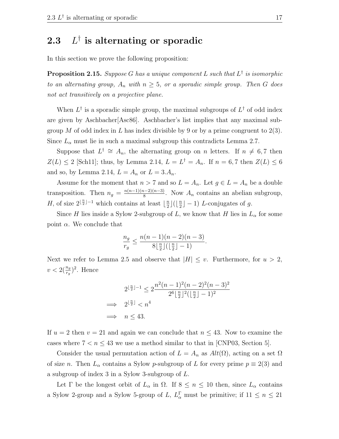#### **2.3** † is alternating or sporadic

In this section we prove the following proposition:

**Proposition 2.15.** Suppose G has a unique component L such that  $L^{\dagger}$  is isomorphic to an alternating group,  $A_n$  with  $n \geq 5$ , or a sporadic simple group. Then G does not act transitively on a projective plane.

When  $L^{\dagger}$  is a sporadic simple group, the maximal subgroups of  $L^{\dagger}$  of odd index are given by Aschbacher[Asc86]. Aschbacher's list implies that any maximal subgroup M of odd index in L has index divisible by 9 or by a prime congruent to  $2(3)$ . Since  $L_{\alpha}$  must lie in such a maximal subgroup this contradicts Lemma 2.7.

Suppose that  $L^{\dagger} \cong A_n$ , the alternating group on n letters. If  $n \neq 6, 7$  then  $Z(L) \leq 2$  [Sch11]; thus, by Lemma 2.14,  $L = L^{\dagger} = A_n$ . If  $n = 6, 7$  then  $Z(L) \leq 6$ and so, by Lemma 2.14,  $L = A_n$  or  $L = 3.A_n$ .

Assume for the moment that  $n > 7$  and so  $L = A_n$ . Let  $g \in L = A_n$  be a double transposition. Then  $n_g = \frac{n(n-1)(n-2)(n-3)}{8}$ . Now  $A_n$  contains an abelian subgroup, H, of size  $2^{\lfloor \frac{n}{2} \rfloor - 1}$  which contains at least  $\lfloor \frac{n}{2} \rfloor$  $\frac{n}{2}$ ]( $\lfloor \frac{n}{2}$  $\frac{n}{2}$ ] – 1) *L*-conjugates of *g*.

Since H lies inside a Sylow 2-subgroup of L, we know that H lies in  $L_{\alpha}$  for some point  $\alpha$ . We conclude that

$$
\frac{n_g}{r_g} \le \frac{n(n-1)(n-2)(n-3)}{8\lfloor \frac{n}{2} \rfloor (\lfloor \frac{n}{2} \rfloor - 1)}.
$$

Next we refer to Lemma 2.5 and observe that  $|H| \leq v$ . Furthermore, for  $u > 2$ ,  $v < 2(\frac{n_g}{r_g})^2$ . Hence

$$
2^{\lfloor \frac{n}{2} \rfloor - 1} \le 2 \frac{n^2 (n - 1)^2 (n - 2)^2 (n - 3)^2}{2^6 \lfloor \frac{n}{2} \rfloor^2 (\lfloor \frac{n}{2} \rfloor - 1)^2}
$$
  
\n
$$
\implies 2^{\lfloor \frac{n}{2} \rfloor} < n^4
$$
  
\n
$$
\implies n \le 43.
$$

If  $u = 2$  then  $v = 21$  and again we can conclude that  $n \leq 43$ . Now to examine the cases where  $7 < n \leq 43$  we use a method similar to that in [CNP03, Section 5].

Consider the usual permutation action of  $L = A_n$  as  $Alt(\Omega)$ , acting on a set  $\Omega$ of size *n*. Then  $L_{\alpha}$  contains a Sylow *p*-subgroup of L for every prime  $p \equiv 2(3)$  and a subgroup of index 3 in a Sylow 3-subgroup of L.

Let  $\Gamma$  be the longest orbit of  $L_{\alpha}$  in  $\Omega$ . If  $8 \leq n \leq 10$  then, since  $L_{\alpha}$  contains a Sylow 2-group and a Sylow 5-group of L,  $L_{\alpha}^{\Gamma}$  must be primitive; if  $11 \leq n \leq 21$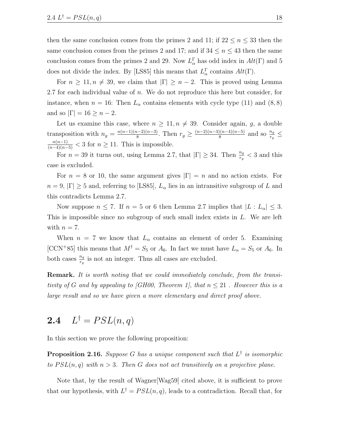then the same conclusion comes from the primes 2 and 11; if  $22 \leq n \leq 33$  then the same conclusion comes from the primes 2 and 17; and if  $34 \leq n \leq 43$  then the same conclusion comes from the primes 2 and 29. Now  $L_{\alpha}^{\Gamma}$  has odd index in  $Alt(\Gamma)$  and 5 does not divide the index. By [LS85] this means that  $L_{\alpha}^{\Gamma}$  contains  $Alt(\Gamma)$ .

For  $n \geq 11, n \neq 39$ , we claim that  $|\Gamma| \geq n-2$ . This is proved using Lemma 2.7 for each individual value of n. We do not reproduce this here but consider, for instance, when  $n = 16$ : Then  $L_{\alpha}$  contains elements with cycle type (11) and (8,8) and so  $|\Gamma| = 16 \geq n-2$ .

Let us examine this case, where  $n \geq 11, n \neq 39$ . Consider again, g, a double transposition with  $n_g = \frac{n(n-1)(n-2)(n-3)}{8}$ . Then  $r_g \ge \frac{(n-2)(n-3)(n-4)(n-5)}{8}$  and so  $\frac{n_g}{r_g}$  $\frac{s}{r_g} \leq$  $\frac{n(n-1)}{(n-4)(n-5)} < 3$  for  $n \ge 11$ . This is impossible.

For  $n = 39$  it turns out, using Lemma 2.7, that  $|\Gamma| \geq 34$ . Then  $\frac{n_g}{r_g} < 3$  and this case is excluded.

For  $n = 8$  or 10, the same argument gives  $|\Gamma| = n$  and no action exists. For  $n = 9, |\Gamma| \geq 5$  and, referring to [LS85],  $L_{\alpha}$  lies in an intransitive subgroup of L and this contradicts Lemma 2.7.

Now suppose  $n \leq 7$ . If  $n = 5$  or 6 then Lemma 2.7 implies that  $|L : L_{\alpha}| \leq 3$ . This is impossible since no subgroup of such small index exists in L. We are left with  $n = 7$ .

When  $n = 7$  we know that  $L_{\alpha}$  contains an element of order 5. Examining [CCN+85] this means that  $M^{\dagger} = S_5$  or  $A_6$ . In fact we must have  $L_{\alpha} = S_5$  or  $A_6$ . In both cases  $\frac{n_g}{r_g}$  $\frac{n_g}{r_g}$  is not an integer. Thus all cases are excluded.

Remark. It is worth noting that we could immediately conclude, from the transitivity of G and by appealing to [GH00, Theorem 1], that  $n \leq 21$ . However this is a large result and so we have given a more elementary and direct proof above.

#### $2.4$  $L^{\dagger} = PSL(n, q)$

In this section we prove the following proposition:

**Proposition 2.16.** Suppose G has a unique component such that  $L^{\dagger}$  is isomorphic to  $PSL(n, q)$  with  $n > 3$ . Then G does not act transitively on a projective plane.

Note that, by the result of Wagner[Wag59] cited above, it is sufficient to prove that our hypothesis, with  $L^{\dagger} = PSL(n, q)$ , leads to a contradiction. Recall that, for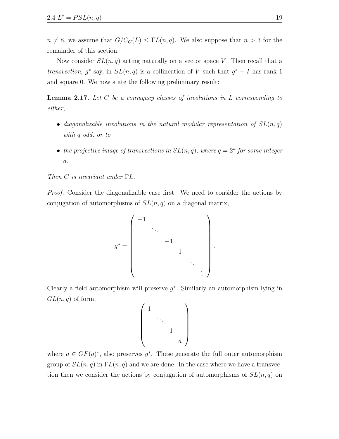$n \neq 8$ , we assume that  $G/C_G(L) \leq \Gamma L(n,q)$ . We also suppose that  $n > 3$  for the remainder of this section.

Now consider  $SL(n, q)$  acting naturally on a vector space V. Then recall that a *transvection,*  $g^*$  say, in  $SL(n,q)$  is a collineation of V such that  $g^* - I$  has rank 1 and square 0. We now state the following preliminary result:

**Lemma 2.17.** Let C be a conjugacy classes of involutions in L corresponding to either,

- diagonalizable involutions in the natural modular representation of  $SL(n,q)$ with q odd; or to
- the projective image of transvections in  $SL(n, q)$ , where  $q = 2<sup>a</sup>$  for some integer  $\overline{a}$ .

Then  $C$  is invariant under  $\Gamma L$ .

*Proof.* Consider the diagonalizable case first. We need to consider the actions by conjugation of automorphisms of  $SL(n, q)$  on a diagonal matrix,

$$
g^* = \begin{pmatrix} -1 & & & & \\ & \ddots & & & \\ & & -1 & & \\ & & & 1 & \\ & & & & \ddots \\ & & & & & 1 \end{pmatrix}.
$$

Clearly a field automorphism will preserve  $g^*$ . Similarly an automorphism lying in  $GL(n, q)$  of form,

$$
\begin{pmatrix} 1 & & & \\ & \ddots & & \\ & & 1 & \\ & & & a \end{pmatrix}
$$

where  $a \in GF(q)^*$ , also preserves  $g^*$ . These generate the full outer automorphism group of  $SL(n, q)$  in  $\Gamma L(n, q)$  and we are done. In the case where we have a transvection then we consider the actions by conjugation of automorphisms of  $SL(n, q)$  on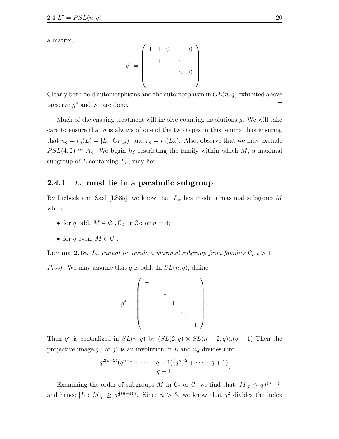a matrix,

$$
g^* = \begin{pmatrix} 1 & 1 & 0 & \dots & 0 \\ & 1 & & \ddots & \vdots \\ & & & \ddots & 0 \\ & & & & 1 \end{pmatrix}.
$$

Clearly both field automorphisms and the automorphism in  $GL(n, q)$  exhibited above preserve  $g^*$  and we are done.  $\Box$ 

Much of the ensuing treatment will involve counting involutions  $g$ . We will take care to ensure that  $g$  is always of one of the two types in this lemma thus ensuring that  $n_g = r_g(L) = |L : C_L(g)|$  and  $r_g = r_g(L_\alpha)$ . Also, observe that we may exclude  $PSL(4, 2) \cong A_8$ . We begin by restricting the family within which M, a maximal subgroup of L containing  $L_{\alpha}$ , may lie:

### 2.4.1  $L_{\alpha}$  must lie in a parabolic subgroup

By Liebeck and Saxl [LS85], we know that  $L_{\alpha}$  lies inside a maximal subgroup M where

- for q odd,  $M \in \mathcal{C}_1, \mathcal{C}_2$  or  $\mathcal{C}_5$ ; or  $n = 4$ ;
- for q even,  $M \in \mathcal{C}_1$ .

**Lemma 2.18.**  $L_{\alpha}$  cannot lie inside a maximal subgroup from families  $\mathcal{C}_i$ ,  $i > 1$ .

*Proof.* We may assume that q is odd. In  $SL(n, q)$ , define

$$
g^* = \begin{pmatrix} -1 & & & & \\ & -1 & & & \\ & & 1 & & \\ & & & \ddots & \\ & & & & 1 \end{pmatrix}.
$$

Then  $g^*$  is centralized in  $SL(n,q)$  by  $(SL(2,q) \times SL(n-2,q))$ .  $(q-1)$  Then the projective image,  $g$ , of  $g^*$  is an involution in L and  $n_g$  divides into

$$
\frac{q^{2(n-2)}(q^{n-1}+\cdots+q+1)(q^{n-2}+\cdots+q+1)}{q+1}.
$$

Examining the order of subgroups M in  $\mathfrak{C}_2$  or  $\mathfrak{C}_5$  we find that  $|M|_p \leq q^{\frac{1}{4}(n-1)n}$ and hence  $|L : M|_p \geq q^{\frac{1}{4}(n-1)n}$ . Since  $n > 3$ , we know that  $q^2$  divides the index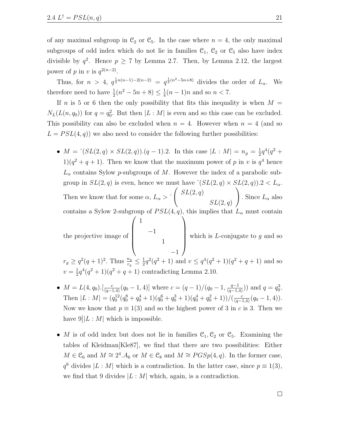of any maximal subgroup in  $\mathcal{C}_2$  or  $\mathcal{C}_5$ . In the case where  $n = 4$ , the only maximal subgroups of odd index which do not lie in families  $\mathcal{C}_1$ ,  $\mathcal{C}_2$  or  $\mathcal{C}_5$  also have index divisible by  $q^2$ . Hence  $p \ge 7$  by Lemma 2.7. Then, by Lemma 2.12, the largest power of p in v is  $q^{2(n-2)}$ .

Thus, for  $n > 4$ ,  $q^{\frac{1}{2}n(n-1)-2(n-2)} = q^{\frac{1}{2}(n^2-5n+8)}$  divides the order of  $L_{\alpha}$ . We therefore need to have  $\frac{1}{2}$  $\frac{1}{2}(n^2-5n+8)\leq \frac{1}{4}$  $\frac{1}{4}(n-1)n$  and so  $n < 7$ .

If n is 5 or 6 then the only possibility that fits this inequality is when  $M =$  $N_L(L(n, q_0))$  for  $q = q_0^2$ . But then  $|L : M|$  is even and so this case can be excluded. This possibility can also be excluded when  $n = 4$ . However when  $n = 4$  (and so  $L = PSL(4,q)$  we also need to consider the following further possibilities:

•  $M = \hat{C}(SL(2,q) \times SL(2,q)).(q-1).2.$  In this case  $|L : M| = n_g = \frac{1}{2}$  $\frac{1}{2}q^4(q^2 +$  $1(q^2+q+1)$ . Then we know that the maximum power of p in v is  $q^4$  hence  $L_{\alpha}$  contains Sylow p-subgroups of M. However the index of a parabolic subgroup in  $SL(2,q)$  is even, hence we must have  $\hat{\;} (SL(2,q) \times SL(2,q))$ .  $2 < L_{\alpha}$ . Then we know that for some  $\alpha$ ,  $L_{\alpha} > \hat{ }$  $\int SL(2,q)$  $SL(2,q)$  $\setminus$ . Since  $L_{\alpha}$  also contains a Sylow 2-subgroup of  $PSL(4, q)$ , this implies that  $L_{\alpha}$  must contain  $\sqrt{ }$ 1  $\setminus$ 

the projective image of  $\overline{\phantom{a}}$ −1 1  $\begin{array}{c} \hline \end{array}$ 

which is *L*-conjugate to 
$$
g
$$
 and so

−1  $r_g \geq q^2(q+1)^2$ . Thus  $\frac{n_g}{r_g}$  $\frac{n_g}{r_g} \leq \frac{1}{2}$  $\frac{1}{2}q^2(q^2+1)$  and  $v \leq q^4(q^2+1)(q^2+q+1)$  and so  $v=\frac{1}{2}$  $\frac{1}{2}q^4(q^2+1)(q^2+q+1)$  contradicting Lemma 2.10.

- $M = L(4, q_0) \cdot \left[ \frac{c}{(q-1, 4)} (q_0 1, 4) \right]$  where  $c = (q-1)/(q_0 1, \frac{q-1}{(q-1, 4)})$  and  $q = q_0^3$ . Then  $|L: M| = (q_0^{12}(q_0^8 + q_0^4 + 1)(q_0^6 + q_0^3 + 1)(q_0^4 + q_0^2 + 1))/(\frac{c}{(q-1,4)}(q_0 - 1, 4)).$ Now we know that  $p \equiv 1(3)$  and so the highest power of 3 in c is 3. Then we have  $9||L: M||$  which is impossible.
- M is of odd index but does not lie in families  $\mathcal{C}_1, \mathcal{C}_2$  or  $\mathcal{C}_5$ . Examining the tables of Kleidman[Kle87], we find that there are two possibilities: Either  $M \in \mathcal{C}_6$  and  $M \cong 2^4.A_6$  or  $M \in \mathcal{C}_8$  and  $M \cong PGSp(4,q)$ . In the former case,  $q^6$  divides  $|L : M|$  which is a contradiction. In the latter case, since  $p \equiv 1(3)$ , we find that 9 divides  $|L : M|$  which, again, is a contradiction.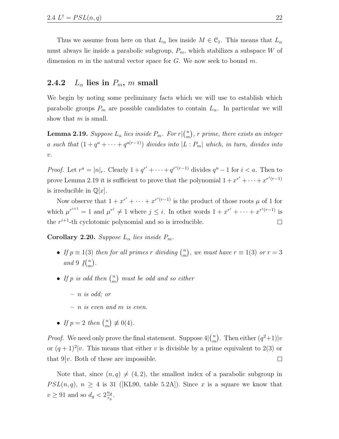Thus we assume from here on that  $L_{\alpha}$  lies inside  $M \in \mathcal{C}_1$ . This means that  $L_{\alpha}$ must always lie inside a parabolic subgroup,  $P_m$ , which stabilizes a subspace W of dimension m in the natural vector space for  $G$ . We now seek to bound m.

### 2.4.2  $L_{\alpha}$  lies in  $P_m$ , m small

We begin by noting some preliminary facts which we will use to establish which parabolic groups  $P_m$  are possible candidates to contain  $L_\alpha$ . In particular we will show that  $m$  is small.

**Lemma 2.19.** Suppose  $L_{\alpha}$  lies inside  $P_m$ . For  $r\vert\binom{n}{m}$  $\binom{n}{m}$ , r prime, there exists an integer a such that  $(1 + q^a + \cdots + q^{a(r-1)})$  divides into  $|L : P_m|$  which, in turn, divides into  $\overline{v}$ .

*Proof.* Let  $r^a = |n|_r$ . Clearly  $1 + q^{r^i} + \cdots + q^{r^{i(r-1)}}$  divides  $q^n - 1$  for  $i < a$ . Then to prove Lemma 2.19 it is sufficient to prove that the polynomial  $1+x^{r^i}+\cdots+x^{r^i(r-1)}$ is irreducible in  $\mathbb{Q}[x]$ .

Now observe that  $1 + x^{r^i} + \cdots + x^{r^i(r-1)}$  is the product of those roots  $\mu$  of 1 for which  $\mu^{r^{i+1}} = 1$  and  $\mu^{r^j} \neq 1$  where  $j \leq i$ . In other words  $1 + x^{r^i} + \cdots + x^{r^i(r-1)}$  is the  $r^{i+1}$ -th cyclotomic polynomial and so is irreducible.  $\Box$ 

**Corollary 2.20.** Suppose  $L_{\alpha}$  lies inside  $P_m$ .

- If  $p \equiv 1(3)$  then for all primes r dividing  $\binom{n}{m}$  $\binom{n}{m}$ , we must have  $r \equiv 1(3)$  or  $r = 3$ and 9  $\mathcal{X}\binom{n}{m}$  $\binom{n}{m}$ .
- If p is odd then  $\binom{n}{m}$  $\binom{n}{m}$  must be odd and so either
	- $n$  is odd; or
	- $n$  is even and m is even.
- If  $p=2$  then  $\binom{n}{m}$  $\binom{n}{m} \not\equiv 0(4).$

*Proof.* We need only prove the final statement. Suppose  $4\binom{n}{m}$  $\binom{n}{m}$ . Then either  $(q^2+1)|v|$ or  $(q+1)^2|v$ . This means that either v is divisible by a prime equivalent to 2(3) or that  $9|v$ . Both of these are impossible.  $\Box$ 

Note that, since  $(n, q) \neq (4, 2)$ , the smallest index of a parabolic subgroup in  $PSL(n, q)$ ,  $n \geq 4$  is 31 ([KL90, table 5.2A]). Since x is a square we know that  $v \ge 91$  and so  $d_g < 2\frac{n_g}{r_g}$  $\frac{n_g}{r_g}.$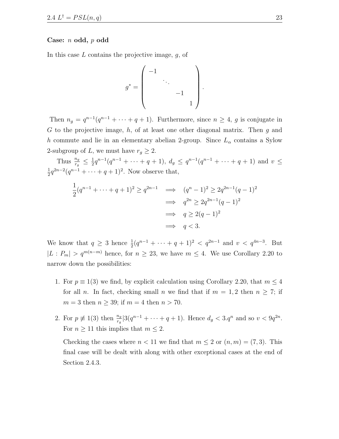#### Case: n odd, p odd

In this case  $L$  contains the projective image,  $q$ , of

$$
g^* = \begin{pmatrix} -1 & & & \\ & \ddots & & \\ & & -1 & \\ & & & 1 \end{pmatrix}.
$$

Then  $n_g = q^{n-1}(q^{n-1} + \cdots + q + 1)$ . Furthermore, since  $n \geq 4$ , g is conjugate in G to the projective image,  $h$ , of at least one other diagonal matrix. Then  $g$  and h commute and lie in an elementary abelian 2-group. Since  $L_{\alpha}$  contains a Sylow 2-subgroup of L, we must have  $r_g \geq 2$ .

Thus  $\frac{n_g}{r_g}$  $\frac{n_g}{r_g} \leq \frac{1}{2}$  $\frac{1}{2}q^{n-1}(q^{n-1} + \cdots + q + 1), d_g \leq q^{n-1}(q^{n-1} + \cdots + q + 1)$  and  $v \leq$ 1  $\frac{1}{2}q^{2n-2}(q^{n-1}+\cdots+q+1)^2$ . Now observe that,

$$
\frac{1}{2}(q^{n-1} + \dots + q + 1)^2 \ge q^{2n-1} \implies (q^n - 1)^2 \ge 2q^{2n-1}(q - 1)^2
$$
  

$$
\implies q^{2n} \ge 2q^{2n-1}(q - 1)^2
$$
  

$$
\implies q \ge 2(q - 1)^2
$$
  

$$
\implies q < 3.
$$

We know that  $q \geq 3$  hence  $\frac{1}{2}(q^{n-1} + \cdots + q + 1)^2 < q^{2n-1}$  and  $v < q^{4n-3}$ . But  $|L: P_m| > q^{m(n-m)}$  hence, for  $n \geq 23$ , we have  $m \leq 4$ . We use Corollary 2.20 to narrow down the possibilities:

- 1. For  $p \equiv 1(3)$  we find, by explicit calculation using Corollary 2.20, that  $m \leq 4$ for all *n*. In fact, checking small *n* we find that if  $m = 1, 2$  then  $n \ge 7$ ; if  $m = 3$  then  $n \ge 39$ ; if  $m = 4$  then  $n > 70$ .
- 2. For  $p \not\equiv 1(3)$  then  $\frac{n_g}{r_g} |3(q^{n-1} + \cdots + q + 1)$ . Hence  $d_g < 3.q^n$  and so  $v < 9q^{2n}$ . For  $n \geq 11$  this implies that  $m \leq 2$ .

Checking the cases where  $n < 11$  we find that  $m \leq 2$  or  $(n, m) = (7, 3)$ . This final case will be dealt with along with other exceptional cases at the end of Section 2.4.3.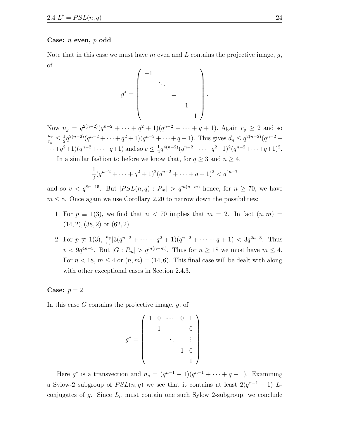#### Case: n even, p odd

Note that in this case we must have m even and L contains the projective image,  $q$ , of

$$
g^* = \begin{pmatrix} -1 & & & & \\ & \ddots & & & \\ & & -1 & & \\ & & & 1 & \\ & & & & 1 \end{pmatrix}
$$

.

Now  $n_g = q^{2(n-2)}(q^{n-2} + \cdots + q^2 + 1)(q^{n-2} + \cdots + q + 1)$ . Again  $r_g \ge 2$  and so  $n_g$  $\frac{n_g}{r_g} \leq \frac{1}{2}$  $\frac{1}{2}q^{2(n-2)}(q^{n-2}+\cdots+q^2+1)(q^{n-2}+\cdots+q+1)$ . This gives  $d_g \leq q^{2(n-2)}(q^{n-2}+\cdots+q^2)$  $\cdots$ +q<sup>2</sup>+1)(q<sup>n-2</sup>+ $\cdots$ +q+1) and so  $v \leq \frac{1}{2}$  $\frac{1}{2}q^{4(n-2)}(q^{n-2}+\cdots+q^2+1)^2(q^{n-2}+\cdots+q+1)^2.$ 

In a similar fashion to before we know that, for  $q \geq 3$  and  $n \geq 4$ ,

$$
\frac{1}{2}(q^{n-2} + \dots + q^2 + 1)^2(q^{n-2} + \dots + q + 1)^2 < q^{4n-7}
$$

and so  $v < q^{8n-15}$ . But  $|PSL(n,q) : P_m| > q^{m(n-m)}$  hence, for  $n \ge 70$ , we have  $m \leq 8$ . Once again we use Corollary 2.20 to narrow down the possibilities:

- 1. For  $p \equiv 1(3)$ , we find that  $n < 70$  implies that  $m = 2$ . In fact  $(n, m) =$  $(14, 2), (38, 2)$  or  $(62, 2).$
- 2. For  $p \not\equiv 1(3)$ ,  $\frac{n_g}{r_g} |3(q^{n-2} + \cdots + q^2 + 1)(q^{n-2} + \cdots + q + 1) < 3q^{2n-3}$ . Thus  $v < 9q^{4n-5}$ . But  $|G: P_m| > q^{m(n-m)}$ . Thus for  $n \ge 18$  we must have  $m \le 4$ . For  $n < 18$ ,  $m < 4$  or  $(n, m) = (14, 6)$ . This final case will be dealt with along with other exceptional cases in Section 2.4.3.

#### Case:  $p = 2$

In this case  $G$  contains the projective image,  $q$ , of

$$
g^* = \begin{pmatrix} 1 & 0 & \cdots & 0 & 1 \\ & 1 & & & 0 \\ & & \ddots & & \vdots \\ & & & 1 & 0 \\ & & & & 1 \end{pmatrix}.
$$

Here  $g^*$  is a transvection and  $n_g = (q^{n-1} - 1)(q^{n-1} + \cdots + q + 1)$ . Examining a Sylow-2 subgroup of  $PSL(n,q)$  we see that it contains at least  $2(q^{n-1}-1)$  Lconjugates of g. Since  $L_{\alpha}$  must contain one such Sylow 2-subgroup, we conclude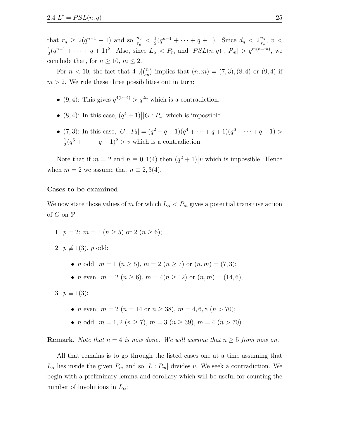that  $r_g \geq 2(q^{n-1} - 1)$  and so  $\frac{n_g}{r_g}$  $\frac{n_g}{r_g} < \frac{1}{2}$  $\frac{1}{2}(q^{n-1} + \cdots + q + 1)$ . Since  $d_g < 2\frac{n_g}{r_g}$  $\frac{n_g}{r_g}, \ v \ <$ 1  $\frac{1}{2}(q^{n-1} + \cdots + q + 1)^2$ . Also, since  $L_{\alpha} < P_m$  and  $|PSL(n,q) : P_m| > q^{m(n-m)}$ , we conclude that, for  $n \geq 10$ ,  $m \leq 2$ .

For  $n < 10$ , the fact that 4  $\sqrt{\binom{n}{m}}$  $\binom{n}{m}$  implies that  $(n,m) = (7,3), (8,4)$  or  $(9,4)$  if  $m > 2$ . We rule these three possibilities out in turn:

- (9,4): This gives  $q^{4(9-4)} > q^{2n}$  which is a contradiction.
- (8, 4): In this case,  $(q^4 + 1) || G : P_4$  which is impossible.
- (7, 3): In this case,  $|G: P_3| = (q^2 q + 1)(q^4 + \cdots + q + 1)(q^6 + \cdots + q + 1)$  > 1  $\frac{1}{2}(q^6 + \cdots + q + 1)^2 > v$  which is a contradiction.

Note that if  $m = 2$  and  $n \equiv 0, 1(4)$  then  $(q^2 + 1)|v$  which is impossible. Hence when  $m = 2$  we assume that  $n \equiv 2, 3(4)$ .

#### Cases to be examined

We now state those values of m for which  $L_{\alpha} < P_m$  gives a potential transitive action of  $G$  on  $\mathcal{P}$ :

- 1.  $p = 2$ :  $m = 1$   $(n > 5)$  or  $2 (n > 6)$ ;
- 2.  $p \not\equiv 1(3)$ , p odd:

• *n* odd: 
$$
m = 1
$$
 ( $n \ge 5$ ),  $m = 2$  ( $n \ge 7$ ) or ( $n, m$ ) = (7, 3);

• *n* even:  $m = 2$   $(n \ge 6)$ ,  $m = 4(n \ge 12)$  or  $(n, m) = (14, 6)$ ;

$$
3. \, p \equiv 1(3):
$$

- *n* even:  $m = 2$   $(n = 14 \text{ or } n > 38)$ ,  $m = 4, 6, 8$   $(n > 70)$ ;
- *n* odd:  $m = 1, 2$  ( $n \ge 7$ ),  $m = 3$  ( $n \ge 39$ ),  $m = 4$  ( $n > 70$ ).

**Remark.** Note that  $n = 4$  is now done. We will assume that  $n \geq 5$  from now on.

All that remains is to go through the listed cases one at a time assuming that  $L_{\alpha}$  lies inside the given  $P_m$  and so  $|L : P_m|$  divides v. We seek a contradiction. We begin with a preliminary lemma and corollary which will be useful for counting the number of involutions in  $L_{\alpha}$ :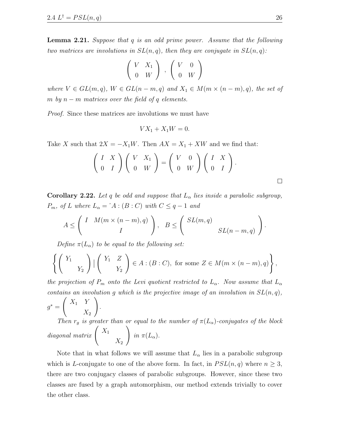Lemma 2.21. Suppose that q is an odd prime power. Assume that the following two matrices are involutions in  $SL(n, q)$ , then they are conjugate in  $SL(n, q)$ :

$$
\left(\begin{array}{cc} V & X_1 \\ 0 & W \end{array}\right) , \left(\begin{array}{cc} V & 0 \\ 0 & W \end{array}\right)
$$

where  $V \in GL(m, q)$ ,  $W \in GL(n-m, q)$  and  $X_1 \in M(m \times (n-m), q)$ , the set of m by  $n - m$  matrices over the field of q elements.

Proof. Since these matrices are involutions we must have

$$
V X_1 + X_1 W = 0.
$$

Take X such that  $2X = -X_1W$ . Then  $AX = X_1 + XW$  and we find that:

$$
\left(\begin{array}{cc} I & X \\ 0 & I \end{array}\right) \left(\begin{array}{cc} V & X_1 \\ 0 & W \end{array}\right) = \left(\begin{array}{cc} V & 0 \\ 0 & W \end{array}\right) \left(\begin{array}{cc} I & X \\ 0 & I \end{array}\right).
$$

**Corollary 2.22.** Let q be odd and suppose that  $L_{\alpha}$  lies inside a parabolic subgroup,  $P_m$ , of L where  $L_\alpha = \hat{A} : (B : C)$  with  $C \leq q-1$  and

$$
A \leq \left( \begin{array}{cc} I & M(m \times (n-m), q) \\ & I \end{array} \right), \quad B \leq \left( \begin{array}{cc} SL(m,q) & \\ & SL(n-m,q) \end{array} \right).
$$

Define  $\pi(L_{\alpha})$  to be equal to the following set:

$$
\left\{ \begin{pmatrix} Y_1 & \\ & Y_2 \end{pmatrix} \mid \begin{pmatrix} Y_1 & Z \\ & Y_2 \end{pmatrix} \in A : (B : C), \text{ for some } Z \in M(m \times (n-m), q) \right\},\
$$

the projection of  $P_m$  onto the Levi quotient restricted to  $L_\alpha$ . Now assume that  $L_\alpha$ contains an involution g which is the projective image of an involution in  $SL(n, q)$ ,  $g^* =$  $\left( \begin{array}{cc} X_1 & Y \end{array} \right)$  $\setminus$ .

 $X_2$ Then  $r_g$  is greater than or equal to the number of  $\pi(L_\alpha)$ -conjugates of the block diagonal matrix  $\left( \begin{array}{c} X_1 \end{array} \right)$  $X_2$  $\setminus$ in  $\pi(L_{\alpha})$ .

Note that in what follows we will assume that  $L_{\alpha}$  lies in a parabolic subgroup which is L-conjugate to one of the above form. In fact, in  $PSL(n, q)$  where  $n \geq 3$ , there are two conjugacy classes of parabolic subgroups. However, since these two classes are fused by a graph automorphism, our method extends trivially to cover the other class.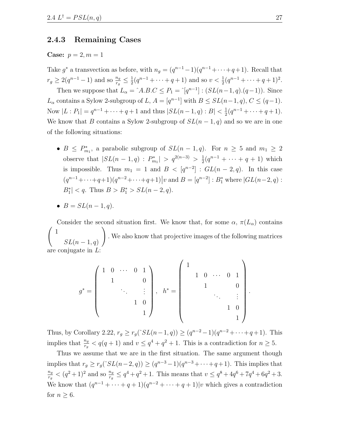### 2.4.3 Remaining Cases

#### **Case:**  $p = 2, m = 1$

Take  $g^*$  a transvection as before, with  $n_g = (q^{n-1}-1)(q^{n-1}+\cdots+q+1)$ . Recall that  $r_g \geq 2(q^{n-1}-1)$  and so  $\frac{n_g}{r_g}$  $\frac{n_g}{r_g} \leq \frac{1}{2}$  $\frac{1}{2}(q^{n-1} + \cdots + q + 1)$  and so  $v < \frac{1}{2}$  $\frac{1}{2}(q^{n-1}+\cdots+q+1)^2.$ Then we suppose that  $L_{\alpha} = \hat{A} \cdot B \cdot C \leq P_1 = \hat{q}^{n-1}$ :  $(SL(n-1, q) \cdot (q-1))$ . Since  $L_{\alpha}$  contains a Sylow 2-subgroup of  $L, A = [q^{n-1}]$  with  $B \le SL(n-1, q), C \le (q-1)$ . Now  $|L: P_1| = q^{n-1} + \cdots + q + 1$  and thus  $|SL(n-1, q): B| < \frac{1}{2}$  $\frac{1}{2}(q^{n-1}+\cdots+q+1).$ We know that B contains a Sylow 2-subgroup of  $SL(n-1, q)$  and so we are in one of the following situations:

- $B \le P_{m_1}^*$ , a parabolic subgroup of  $SL(n-1,q)$ . For  $n \ge 5$  and  $m_1 \ge 2$ observe that  $|SL(n-1,q) : P_{m_1}^*| > q^{2(n-3)} > \frac{1}{2}$  $\frac{1}{2}(q^{n-1} + \cdots + q + 1)$  which is impossible. Thus  $m_1 = 1$  and  $B < [q^{n-2}] : GL(n-2, q)$ . In this case  $(q^{n-1}+\cdots+q+1)(q^{n-2}+\cdots+q+1)|v$  and  $B=[q^{n-2}] : B_1^*$  where  $|GL(n-2,q) :$  $B_1^*| < q$ . Thus  $B > B_1^* > SL(n-2, q)$ .
- $B = SL(n 1, a)$ .

Consider the second situation first. We know that, for some  $\alpha$ ,  $\pi(L_{\alpha})$  contains  $\sqrt{2}$ 1  $SL(n-1,q)$  $\setminus$ . We also know that projective images of the following matrices are conjugate in L:

$$
g^* = \begin{pmatrix} 1 & 0 & \cdots & 0 & 1 \\ & 1 & & & 0 \\ & & \ddots & & \vdots \\ & & & 1 & 0 \\ & & & & 1 \end{pmatrix}, \quad h^* = \begin{pmatrix} 1 & & & & \\ & 1 & 0 & \cdots & 0 & 1 \\ & & 1 & & & 0 \\ & & & \ddots & & \vdots \\ & & & & 1 & 0 \\ & & & & & 1 \end{pmatrix}.
$$

Thus, by Corollary 2.22,  $r_g \ge r_g("SL(n-1, q)) \ge (q^{n-2}-1)(q^{n-2}+\cdots+q+1)$ . This implies that  $\frac{n_g}{r_g} < q(q+1)$  and  $v \leq q^4 + q^2 + 1$ . This is a contradiction for  $n \geq 5$ .

Thus we assume that we are in the first situation. The same argument though implies that  $r_g \ge r_g("SL(n-2, q)) \ge (q^{n-3}-1)(q^{n-3}+\cdots+q+1)$ . This implies that  $n_g$  $\frac{n_g}{r_g} < (q^2+1)^2$  and so  $\frac{n_g}{r_g}$  $\frac{n_g}{r_g} \leq q^4 + q^2 + 1$ . This means that  $v \leq q^8 + 4q^6 + 7q^4 + 6q^2 + 3$ . We know that  $(q^{n-1} + \cdots + q + 1)(q^{n-2} + \cdots + q + 1)|v$  which gives a contradiction for  $n \geq 6$ .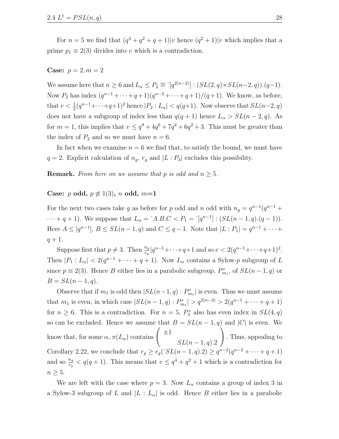For  $n = 5$  we find that  $(q^3 + q^2 + q + 1)|v$  hence  $(q^2 + 1)|v$  which implies that a prime  $p_1 \equiv 2(3)$  divides into v which is a contradiction.

#### **Case:**  $p = 2, m = 2$

We assume here that  $n \geq 6$  and  $L_{\alpha} \leq P_2 \cong \lceil q^{2(n-2)} \rceil : (SL(2, q) \times SL(n-2, q)).(q-1).$ Now  $P_2$  has index  $(q^{n-1} + \cdots + q + 1)(q^{n-2} + \cdots + q + 1)/(q + 1)$ . We know, as before, that  $v < \frac{1}{2}$  $\frac{1}{2}(q^{n-1}+\cdots+q+1)^2$  hence  $|P_2: L_{\alpha}| < q(q+1)$ . Now observe that  $SL(n-2, q)$ does not have a subgroup of index less than  $q(q + 1)$  hence  $L_{\alpha} > SL(n - 2, q)$ . As for  $m = 1$ , this implies that  $v \leq q^8 + 4q^6 + 7q^4 + 6q^2 + 3$ . This must be greater than the index of  $P_2$  and so we must have  $n = 6$ .

In fact when we examine  $n = 6$  we find that, to satisfy the bound, we must have  $q = 2$ . Explicit calculation of  $n_q$ ,  $r_q$  and  $|L : P_2|$  excludes this possibility.

**Remark.** From here on we assume that p is odd and  $n \geq 5$ .

Case: p odd,  $p \not\equiv 1(3)$ , n odd, m=1

For the next two cases take g as before for p odd and n odd with  $n_g = q^{n-1}(q^{n-1} +$  $\cdots + q + 1$ ). We suppose that  $L_{\alpha} = \hat{A}.B.C < P_1 = \hat{a}^{n-1}$ :  $(SL(n-1, q).(q-1))$ . Here  $A \leq [q^{n-1}], B \leq SL(n-1, q)$  and  $C \leq q-1$ . Note that  $|L : P_1| = q^{n-1} + \cdots$  $q + 1$ .

Suppose first that  $p \neq 3$ . Then  $\frac{n_g}{r_g}|q^{n-1}+\cdots+q+1$  and so  $v < 2(q^{n-1}+\cdots+q+1)^2$ . Then  $|P_1: L_\alpha| < 2(q^{n-1} + \cdots + q + 1)$ . Now  $L_\alpha$  contains a Sylow-p subgroup of L since  $p \equiv 2(3)$ . Hence B either lies in a parabolic subgroup,  $P_{m_1}^*$ , of  $SL(n-1,q)$  or  $B = SL(n - 1, q).$ 

Observe that if  $m_1$  is odd then  $|SL(n-1,q): P^*_{m_1}|$  is even. Thus we must assume that  $m_1$  is even, in which case  $|SL(n-1,q): P_{m_1}^*| > q^{2(n-3)} > 2(q^{n-1} + \cdots + q + 1)$ for  $n \geq 6$ . This is a contradiction. For  $n = 5$ ,  $P_2^*$  also has even index in  $SL(4,q)$ so can be excluded. Hence we assume that  $B = SL(n-1, q)$  and  $|C|$  is even. We know that, for some  $\alpha$ ,  $\pi(L_{\alpha})$  contains  $\begin{pmatrix} \pm 1 \\ 0 \end{pmatrix}$  $SL(n-1, q).2$  $\setminus$ . Thus, appealing to Corollary 2.22, we conclude that  $r_g \ge r_g("SL(n-1, q).2) \ge q^{n-2}(q^{n-2} + \cdots + q + 1)$ and so  $\frac{n_g}{r_g}$  $\frac{n_g}{r_g} < q(q+1)$ . This means that  $v \leq q^4 + q^2 + 1$  which is a contradiction for  $n \geq 5$ .

We are left with the case where  $p = 3$ . Now  $L_{\alpha}$  contains a group of index 3 in a Sylow-3 subgroup of L and  $|L : L_{\alpha}|$  is odd. Hence B either lies in a parabolic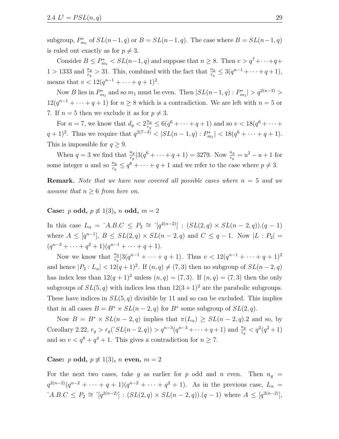subgroup,  $P_{m_1}^*$  of  $SL(n-1,q)$  or  $B = SL(n-1,q)$ . The case where  $B = SL(n-1,q)$ is ruled out exactly as for  $p \neq 3$ .

Consider  $B \le P_{m_1}^* < SL(n-1, q)$  and suppose that  $n \ge 8$ . Then  $v > q^7 + \cdots + q +$ 1 > 1333 and  $\frac{n_g}{r_g}$  > 31. This, combined with the fact that  $\frac{n_g}{r_g} \leq 3(q^{n-1} + \cdots + q + 1)$ , means that  $v < 12(q^{n-1} + \cdots + q + 1)^2$ .

Now B lies in  $P_{m_1}^*$  and so  $m_1$  must be even. Then  $|SL(n-1,q): P_{m_1}^*| > q^{2(n-3)} >$  $12(q^{n-1} + \cdots + q + 1)$  for  $n \ge 8$  which is a contradiction. We are left with  $n = 5$  or 7. If  $n = 5$  then we exclude it as for  $p \neq 3$ .

For  $n = 7$ , we know that  $d_g < 2\frac{n_g}{r_g}$  $\frac{n_g}{r_g} \le 6(q^6 + \dots + q + 1)$  and so  $v < 18(q^6 + \dots +$  $(q+1)^2$ . Thus we require that  $q^{2(7-3)} < |SL(n-1,q): P^*_{m_1}| < 18(q^6 + \cdots + q+1)$ . This is impossible for  $q > 9$ .

When  $q = 3$  we find that  $\frac{n_q}{r_g} |3(q^6 + \cdots + q + 1)| = 3279$ . Now  $\frac{n_q}{r_g}$  $\frac{n_g}{r_g} = u^2 - u + 1$  for some integer u and so  $\frac{n_g}{r_g}$  $\frac{n_g}{r_g} \leq q^6 + \cdots + q + 1$  and we refer to the case where  $p \neq 3$ .

**Remark.** Note that we have now covered all possible cases where  $n = 5$  and we assume that  $n \geq 6$  from here on.

#### Case: p odd,  $p \not\equiv 1(3)$ , n odd,  $m = 2$

In this case  $L_{\alpha} = \hat{A} \cdot B \cdot C \leq P_2 \cong \hat{q}^{(q^{2(n-2)})}$ :  $(SL(2,q) \times SL(n-2,q)) \cdot (q-1)$ where  $A \leq [q^{n-1}]$ ,  $B \leq SL(2,q) \times SL(n-2,q)$  and  $C \leq q-1$ . Now  $|L : P_2|$  =  $(q^{n-3} + \cdots + q^2 + 1)(q^{n-1} + \cdots + q + 1).$ 

Now we know that  $\frac{n_g}{r_g} |3(q^{n-1} + \cdots + q + 1)|$ . Thus  $v < 12(q^{n-1} + \cdots + q + 1)^2$ and hence  $|P_2: L_{\alpha}| < 12(q+1)^2$ . If  $(n, q) \neq (7, 3)$  then no subgroup of  $SL(n-2, q)$ has index less than  $12(q + 1)^2$  unless  $(n, q) = (7, 3)$ . If  $(n, q) = (7, 3)$  then the only subgroups of  $SL(5, q)$  with indices less than  $12(3 + 1)^2$  are the parabolic subgroups. These have indices in  $SL(5, q)$  divisible by 11 and so can be excluded. This implies that in all cases  $B = B^* \times SL(n-2, q)$  for  $B^*$  some subgroup of  $SL(2, q)$ .

Now  $B = B^* \times SL(n-2, q)$  implies that  $\pi(L_\alpha) \ge SL(n-2, q)$ . 2 and so, by Corollary 2.22,  $r_g > r_g("SL(n-2, q)) > q^{n-3}(q^{n-3} + \cdots + q + 1)$  and  $\frac{n_g}{r_g} < q^2(q^2+1)$ and so  $v < q^8 + q^4 + 1$ . This gives a contradiction for  $n \ge 7$ .

Case: p odd,  $p \neq 1(3)$ , n even,  $m = 2$ 

For the next two cases, take g as earlier for p odd and n even. Then  $n_q =$  $q^{2(n-2)}(q^{n-2} + \cdots + q + 1)(q^{n-2} + \cdots + q^2 + 1)$ . As in the previous case,  $L_{\alpha} =$ ^A.B.C ≤  $P_2 \cong \lceil q^{2(n-2)} \rceil$  :  $(SL(2,q) \times SL(n-2,q))$ .  $(q-1)$  where  $A \leq [q^{2(n-2)}]$ ,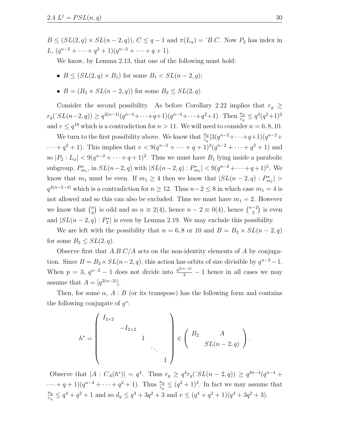$B \leq (SL(2,q) \times SL(n-2,q)), C \leq q-1$  and  $\pi(L_{\alpha}) = {}^{\circ}B.C.$  Now  $P_2$  has index in L,  $(q^{n-2} + \cdots + q^2 + 1)(q^{n-2} + \cdots + q + 1).$ 

We know, by Lemma 2.13, that one of the following must hold:

- $B \leq (SL(2,q) \times B_1)$  for some  $B_1 < SL(n-2,q)$ ;
- $B = (B_2 \times SL(n-2, q))$  for some  $B_2 \le SL(2, q)$ .

Consider the second possibility. As before Corollary 2.22 implies that  $r_g \geq$  $r_g("SL(n-2, q)) \ge q^{2(n-4)}(q^{n-4}+\cdots+q+1)(q^{n-4}+\cdots+q^2+1)$ . Then  $\frac{n_g}{r_g} \le q^4(q^2+1)^2$ and  $v \leq q^{18}$  which is a contradiction for  $n > 11$ . We will need to consider  $n = 6, 8, 10$ .

We turn to the first possibility above. We know that  $\frac{n_g}{r_g}$   $3(q^{n-2}+\cdots+q+1)(q^{n-2}+\cdots+q)$  $\cdots + q^2 + 1$ ). This implies that  $v < 9(q^{n-2} + \cdots + q + 1)^3(q^{n-2} + \cdots + q^2 + 1)$  and so  $|P_2: L_\alpha| < 9(q^{n-2} + \cdots + q + 1)^2$ . Thus we must have  $B_1$  lying inside a parabolic subgroup,  $P_{m_1}^*$ , in  $SL(n-2, q)$  with  $|SL(n-2, q): P_{m_1}^*| < 9(q^{n-2} + \cdots + q + 1)^2$ . We know that  $m_1$  must be even. If  $m_1 \geq 4$  then we know that  $|SL(n-2,q): P_{m_1}^*| >$  $q^{4(n-2-4)}$  which is a contradiction for  $n \geq 12$ . Thus  $n-2 \leq 8$  in which case  $m_1 = 4$  is not allowed and so this can also be excluded. Thus we must have  $m_1 = 2$ . However we know that  $\binom{n}{2}$  $\binom{n}{2}$  is odd and so  $n \equiv 2(4)$ , hence  $n - 2 \equiv 0(4)$ , hence  $\binom{n-2}{2}$  is even and  $|SL(n-2,q): P_2^*|$  is even by Lemma 2.19. We may exclude this possibility.

We are left with the possibility that  $n = 6, 8$  or 10 and  $B = B_2 \times SL(n - 2, q)$ for some  $B_2 \le SL(2,q)$ .

Observe first that  $A.B.C/A$  acts on the non-identity elements of A by conjugation. Since  $B = B_2 \times SL(n-2, q)$ , this action has orbits of size divisible by  $q^{n-2} - 1$ . When  $p = 3$ ,  $q^{n-2} - 1$  does not divide into  $\frac{q^{2(n-2)}}{3} - 1$  hence in all cases we may assume that  $A = [q^{2(n-2)}].$ 

Then, for some  $\alpha$ ,  $A : B$  (or its transpose) has the following form and contains the following conjugate of  $g^*$ :

$$
h^* = \begin{pmatrix} I_{2 \times 2} & & & & \\ & -I_{2 \times 2} & & & \\ & & 1 & & \\ & & & & \ddots & \\ & & & & & 1 \end{pmatrix} \in \begin{pmatrix} B_2 & A & & \\ & SL(n-2, q) & \end{pmatrix}.
$$

Observe that  $|A : C_A(h^*)| = q^4$ . Thus  $r_g \geq q^4 r_g({}^\circ SL(n-2, q)) \geq q^{2n-4}(q^{n-4} +$  $\cdots + q + 1(q^{n-4} + \cdots + q^2 + 1)$ . Thus  $\frac{n_g}{r_g}$  $\frac{n_g}{r_g} \leq (q^2+1)^2$ . In fact we may assume that  $n_g$  $\frac{n_g}{r_g} \leq q^4 + q^2 + 1$  and so  $d_g \leq q^4 + 3q^2 + 3$  and  $v \leq (q^4 + q^2 + 1)(q^4 + 3q^2 + 3)$ .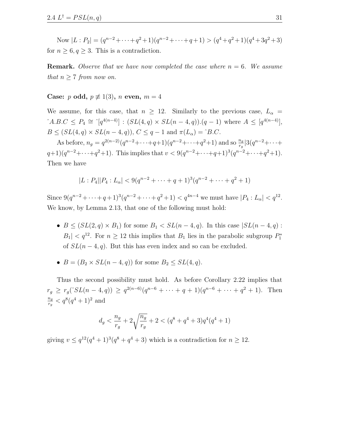Now  $|L: P_2| = (q^{n-2} + \cdots + q^2 + 1)(q^{n-2} + \cdots + q + 1) > (q^4 + q^2 + 1)(q^4 + 3q^2 + 3)$ for  $n \geq 6, q \geq 3$ . This is a contradiction.

**Remark.** Observe that we have now completed the case where  $n = 6$ . We assume that  $n > 7$  from now on.

#### Case: p odd,  $p \not\equiv 1(3)$ , n even,  $m = 4$

We assume, for this case, that  $n \geq 12$ . Similarly to the previous case,  $L_{\alpha}$  = ^A.B.C ≤  $P_4 \cong \hat{q}^{(q(n-4))}$  :  $(SL(4,q) \times SL(n-4,q))$ .  $(q-1)$  where  $A \leq [q^{4(n-4)}]$ ,  $B \leq (SL(4, q) \times SL(n-4, q)), C \leq q-1$  and  $\pi(L_{\alpha}) = \hat{B} C$ .

As before,  $n_g = q^{2(n-2)}(q^{n-2} + \cdots + q+1)(q^{n-2} + \cdots + q^2 + 1)$  and so  $\frac{n_g}{r_g}$  $\frac{n_g}{r_g}$ |3 $(q^{n-2} + \cdots +$  $(q+1)(q^{n-2}+\cdots+q^2+1)$ . This implies that  $v < 9(q^{n-2}+\cdots+q+1)^3(q^{n-2}+\cdots+q^2+1)$ . Then we have

$$
|L: P_4||P_4: L_{\alpha}| < 9(q^{n-2} + \cdots + q + 1)^3(q^{n-2} + \cdots + q^2 + 1)
$$

Since  $9(q^{n-2} + \cdots + q + 1)^3(q^{n-2} + \cdots + q^2 + 1) < q^{4n-4}$  we must have  $|P_4: L_{\alpha}| < q^{12}$ . We know, by Lemma 2.13, that one of the following must hold:

- $B \leq (SL(2, q) \times B_1)$  for some  $B_1 < SL(n-4, q)$ . In this case  $|SL(n-4, q)$ :  $|B_1| < q^{12}$ . For  $n \geq 12$  this implies that  $B_1$  lies in the parabolic subgroup  $P_1^*$ of  $SL(n-4, q)$ . But this has even index and so can be excluded.
- $B = (B_2 \times SL(n-4, q))$  for some  $B_2 \le SL(4, q)$ .

Thus the second possibility must hold. As before Corollary 2.22 implies that  $r_g \ge r_g("SL(n-4,q)) \ge q^{2(n-6)}(q^{n-6} + \cdots + q+1)(q^{n-6} + \cdots + q^2 + 1).$  Then  $n_g$  $\frac{n_g}{r_g} < q^8(q^4+1)^2$  and

$$
d_g < \frac{n_g}{r_g} + 2\sqrt{\frac{n_g}{r_g}} + 2 < (q^8 + q^4 + 3)q^4(q^4 + 1)
$$

giving  $v \leq q^{12}(q^4+1)^3(q^8+q^4+3)$  which is a contradiction for  $n \geq 12$ .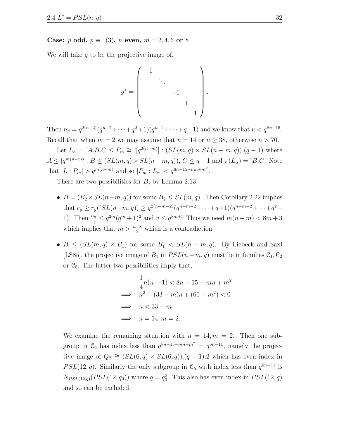Case: p odd,  $p \equiv 1(3)$ , n even,  $m = 2, 4, 6$  or 8

We will take  $q$  to be the projective image of,

$$
g^* = \begin{pmatrix} -1 & & & & \\ & \ddots & & & \\ & & -1 & & \\ & & & 1 & \\ & & & & 1 \end{pmatrix}
$$

.

Then  $n_g = q^{2(n-2)}(q^{n-2} + \cdots + q^2 + 1)(q^{n-2} + \cdots + q + 1)$  and we know that  $v < q^{8n-15}$ . Recall that when  $m = 2$  we may assume that  $n = 14$  or  $n \ge 38$ , otherwise  $n > 70$ .

Let  $L_{\alpha} = \hat{A} \cdot B \cdot C \le P_m \cong \hat{q}^{2(n-m)}$ :  $(SL(m, q) \times SL(n-m, q)) \cdot (q-1)$  where  $A \leq [q^{m(n-m)}], B \leq (SL(m, q) \times SL(n-m, q)), C \leq q-1$  and  $\pi(L_{\alpha}) = \hat{B}.C$ . Note that  $|L: P_m| > q^{m(n-m)}$  and so  $|P_m: L_\alpha| < q^{8n-15-mn+m^2}$ .

There are two possibilities for  $B$ , by Lemma 2.13:

- $B = (B_2 \times SL(n-m, q))$  for some  $B_2 \le SL(m, q)$ . Then Corollary 2.22 implies that  $r_g \ge r_g("SL(n-m, q)) \ge q^{2(n-m-2)}(q^{n-m-2} + \cdots + q+1)(q^{n-m-2} + \cdots + q^2 +$ 1). Then  $\frac{n_g}{r_g} \leq q^{2m}(q^m+1)^2$  and  $v \leq q^{8m+3}$  Thus we need  $m(n-m) < 8m+3$ which implies that  $m > \frac{n-8}{2}$  which is a contradiction.
- $B \leq (SL(m, q) \times B_1)$  for some  $B_1 < SL(n-m, q)$ . By Liebeck and Saxl [LS85], the projective image of  $B_1$  in  $PSL(n-m, q)$  must lie in families  $\mathcal{C}_1, \mathcal{C}_2$ or  $\mathcal{C}_5$ . The latter two possibilities imply that,

$$
\frac{1}{4}n(n-1) < 8n - 15 - mn + m^2
$$
\n
$$
\implies n^2 - (33 - m)n + (60 - m^2) < 0
$$
\n
$$
\implies n < 33 - m
$$
\n
$$
\implies n = 14, m = 2.
$$

We examine the remaining situation with  $n = 14, m = 2$ . Then one subgroup in  $\mathfrak{C}_2$  has index less than  $q^{8n-15-mn+m^2} = q^{6n-11}$ , namely the projective image of  $Q_2 \cong (SL(6,q) \times SL(6,q))$ . $(q-1)$ . which has even index in  $PSL(12, q)$ . Similarly the only subgroup in C<sub>5</sub> with index less than  $q^{6n-11}$  is  $N_{PSL(12,q)}(PSL(12,q_0))$  where  $q = q_0^2$ . This also has even index in  $PSL(12,q)$ and so can be excluded.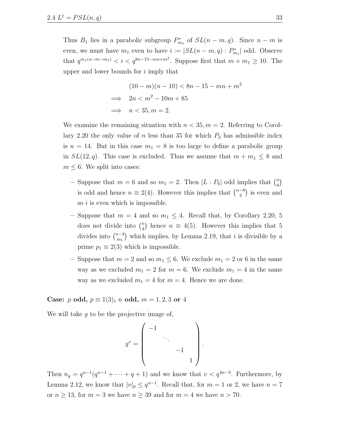Thus  $B_1$  lies in a parabolic subgroup  $P_{m_1}^*$  of  $SL(n-m, q)$ . Since  $n-m$  is even, we must have  $m_1$  even to have  $i := |SL(n-m, q): P_{m_1}^*|$  odd. Observe that  $q^{m_1(n-m-m_1)} < i < q^{8n-15-mn+m^2}$ . Suppose first that  $m + m_1 \ge 10$ . The upper and lower bounds for i imply that

$$
(10 - m)(n - 10) < 8n - 15 - mn + m^2
$$
\n
$$
\implies 2n < m^2 - 10m + 85
$$
\n
$$
\implies n < 35, m = 2.
$$

We examine the remaining situation with  $n < 35, m = 2$ . Referring to Corollary 2.20 the only value of n less than 35 for which  $P_2$  has admissible index is  $n = 14$ . But in this case  $m_1 = 8$  is too large to define a parabolic group in  $SL(12, q)$ . This case is excluded. Thus we assume that  $m + m_1 \leq 8$  and  $m \leq 6$ . We split into cases:

- Suppose that  $m = 6$  and so  $m_1 = 2$ . Then  $|L : P_6|$  odd implies that  $\binom{n}{6}$  $\binom{n}{6}$ is odd and hence  $n \equiv 2(4)$ . However this implies that  $\binom{n-6}{2}$  is even and so  $i$  is even which is impossible.
- Suppose that  $m = 4$  and so  $m_1 \leq 4$ . Recall that, by Corollary 2.20, 5 does not divide into  $\binom{n}{4}$  $\binom{n}{4}$  hence  $n \equiv 4(5)$ . However this implies that 5 divides into  $\binom{n-4}{m_1}$  which implies, by Lemma 2.19, that *i* is divisible by a prime  $p_1 \equiv 2(3)$  which is impossible.
- Suppose that  $m = 2$  and so  $m_1 \leq 6$ . We exclude  $m_1 = 2$  or 6 in the same way as we excluded  $m_1 = 2$  for  $m = 6$ . We exclude  $m_1 = 4$  in the same way as we excluded  $m_1 = 4$  for  $m = 4$ . Hence we are done.

Case: p odd,  $p \equiv 1(3)$ , n odd,  $m = 1, 2, 3$  or 4

We will take q to be the projective image of,

$$
g^* = \left(\begin{array}{cccc} -1 & & & \\ & \ddots & & \\ & & -1 & \\ & & & 1 \end{array}\right).
$$

Then  $n_g = q^{n-1}(q^{n-1} + \cdots + q + 1)$  and we know that  $v < q^{4n-3}$ . Furthermore, by Lemma 2.12, we know that  $|v|_p \le q^{n-1}$ . Recall that, for  $m = 1$  or 2, we have  $n = 7$ or  $n \ge 13$ , for  $m = 3$  we have  $n \ge 39$  and for  $m = 4$  we have  $n > 70$ .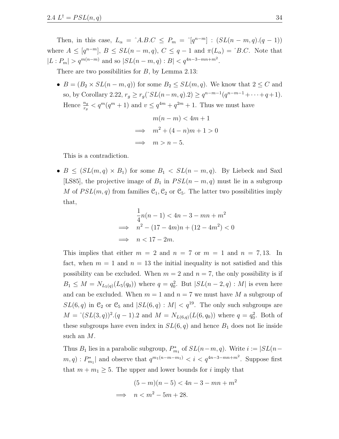Then, in this case,  $L_{\alpha} = \hat{A} \cdot B \cdot C \leq P_m = \hat{q}^{n-m}$  :  $(SL(n-m, q) \cdot (q-1))$ where  $A \leq [q^{n-m}], B \leq SL(n-m, q), C \leq q-1$  and  $\pi(L_{\alpha}) = {}^{\circ}B.C$ . Note that  $|L: P_m| > q^{m(n-m)}$  and so  $|SL(n-m, q): B| < q^{4n-3-mn+m^2}$ .

There are two possibilities for  $B$ , by Lemma 2.13:

•  $B = (B_2 \times SL(n-m, q))$  for some  $B_2 \le SL(m, q)$ . We know that  $2 \le C$  and so, by Corollary 2.22,  $r_g \ge r_g("SL(n-m, q).2) \ge q^{n-m-1}(q^{n-m-1} + \cdots + q+1).$ Hence  $\frac{n_g}{r_g} < q^m(q^m + 1)$  and  $v \leq q^{4m} + q^{2m} + 1$ . Thus we must have

$$
m(n-m) < 4m+1
$$
  
\n
$$
\implies m^2 + (4-n)m + 1 > 0
$$
  
\n
$$
\implies m > n-5.
$$

This is a contradiction.

•  $B \leq (SL(m, q) \times B_1)$  for some  $B_1 < SL(n-m, q)$ . By Liebeck and Saxl [LS85], the projective image of  $B_1$  in  $PSL(n-m, q)$  must lie in a subgroup M of  $PSL(m, q)$  from families  $\mathfrak{C}_1, \mathfrak{C}_2$  or  $\mathfrak{C}_5$ . The latter two possibilities imply that,

$$
\frac{1}{4}n(n-1) < 4n - 3 - mn + m^2
$$
\n
$$
\implies n^2 - (17 - 4m)n + (12 - 4m^2) < 0
$$
\n
$$
\implies n < 17 - 2m.
$$

This implies that either  $m = 2$  and  $n = 7$  or  $m = 1$  and  $n = 7, 13$ . In fact, when  $m = 1$  and  $n = 13$  the initial inequality is not satisfied and this possibility can be excluded. When  $m = 2$  and  $n = 7$ , the only possibility is if  $B_1 \leq M = N_{L_5(q)}(L_5(q_0))$  where  $q = q_0^2$ . But  $|SL(n-2, q): M|$  is even here and can be excluded. When  $m = 1$  and  $n = 7$  we must have M a subgroup of  $SL(6,q)$  in  $\mathcal{C}_2$  or  $\mathcal{C}_5$  and  $|SL(6,q):M| < q^{19}$ . The only such subgroups are  $M = \hat{C}(SL(3,q))^2 \cdot (q-1) \cdot 2$  and  $M = N_{L(6,q)}(L(6,q_0))$  where  $q = q_0^2$ . Both of these subgroups have even index in  $SL(6, q)$  and hence  $B_1$  does not lie inside such an M.

Thus  $B_1$  lies in a parabolic subgroup,  $P_{m_1}^*$  of  $SL(n-m, q)$ . Write  $i := |SL(n - n)|$  $m, q$ ) :  $P_{m_1}^*$  and observe that  $q^{m_1(n-m-m_1)} < i < q^{4n-3-mn+m^2}$ . Suppose first that  $m + m_1 \geq 5$ . The upper and lower bounds for i imply that

$$
(5-m)(n-5) < 4n - 3 - mn + m2
$$
  

$$
\implies n < m2 - 5m + 28.
$$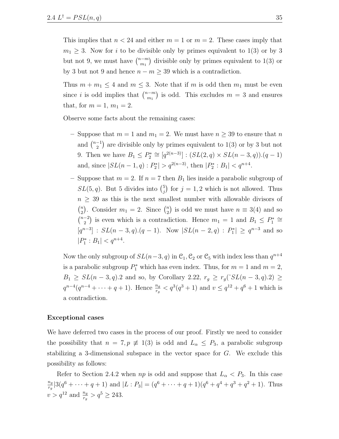This implies that  $n < 24$  and either  $m = 1$  or  $m = 2$ . These cases imply that  $m_1 \geq 3$ . Now for i to be divisible only by primes equivalent to 1(3) or by 3 but not 9, we must have  $\binom{n-m}{m_1}$  divisible only by primes equivalent to 1(3) or by 3 but not 9 and hence  $n - m \geq 39$  which is a contradiction.

Thus  $m + m_1 \leq 4$  and  $m \leq 3$ . Note that if m is odd then  $m_1$  must be even since i is odd implies that  $\binom{n-m}{m_1}$  is odd. This excludes  $m = 3$  and ensures that, for  $m = 1, m_1 = 2$ .

Observe some facts about the remaining cases:

- Suppose that  $m = 1$  and  $m_1 = 2$ . We must have  $n \geq 39$  to ensure that n and  $\binom{n-1}{2}$  are divisible only by primes equivalent to 1(3) or by 3 but not 9. Then we have  $B_1 \le P_2^* \cong [q^{2(n-3)}] : (SL(2,q) \times SL(n-3,q)) . (q-1)$ and, since  $|SL(n-1,q): P_2^*| > q^{2(n-3)}$ , then  $|P_2^*: B_1| < q^{n+4}$ .
- Suppose that  $m = 2$ . If  $n = 7$  then  $B_1$  lies inside a parabolic subgroup of  $SL(5,q)$ . But 5 divides into  $\binom{5}{i}$  $j_j^5$  for  $j = 1, 2$  which is not allowed. Thus  $n \geq 39$  as this is the next smallest number with allowable divisors of  $\binom{n}{2}$  $\binom{n}{2}$ . Consider  $m_1 = 2$ . Since  $\binom{n}{2}$  $\binom{n}{2}$  is odd we must have  $n \equiv 3(4)$  and so  $\binom{n-2}{2}$  is even which is a contradiction. Hence  $m_1 = 1$  and  $B_1 \le P_1^* \cong$  $[q^{n-3}] : SL(n-3, q) \cdot (q-1)$ . Now  $|SL(n-2, q) : P_1^*| \ge q^{n-3}$  and so  $|P_1^*: B_1| < q^{n+4}.$

Now the only subgroup of  $SL(n-3, q)$  in  $\mathcal{C}_1$ ,  $\mathcal{C}_2$  or  $\mathcal{C}_5$  with index less than  $q^{n+4}$ is a parabolic subgroup  $P_1^*$  which has even index. Thus, for  $m = 1$  and  $m = 2$ ,  $B_1 \geq SL(n-3, q).2$  and so, by Corollary 2.22,  $r_g \geq r_g(SL(n-3, q).2) \geq$  $q^{n-4}(q^{n-4} + \cdots + q + 1)$ . Hence  $\frac{n_q}{r_g} < q^3(q^3 + 1)$  and  $v \leq q^{12} + q^6 + 1$  which is a contradiction.

#### Exceptional cases

We have deferred two cases in the process of our proof. Firstly we need to consider the possibility that  $n = 7, p \neq 1$ (3) is odd and  $L_{\alpha} \leq P_3$ , a parabolic subgroup stabilizing a 3-dimensional subspace in the vector space for G. We exclude this possibility as follows:

Refer to Section 2.4.2 when  $np$  is odd and suppose that  $L_{\alpha} < P_3$ . In this case  $n_g$  $\frac{n_g}{r_g} |3(q^6 + \cdots + q + 1)$  and  $|L : P_3| = (q^6 + \cdots + q + 1)(q^6 + q^4 + q^3 + q^2 + 1)$ . Thus  $v > q^{12}$  and  $\frac{n_g}{r_g} > q^5 \ge 243$ .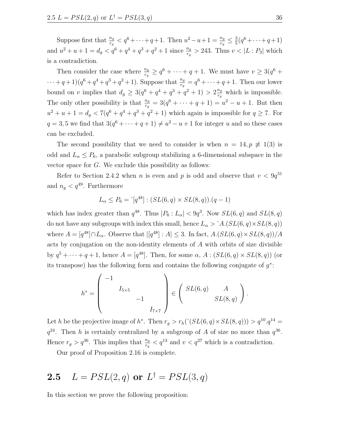Suppose first that  $\frac{n_g}{r_g} < q^6 + \cdots + q + 1$ . Then  $u^2 - u + 1 = \frac{n_g}{r_g}$  $\frac{n_g}{r_g} \leq \frac{3}{5}$  $\frac{3}{5}(q^6 + \cdots + q + 1)$ and  $u^2 + u + 1 = d_g < q^6 + q^4 + q^3 + q^2 + 1$  since  $\frac{n_g}{r_g} > 243$ . Thus  $v < |L : P_3|$  which is a contradiction.

Then consider the case where  $\frac{n_g}{r_g} \ge q^6 + \cdots + q + 1$ . We must have  $v \ge 3(q^6 +$  $\cdots + q + 1(q^6 + q^4 + q^3 + q^2 + 1)$ . Suppose that  $\frac{n_g}{r_g} = q^6 + \cdots + q + 1$ . Then our lower bound on v implies that  $d_g \geq 3(q^6 + q^4 + q^3 + q^2 + 1) > 2\frac{n_g}{r_g}$  $rac{n_g}{r_g}$  which is impossible. The only other possibility is that  $\frac{n_g}{r_g} = 3(q^6 + \cdots + q + 1) = u^2 - u + 1$ . But then  $u^{2} + u + 1 = d_{g} < 7(q^{6} + q^{4} + q^{3} + q^{2} + 1)$  which again is impossible for  $q \geq 7$ . For  $q = 3, 5$  we find that  $3(q^6 + \cdots + q + 1) \neq u^2 - u + 1$  for integer u and so these cases can be excluded.

The second possibility that we need to consider is when  $n = 14, p \neq 1(3)$  is odd and  $L_{\alpha} \leq P_6$ , a parabolic subgroup stabilizing a 6-dimensional subspace in the vector space for G. We exclude this possibility as follows:

Refer to Section 2.4.2 when *n* is even and *p* is odd and observe that  $v < 9q^{51}$ and  $n_g < q^{49}$ . Furthermore

$$
L_{\alpha} \le P_6 = \hat{q}^{48} : (SL(6, q) \times SL(8, q)).(q - 1)
$$

which has index greater than  $q^{48}$ . Thus  $|P_6: L_\alpha| < 9q^3$ . Now  $SL(6, q)$  and  $SL(8, q)$ do not have any subgroups with index this small, hence  $L_{\alpha} > \hat{A}$ .  $(SL(6, q) \times SL(8, q))$ where  $A = [q^{48}] \cap L_{\alpha}$ . Observe that  $|[q^{48}] : A| \leq 3$ . In fact,  $A.(SL(6,q) \times SL(8,q))/A$ acts by conjugation on the non-identity elements of A with orbits of size divisible by  $q^5 + \cdots + q + 1$ , hence  $A = [q^{48}]$ . Then, for some  $\alpha$ ,  $A : (SL(6, q) \times SL(8, q))$  (or its transpose) has the following form and contains the following conjugate of  $g^*$ :

$$
h^* = \begin{pmatrix} -1 & & & \\ & I_{5\times 5} & & \\ & & -1 & \\ & & & I_{7\times 7} \end{pmatrix} \in \begin{pmatrix} SL(6, q) & A & \\ & SL(8, q) & \end{pmatrix}.
$$

Let h be the projective image of h<sup>\*</sup>. Then  $r_g > r_h(\hat{\;} (SL(6, q) \times SL(8, q))) > q^{10} \cdot q^{14} =$  $q^{24}$ . Then h is certainly centralized by a subgroup of A of size no more than  $q^{36}$ . Hence  $r_g > q^{36}$ . This implies that  $\frac{n_g}{r_g} < q^{13}$  and  $v < q^{27}$  which is a contradiction.

Our proof of Proposition 2.16 is complete.

**2.5** 
$$
L = PSL(2, q)
$$
 or  $L^{\dagger} = PSL(3, q)$ 

In this section we prove the following proposition: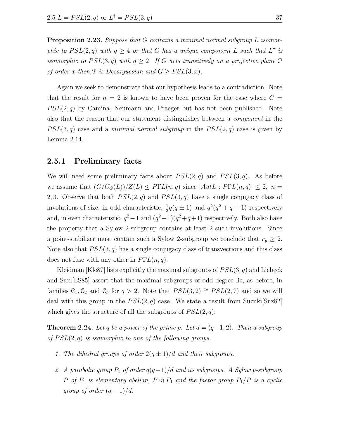**Proposition 2.23.** Suppose that G contains a minimal normal subgroup L isomorphic to  $PSL(2,q)$  with  $q \geq 4$  or that G has a unique component L such that  $L^{\dagger}$  is isomorphic to  $PSL(3, q)$  with  $q \geq 2$ . If G acts transitively on a projective plane  $\mathcal P$ of order x then  $P$  is Desarguesian and  $G \geq PSL(3, x)$ .

Again we seek to demonstrate that our hypothesis leads to a contradiction. Note that the result for  $n = 2$  is known to have been proven for the case where  $G =$  $PSL(2,q)$  by Camina, Neumann and Praeger but has not been published. Note also that the reason that our statement distinguishes between a component in the  $PSL(3, q)$  case and a *minimal normal subgroup* in the  $PSL(2, q)$  case is given by Lemma 2.14.

### 2.5.1 Preliminary facts

We will need some preliminary facts about  $PSL(2,q)$  and  $PSL(3,q)$ . As before we assume that  $(G/C_G(L))/Z(L) \leq P\Gamma L(n,q)$  since  $|Aut L : P\Gamma L(n,q)| \leq 2$ ,  $n =$ 2, 3. Observe that both  $PSL(2, q)$  and  $PSL(3, q)$  have a single conjugacy class of involutions of size, in odd characteristic,  $\frac{1}{2}q(q \pm 1)$  and  $q^2(q^2 + q + 1)$  respectively and, in even characteristic,  $q^2 - 1$  and  $(q^2 - 1)(q^2 + q + 1)$  respectively. Both also have the property that a Sylow 2-subgroup contains at least 2 such involutions. Since a point-stabilizer must contain such a Sylow 2-subgroup we conclude that  $r_g \geq 2$ . Note also that  $PSL(3, q)$  has a single conjugacy class of transvections and this class does not fuse with any other in  $P\Gamma L(n, q)$ .

Kleidman [Kle87] lists explicitly the maximal subgroups of  $PSL(3, q)$  and Liebeck and Saxl[LS85] assert that the maximal subgroups of odd degree lie, as before, in families  $C_1, C_2$  and  $C_5$  for  $q > 2$ . Note that  $PSL(3, 2) \cong PSL(2, 7)$  and so we will deal with this group in the  $PSL(2, q)$  case. We state a result from Suzuki[Suz82] which gives the structure of all the subgroups of  $PSL(2, q)$ :

**Theorem 2.24.** Let q be a power of the prime p. Let  $d = (q-1, 2)$ . Then a subgroup of  $PSL(2,q)$  is isomorphic to one of the following groups.

- 1. The dihedral groups of order  $2(q \pm 1)/d$  and their subgroups.
- 2. A parabolic group  $P_1$  of order  $q(q-1)/d$  and its subgroups. A Sylow p-subgroup P of  $P_1$  is elementary abelian,  $P \triangleleft P_1$  and the factor group  $P_1/P$  is a cyclic group of order  $(q-1)/d$ .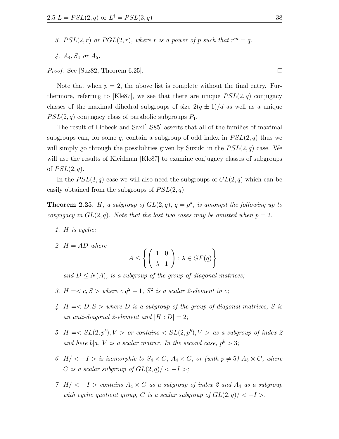- 3.  $PSL(2,r)$  or  $PGL(2,r)$ , where r is a power of p such that  $r^m = q$ .
- 4.  $A_4$ ,  $S_4$  or  $A_5$ .

Proof. See [Suz82, Theorem 6.25].

Note that when  $p = 2$ , the above list is complete without the final entry. Furthermore, referring to [Kle87], we see that there are unique  $PSL(2, q)$  conjugacy classes of the maximal dihedral subgroups of size  $2(q \pm 1)/d$  as well as a unique  $PSL(2,q)$  conjugacy class of parabolic subgroups  $P_1$ .

The result of Liebeck and Saxl[LS85] asserts that all of the families of maximal subgroups can, for some q, contain a subgroup of odd index in  $PSL(2, q)$  thus we will simply go through the possibilities given by Suzuki in the  $PSL(2,q)$  case. We will use the results of Kleidman [Kle87] to examine conjugacy classes of subgroups of  $PSL(2,q)$ .

In the  $PSL(3, q)$  case we will also need the subgroups of  $GL(2, q)$  which can be easily obtained from the subgroups of  $PSL(2, q)$ .

**Theorem 2.25.** H, a subgroup of  $GL(2,q)$ ,  $q = p^a$ , is amongst the following up to conjugacy in  $GL(2,q)$ . Note that the last two cases may be omitted when  $p=2$ .

- 1. H is cyclic;
- 2.  $H = AD$  where

$$
A \le \left\{ \left( \begin{array}{cc} 1 & 0 \\ \lambda & 1 \end{array} \right) : \lambda \in GF(q) \right\}
$$

and  $D \leq N(A)$ , is a subgroup of the group of diagonal matrices;

- 3.  $H = \langle c, S \rangle$  where  $c|q^2 1, S^2$  is a scalar 2-element in c;
- 4.  $H = < D, S >$  where D is a subgroup of the group of diagonal matrices, S is an anti-diagonal 2-element and  $|H : D| = 2$ ;
- 5.  $H = \langle SL(2, p^b), V \rangle$  or contains  $\langle SL(2, p^b), V \rangle$  as a subgroup of index 2 and here  $b|a, V$  is a scalar matrix. In the second case,  $p^{b} > 3$ ;
- 6. H/ <  $-I >$  is isomorphic to  $S_4 \times C$ ,  $A_4 \times C$ , or (with  $p \neq 5$ )  $A_5 \times C$ , where C is a scalar subgroup of  $GL(2,q)/ < -I >$ ;
- 7. H |  $<-I>$  contains  $A_4 \times C$  as a subgroup of index 2 and  $A_4$  as a subgroup with cyclic quotient group, C is a scalar subgroup of  $GL(2,q)/ < -I >$ .

 $\Box$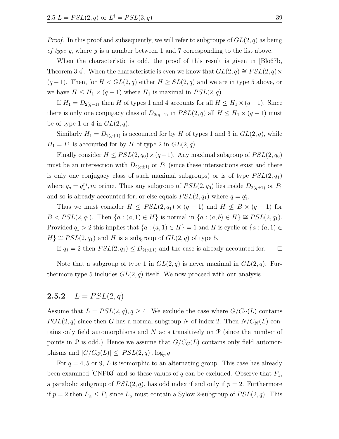*Proof.* In this proof and subsequently, we will refer to subgroups of  $GL(2, q)$  as being of type y, where y is a number between 1 and 7 corresponding to the list above.

When the characteristic is odd, the proof of this result is given in [Blo67b, Theorem 3.4]. When the characteristic is even we know that  $GL(2,q) \cong PSL(2,q) \times$  $(q-1)$ . Then, for  $H < GL(2,q)$  either  $H \ge SL(2,q)$  and we are in type 5 above, or we have  $H \leq H_1 \times (q-1)$  where  $H_1$  is maximal in  $PSL(2,q)$ .

If  $H_1 = D_{2(q-1)}$  then H of types 1 and 4 accounts for all  $H \leq H_1 \times (q-1)$ . Since there is only one conjugacy class of  $D_{2(q-1)}$  in  $PSL(2,q)$  all  $H \leq H_1 \times (q-1)$  must be of type 1 or 4 in  $GL(2,q)$ .

Similarly  $H_1 = D_{2(q+1)}$  is accounted for by H of types 1 and 3 in  $GL(2, q)$ , while  $H_1 = P_1$  is accounted for by H of type 2 in  $GL(2, q)$ .

Finally consider  $H \leq PSL(2,q_0) \times (q-1)$ . Any maximal subgroup of  $PSL(2,q_0)$ must be an intersection with  $D_{2(q\pm 1)}$  or  $P_1$  (since these intersections exist and there is only one conjugacy class of such maximal subgroups) or is of type  $PSL(2, q_1)$ where  $q_o = q_1^m$ , m prime. Thus any subgroup of  $PSL(2, q_0)$  lies inside  $D_{2(q\pm 1)}$  or  $P_1$ and so is already accounted for, or else equals  $PSL(2, q_1)$  where  $q = q_1^b$ .

Thus we must consider  $H \leq PSL(2,q_1) \times (q-1)$  and  $H \nleq B \times (q-1)$  for  $B < PSL(2, q_1)$ . Then  $\{a : (a, 1) \in H\}$  is normal in  $\{a : (a, b) \in H\} \cong PSL(2, q_1)$ . Provided  $q_1 > 2$  this implies that  $\{a : (a, 1) \in H\} = 1$  and H is cyclic or  $\{a : (a, 1) \in$  $H$ } ≅  $PSL(2, q_1)$  and H is a subgroup of  $GL(2, q)$  of type 5.

If  $q_1 = 2$  then  $PSL(2, q_1) \leq D_{2(q+1)}$  and the case is already accounted for.  $\Box$ 

Note that a subgroup of type 1 in  $GL(2,q)$  is never maximal in  $GL(2,q)$ . Furthermore type 5 includes  $GL(2, q)$  itself. We now proceed with our analysis.

## **2.5.2**  $L = PSL(2, q)$

Assume that  $L = PSL(2, q), q \geq 4$ . We exclude the case where  $G/C<sub>G</sub>(L)$  contains  $PGL(2,q)$  since then G has a normal subgroup N of index 2. Then  $N/C_N(L)$  contains only field automorphisms and N acts transitively on  $P$  (since the number of points in P is odd.) Hence we assume that  $G/C<sub>G</sub>(L)$  contains only field automorphisms and  $|G/C_G(L)| \leq |PSL(2,q)|$ .  $\log_p q$ .

For  $q = 4, 5$  or 9, L is isomorphic to an alternating group. This case has already been examined [CNP03] and so these values of q can be excluded. Observe that  $P_1$ , a parabolic subgroup of  $PSL(2, q)$ , has odd index if and only if  $p = 2$ . Furthermore if  $p = 2$  then  $L_{\alpha} \leq P_1$  since  $L_{\alpha}$  must contain a Sylow 2-subgroup of  $PSL(2, q)$ . This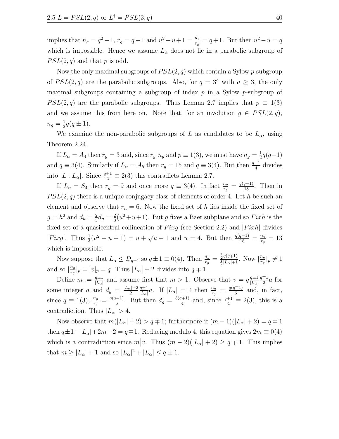implies that  $n_g = q^2 - 1$ ,  $r_g = q - 1$  and  $u^2 - u + 1 = \frac{n_g}{r_g}$  $\frac{n_g}{r_g} = q + 1$ . But then  $u^2 - u = q$ which is impossible. Hence we assume  $L_{\alpha}$  does not lie in a parabolic subgroup of  $PSL(2, q)$  and that p is odd.

Now the only maximal subgroups of  $PSL(2, q)$  which contain a Sylow p-subgroup of  $PSL(2,q)$  are the parabolic subgroups. Also, for  $q = 3^a$  with  $a \ge 3$ , the only maximal subgroups containing a subgroup of index  $p$  in a Sylow  $p$ -subgroup of  $PSL(2,q)$  are the parabolic subgroups. Thus Lemma 2.7 implies that  $p \equiv 1(3)$ and we assume this from here on. Note that, for an involution  $g \in PSL(2,q)$ ,  $n_g=\frac{1}{2}$  $\frac{1}{2}q(q \pm 1).$ 

We examine the non-parabolic subgroups of L as candidates to be  $L_{\alpha}$ , using Theorem 2.24.

If  $L_{\alpha} = A_4$  then  $r_g = 3$  and, since  $r_g | n_g$  and  $p \equiv 1(3)$ , we must have  $n_g = \frac{1}{2}$  $rac{1}{2}q(q-1)$ and  $q \equiv 3(4)$ . Similarly if  $L_{\alpha} = A_5$  then  $r_g = 15$  and  $q \equiv 3(4)$ . But then  $\frac{q+1}{4}$  divides into  $|L: L_{\alpha}|$ . Since  $\frac{q+1}{4} \equiv 2(3)$  this contradicts Lemma 2.7.

If  $L_{\alpha} = S_4$  then  $r_g = 9$  and once more  $q \equiv 3(4)$ . In fact  $\frac{n_g}{r_g} = \frac{q(q-1)}{18}$ . Then in  $PSL(2,q)$  there is a unique conjugacy class of elements of order 4. Let h be such an element and observe that  $r_h = 6$ . Now the fixed set of h lies inside the fixed set of  $g = h^2$  and  $d_h = \frac{2}{3}$  $\frac{2}{3}d_g = \frac{2}{3}$  $\frac{2}{3}(u^2+u+1)$ . But g fixes a Baer subplane and so  $Fixh$  is the fixed set of a quasicentral collineation of  $Fixg$  (see Section 2.2) and  $|Fixh|$  divides |Fixg|. Thus  $\frac{1}{3}(u^2 + u + 1) = u + \sqrt{u} + 1$  and  $u = 4$ . But then  $\frac{q(q-1)}{18} = \frac{n_g}{r_g}$  $\frac{n_g}{r_g}=13$ which is impossible.

Now suppose that  $L_{\alpha} \leq D_{q\pm 1}$  so  $q \pm 1 \equiv 0(4)$ . Then  $\frac{n_g}{r_g} = \frac{\frac{1}{2}q(q\mp 1)}{\frac{1}{2}|L_{\alpha}|+1}$ . Now  $|\frac{n_g}{r_g}|$  $\frac{n_g}{r_g}|_p\neq 1$ and so  $\left|\frac{n_g}{r_g}\right|$  $\frac{n_q}{r_g}|_p = |v|_p = q.$  Thus  $|L_\alpha| + 2$  divides into  $q \mp 1.$ 

Define  $m := \frac{q \pm 1}{|I_{\text{max}}|}$  $\frac{q\pm 1}{|L_{\alpha}|}$  and assume first that  $m > 1$ . Observe that  $v = q \frac{q\pm 1}{|L_{\alpha}|}$  $|L_\alpha|$  $rac{q\mp 1}{2}a$  for some integer a and  $d_g = \frac{|L_{\alpha}|+2}{2} \frac{q\pm 1}{|L_{\alpha}|}$  $\frac{q\pm 1}{|L_{\alpha}|}a$ . If  $|L_{\alpha}| = 4$  then  $\frac{n_g}{r_g} = \frac{q(q\mp 1)}{6}$  and, in fact, since  $q \equiv 1(3), \frac{n_g}{r_g} = \frac{q(q-1)}{6}$ . But then  $d_g = \frac{3(q+1)}{4}$  $\frac{q+1}{4}$  and, since  $\frac{q+1}{4} \equiv 2(3)$ , this is a contradiction. Thus  $|L_{\alpha}| > 4$ .

Now observe that  $m(|L_{\alpha}| + 2) > q \mp 1$ ; furthermore if  $(m - 1)(|L_{\alpha}| + 2) = q \mp 1$ then  $q\pm 1-|L_{\alpha}|+2m-2=q\mp 1$ . Reducing modulo 4, this equation gives  $2m \equiv 0(4)$ which is a contradiction since  $m|v$ . Thus  $(m-2)(|L_{\alpha}|+2) \geq q \neq 1$ . This implies that  $m \geq |L_{\alpha}| + 1$  and so  $|L_{\alpha}|^2 + |L_{\alpha}| \leq q \pm 1$ .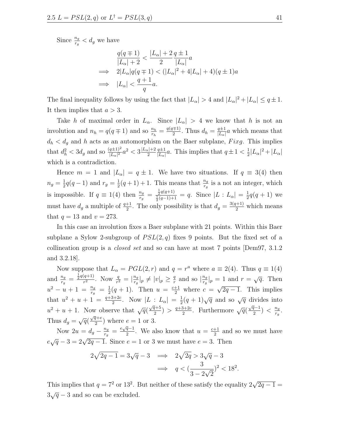Since  $\frac{n_g}{r_g} < d_g$  we have

$$
\frac{q(q \mp 1)}{|L_{\alpha}| + 2} < \frac{|L_{\alpha}| + 2q \pm 1}{2} a
$$
\n
$$
\implies 2|L_{\alpha}|q(q \mp 1) < (|L_{\alpha}|^2 + 4|L_{\alpha}| + 4)(q \pm 1)a
$$
\n
$$
\implies |L_{\alpha}| < \frac{q+1}{q} a.
$$

The final inequality follows by using the fact that  $|L_{\alpha}| > 4$  and  $|L_{\alpha}|^2 + |L_{\alpha}| \leq q \pm 1$ . It then implies that  $a > 3$ .

Take h of maximal order in  $L_{\alpha}$ . Since  $|L_{\alpha}| > 4$  we know that h is not an involution and  $n_h = q(q \mp 1)$  and so  $\frac{n_h}{r_h} = \frac{q(q \mp 1)}{2}$ . Thus  $d_h = \frac{q \pm 1}{|L_{\alpha}|}$  $\frac{q\pm 1}{|L_{\alpha}|}a$  which means that  $d_h < d_g$  and h acts as an automorphism on the Baer subplane, Fixg. This implies that  $d_h^2 < 3d_g$  and so  $\frac{(q\pm 1)^2}{|L_\alpha|^2}$  $\frac{q\pm 1)^2}{|L_\alpha|^2}a^2 < 3\frac{|L_\alpha|+2}{2}\frac{q\pm 1}{|L_\alpha|}$  $\frac{q\pm 1}{|L_{\alpha}|}a$ . This implies that  $q\pm 1 < \frac{1}{2}$  $\frac{1}{2}|L_{\alpha}|^{2}+|L_{\alpha}|$ which is a contradiction.

Hence  $m = 1$  and  $|L_{\alpha}| = q \pm 1$ . We have two situations. If  $q \equiv 3(4)$  then  $n_g=\frac{1}{2}$  $\frac{1}{2}q(q-1)$  and  $r_g = \frac{1}{2}$  $\frac{1}{2}(q+1)+1$ . This means that  $\frac{n_q}{r_g}$  is a not an integer, which is impossible. If  $q \equiv 1(4)$  then  $\frac{n_q}{r_g} = \frac{\frac{1}{2}q(q+1)}{\frac{1}{2}(q-1)+1} = q$ . Since  $|L : L_{\alpha}| = \frac{1}{2}$  $\frac{1}{2}q(q+1)$  we must have  $d_g$  a multiple of  $\frac{q+1}{2}$ . The only possibility is that  $d_g = \frac{3(q+1)}{2}$  which means that  $q = 13$  and  $v = 273$ .

In this case an involution fixes a Baer subplane with 21 points. Within this Baer subplane a Sylow 2-subgroup of  $PSL(2, q)$  fixes 9 points. But the fixed set of a collineation group is a closed set and so can have at most 7 points [Dem97, 3.1.2 and 3.2.18].

Now suppose that  $L_{\alpha} = PGL(2,r)$  and  $q = r^{\alpha}$  where  $a \equiv 2(4)$ . Thus  $q \equiv 1(4)$ and  $\frac{n_g}{r_g} = \frac{\frac{1}{2}q(q+1)}{r^2}$  $\frac{(q+1)}{r^2}$ . Now  $\frac{q}{r^2}$  $\frac{q}{r^2} = \left| \frac{n_g}{r_g} \right|$  $\frac{n_g}{r_g}|_p \neq |v|_p \geq \frac{q}{r}$  $\frac{q}{r}$  and so  $\left|\frac{n_g}{r_g}\right|$  $\frac{n_g}{r_g}|_p = 1$  and  $r = \sqrt{q}$ . Then  $u^2-u+1 = \frac{n_g}{r_g}$  $\frac{n_g}{r_g} = \frac{1}{2}$  $\frac{1}{2}(q+1)$ . Then  $u = \frac{c+1}{2}$  where  $c = \sqrt{2q-1}$ . This implies that  $u^2 + u + 1 = \frac{q+3+2c}{2}$  $\frac{3+2c}{2}$ . Now  $|L : L_{\alpha}| = \frac{1}{2}$  $\frac{1}{2}(q+1)\sqrt{q}$  and so  $\sqrt{q}$  divides into  $u^2 + u + 1$ . Now observe that  $\sqrt{q}(\frac{\sqrt{q}+5}{2})$  $\frac{q+5}{2}) > \frac{q+3+2c}{2}$  $\frac{1}{2} \frac{d^2+2c}{2}$ . Furthermore  $\sqrt{q}(\frac{\sqrt{q}-1}{2}) < \frac{n_g}{r_g}$  $\frac{n_g}{r_g}$  . Thus  $d_g = \sqrt{q} \left( \frac{\sqrt{q} + e}{2} \right)$  $\frac{q+e}{2}$ ) where  $e=1$  or 3.

Now  $2u = d_g - \frac{n_g}{r_g}$  $\frac{n_g}{r_g} = \frac{e\sqrt{q}-1}{2}$  $\frac{q-1}{2}$ . We also know that  $u = \frac{c+1}{2}$  $\frac{+1}{2}$  and so we must have  $e\sqrt{q} - 3 = 2\sqrt{2q - 1}$ . Since  $e = 1$  or 3 we must have  $e = 3$ . Then

$$
2\sqrt{2q-1} = 3\sqrt{q-3} \implies 2\sqrt{2q} > 3\sqrt{q-3}
$$
  

$$
\implies q < \left(\frac{3}{3-2\sqrt{2}}\right)^2 < 18^2.
$$

This implies that  $q = 7^2$  or 13<sup>2</sup>. But neither of these satisfy the equality  $2\sqrt{2q-1}$  =  $3\sqrt{q} - 3$  and so can be excluded.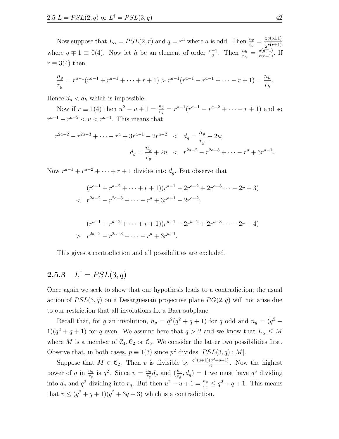Now suppose that  $L_{\alpha} = PSL(2, r)$  and  $q = r^a$  where a is odd. Then  $\frac{n_g}{r_g} = \frac{\frac{1}{2}q(q\pm 1)}{\frac{1}{2}r(r\pm 1)}$ where  $q \mp 1 \equiv 0(4)$ . Now let h be an element of order  $\frac{r \pm 1}{2}$ . Then  $\frac{n_h}{r_h} = \frac{q(q \mp 1)}{r(r \mp 1)}$ . If  $r \equiv 3(4)$  then

$$
\frac{n_g}{r_g} = r^{a-1}(r^{a-1} + r^{a-1} + \dots + r + 1) > r^{a-1}(r^{a-1} - r^{a-1} + \dots - r + 1) = \frac{n_h}{r_h}
$$

Hence  $d_g < d_h$  which is impossible.

Now if  $r \equiv 1(4)$  then  $u^2 - u + 1 = \frac{n_g}{r_g}$  $\frac{n_g}{r_g} = r^{a-1}(r^{a-1} - r^{a-2} + \cdots - r + 1)$  and so  $r^{a-1} - r^{a-2} < u < r^{a-1}$ . This means that

$$
r^{2a-2} - r^{2a-3} + \dots - r^a + 3r^{a-1} - 2r^{a-2} < d_g = \frac{n_g}{r_g} + 2u;
$$
\n
$$
d_g = \frac{n_g}{r_g} + 2u < r^{2a-2} - r^{2a-3} + \dots - r^a + 3r^{a-1}.
$$

Now  $r^{a-1} + r^{a-2} + \cdots + r + 1$  divides into  $d_g$ . But observe that

$$
(r^{a-1} + r^{a-2} + \dots + r + 1)(r^{a-1} - 2r^{a-2} + 2r^{a-3} \dots - 2r + 3)
$$
  

$$
r^{2a-2} - r^{2a-3} + \dots - r^a + 3r^{a-1} - 2r^{a-2};
$$

$$
(r^{a-1} + r^{a-2} + \dots + r + 1)(r^{a-1} - 2r^{a-2} + 2r^{a-3} \dots - 2r + 4)
$$
  
> 
$$
r^{2a-2} - r^{2a-3} + \dots - r^a + 3r^{a-1}.
$$

This gives a contradiction and all possibilities are excluded.

### **2.5.3**  $L^{\dagger} = PSL(3, q)$

Once again we seek to show that our hypothesis leads to a contradiction; the usual action of  $PSL(3, q)$  on a Desarguesian projective plane  $PG(2, q)$  will not arise due to our restriction that all involutions fix a Baer subplane.

Recall that, for g an involution,  $n_g = q^2(q^2 + q + 1)$  for q odd and  $n_g = (q^2 1(q^2 + q + 1)$  for q even. We assume here that  $q > 2$  and we know that  $L_{\alpha} \leq M$ where M is a member of  $\mathcal{C}_1, \mathcal{C}_2$  or  $\mathcal{C}_5$ . We consider the latter two possibilities first. Observe that, in both cases,  $p \equiv 1(3)$  since  $p^2$  divides  $|PSL(3, q): M|$ .

Suppose that  $M \in \mathcal{C}_2$ . Then v is divisible by  $\frac{q^3(q+1)(q^2+q+1)}{6}$  $\frac{(q^2+q+1)}{6}$ . Now the highest power of q in  $\frac{n_g}{r_g}$  is  $q^2$ . Since  $v = \frac{n_g}{r_g}$  $\frac{n_g}{r_g}d_g$  and  $(\frac{n_g}{r_g}$  $\frac{n_g}{r_g}, d_g$ ) = 1 we must have  $q^3$  dividing into  $d_g$  and  $q^2$  dividing into  $r_g$ . But then  $u^2 - u + 1 = \frac{n_g}{r_g}$  $\frac{n_g}{r_g} \leq q^2 + q + 1$ . This means that  $v \leq (q^2 + q + 1)(q^2 + 3q + 3)$  which is a contradiction.

.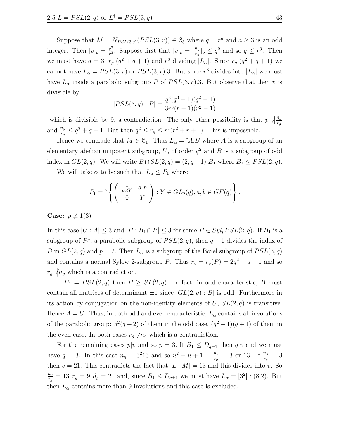Suppose that  $M = N_{PSL(3,q)}(PSL(3,r)) \in \mathcal{C}_5$  where  $q = r^a$  and  $a \geq 3$  is an odd integer. Then  $|v|_p = \frac{q^3}{r^3}$  $\frac{q^3}{r^3}$ . Suppose first that  $|v|_p = \left|\frac{n_g}{r_g}\right|$  $\frac{n_g}{r_g}|_p \leq q^2$  and so  $q \leq r^3$ . Then we must have  $a = 3$ ,  $r_g$  $(q^2 + q + 1)$  and  $r^3$  dividing  $|L_\alpha|$ . Since  $r_g$  $(q^2 + q + 1)$  we cannot have  $L_{\alpha} = PSL(3, r)$  or  $PSL(3, r)$ . But since  $r^3$  divides into  $|L_{\alpha}|$  we must have  $L_{\alpha}$  inside a parabolic subgroup P of  $PSL(3, r)$ . But observe that then v is divisible by

$$
|PSL(3,q):P| = \frac{q^3(q^3-1)(q^2-1)}{3r^3(r-1)(r^2-1)}
$$

which is divisible by 9, a contradiction. The only other possibility is that  $p \nmid$  $n_g$ rg and  $\frac{n_g}{r_g} \leq q^2 + q + 1$ . But then  $q^2 \leq r_g \leq r^2(r^2 + r + 1)$ . This is impossible.

Hence we conclude that  $M \in \mathcal{C}_1$ . Thus  $L_{\alpha} = \Delta A B$  where A is a subgroup of an elementary abelian unipotent subgroup, U, of order  $q^2$  and B is a subgroup of odd index in  $GL(2,q)$ . We will write  $B \cap SL(2,q) = (2,q-1).B_1$  where  $B_1 \leq PSL(2,q)$ .

We will take  $\alpha$  to be such that  $L_{\alpha} \leq P_1$  where

$$
P_1 = \left\{ \left( \begin{array}{cc} \frac{1}{\det Y} & a & b \\ 0 & Y \end{array} \right) : Y \in GL_2(q), a, b \in GF(q) \right\}.
$$

Case:  $p \not\equiv 1(3)$ 

In this case  $|U : A| \leq 3$  and  $|P : B_1 \cap P| \leq 3$  for some  $P \in Syl_pPSL(2, q)$ . If  $B_1$  is a subgroup of  $P_1^*$ , a parabolic subgroup of  $PSL(2,q)$ , then  $q+1$  divides the index of B in  $GL(2,q)$  and  $p=2$ . Then  $L_{\alpha}$  is a subgroup of the Borel subgroup of  $PSL(3,q)$ and contains a normal Sylow 2-subgroup P. Thus  $r_g = r_g(P) = 2q^2 - q - 1$  and so  $r_g \nmid n_g$  which is a contradiction.

If  $B_1 = PSL(2,q)$  then  $B \ge SL(2,q)$ . In fact, in odd characteristic, B must contain all matrices of determinant  $\pm 1$  since  $|GL(2,q):B|$  is odd. Furthermore in its action by conjugation on the non-identity elements of  $U$ ,  $SL(2,q)$  is transitive. Hence  $A = U$ . Thus, in both odd and even characteristic,  $L_{\alpha}$  contains all involutions of the parabolic group:  $q^2(q+2)$  of them in the odd case,  $(q^2-1)(q+1)$  of them in the even case. In both cases  $r_g \nmid n_g$  which is a contradiction.

For the remaining cases  $p|v$  and so  $p = 3$ . If  $B_1 \leq D_{q\pm 1}$  then  $q|v$  and we must have  $q = 3$ . In this case  $n_g = 3^2 13$  and so  $u^2 - u + 1 = \frac{n_g}{r_g}$  $\frac{n_g}{r_g} = 3$  or 13. If  $\frac{n_g}{r_g} = 3$ then  $v = 21$ . This contradicts the fact that  $|L : M| = 13$  and this divides into v. So  $n_g$  $\frac{n_g}{r_g} = 13, r_g = 9, d_g = 21$  and, since  $B_1 \le D_{q \pm 1}$  we must have  $L_\alpha = [3^2] : (8.2)$ . But then  $L_{\alpha}$  contains more than 9 involutions and this case is excluded.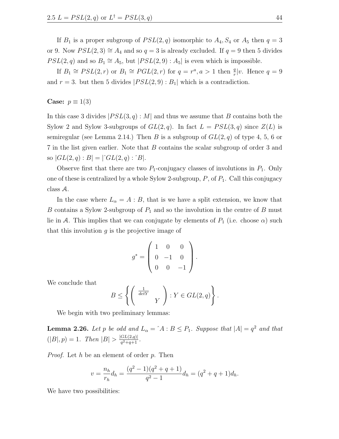If  $B_1$  is a proper subgroup of  $PSL(2, q)$  isomorphic to  $A_4, S_4$  or  $A_5$  then  $q = 3$ or 9. Now  $PSL(2,3) \cong A_4$  and so  $q = 3$  is already excluded. If  $q = 9$  then 5 divides  $PSL(2,q)$  and so  $B_1 \cong A_5$ , but  $|PSL(2,9): A_5|$  is even which is impossible.

If  $B_1 \cong PSL(2,r)$  or  $B_1 \cong PGL(2,r)$  for  $q = r^a, a > 1$  then  $\frac{q}{r}|v$ . Hence  $q = 9$ and  $r = 3$ . but then 5 divides  $|PSL(2, 9) : B_1|$  which is a contradiction.

### Case:  $p \equiv 1(3)$

In this case 3 divides  $|PSL(3, q): M|$  and thus we assume that B contains both the Sylow 2 and Sylow 3-subgroups of  $GL(2, q)$ . In fact  $L = PSL(3, q)$  since  $Z(L)$  is semiregular (see Lemma 2.14.) Then B is a subgroup of  $GL(2,q)$  of type 4, 5, 6 or 7 in the list given earlier. Note that B contains the scalar subgroup of order 3 and so  $|GL(2,q):B|=|{^{\scriptscriptstyle\wedge}}GL(2,q):{^{\scriptscriptstyle\wedge}}B|.$ 

Observe first that there are two  $P_1$ -conjugacy classes of involutions in  $P_1$ . Only one of these is centralized by a whole Sylow 2-subgroup,  $P$ , of  $P_1$ . Call this conjugacy class A.

In the case where  $L_{\alpha} = A : B$ , that is we have a split extension, we know that B contains a Sylow 2-subgroup of  $P_1$  and so the involution in the centre of B must lie in A. This implies that we can conjugate by elements of  $P_1$  (i.e. choose  $\alpha$ ) such that this involution  $q$  is the projective image of

$$
g^* = \left(\begin{array}{rrr} 1 & 0 & 0 \\ 0 & -1 & 0 \\ 0 & 0 & -1 \end{array}\right).
$$

We conclude that

$$
B \leq \left\{ \left( \begin{array}{c} \frac{1}{\det Y} \\ Y \end{array} \right) : Y \in GL(2, q) \right\}.
$$

We begin with two preliminary lemmas:

**Lemma 2.26.** Let p be odd and  $L_{\alpha} = \hat{A} : B \leq P_1$ . Suppose that  $|A| = q^2$  and that  $(|B|, p) = 1$ . Then  $|B| > \frac{|GL(2,q)|}{q^2+q+1}$ .

*Proof.* Let h be an element of order p. Then

$$
v = \frac{n_h}{r_h} d_h = \frac{(q^2 - 1)(q^2 + q + 1)}{q^2 - 1} d_h = (q^2 + q + 1) d_h.
$$

We have two possibilities: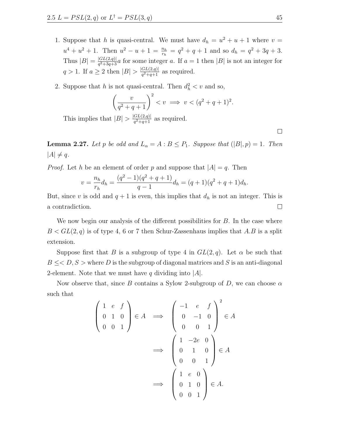- 1. Suppose that h is quasi-central. We must have  $d_h = u^2 + u + 1$  where  $v =$  $u^4 + u^2 + 1$ . Then  $u^2 - u + 1 = \frac{n_h}{r_h}$  $\frac{n_h}{r_h} = q^2 + q + 1$  and so  $d_h = q^2 + 3q + 3$ . Thus  $|B| = \frac{|GL(2,q)|}{q^2+3q+3}a$  for some integer a. If  $a = 1$  then  $|B|$  is not an integer for  $q > 1$ . If  $a \geq 2$  then  $|B| > \frac{|GL(2,q)|}{q^2+q+1}$  as required.
- 2. Suppose that h is not quasi-central. Then  $d_h^2 < v$  and so,

$$
\left(\frac{v}{q^2+q+1}\right)^2 < v \implies v < (q^2+q+1)^2.
$$

This implies that  $|B| > \frac{|GL(2,q)|}{q^2+q+1}$  as required.

**Lemma 2.27.** Let p be odd and  $L_{\alpha} = A : B \leq P_1$ . Suppose that  $(|B|, p) = 1$ . Then  $|A| \neq q$ .

*Proof.* Let h be an element of order p and suppose that  $|A| = q$ . Then

$$
v = \frac{n_h}{r_h} d_h = \frac{(q^2 - 1)(q^2 + q + 1)}{q - 1} d_h = (q + 1)(q^2 + q + 1) d_h.
$$

But, since v is odd and  $q + 1$  is even, this implies that  $d_h$  is not an integer. This is a contradiction.  $\Box$ 

We now begin our analysis of the different possibilities for B. In the case where  $B < GL(2, q)$  is of type 4, 6 or 7 then Schur-Zassenhaus implies that A.B is a split extension.

Suppose first that B is a subgroup of type 4 in  $GL(2,q)$ . Let  $\alpha$  be such that  $B \leq D, S >$  where D is the subgroup of diagonal matrices and S is an anti-diagonal 2-element. Note that we must have q dividing into  $|A|$ .

Now observe that, since B contains a Sylow 2-subgroup of D, we can choose  $\alpha$ such that

$$
\begin{pmatrix} 1 & e & f \\ 0 & 1 & 0 \\ 0 & 0 & 1 \end{pmatrix} \in A \implies \begin{pmatrix} -1 & e & f \\ 0 & -1 & 0 \\ 0 & 0 & 1 \end{pmatrix}^2 \in A
$$

$$
\implies \begin{pmatrix} 1 & -2e & 0 \\ 0 & 1 & 0 \\ 0 & 0 & 1 \end{pmatrix} \in A
$$

$$
\implies \begin{pmatrix} 1 & e & 0 \\ 0 & 1 & 0 \\ 0 & 0 & 1 \end{pmatrix} \in A.
$$

 $\Box$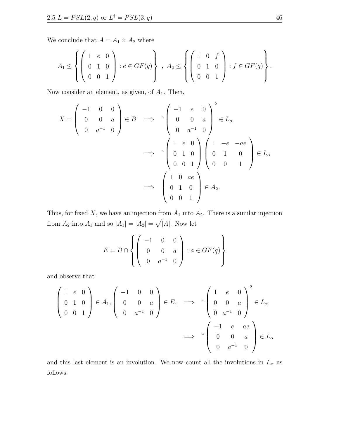We conclude that  $A=A_1\times A_2$  where

$$
A_1 \leq \left\{ \left( \begin{array}{rrr} 1 & e & 0 \\ 0 & 1 & 0 \\ 0 & 0 & 1 \end{array} \right) : e \in GF(q) \right\} \,,\ A_2 \leq \left\{ \left( \begin{array}{rrr} 1 & 0 & f \\ 0 & 1 & 0 \\ 0 & 0 & 1 \end{array} \right) : f \in GF(q) \right\}.
$$

Now consider an element, as given, of  $A_1$ . Then,

$$
X = \begin{pmatrix} -1 & 0 & 0 \\ 0 & 0 & a \\ 0 & a^{-1} & 0 \end{pmatrix} \in B \implies \begin{pmatrix} -1 & e & 0 \\ 0 & 0 & a \\ 0 & a^{-1} & 0 \end{pmatrix}^2 \in L_{\alpha}
$$
  

$$
\implies \begin{pmatrix} 1 & e & 0 \\ 0 & 1 & 0 \\ 0 & 0 & 1 \end{pmatrix} \begin{pmatrix} 1 & -e & -ae \\ 0 & 1 & 0 \\ 0 & 0 & 1 \end{pmatrix} \in L_{\alpha}
$$
  

$$
\implies \begin{pmatrix} 1 & 0 & ae \\ 0 & 1 & 0 \\ 0 & 0 & 1 \end{pmatrix} \in A_2.
$$

Thus, for fixed X, we have an injection from  $A_1$  into  $A_2$ . There is a similar injection from  $A_2$  into  $A_1$  and so  $|A_1| = |A_2| = \sqrt{|A|}$ . Now let

$$
E = B \cap \left\{ \left( \begin{array}{ccc} -1 & 0 & 0 \\ 0 & 0 & a \\ 0 & a^{-1} & 0 \end{array} \right) : a \in GF(q) \right\}
$$

and observe that

$$
\begin{pmatrix} 1 & e & 0 \\ 0 & 1 & 0 \\ 0 & 0 & 1 \end{pmatrix} \in A_1, \begin{pmatrix} -1 & 0 & 0 \\ 0 & 0 & a \\ 0 & a^{-1} & 0 \end{pmatrix} \in E, \implies \begin{pmatrix} 1 & e & 0 \\ 0 & 0 & a \\ 0 & a^{-1} & 0 \end{pmatrix}^2 \in L_\alpha
$$

$$
\implies \begin{pmatrix} -1 & e & ae \\ 0 & 0 & a \\ 0 & a^{-1} & 0 \end{pmatrix} \in L_\alpha
$$

and this last element is an involution. We now count all the involutions in  $L_{\alpha}$  as follows: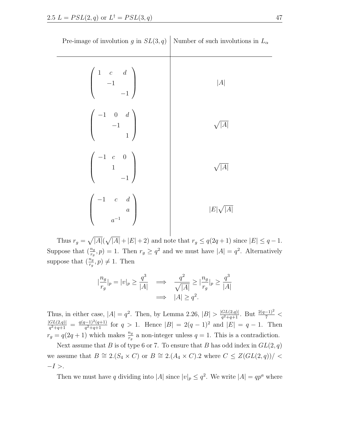Pre-image of involution g in  $SL(3, q)$  Number of such involutions in  $L_{\alpha}$ 

| $\left(\begin{array}{ccc} 1 & c & d \\ & -1 & \\ & & -1 \end{array}\right)$    | A               |
|--------------------------------------------------------------------------------|-----------------|
| $\begin{pmatrix} -1 & 0 & d \\ & -1 & \\ & & 1 \end{pmatrix}$                  | $\sqrt{ A }$    |
| $\left( \begin{array}{cc} -1 & c & 0 \\ & 1 & \\ & & -1 \end{array} \right)$   | $\sqrt{ A }$    |
| $\left(\begin{array}{cc} -1 & c & d \\ & & a \\ & & a^{-1} \end{array}\right)$ | $ E \sqrt{ A }$ |

Thus  $r_g = \sqrt{|A|}(\sqrt{|A|} + |E| + 2)$  and note that  $r_g \leq q(2q + 1)$  since  $|E| \leq q - 1$ . Suppose that  $\left(\frac{n_g}{r}\right)$  $\frac{n_g}{r_g}, p$  = 1. Then  $r_g \ge q^2$  and we must have  $|A| = q^2$ . Alternatively suppose that  $\left(\frac{n_g}{r}\right)$  $\frac{n_g}{r_g}, p) \neq 1$ . Then

$$
\left|\frac{n_g}{r_g}\right|_p = |v|_p \ge \frac{q^3}{|A|} \quad \Longrightarrow \quad \frac{q^2}{\sqrt{|A|}} \ge \left|\frac{n_g}{r_g}\right|_p \ge \frac{q^3}{|A|}
$$
\n
$$
\Longrightarrow \quad |A| \ge q^2.
$$

Thus, in either case,  $|A| = q^2$ . Then, by Lemma 2.26,  $|B| > \frac{|GL(2,q)|}{q^2+q+1}$ . But  $\frac{2(q-1)^2}{7}$  $\frac{|GL(2,q)|}{q^2+q+1} = \frac{q(q-1)^2(q+1)}{q^2+q+1}$  $\frac{(-1)^2(q+1)}{q^2+q+1}$  for  $q > 1$ . Hence  $|B| = 2(q-1)^2$  and  $|E| = q-1$ . Then  $r_g = q(2q + 1)$  which makes  $\frac{n_g}{r_g}$  $\frac{n_g}{r_g}$  a non-integer unless  $q=1$ . This is a contradiction.

Next assume that B is of type 6 or 7. To ensure that B has odd index in  $GL(2,q)$ we assume that  $B \cong 2.(S_4 \times C)$  or  $B \cong 2.(A_4 \times C).2$  where  $C \leq Z(GL(2,q))/ \leq$  $-I >$ .

Then we must have q dividing into  $|A|$  since  $|v|_p \leq q^2$ . We write  $|A| = qp^a$  where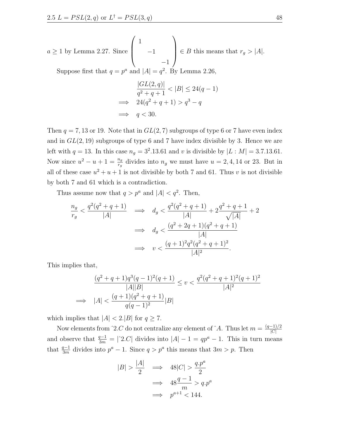$$
a \ge 1
$$
 by Lemma 2.27. Since  $\begin{pmatrix} 1 \\ -1 \\ -1 \end{pmatrix} \in B$  this means that  $r_g > |A|$ .  
\nSuppose first that  $q = p^a$  and  $|A| = q^2$ . By Lemma 2.26,  
\n
$$
\frac{|GL(2,q)|}{q^2 + q + 1} < |B| \le 24(q - 1)
$$
\n
$$
\implies 24(q^2 + q + 1) > q^3 - q
$$

Then  $q = 7, 13$  or 19. Note that in  $GL(2, 7)$  subgroups of type 6 or 7 have even index and in  $GL(2, 19)$  subgroups of type 6 and 7 have index divisible by 3. Hence we are left with  $q = 13$ . In this case  $n_g = 3^2.13.61$  and v is divisible by  $|L : M| = 3.7.13.61$ . Now since  $u^2 - u + 1 = \frac{n_g}{r_g}$  $\frac{n_g}{r_g}$  divides into  $n_g$  we must have  $u = 2, 4, 14$  or 23. But in all of these case  $u^2 + u + 1$  is not divisible by both 7 and 61. Thus v is not divisible by both 7 and 61 which is a contradiction.

Thus assume now that  $q > p^a$  and  $|A| < q^2$ . Then,

 $\implies q < 30.$ 

$$
\frac{n_g}{r_g} < \frac{q^2(q^2+q+1)}{|A|} \quad \Longrightarrow \quad d_g < \frac{q^2(q^2+q+1)}{|A|} + 2\frac{q^2+q+1}{\sqrt{|A|}} + 2
$$
\n
$$
\Longrightarrow \quad d_g < \frac{(q^2+2q+1)(q^2+q+1)}{|A|}
$$
\n
$$
\Longrightarrow \quad v < \frac{(q+1)^2q^2(q^2+q+1)^2}{|A|^2}.
$$

This implies that,

$$
\frac{(q^2+q+1)q^3(q-1)^2(q+1)}{|A||B|} \le v < \frac{q^2(q^2+q+1)^2(q+1)^2}{|A|^2}
$$
\n
$$
\implies |A| < \frac{(q+1)(q^2+q+1)}{q(q-1)^2} |B|
$$

which implies that  $|A| < 2.|B|$  for  $q \ge 7$ .

Now elements from ^2.C do not centralize any element of ^A. Thus let  $m = \frac{(q-1)/2}{|C|}$  $|C|$ and observe that  $\frac{q-1}{3m} = \lfloor 2C \rfloor$  divides into  $|A| - 1 = qp^a - 1$ . This in turn means that  $\frac{q-1}{3m}$  divides into  $p^a - 1$ . Since  $q > p^a$  this means that  $3m > p$ . Then

$$
|B| > \frac{|A|}{2} \quad \Longrightarrow \quad 48|C| > \frac{q \cdot p^a}{2}
$$
\n
$$
\Longrightarrow \quad 48\frac{q-1}{m} > q \cdot p^a
$$
\n
$$
\Longrightarrow \quad p^{a+1} < 144.
$$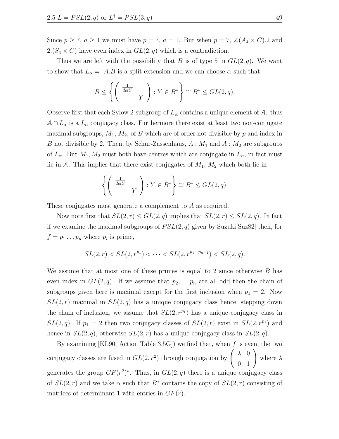Since  $p \ge 7$ ,  $a \ge 1$  we must have  $p = 7$ ,  $a = 1$ . But when  $p = 7$ ,  $2(A_4 \times C)$ . 2 and  $2.(S_4 \times C)$  have even index in  $GL(2,q)$  which is a contradiction.

Thus we are left with the possibility that B is of type 5 in  $GL(2,q)$ . We want to show that  $L_{\alpha} = \hat{A} \cdot B$  is a split extension and we can choose  $\alpha$  such that

$$
B \le \left\{ \left( \begin{array}{c} \frac{1}{\det Y} \\ Y \end{array} \right) : Y \in B^* \right\} \cong B^* \le GL(2, q).
$$

Observe first that each Sylow 2-subgroup of  $L_{\alpha}$  contains a unique element of A. thus  $A \cap L_{\alpha}$  is a  $L_{\alpha}$  conjugacy class. Furthermore there exist at least two non-conjugate maximal subgroups,  $M_1$ ,  $M_2$ , of B which are of order not divisible by p and index in B not divisible by 2. Then, by Schur-Zassenhaus,  $A: M_1$  and  $A: M_2$  are subgroups of  $L_{\alpha}$ . But  $M_1, M_2$  must both have centres which are conjugate in  $L_{\alpha}$ , in fact must lie in A. This implies that there exist conjugates of  $M_1$ ,  $M_2$  which both lie in

$$
\left\{ \left( \begin{array}{c} \frac{1}{\det Y} \\ Y \end{array} \right) : Y \in B^* \right\} \cong B^* \le GL(2, q).
$$

These conjugates must generate a complement to A as required.

Now note first that  $SL(2,r) \le GL(2,q)$  implies that  $SL(2,r) \le SL(2,q)$ . In fact if we examine the maximal subgroups of  $PSL(2, q)$  given by Suzuki[Suz82] then, for  $f = p_1 \dots p_n$  where  $p_i$  is prime,

$$
SL(2,r) < SL(2,r^{p_1}) < \cdots < SL(2,r^{p_1\cdots p_{n-1}}) < SL(2,q).
$$

We assume that at most one of these primes is equal to 2 since otherwise  $B$  has even index in  $GL(2,q)$ . If we assume that  $p_2, \ldots, p_n$  are all odd then the chain of subgroups given here is maximal except for the first inclusion when  $p_1 = 2$ . Now  $SL(2,r)$  maximal in  $SL(2,q)$  has a unique conjugacy class hence, stepping down the chain of inclusion, we assume that  $SL(2, r^{p_1})$  has a unique conjugacy class in  $SL(2,q)$ . If  $p_1 = 2$  then two conjugacy classes of  $SL(2,r)$  exist in  $SL(2,r^{p_1})$  and hence in  $SL(2, q)$ , otherwise  $SL(2, r)$  has a unique conjugacy class in  $SL(2, q)$ .

By examining [KL90, Action Table 3.5G]) we find that, when  $f$  is even, the two conjugacy classes are fused in  $GL(2, r^2)$  through conjugation by  $\bigwedge$  λ 0 0 1  $\setminus$ where  $\lambda$ generates the group  $GF(r^2)^*$ . Thus, in  $GL(2,q)$  there is a unique conjugacy class of  $SL(2,r)$  and we take  $\alpha$  such that  $B^*$  contains the copy of  $SL(2,r)$  consisting of matrices of determinant 1 with entries in  $GF(r)$ .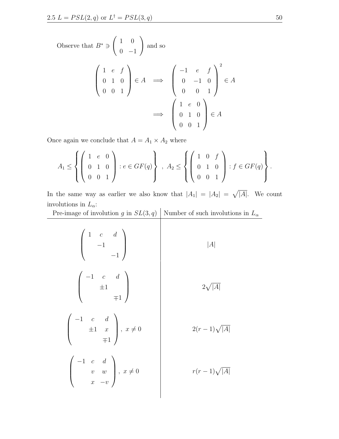Observe that 
$$
B^* \ni \begin{pmatrix} 1 & 0 \\ 0 & -1 \end{pmatrix}
$$
 and so  
\n
$$
\begin{pmatrix} 1 & e & f \\ 0 & 1 & 0 \\ 0 & 0 & 1 \end{pmatrix} \in A \implies \begin{pmatrix} -1 & e & f \\ 0 & -1 & 0 \\ 0 & 0 & 1 \end{pmatrix}^2 \in A
$$
\n
$$
\implies \begin{pmatrix} 1 & e & 0 \\ 0 & 1 & 0 \\ 0 & 0 & 1 \end{pmatrix} \in A
$$

Once again we conclude that  $A = A_1 \times A_2$  where

$$
A_1 \le \left\{ \left( \begin{array}{rrr} 1 & e & 0 \\ 0 & 1 & 0 \\ 0 & 0 & 1 \end{array} \right) : e \in GF(q) \right\} \,,\ A_2 \le \left\{ \left( \begin{array}{rrr} 1 & 0 & f \\ 0 & 1 & 0 \\ 0 & 0 & 1 \end{array} \right) : f \in GF(q) \right\}.
$$

In the same way as earlier we also know that  $|A_1| = |A_2| = \sqrt{|A|}$ . We count involutions in  $L_{\alpha}$ :

Pre-image of involution g in  $SL(3, q)$  Number of such involutions in  $L_{\alpha}$ 

$$
\begin{pmatrix}\n1 & c & d \\
-1 & & \\
& -1 & \\
& & -1\n\end{pmatrix}
$$
\n
$$
\begin{pmatrix}\n-1 & c & d \\
& \pm 1 & \\
& \pm 1 & x \\
& & \mp 1\n\end{pmatrix}, x \neq 0
$$
\n
$$
\begin{pmatrix}\n-1 & c & d \\
& \pm 1 & x \\
& \mp 1 & \\
& & \end{pmatrix}, x \neq 0
$$
\n
$$
\begin{pmatrix}\n-1 & c & d \\
& v & w \\
& x & -v\n\end{pmatrix}, x \neq 0
$$
\n
$$
r(r-1)\sqrt{|A|}
$$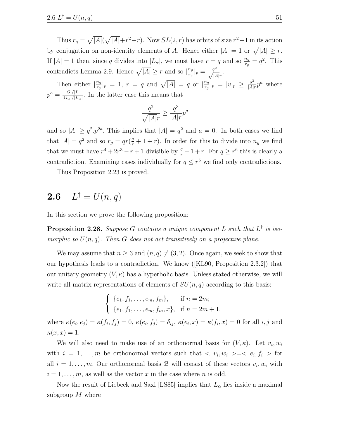Thus  $r_g = \sqrt{|A|}(\sqrt{|A|}+r^2+r)$ . Now  $SL(2, r)$  has orbits of size  $r^2-1$  in its action by conjugation on non-identity elements of A. Hence either  $|A| = 1$  or  $\sqrt{|A|} \geq r$ . If  $|A| = 1$  then, since q divides into  $|L_{\alpha}|$ , we must have  $r = q$  and so  $\frac{n_q}{r_q}$  $\frac{n_g}{r_g} = q^2$ . This contradicts Lemma 2.9. Hence  $\sqrt{|A|} \geq r$  and so  $\left| \frac{n_g}{r_g} \right|$  $\frac{n_g}{r_g}|_p = \frac{q^2}{\sqrt{|A|}r}$ .

Then either  $\left|\frac{n_g}{r_g}\right|$  $\frac{n_g}{r_g}|_p = 1, r = q \text{ and } \sqrt{|A|} = q \text{ or } \lfloor \frac{n_g}{r_g} \rfloor$  $\frac{n_{g}}{r_{g}}|_{p} \: = \: |v|_{p} \: \ge \: \frac{q^3}{|A|}$  $\frac{q^3}{|A|r}p^a$  where  $p^a = \frac{|G|/|L|}{|G_{\infty}|/|L|}$  $\frac{|G|/|L|}{|G_{\alpha}|/|L_{\alpha}|}$ . In the latter case this means that

$$
\frac{q^2}{\sqrt{|A|}r} \ge \frac{q^3}{|A|r}p^a
$$

and so  $|A| \ge q^2 \cdot p^{2a}$ . This implies that  $|A| = q^2$  and  $a = 0$ . In both cases we find that  $|A| = q^2$  and so  $r_g = qr(\frac{q}{r} + 1 + r)$ . In order for this to divide into  $n_g$  we find that we must have  $r^4 + 2r^3 - r + 1$  divisible by  $\frac{q}{r} + 1 + r$ . For  $q \ge r^6$  this is clearly a contradiction. Examining cases individually for  $q \leq r^5$  we find only contradictions.

Thus Proposition 2.23 is proved.

#### 2.6  $L^{\dagger} = U(n,q)$

In this section we prove the following proposition:

**Proposition 2.28.** Suppose G contains a unique component L such that  $L^{\dagger}$  is isomorphic to  $U(n,q)$ . Then G does not act transitively on a projective plane.

We may assume that  $n \geq 3$  and  $(n, q) \neq (3, 2)$ . Once again, we seek to show that our hypothesis leads to a contradiction. We know ([KL90, Proposition 2.3.2]) that our unitary geometry  $(V, \kappa)$  has a hyperbolic basis. Unless stated otherwise, we will write all matrix representations of elements of  $SU(n, q)$  according to this basis:

$$
\begin{cases} \{e_1, f_1, \dots, e_m, f_m\}, & \text{if } n = 2m; \\ \{e_1, f_1, \dots, e_m, f_m, x\}, & \text{if } n = 2m + 1. \end{cases}
$$

where  $\kappa(e_i, e_j) = \kappa(f_i, f_j) = 0$ ,  $\kappa(e_i, f_j) = \delta_{ij}$ ,  $\kappa(e_i, x) = \kappa(f_i, x) = 0$  for all  $i, j$  and  $\kappa(x, x) = 1.$ 

We will also need to make use of an orthonormal basis for  $(V, \kappa)$ . Let  $v_i, w_i$ with  $i = 1, \ldots, m$  be orthonormal vectors such that  $\langle v_i, w_i \rangle = \langle e_i, f_i \rangle$  for all  $i = 1, \ldots, m$ . Our orthonormal basis  $\mathcal{B}$  will consist of these vectors  $v_i, w_i$  with  $i = 1, \ldots, m$ , as well as the vector x in the case where n is odd.

Now the result of Liebeck and Saxl [LS85] implies that  $L_{\alpha}$  lies inside a maximal subgroup  $M$  where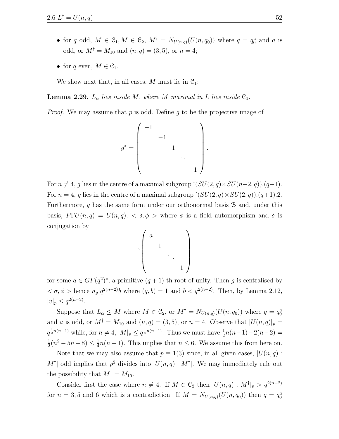- for q odd,  $M \in \mathcal{C}_1, M \in \mathcal{C}_2, M^{\dagger} = N_{U(n,q)}(U(n,q_0))$  where  $q = q_0^a$  and a is odd, or  $M^{\dagger} = M_{10}$  and  $(n, q) = (3, 5)$ , or  $n = 4$ ;
- for q even,  $M \in \mathcal{C}_1$ .

We show next that, in all cases, M must lie in  $\mathcal{C}_1$ :

**Lemma 2.29.**  $L_{\alpha}$  lies inside M, where M maximal in L lies inside  $\mathfrak{C}_1$ .

*Proof.* We may assume that p is odd. Define g to be the projective image of

$$
g^* = \begin{pmatrix} -1 & & & & \\ & -1 & & & \\ & & 1 & & \\ & & & \ddots & \\ & & & & 1 \end{pmatrix}.
$$

For  $n \neq 4$ , g lies in the centre of a maximal subgroup ^ $(SU(2, q) \times SU(n-2, q))$ . $(q+1)$ . For  $n = 4$ , g lies in the centre of a maximal subgroup  $\hat{\;} (SU(2, q) \times SU(2, q))$ .  $(q+1)$ .2. Furthermore, q has the same form under our orthonormal basis  $B$  and, under this basis,  $P\Gamma U(n,q) = U(n,q)$ .  $\langle \delta, \phi \rangle$  where  $\phi$  is a field automorphism and  $\delta$  is conjugation by

$$
\left(\begin{array}{cccc}a&&&\\&1&&\\&&\ddots&\\&&&1\end{array}\right)
$$

for some  $a \in GF(q^2)^*$ , a primitive  $(q+1)$ -th root of unity. Then g is centralised by  $<\sigma, \phi>$  hence  $n_g|q^{2(n-2)}b$  where  $(q, b) = 1$  and  $b < q^{2(n-2)}$ . Then, by Lemma 2.12,  $|v|_p \leq q^{2(n-2)}$ .

Suppose that  $L_{\alpha} \leq M$  where  $M \in \mathcal{C}_2$ , or  $M^{\dagger} = N_{U(n,q)}(U(n,q_0))$  where  $q = q_0^a$ and a is odd, or  $M^{\dagger} = M_{10}$  and  $(n,q) = (3,5)$ , or  $n = 4$ . Observe that  $|U(n,q)|_p =$  $q^{\frac{1}{2}n(n-1)}$  while, for  $n \neq 4$ ,  $|M|_p \leq q^{\frac{1}{4}n(n-1)}$ . Thus we must have  $\frac{1}{2}$  $\frac{1}{2}n(n-1)-2(n-2) =$ 1  $\frac{1}{2}(n^2-5n+8)\leq \frac{1}{4}$  $\frac{1}{4}n(n-1)$ . This implies that  $n \leq 6$ . We assume this from here on.

Note that we may also assume that  $p \equiv 1(3)$  since, in all given cases,  $|U(n,q)|$ :  $M^{\dagger}$  odd implies that  $p^2$  divides into  $|U(n,q): M^{\dagger}|$ . We may immediately rule out the possibility that  $M^{\dagger} = M_{10}$ .

Consider first the case where  $n \neq 4$ . If  $M \in \mathcal{C}_2$  then  $|U(n,q): M^{\dagger}|_p > q^{2(n-2)}$ for  $n = 3, 5$  and 6 which is a contradiction. If  $M = N_{U(n,q)}(U(n,q_0))$  then  $q = q_0^a$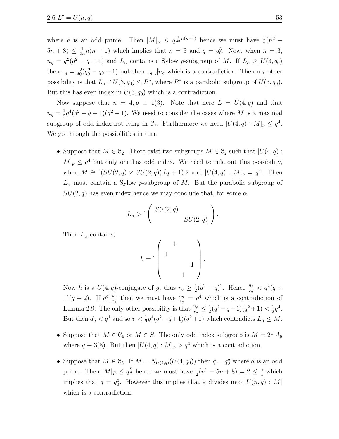where *a* is an odd prime. Then  $|M|_p \leq q^{\frac{1}{2a}n(n-1)}$  hence we must have  $\frac{1}{2}$  $rac{1}{2}(n^2 - )$  $5n + 8 \leq \frac{1}{26}$  $\frac{1}{2a}n(n-1)$  which implies that  $n = 3$  and  $q = q_0^3$ . Now, when  $n = 3$ ,  $n_g = q^2(q^2 - q + 1)$  and  $L_\alpha$  contains a Sylow p-subgroup of M. If  $L_\alpha \ge U(3, q_0)$ then  $r_g = q_0^2(q_0^2 - q_0 + 1)$  but then  $r_g \nmid n_g$  which is a contradiction. The only other possibility is that  $L_{\alpha} \cap U(3, q_0) \leq P_1^*$ , where  $P_1^*$  is a parabolic subgroup of  $U(3, q_0)$ . But this has even index in  $U(3, q_0)$  which is a contradiction.

Now suppose that  $n = 4, p \equiv 1,3$ . Note that here  $L = U(4, q)$  and that  $n_g=\frac{1}{2}$  $\frac{1}{2}q^4(q^2-q+1)(q^2+1)$ . We need to consider the cases where M is a maximal subgroup of odd index not lying in  $\mathcal{C}_1$ . Furthermore we need  $|U(4,q):M|_p \leq q^4$ . We go through the possibilities in turn.

• Suppose that  $M \in \mathcal{C}_2$ . There exist two subgroups  $M \in \mathcal{C}_2$  such that  $|U(4, q):$  $M|_p \leq q^4$  but only one has odd index. We need to rule out this possibility, when  $M \cong \hat{C}(SU(2,q) \times SU(2,q)).(q+1).2$  and  $|U(4,q) : M|_{p} = q^{4}$ . Then  $L_{\alpha}$  must contain a Sylow p-subgroup of M. But the parabolic subgroup of  $SU(2,q)$  has even index hence we may conclude that, for some  $\alpha$ ,

$$
L_{\alpha} > \left( \begin{array}{c} SU(2,q) \\ & SU(2,q) \end{array} \right).
$$

Then  $L_{\alpha}$  contains,

$$
h = \begin{pmatrix} 1 & & \\ 1 & & \\ & & 1 \\ & & 1 \end{pmatrix}.
$$

Now h is a  $U(4,q)$ -conjugate of g, thus  $r_g \geq \frac{1}{2}$  $\frac{1}{2}(q^2-q)^2$ . Hence  $\frac{n_g}{r_g} < q^2(q+$  $1)(q + 2)$ . If  $q^4$  $n_g$  $\frac{n_g}{r_g}$  then we must have  $\frac{n_g}{r_g}$  $\frac{n_g}{r_g} = q^4$  which is a contradiction of Lemma 2.9. The only other possibility is that  $\frac{n_g}{r_g} \leq \frac{1}{2}$  $\frac{1}{2}(q^2-q+1)(q^2+1) < \frac{1}{2}$  $\frac{1}{2}q^4$ . But then  $d_g < q^4$  and so  $v < \frac{1}{2}$  $\frac{1}{2}q^4(q^2-q+1)(q^2+1)$  which contradicts  $L_{\alpha} \leq M$ .

- Suppose that  $M \in \mathcal{C}_6$  or  $M \in S$ . The only odd index subgroup is  $M = 2^4.A_6$ where  $q \equiv 3(8)$ . But then  $|U(4,q): M|_p > q^4$  which is a contradiction.
- Suppose that  $M \in \mathfrak{C}_5$ . If  $M = N_{U(4,q)}(U(4,q_0))$  then  $q = q_0^a$  where a is an odd prime. Then  $|M|_P \leq q^{\frac{6}{a}}$  hence we must have  $\frac{1}{2}$  $\frac{1}{2}(n^2 - 5n + 8) = 2 \leq \frac{6}{a}$  which implies that  $q = q_0^3$ . However this implies that 9 divides into  $|U(n, q) : M|$ which is a contradiction.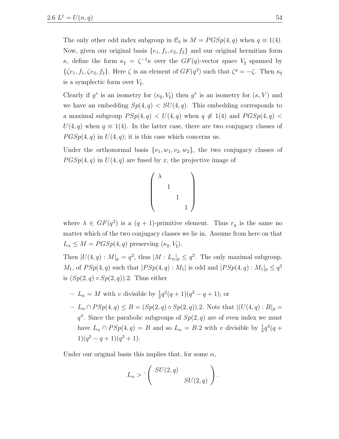The only other odd index subgroup in  $\mathfrak{C}_5$  is  $M = PGSp(4, q)$  when  $q \equiv 1(4)$ . Now, given our original basis  $\{e_1, f_1, e_2, f_2\}$  and our original hermitian form κ, define the form  $\kappa_{\sharp} = \zeta^{-1} \kappa$  over the  $GF(q)$ -vector space  $V_{\sharp}$  spanned by  $\{\zeta e_1, f_1, \zeta e_2, f_2\}$ . Here  $\zeta$  is an element of  $GF(q^2)$  such that  $\zeta^q = -\zeta$ . Then  $\kappa_{\sharp}$ is a symplectic form over  $V_{\sharp}$ .

Clearly if  $g^*$  is an isometry for  $(\kappa_{\sharp}, V_{\sharp})$  then  $g^*$  is an isometry for  $(\kappa, V)$  and we have an embedding  $Sp(4,q) < SU(4,q)$ . This embedding corresponds to a maximal subgroup  $PSp(4,q) < U(4,q)$  when  $q \neq 1$ (4) and  $PGSp(4,q)$  $U(4, q)$  when  $q \equiv 1(4)$ . In the latter case, there are two conjugacy classes of  $PGSp(4,q)$  in  $U(4,q)$ ; it is this case which concerns us.

Under the orthonormal basis  $\{v_1, w_1, v_2, w_2\}$ , the two conjugacy classes of  $PGSp(4,q)$  in  $U(4,q)$  are fused by x, the projective image of

$$
\begin{pmatrix} \lambda & & \\ & 1 & \\ & & 1 \\ & & & 1 \end{pmatrix}
$$

where  $\lambda \in GF(q^2)$  is a  $(q + 1)$ -primitive element. Thus  $r_g$  is the same no matter which of the two conjugacy classes we lie in. Assume from here on that  $L_{\alpha} \leq M = PGSp(4, q)$  preserving  $(\kappa_{\sharp}, V_{\sharp}).$ 

Then  $|U(4,q): M|_p = q^2$ , thus  $|M: L_\alpha|_p \leq q^2$ . The only maximal subgroup,  $M_1$ , of  $PSp(4,q)$  such that  $|PSp(4,q): M_1|$  is odd and  $|PSp(4,q): M_1|_p \leq q^2$ is  $(Sp(2,q) \circ Sp(2,q)).2$ . Thus either

- $L_{\alpha} = M$  with v divisible by  $\frac{1}{2}$  $\frac{1}{2}q^2(q+1)(q^2-q+1);$  or
- $-L_{\alpha} \cap PSp(4,q) \leq B = (Sp(2,q) \circ Sp(2,q)).$  Note that  $|(U(4,q):B)|_p =$  $q<sup>4</sup>$ . Since the parabolic subgroups of  $Sp(2, q)$  are of even index we must have  $L_{\alpha} \cap PSp(4,q) = B$  and so  $L_{\alpha} = B.2$  with v divisible by  $\frac{1}{4}$  $\frac{1}{4}q^4(q + )$  $1)(q^2 - q + 1)(q^2 + 1).$

Under our original basis this implies that, for some  $\alpha$ ,

$$
L_{\alpha} > \left( \begin{array}{c} SU(2,q) \\ & SU(2,q) \end{array} \right).
$$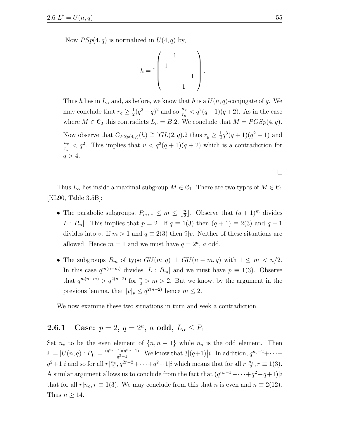Now  $PSp(4,q)$  is normalized in  $U(4,q)$  by,

$$
h = \begin{pmatrix} 1 & & \\ 1 & & \\ & & 1 \end{pmatrix}.
$$

Thus h lies in  $L_{\alpha}$  and, as before, we know that h is a  $U(n, q)$ -conjugate of g. We may conclude that  $r_g \geq \frac{1}{2}$  $\frac{1}{2}(q^2-q)^2$  and so  $\frac{n_g}{r_g}$  $\frac{n_g}{r_g} < q^2(q+1)(q+2)$ . As in the case where  $M \in \mathcal{C}_2$  this contradicts  $L_\alpha = B.2$ . We conclude that  $M = PGSp(4, q)$ . Now observe that  $C_{PSp(4,q)}(h) \cong {}^{\circ}GL(2,q).2$  thus  $r_g \geq \frac{1}{2}$  $\frac{1}{2}q^3(q+1)(q^2+1)$  and  $n_g$  $\frac{n_g}{r_g} < q^2$ . This implies that  $v < q^2(q+1)(q+2)$  which is a contradiction for  $q > 4$ .

Thus  $L_{\alpha}$  lies inside a maximal subgroup  $M \in \mathcal{C}_1$ . There are two types of  $M \in \mathcal{C}_1$ [KL90, Table 3.5B]:

- The parabolic subgroups,  $P_m$ ,  $1 \leq m \leq \lfloor \frac{n}{2} \rfloor$  $\frac{n}{2}$ . Observe that  $(q+1)^m$  divides L :  $P_m$ . This implies that  $p = 2$ . If  $q \equiv 1(3)$  then  $(q + 1) \equiv 2(3)$  and  $q + 1$ divides into v. If  $m > 1$  and  $q \equiv 2(3)$  then  $9|v$ . Neither of these situations are allowed. Hence  $m = 1$  and we must have  $q = 2^a$ , a odd.
- The subgroups  $B_m$  of type  $GU(m,q) \perp GU(n-m,q)$  with  $1 \leq m \leq n/2$ . In this case  $q^{m(n-m)}$  divides  $|L : B_m|$  and we must have  $p \equiv 1(3)$ . Observe that  $q^{m(n-m)} > q^{2(n-2)}$  for  $\frac{n}{2} > m > 2$ . But we know, by the argument in the previous lemma, that  $|v|_p \leq q^{2(n-2)}$  hence  $m \leq 2$ .

We now examine these two situations in turn and seek a contradiction.

# **2.6.1** Case:  $p = 2, q = 2^a, a \text{ odd}, L_{\alpha} \leq P_1$

Set  $n_e$  to be the even element of  $\{n, n-1\}$  while  $n_o$  is the odd element. Then  $i := |U(n,q):P_1| = \frac{(q^{n_e}-1)(q^{n_o}+1)}{q^2-1}$  $q^{(1)}(q^{n_0}+1)$ . We know that  $3|(q+1)|i$ . In addition,  $q^{n_e-2}+\cdots+$  $q^2+1|i$  and so for all  $r\left|\frac{n_e}{2}\right|$  $\frac{a_e}{2}$ ,  $q^{2r-2} + \cdots + q^2 + 1|i$  which means that for all  $r\left|\frac{n_e}{2}\right|$  $\frac{v_e}{2}, r \equiv 1(3).$ A similar argument allows us to conclude from the fact that  $(q^{n_o-1}-\cdots+q^2-q+1)|i$ that for all  $r|n_o, r \equiv 1(3)$ . We may conclude from this that n is even and  $n \equiv 2(12)$ . Thus  $n \geq 14$ .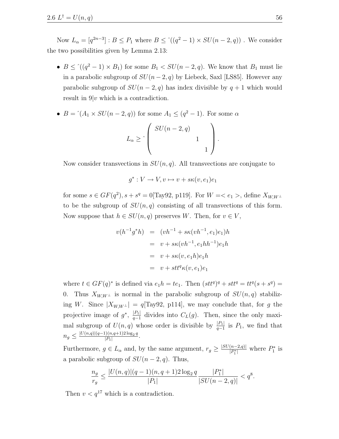Now  $L_{\alpha} = [q^{2n-3}] : B \le P_1$  where  $B \le \hat{ } \left( (q^2 - 1) \times SU(n - 2, q) \right)$ . We consider the two possibilities given by Lemma 2.13:

- $B \leq ((q^2 1) \times B_1)$  for some  $B_1 < SU(n 2, q)$ . We know that  $B_1$  must lie in a parabolic subgroup of  $SU(n-2, q)$  by Liebeck, Saxl [LS85]. However any parabolic subgroup of  $SU(n-2, q)$  has index divisible by  $q + 1$  which would result in  $9|v$  which is a contradiction.
- $B = \hat{A}_1 \times SU(n-2, q)$  for some  $A_1 \leq (q^2 1)$ . For some  $\alpha$  $L_{\alpha} \geq \hat{ }$  $\sqrt{ }$  $\overline{\phantom{a}}$  $SU(n-2,q)$ 1 1  $\setminus$  $\vert \cdot \vert$

Now consider transvections in  $SU(n, q)$ . All transvections are conjugate to

$$
g^*: V \to V, v \mapsto v + s\kappa(v, e_1)e_1
$$

for some  $s \in GF(q^2), s + s^q = 0$ [Tay92, p119]. For  $W = \langle e_1 \rangle$ , define  $X_{W,W^{\perp}}$ to be the subgroup of  $SU(n, q)$  consisting of all transvections of this form. Now suppose that  $h \in SU(n, q)$  preserves W. Then, for  $v \in V$ ,

$$
v(h^{-1}g^*h) = (vh^{-1} + s\kappa(vh^{-1}, e_1)e_1)h
$$
  
=  $v + s\kappa(vh^{-1}, e_1hh^{-1})e_1h$   
=  $v + s\kappa(v, e_1h)e_1h$   
=  $v + stt^q\kappa(v, e_1)e_1$ 

where  $t \in GF(q)^*$  is defined via  $e_1h = te_1$ . Then  $(stt^q)^q + stt^q = tt^q(s + s^q)$ 0. Thus  $X_{W,W^{\perp}}$  is normal in the parabolic subgroup of  $SU(n, q)$  stabilizing W. Since  $|X_{W,W^{\perp}}| = q$  [Tay92, p114], we may conclude that, for g the projective image of  $g^*$ ,  $\frac{|P_1|}{g-1}$  $\frac{|P_1|}{q-1}$  divides into  $C_L(g)$ . Then, since the only maximal subgroup of  $U(n,q)$  whose order is divisible by  $\frac{|P_1|}{q-1}$  $\frac{|P_1|}{q-1}$  is  $P_1$ , we find that  $n_g \leq \frac{|U(n,q)|(q-1)(n,q+1)2\log_2 q}{|P_1|}$  $\frac{|P_1(n,q+1)2| \log_2 q}{|P_1|}$ .

Furthermore,  $g \in L_{\alpha}$  and, by the same argument,  $r_g \geq \frac{|SU(n-2,q)|}{|P_1^*|}$  $\frac{(n-2,q)}{|P_1^*|}$  where  $P_1^*$  is a parabolic subgroup of  $SU(n-2, q)$ . Thus,

$$
\frac{n_g}{r_g} \le \frac{|U(n,q)|(q-1)(n,q+1)2\log_2 q}{|P_1|}\frac{|P_1^*|}{|SU(n-2,q)|} < q^8.
$$

Then  $v < q^{17}$  which is a contradiction.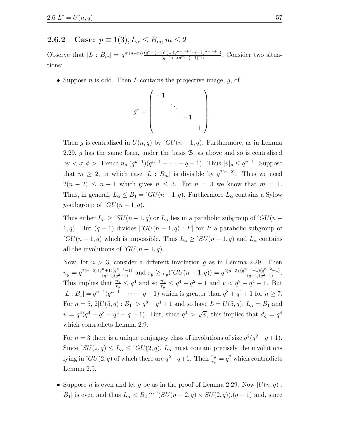### **2.6.2** Case:  $p \equiv 1(3), L_{\alpha} \leq B_m, m \leq 2$

Observe that  $|L : B_m| = q^{m(n-m)} \frac{(q^n - (-1)^n)...(q^{n-m+1} - (-1)^{n-m+1})}{(q+1)...(q^m - (-1)^m)}$  $\frac{(q^{n-1})^{n}...(q^{n-m+1}-(-1)^{n-m+1})}{(q+1)...(q^m-(-1)^m)}$ . Consider two situations:

• Suppose *n* is odd. Then L contains the projective image, q, of

$$
g^* = \begin{pmatrix} -1 & & & \\ & \ddots & & \\ & & -1 & \\ & & & 1 \end{pmatrix}.
$$

Then g is centralized in  $U(n, q)$  by  $\hat{C}U(n-1, q)$ . Furthermore, as in Lemma 2.29, q has the same form, under the basis  $\mathcal{B}$ , as above and so is centralised by  $<\sigma, \phi>$ . Hence  $n_g | (q^{n-1})(q^{n-1} - \cdots - q + 1)$ . Thus  $|v|_p \le q^{n-1}$ . Suppose that  $m \geq 2$ , in which case  $|L : B_m|$  is divisible by  $q^{2(n-2)}$ . Thus we need  $2(n-2) \leq n-1$  which gives  $n \leq 3$ . For  $n = 3$  we know that  $m = 1$ . Thus, in general,  $L_{\alpha} \leq B_1 = \hat{C}GU(n-1, q)$ . Furthermore  $L_{\alpha}$  contains a Sylow p-subgroup of  $\hat{G}U(n-1,q)$ .

Thus either  $L_{\alpha} \geq \hat{C}SU(n-1,q)$  or  $L_{\alpha}$  lies in a parabolic subgroup of  $\hat{C}GU(n-1,q)$ 1, q). But  $(q + 1)$  divides  $\left\| GU(n - 1, q) \right\| P$  for P a parabolic subgroup of  $\hat{C}GU(n-1,q)$  which is impossible. Thus  $L_{\alpha} \geq \hat{C}SU(n-1,q)$  and  $L_{\alpha}$  contains all the involutions of  $\hat{C}GU(n-1,q)$ .

Now, for  $n > 3$ , consider a different involution g as in Lemma 2.29. Then  $n_g = q^{2(n-2)} \frac{(q^n+1)(q^{n-1}-1)}{(q+1)(q^2-1)}$  and  $r_g \ge r_g(\hat{C}GU(n-1,q)) = q^{2(n-3)} \frac{(q^{n-1}-1)(q^{n-2}+1)}{(q+1)(q^2-1)}$  $\frac{(-1)(q^{n-2}+1)}{(q+1)(q^2-1)}$ . This implies that  $\frac{n_g}{r_g} \leq q^4$  and so  $\frac{n_g}{r_g}$  $\frac{n_g}{r_g} \leq q^4 - q^2 + 1$  and  $v < q^8 + q^4 + 1$ . But  $|L : B_1| = q^{n-1}(q^{n-1} - \cdots - q + 1)$  which is greater than  $q^8 + q^4 + 1$  for  $n \ge 7$ . For  $n = 5$ ,  $2|U(5, q): B_1| > q^8 + q^4 + 1$  and so have  $L = U(5, q)$ ,  $L_\alpha = B_1$  and  $v = q^4(q^4 - q^3 + q^2 - q + 1)$ . But, since  $q^4 > \sqrt{v}$ , this implies that  $d_g = q^4$ which contradicts Lemma 2.9.

For  $n = 3$  there is a unique conjugacy class of involutions of size  $q^2(q^2 - q + 1)$ . Since  $\hat{\;} SU(2,q) \leq L_{\alpha} \leq \hat{\;} GU(2,q)$ ,  $L_{\alpha}$  must contain precisely the involutions lying in  $\hat{G}U(2,q)$  of which there are  $q^2-q+1$ . Then  $\frac{n_g}{r_g}=q^2$  which contradicts Lemma 2.9.

• Suppose *n* is even and let g be as in the proof of Lemma 2.29. Now  $|U(n, q)|$ :  $B_1$ | is even and thus  $L_{\alpha} < B_2 \cong \hat{C}(SU(n-2, q) \times SU(2,q)).(q+1)$  and, since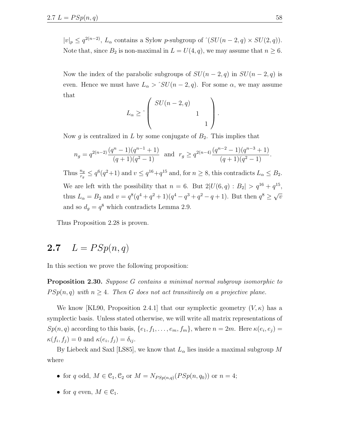$|v|_p \leq q^{2(n-2)}$ ,  $L_\alpha$  contains a Sylow p-subgroup of  $\hat{\;}$   $(SU(n-2,q) \times SU(2,q))$ . Note that, since  $B_2$  is non-maximal in  $L = U(4, q)$ , we may assume that  $n \geq 6$ .

Now the index of the parabolic subgroups of  $SU(n-2, q)$  in  $SU(n-2, q)$  is even. Hence we must have  $L_{\alpha} > \hat{S}U(n-2, q)$ . For some  $\alpha$ , we may assume that

$$
L_{\alpha} \geq \left(\begin{array}{cc} SU(n-2,q) & & \\ & 1 & \\ & & 1 \end{array}\right).
$$

Now g is centralized in L by some conjugate of  $B_2$ . This implies that

$$
n_g = q^{2(n-2)} \frac{(q^n - 1)(q^{n-1} + 1)}{(q+1)(q^2 - 1)} \quad \text{and} \quad r_g \ge q^{2(n-4)} \frac{(q^{n-2} - 1)(q^{n-3} + 1)}{(q+1)(q^2 - 1)}.
$$

Thus  $\frac{n_g}{r_g}$  $\frac{n_g}{r_g} \leq q^6(q^2+1)$  and  $v \leq q^{16}+q^{15}$  and, for  $n \geq 8$ , this contradicts  $L_\alpha \leq B_2$ . We are left with the possibility that  $n = 6$ . But  $2|U(6,q): B_2| > q^{16} + q^{15}$ , thus  $L_{\alpha} = B_2$  and  $v = q^8(q^4 + q^2 + 1)(q^4 - q^3 + q^2 - q + 1)$ . But then  $q^8 \ge \sqrt{v}$ and so  $d_g = q^8$  which contradicts Lemma 2.9.

Thus Proposition 2.28 is proven.

## 2.7  $L = PSp(n, q)$

In this section we prove the following proposition:

Proposition 2.30. Suppose G contains a minimal normal subgroup isomorphic to  $PSp(n,q)$  with  $n \geq 4$ . Then G does not act transitively on a projective plane.

We know [KL90, Proposition 2.4.1] that our symplectic geometry  $(V, \kappa)$  has a symplectic basis. Unless stated otherwise, we will write all matrix representations of  $Sp(n,q)$  according to this basis,  $\{e_1, f_1, \ldots, e_m, f_m\}$ , where  $n = 2m$ . Here  $\kappa(e_i, e_j) =$  $\kappa(f_i, f_j) = 0$  and  $\kappa(e_i, f_j) = \delta_{ij}$ .

By Liebeck and Saxl [LS85], we know that  $L_{\alpha}$  lies inside a maximal subgroup M where

- for q odd,  $M \in \mathcal{C}_1, \mathcal{C}_2$  or  $M = N_{PSp(n,q)}(PSp(n,q_0))$  or  $n = 4$ ;
- for q even,  $M \in \mathcal{C}_1$ .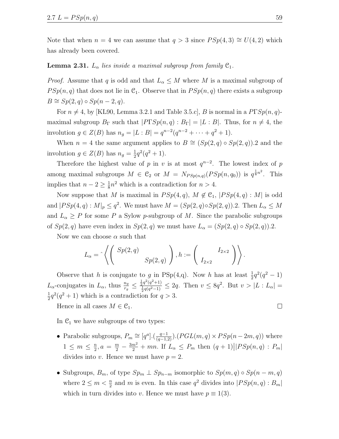Note that when  $n = 4$  we can assume that  $q > 3$  since  $PSp(4, 3) \cong U(4, 2)$  which has already been covered.

### **Lemma 2.31.**  $L_{\alpha}$  lies inside a maximal subgroup from family  $\mathcal{C}_1$ .

*Proof.* Assume that q is odd and that  $L_{\alpha} \leq M$  where M is a maximal subgroup of  $PSp(n, q)$  that does not lie in  $\mathfrak{C}_1$ . Observe that in  $PSp(n, q)$  there exists a subgroup  $B \cong Sp(2,q) \circ Sp(n-2,q).$ 

For  $n \neq 4$ , by [KL90, Lemma 3.2.1 and Table 3.5.c], B is normal in a  $P\Gamma Sp(n, q)$ maximal subgroup  $B_{\Gamma}$  such that  $|P\Gamma Sp(n,q):B_{\Gamma}|=|L:B|$ . Thus, for  $n\neq 4$ , the involution  $g \in Z(B)$  has  $n_g = |L : B| = q^{n-2}(q^{n-2} + \cdots + q^2 + 1)$ .

When  $n = 4$  the same argument applies to  $B \cong (Sp(2,q) \circ Sp(2,q))$ . 2 and the involution  $g \in Z(B)$  has  $n_g = \frac{1}{2}$  $\frac{1}{2}q^2(q^2+1)$ .

Therefore the highest value of p in v is at most  $q^{n-2}$ . The lowest index of p among maximal subgroups  $M \in \mathcal{C}_2$  or  $M = N_{PSp(n,q)}(PSp(n,q_0))$  is  $q^{\frac{1}{8}n^2}$ . This implies that  $n-2 \geq \frac{1}{8}$  $\frac{1}{8}n^2$  which is a contradiction for  $n > 4$ .

Now suppose that M is maximal in  $PSp(4,q)$ ,  $M \notin \mathcal{C}_1$ ,  $|PSp(4,q) : M|$  is odd and  $|PSp(4,q): M|_p \leq q^2$ . We must have  $M = (Sp(2,q) \circ Sp(2,q)).$  2. Then  $L_\alpha \leq M$ and  $L_{\alpha} \geq P$  for some P a Sylow p-subgroup of M. Since the parabolic subgroups of  $Sp(2,q)$  have even index in  $Sp(2,q)$  we must have  $L_{\alpha} = (Sp(2,q) \circ Sp(2,q)).2$ .

Now we can choose  $\alpha$  such that

$$
L_{\alpha} = \left\langle \left( \begin{array}{cc} Sp(2,q) \\ & Sp(2,q) \end{array} \right), h := \left( \begin{array}{c} I_{2\times 2} \\ I_{2\times 2} \end{array} \right) \right\rangle.
$$

Observe that h is conjugate to g in PSp(4,q). Now h has at least  $\frac{1}{2}q^2(q^2-1)$  $L_{\alpha}$ -conjugates in  $L_{\alpha}$ , thus  $\frac{n_g}{r_g}$  $\frac{s}{r_g} \leq$  $\frac{\frac{1}{2}q^2(q^2+1)}{\frac{1}{2}q(q^2-1)} \leq 2q$ . Then  $v \leq 8q^2$ . But  $v > |L : L_{\alpha}|$  = 1  $\frac{1}{2}q^2(q^2+1)$  which is a contradiction for  $q>3$ .

Hence in all cases  $M \in \mathcal{C}_1$ .

In  $\mathcal{C}_1$  we have subgroups of two types:

- Parabolic subgroups,  $P_m \cong [q^a] \cdot (\frac{q-1}{(q-1,2)}) \cdot (PGL(m, q) \times PSp(n-2m, q))$  where  $1 \leq m \leq \frac{n}{2}$  $\frac{n}{2}$ ,  $a = \frac{m}{2} - \frac{3m^2}{2} + mn$ . If  $L_{\alpha} \leq P_m$  then  $(q+1) || PSp(n,q) : P_m|$ divides into v. Hence we must have  $p = 2$ .
- Subgroups,  $B_m$ , of type  $Sp_m \perp Sp_{n-m}$  isomorphic to  $Sp(m, q) \circ Sp(n-m, q)$ where  $2 \leq m < \frac{n}{2}$  $\frac{n}{2}$  and m is even. In this case  $q^2$  divides into  $|PSp(n, q): B_m|$ which in turn divides into v. Hence we must have  $p \equiv 1(3)$ .

$$
\Box
$$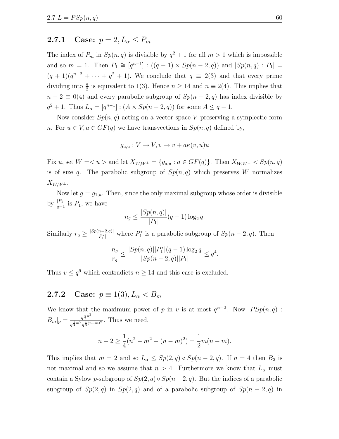### **2.7.1** Case:  $p = 2, L_{\alpha} \leq P_m$

The index of  $P_m$  in  $Sp(n, q)$  is divisible by  $q^2 + 1$  for all  $m > 1$  which is impossible and so  $m = 1$ . Then  $P_1 \cong [q^{n-1}] : ((q - 1) \times Sp(n - 2, q))$  and  $|Sp(n, q) : P_1|$  $(q + 1)(q^{n-2} + \cdots + q^2 + 1)$ . We conclude that  $q \equiv 2(3)$  and that every prime dividing into  $\frac{n}{2}$  is equivalent to 1(3). Hence  $n \ge 14$  and  $n \equiv 2(4)$ . This implies that  $n-2 \equiv 0(4)$  and every parabolic subgroup of  $Sp(n-2, q)$  has index divisible by  $q^2 + 1$ . Thus  $L_{\alpha} = [q^{n-1}] : (A \times Sp(n-2, q))$  for some  $A \leq q - 1$ .

Now consider  $Sp(n, q)$  acting on a vector space V preserving a symplectic form κ. For  $u \in V, a \in GF(q)$  we have transvections in  $Sp(n,q)$  defined by,

$$
g_{a,u}: V \to V, v \mapsto v + a\kappa(v, u)u
$$

Fix u, set  $W = \langle u \rangle$  and let  $X_{W,W^{\perp}} = \{g_{a,u} : a \in GF(q)\}\$ . Then  $X_{W,W^{\perp}} < Sp(n, q)$ is of size q. The parabolic subgroup of  $Sp(n,q)$  which preserves W normalizes  $X_{W,W^{\perp}}$ .

Now let  $g = g_{1,u}$ . Then, since the only maximal subgroup whose order is divisible by  $\frac{|P_1|}{q-1}$  $\frac{|P_1|}{q-1}$  is  $P_1$ , we have

$$
n_g \le \frac{|Sp(n, q)|}{|P_1|} (q - 1) \log_2 q.
$$

Similarly  $r_g \geq \frac{|Sp(n-2,q)|}{|P_1^*|}$  $\frac{n-2,q_{\parallel}}{|P_1^*|}$  where  $P_1^*$  is a parabolic subgroup of  $Sp(n-2,q)$ . Then

$$
\frac{n_g}{r_g} \le \frac{|Sp(n,q)||P_1^*|(q-1)\log_2 q}{|Sp(n-2,q)||P_1|} \le q^4.
$$

Thus  $v \leq q^9$  which contradicts  $n \geq 14$  and this case is excluded.

## **2.7.2** Case:  $p \equiv 1(3), L_{\alpha} < B_{m}$

We know that the maximum power of p in v is at most  $q^{n-2}$ . Now  $|PSp(n,q)|$ :  $B_m|_p = \frac{q^{\frac{1}{4}n^2}}{q^{\frac{1}{4}m^2}q^{\frac{1}{4}(n)}}$  $\frac{q^{\frac{q^4}{4}}}{q^{\frac{1}{4}m^2}q^{\frac{1}{4}(n-m)^2}}$ . Thus we need,

$$
n - 2 \ge \frac{1}{4}(n^2 - m^2 - (n - m)^2) = \frac{1}{2}m(n - m).
$$

This implies that  $m = 2$  and so  $L_{\alpha} \le Sp(2, q) \circ Sp(n - 2, q)$ . If  $n = 4$  then  $B_2$  is not maximal and so we assume that  $n > 4$ . Furthermore we know that  $L_{\alpha}$  must contain a Sylow p-subgroup of  $Sp(2,q) \circ Sp(n-2,q)$ . But the indices of a parabolic subgroup of  $Sp(2,q)$  in  $Sp(2,q)$  and of a parabolic subgroup of  $Sp(n-2,q)$  in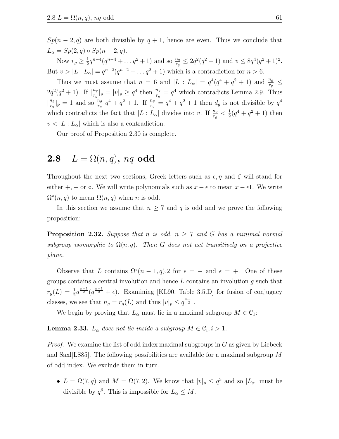$Sp(n-2, q)$  are both divisible by  $q + 1$ , hence are even. Thus we conclude that  $L_{\alpha} = Sp(2,q) \circ Sp(n-2,q).$ 

Now  $r_g \geq \frac{1}{2}$  $\frac{1}{2}q^{n-4}(q^{n-4} + \ldots q^2 + 1)$  and so  $\frac{n_q}{r_q}$  $\frac{n_g}{r_g} \leq 2q^2(q^2+1)$  and  $v \leq 8q^4(q^2+1)^2$ . But  $v > |L : L_{\alpha}| = q^{n-2}(q^{n-2} + ... q^2 + 1)$  which is a contradiction for  $n > 6$ .

Thus we must assume that  $n = 6$  and  $|L : L_{\alpha}| = q^4(q^4 + q^2 + 1)$  and  $\frac{n_g}{r_g} \leq$  $2q^2(q^2+1)$ . If  $\left|\frac{n_g}{r_g}\right|$  $\frac{n_g}{r_g}|_p = |v|_p \ge q^4$  then  $\frac{n_g}{r_g} = q^4$  which contradicts Lemma 2.9. Thus  $\left| \frac{n_g}{r_g} \right.$  $\frac{n_g}{r_g}|_p = 1$  and so  $\frac{n_g}{r_g}$  $\frac{n_g}{r_g} \Big| q^4 + q^2 + 1$ . If  $\frac{n_g}{r_g} = q^4 + q^2 + 1$  then  $d_g$  is not divisible by  $q^4$ which contradicts the fact that  $|L : L_{\alpha}|$  divides into v. If  $\frac{n_g}{r_g} < \frac{1}{2}$  $\frac{1}{2}(q^4+q^2+1)$  then  $v < |L : L_{\alpha}|$  which is also a contradiction.

Our proof of Proposition 2.30 is complete.

## 2.8  $L = \Omega(n, q)$ , ng odd

Throughout the next two sections, Greek letters such as  $\epsilon, \eta$  and  $\zeta$  will stand for either +, – or ∘. We will write polynomials such as  $x - \epsilon$  to mean  $x - \epsilon$ 1. We write  $\Omega^{\circ}(n,q)$  to mean  $\Omega(n,q)$  when n is odd.

In this section we assume that  $n \geq 7$  and q is odd and we prove the following proposition:

**Proposition 2.32.** Suppose that n is odd,  $n \geq 7$  and G has a minimal normal subgroup isomorphic to  $\Omega(n,q)$ . Then G does not act transitively on a projective plane.

Observe that L contains  $\Omega^{\epsilon}(n-1, q)$ . 2 for  $\epsilon = -$  and  $\epsilon = +$ . One of these groups contains a central involution and hence  $L$  contains an involution  $g$  such that  $r_g(L) = \frac{1}{2}$  $\frac{1}{2}q^{\frac{n-1}{2}}(q^{\frac{n-1}{2}} + \epsilon)$ . Examining [KL90, Table 3.5.D] for fusion of conjugacy classes, we see that  $n_g = r_g(L)$  and thus  $|v|_p \leq q^{\frac{n-1}{2}}$ .

We begin by proving that  $L_{\alpha}$  must lie in a maximal subgroup  $M \in \mathcal{C}_1$ :

**Lemma 2.33.**  $L_{\alpha}$  does not lie inside a subgroup  $M \in \mathcal{C}_i, i > 1$ .

*Proof.* We examine the list of odd index maximal subgroups in  $G$  as given by Liebeck and Saxl[LS85]. The following possibilities are available for a maximal subgroup M of odd index. We exclude them in turn.

•  $L = \Omega(7, q)$  and  $M = \Omega(7, 2)$ . We know that  $|v|_p \leq q^3$  and so  $|L_\alpha|$  must be divisible by  $q^6$ . This is impossible for  $L_\alpha \leq M$ .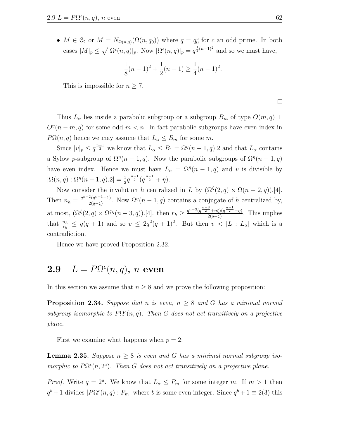•  $M \in \mathcal{C}_2$  or  $M = N_{\Omega(n,q)}(\Omega(n,q_0))$  where  $q = q_0^c$  for c an odd prime. In both cases  $|M|_p \leq \sqrt{|\Omega^{\epsilon}(n,q)|_p}$ . Now  $|\Omega^{\epsilon}(n,q)|_p = q^{\frac{1}{4}(n-1)^2}$  and so we must have,

$$
\frac{1}{8}(n-1)^2 + \frac{1}{2}(n-1) \ge \frac{1}{4}(n-1)^2.
$$

This is impossible for  $n \geq 7$ .

Thus  $L_{\alpha}$  lies inside a parabolic subgroup or a subgroup  $B_m$  of type  $O(m, q) \perp$  $O^{\eta}(n-m, q)$  for some odd  $m < n$ . In fact parabolic subgroups have even index in  $P\Omega(n,q)$  hence we may assume that  $L_{\alpha} \leq B_m$  for some m.

Since  $|v|_p \le q^{\frac{n-1}{2}}$  we know that  $L_\alpha \le B_1 = \Omega^\eta(n-1,q)$ . 2 and that  $L_\alpha$  contains a Sylow p-subgroup of  $\Omega^{\eta}(n-1,q)$ . Now the parabolic subgroups of  $\Omega^{\eta}(n-1,q)$ have even index. Hence we must have  $L_{\alpha} = \Omega^{\eta}(n-1, q)$  and v is divisible by  $|\Omega(n,q):\Omega^{n}(n-1,q).2|=\frac{1}{2}$  $\frac{1}{2}q^{\frac{n-1}{2}}(q^{\frac{n-1}{2}}+\eta).$ 

Now consider the involution h centralized in L by  $(\Omega^{\zeta}(2,q) \times \Omega(n-2,q))$ .[4]. Then  $n_h = \frac{q^{n-2}(q^{n-1}-1)}{2(q-\zeta)}$  $\frac{2(q^{n-1}-1)}{2(q-\zeta)}$ . Now  $\Omega^{\eta}(n-1,q)$  contains a conjugate of h centralized by, at most,  $(\Omega^{\zeta}(2,q) \times \Omega^{\zeta\eta}(n-3,q))$ .[4]. then  $r_h \geq \frac{q^{n-3}(q^{\frac{n-3}{2}} + \eta \zeta)(q^{\frac{n-1}{2}} - \eta)}{2(q-\zeta)}$  $rac{+\eta\zeta}{2(q-\zeta)}$ . This implies that  $\frac{n_h}{r_h} \leq q(q+1)$  and so  $v \leq 2q^2(q+1)^2$ . But then  $v < |L : L_\alpha|$  which is a contradiction.

Hence we have proved Proposition 2.32.

## 2.9  $L = P\Omega^{\epsilon}(n,q)$ , *n* even

In this section we assume that  $n \geq 8$  and we prove the following proposition:

**Proposition 2.34.** Suppose that n is even,  $n \geq 8$  and G has a minimal normal subgroup isomorphic to  $P\Omega^{\epsilon}(n,q)$ . Then G does not act transitively on a projective plane.

First we examine what happens when  $p = 2$ :

**Lemma 2.35.** Suppose  $n \geq 8$  is even and G has a minimal normal subgroup isomorphic to  $P\Omega^{\epsilon}(n, 2^{a})$ . Then G does not act transitively on a projective plane.

*Proof.* Write  $q = 2^a$ . We know that  $L_\alpha \leq P_m$  for some integer m. If  $m > 1$  then  $q^{b}+1$  divides  $|P\Omega^{\epsilon}(n,q):P_{m}|$  where b is some even integer. Since  $q^{b}+1 \equiv 2(3)$  this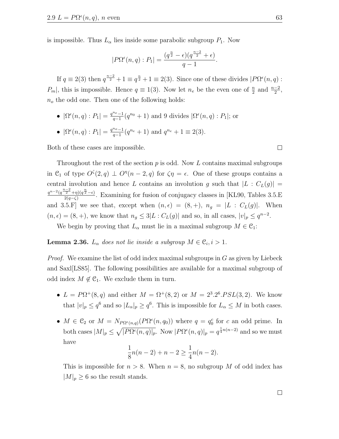is impossible. Thus  $L_{\alpha}$  lies inside some parabolic subgroup  $P_1$ . Now

$$
|P\Omega^{\epsilon}(n,q):P_1| = \frac{(q^{\frac{n}{2}} - \epsilon)(q^{\frac{n-2}{2}} + \epsilon)}{q-1}.
$$

If  $q \equiv 2(3)$  then  $q^{\frac{n-2}{2}} + 1 \equiv q^{\frac{n}{2}} + 1 \equiv 2(3)$ . Since one of these divides  $|P\Omega^{\epsilon}(n, q)$ :  $P_m$ , this is impossible. Hence  $q \equiv 1(3)$ . Now let  $n_e$  be the even one of  $\frac{n}{2}$  and  $\frac{n-2}{2}$ ,  $n<sub>o</sub>$  the odd one. Then one of the following holds:

•  $|\Omega^{\epsilon}(n,q):P_1| = \frac{q^{n_e}-1}{q-1}$  $\frac{a_e-1}{q-1}(q^{n_0}+1)$  and 9 divides  $|\Omega^{\epsilon}(n,q):P_1|$ ; or

• 
$$
|\Omega^{\epsilon}(n,q):P_1| = \frac{q^{n_o}-1}{q-1}(q^{n_e}+1)
$$
 and  $q^{n_e}+1 \equiv 2(3)$ .

Both of these cases are impossible.

Throughout the rest of the section  $p$  is odd. Now L contains maximal subgroups in  $\mathfrak{C}_1$  of type  $O^{\zeta}(2,q) \perp O^{\eta}(n-2,q)$  for  $\zeta \eta = \epsilon$ . One of these groups contains a central involution and hence L contains an involution g such that  $|L : C_L(g)| =$  $q^{n-2}(q^{\frac{n-2}{2}}+\eta)(q^{\frac{n}{2}}-\epsilon)$  $\frac{2(4-\epsilon)}{2(4-\epsilon)}$ . Examining for fusion of conjugacy classes in [KL90, Tables 3.5.E and 3.5.F] we see that, except when  $(n, \epsilon) = (8, +), n_g = |L : C_L(g)|$ . When  $(n, \epsilon) = (8, +)$ , we know that  $n_g \leq 3|L : C_L(g)|$  and so, in all cases,  $|v|_p \leq q^{n-2}$ .

We begin by proving that  $L_{\alpha}$  must lie in a maximal subgroup  $M \in \mathcal{C}_1$ :

**Lemma 2.36.**  $L_{\alpha}$  does not lie inside a subgroup  $M \in \mathcal{C}_i, i > 1$ .

*Proof.* We examine the list of odd index maximal subgroups in  $G$  as given by Liebeck and Saxl[LS85]. The following possibilities are available for a maximal subgroup of odd index  $M \notin \mathcal{C}_1$ . We exclude them in turn.

- $L = P\Omega^+(8,q)$  and either  $M = \Omega^+(8,2)$  or  $M = 2^3 \cdot 2^6 \cdot PSL(3,2)$ . We know that  $|v|_p \le q^6$  and so  $|L_\alpha|_p \ge q^6$ . This is impossible for  $L_\alpha \le M$  in both cases.
- $M \in \mathcal{C}_2$  or  $M = N_{P\Omega^{\epsilon}(n,q)}(P\Omega^{\epsilon}(n,q_0))$  where  $q = q_0^c$  for c an odd prime. In both cases  $|M|_p \leq \sqrt{|P\Omega^{\epsilon}(n,q)|_p}$ . Now  $|P\Omega^{\epsilon}(n,q)|_p = q^{\frac{1}{4}n(n-2)}$  and so we must have

$$
\frac{1}{8}n(n-2) + n - 2 \ge \frac{1}{4}n(n-2).
$$

This is impossible for  $n > 8$ . When  $n = 8$ , no subgroup M of odd index has  $|M|_p \geq 6$  so the result stands.

 $\Box$ 

 $\Box$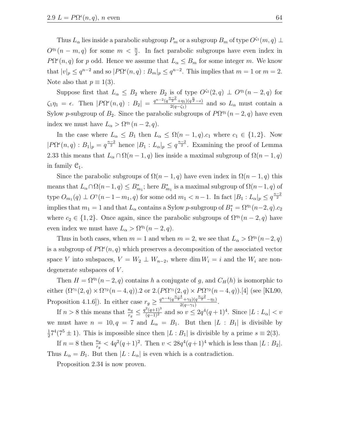Thus  $L_{\alpha}$  lies inside a parabolic subgroup  $P_m$  or a subgroup  $B_m$  of type  $O^{\zeta_1}(m, q) \perp$  $O^{n_1}(n-m,q)$  for some  $m < \frac{n}{2}$  $\frac{n}{2}$ . In fact parabolic subgroups have even index in  $P\Omega^{\epsilon}(n,q)$  for p odd. Hence we assume that  $L_{\alpha} \leq B_m$  for some integer m. We know that  $|v|_p \le q^{n-2}$  and so  $|P\Omega^{\epsilon}(n,q): B_m|_p \le q^{n-2}$ . This implies that  $m=1$  or  $m=2$ . Note also that  $p \equiv 1(3)$ .

Suppose first that  $L_{\alpha} \leq B_2$  where  $B_2$  is of type  $O^{\zeta_1}(2,q) \perp O^{\eta_1}(n-2,q)$  for  $\zeta_1 \eta_1 = \epsilon$ . Then  $|P\Omega^{\epsilon}(n,q) : B_2| = \frac{q^{n-2}(q^{\frac{n-2}{2}} + \eta_1)(q^{\frac{n}{2}} - \epsilon)}{2(q - \zeta_1)}$  $\frac{2+\eta_1}{2(q-\zeta_1)}$  and so  $L_\alpha$  must contain a Sylow p-subgroup of  $B_2$ . Since the parabolic subgroups of  $P\Omega^{n_1}(n-2, q)$  have even index we must have  $L_{\alpha} > \Omega^{\eta_1}(n-2, q)$ .

In the case where  $L_{\alpha} \leq B_1$  then  $L_{\alpha} \leq \Omega(n-1, q).c_1$  where  $c_1 \in \{1, 2\}$ . Now  $|P\Omega^{\epsilon}(n,q):B_1|_p=q^{\frac{n-2}{2}}$  hence  $|B_1: L_{\alpha}|_p \leq q^{\frac{n-2}{2}}$ . Examining the proof of Lemma 2.33 this means that  $L_{\alpha} \cap \Omega(n-1, q)$  lies inside a maximal subgroup of  $\Omega(n-1, q)$ in family  $\mathcal{C}_1$ .

Since the parabolic subgroups of  $\Omega(n-1,q)$  have even index in  $\Omega(n-1,q)$  this means that  $L_{\alpha} \cap \Omega(n-1, q) \leq B_{m_1}^*$ ; here  $B_{m_1}^*$  is a maximal subgroup of  $\Omega(n-1, q)$  of type  $O_{m_1}(q) \perp O^{\gamma}(n-1-m_1, q)$  for some odd  $m_1 < n-1$ . In fact  $|B_1: L_{\alpha}|_p \leq q^{\frac{n-2}{2}}$ implies that  $m_1 = 1$  and that  $L_\alpha$  contains a Sylow p-subgroup of  $B_1^* = \Omega^{n_1}(n-2, q).c_2$ where  $c_2 \in \{1, 2\}$ . Once again, since the parabolic subgroups of  $\Omega^{n_1}(n-2, q)$  have even index we must have  $L_{\alpha} > \Omega^{n_1}(n-2, q)$ .

Thus in both cases, when  $m = 1$  and when  $m = 2$ , we see that  $L_{\alpha} > \Omega^{n_1}(n-2, q)$ is a subgroup of  $P\Omega^{\epsilon}(n,q)$  which preserves a decomposition of the associated vector space V into subspaces,  $V = W_2 \perp W_{n-2}$ , where dim  $W_i = i$  and the  $W_i$  are nondegenerate subspaces of V.

Then  $H = \Omega^{\eta_1}(n-2, q)$  contains h a conjugate of g, and  $C_H(h)$  is isomorphic to either  $(\Omega^{\gamma_1}(2,q) \times \Omega^{\gamma_2}(n-4,q)).2$  or  $2.(P\Omega^{\gamma_1}(2,q) \times P\Omega^{\gamma_2}(n-4,q)).[4]$  (see [KL90, Proposition 4.1.6]). In either case  $r_g \geq \frac{q^{n-4} (q^{\frac{n-4}{2}} + \gamma_2)(q^{\frac{n-2}{2}} - \eta_1)}{2(q-\gamma_1)}$  $\frac{+\gamma_2}{2(q-\gamma_1)}$ .

If  $n > 8$  this means that  $\frac{n_g}{r_g} \leq \frac{q^2(q+1)^3}{(q-1)^2}$  and so  $v \leq 2q^4(q+1)^4$ . Since  $|L : L_{\alpha}| < v$ we must have  $n = 10, q = 7$  and  $L_{\alpha} = B_1$ . But then  $|L : B_1|$  is divisible by 1  $\frac{1}{2}7^4(7^5 \pm 1)$ . This is impossible since then  $|L : B_1|$  is divisible by a prime  $s \equiv 2(3)$ .

If  $n = 8$  then  $\frac{n_g}{r_g} < 4q^2(q+1)^2$ . Then  $v < 28q^4(q+1)^4$  which is less than  $|L : B_2|$ . Thus  $L_{\alpha} = B_1$ . But then  $|L : L_{\alpha}|$  is even which is a contradiction.

Proposition 2.34 is now proven.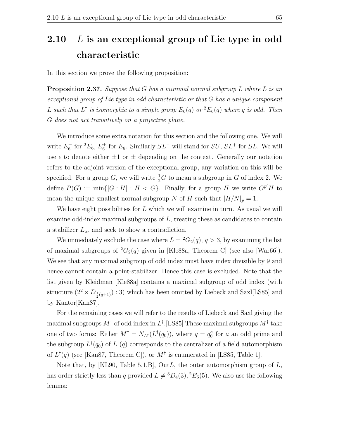# 2.10 L is an exceptional group of Lie type in odd characteristic

In this section we prove the following proposition:

**Proposition 2.37.** Suppose that G has a minimal normal subgroup L where L is an exceptional group of Lie type in odd characteristic or that G has a unique component L such that  $L^{\dagger}$  is isomorphic to a simple group  $E_6(q)$  or  ${}^2E_6(q)$  where q is odd. Then G does not act transitively on a projective plane.

We introduce some extra notation for this section and the following one. We will write  $E_6^-$  for  ${}^2E_6$ ,  $E_6^+$  for  $E_6$ . Similarly  $SL^-$  will stand for  $SU$ ,  $SL^+$  for  $SL$ . We will use  $\epsilon$  to denote either  $\pm 1$  or  $\pm$  depending on the context. Generally our notation refers to the adjoint version of the exceptional group, any variation on this will be specified. For a group G, we will write  $\frac{1}{2}G$  to mean a subgroup in G of index 2. We define  $P(G) := \min\{|G : H| : H < G\}$ . Finally, for a group H we write  $O^{p'}H$  to mean the unique smallest normal subgroup N of H such that  $|H/N|_p = 1$ .

We have eight possibilities for  $L$  which we will examine in turn. As usual we will examine odd-index maximal subgroups of L, treating these as candidates to contain a stabilizer  $L_{\alpha}$ , and seek to show a contradiction.

We immediately exclude the case where  $L = {}^2G_2(q)$ ,  $q > 3$ , by examining the list of maximal subgroups of  ${}^2G_2(q)$  given in [Kle88a, Theorem C] (see also [War66]). We see that any maximal subgroup of odd index must have index divisible by 9 and hence cannot contain a point-stabilizer. Hence this case is excluded. Note that the list given by Kleidman [Kle88a] contains a maximal subgroup of odd index (with structure  $(2^2 \times D_{\frac{1}{2}(q+1)})$ : 3) which has been omitted by Liebeck and Saxl[LS85] and by Kantor[Kan87].

For the remaining cases we will refer to the results of Liebeck and Saxl giving the maximal subgroups  $M^{\dagger}$  of odd index in  $L^{\dagger}$ . [LS85] These maximal subgroups  $M^{\dagger}$  take one of two forms: Either  $M^{\dagger} = N_{L^{\dagger}}(L^{\dagger}(q_0))$ , where  $q = q_0^a$  for a an odd prime and the subgroup  $L^{\dagger}(q_0)$  of  $L^{\dagger}(q)$  corresponds to the centralizer of a field automorphism of  $L^{\dagger}(q)$  (see [Kan87, Theorem C]), or  $M^{\dagger}$  is enumerated in [LS85, Table 1].

Note that, by [KL90, Table 5.1.B], OutL, the outer automorphism group of  $L$ , has order strictly less than q provided  $L \neq {}^3D_4(3), {}^2E_6(5)$ . We also use the following lemma: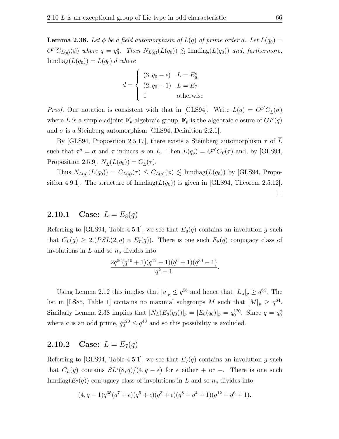**Lemma 2.38.** Let  $\phi$  be a field automorphism of  $L(q)$  of prime order a. Let  $L(q_0)$  =  $O^{p'}C_{L(q)}(\phi)$  where  $q = q_0^a$ . Then  $N_{L(q)}(L(q_0)) \lesssim$  Inndiag( $L(q_0)$ ) and, furthermore, Inndiag $(L(q_0)) = L(q_0)$ .d where

$$
d = \begin{cases} (3, q_0 - \epsilon) & L = E_6^{\epsilon} \\ (2, q_0 - 1) & L = E_7 \\ 1 & \text{otherwise} \end{cases}
$$

*Proof.* Our notation is consistent with that in [GLS94]. Write  $L(q) = O^{p'}C_{\overline{L}}(\sigma)$ where  $\overline{L}$  is a simple adjoint  $\overline{\mathbb{F}_p}$ -algebraic group,  $\overline{\mathbb{F}_p}$  is the algebraic closure of  $GF(q)$ and  $\sigma$  is a Steinberg automorphism [GLS94, Definition 2.2.1].

By [GLS94, Proposition 2.5.17], there exists a Steinberg automorphism  $\tau$  of L such that  $\tau^a = \sigma$  and  $\tau$  induces  $\phi$  on L. Then  $L(q_o) = O^{p'}C_{\overline{L}}(\tau)$  and, by [GLS94, Proposition 2.5.9,  $N_{\overline{L}}(L(q_0)) = C_{\overline{L}}(\tau)$ .

Thus  $N_{L(q)}(L(q_0)) = C_{L(q)}(\tau) \leq C_{L(q)}(\phi) \lesssim \text{Inndiag}(L(q_0))$  by [GLS94, Proposition 4.9.1. The structure of Inndiag( $L(q_0)$ ) is given in [GLS94, Theorem 2.5.12.]  $\Box$ 

## **2.10.1** Case:  $L = E_8(q)$

Referring to [GLS94, Table 4.5.1], we see that  $E_8(q)$  contains an involution g such that  $C_L(g) \geq 2.(PSL(2,q) \times E_7(q))$ . There is one such  $E_8(q)$  conjugacy class of involutions in  $L$  and so  $n<sub>g</sub>$  divides into

$$
\frac{2q^{56}(q^{10}+1)(q^{12}+1)(q^{6}+1)(q^{30}-1)}{q^2-1}.
$$

Using Lemma 2.12 this implies that  $|v|_p \le q^{56}$  and hence that  $|L_\alpha|_p \ge q^{64}$ . The list in [LS85, Table 1] contains no maximal subgroups M such that  $|M|_p \geq q^{64}$ . Similarly Lemma 2.38 implies that  $|N_L(E_8(q_0))|_p = |E_8(q_0)|_p = q_0^{120}$ . Since  $q = q_0^a$ where *a* is an odd prime,  $q_0^{120} \leq q^{40}$  and so this possibility is excluded.

### **2.10.2** Case:  $L = E_7(q)$

Referring to [GLS94, Table 4.5.1], we see that  $E_7(q)$  contains an involution g such that  $C_L(g)$  contains  $SL^{\epsilon}(8,q)/(4,q-\epsilon)$  for  $\epsilon$  either + or -. There is one such Inndiag( $E_7(q)$ ) conjugacy class of involutions in L and so  $n<sub>g</sub>$  divides into

$$
(4,q-1)q^{35}(q^7 + \epsilon)(q^5 + \epsilon)(q^3 + \epsilon)(q^8 + q^4 + 1)(q^{12} + q^6 + 1).
$$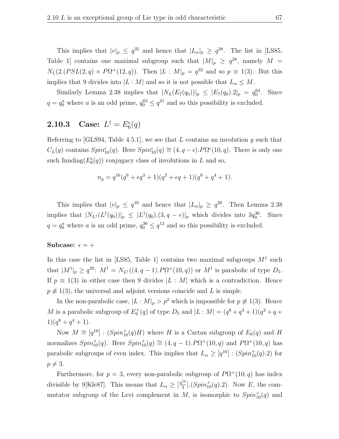This implies that  $|v|_p \leq q^{35}$  and hence that  $|L_\alpha|_p \geq q^{28}$ . The list in [LS85, Table 1] contains one maximal subgroup such that  $|M|_p \geq q^{28}$ , namely  $M =$  $N_L(2.(PSL(2,q) \times P\Omega^+(12,q))$ . Then  $|L : M|_p = q^{32}$  and so  $p \equiv 1(3)$ . But this implies that 9 divides into  $|L : M|$  and so it is not possible that  $L_{\alpha} \leq M$ .

Similarly Lemma 2.38 implies that  $|N_L(E_7(q_0))|_p \leq |E_7(q_0).2|_p = q_0^{63}$ . Since  $q = q_0^a$  where a is an odd prime,  $q_0^{63} \leq q^{21}$  and so this possibility is excluded.

#### $\textbf{2.10.3} \quad \textbf{Case:} \ \ L^{\dagger} = E_6^{\epsilon}$  $^{\epsilon}_{6}(q)$

Referring to [GLS94, Table 4.5.1], we see that L contains an involution g such that  $C_L(g)$  contains  $Spin_{10}^{\epsilon}(q)$ . Here  $Spin_{10}^{\epsilon}(q) \cong (4, q - \epsilon)$ .  $P\Omega^{\epsilon}(10, q)$ . There is only one such Inndiag $(E_6^{\epsilon}(q))$  conjugacy class of involutions in L and so,

$$
n_g = q^{16}(q^6 + \epsilon q^3 + 1)(q^2 + \epsilon q + 1)(q^8 + q^4 + 1).
$$

This implies that  $|v|_p \leq q^{16}$  and hence that  $|L_\alpha|_p \geq q^{20}$ . Then Lemma 2.38 implies that  $|N_{L^{\dagger}}(L^{\dagger}(q_0))|_p \leq |L^{\dagger}(q_0).(3,q-\epsilon)|_p$  which divides into  $3q_0^{36}$ . Since  $q = q_0^a$  where a is an odd prime,  $q_0^{36} \leq q^{12}$  and so this possibility is excluded.

#### Subcase:  $\epsilon = +$

In this case the list in [LS85, Table 1] contains two maximal subgroups  $M^{\dagger}$  such that  $|M^{\dagger}|_p \geq q^{20}$ :  $M^{\dagger} = N_{L^{\dagger}}((4, q - 1).P\Omega^+(10, q))$  or  $M^{\dagger}$  is parabolic of type  $D_5$ . If  $p \equiv 1(3)$  in either case then 9 divides  $|L : M|$  which is a contradiction. Hence  $p \neq 1(3)$ , the universal and adjoint versions coincide and L is simple.

In the non-parabolic case,  $|L : M|_p > p^2$  which is impossible for  $p \neq 1$ (3). Hence M is a parabolic subgroup of  $E_6^+(q)$  of type  $D_5$  and  $|L:M| = (q^6 + q^3 + 1)(q^2 + q +$  $1)(q^8+q^4+1).$ 

Now  $M \cong [q^{16}] : (Spin_{10}^+(q)H)$  where H is a Cartan subgroup of  $E_6(q)$  and H normalizes  $Spin_{10}^+(q)$ . Here  $Spin_{10}^+(q) \cong (4,q-1)$ .  $P\Omega^+(10,q)$  and  $P\Omega^+(10,q)$  has parabolic subgroups of even index. This implies that  $L_{\alpha} \geq [q^{16}] : (Spin_{10}^+(q).2)$  for  $p \neq 3$ .

Furthermore, for  $p = 3$ , every non-parabolic subgroup of  $P\Omega^+(10,q)$  has index divisible by 9[Kle87]. This means that  $L_{\alpha} \geq \left[\frac{q^{16}}{3}\right]$  $\frac{16}{3}$ . (Spin<sub>10</sub>(q).2). Now E, the commutator subgroup of the Levi complement in M, is isomorphic to  $Spin_{10}^{+}(q)$  and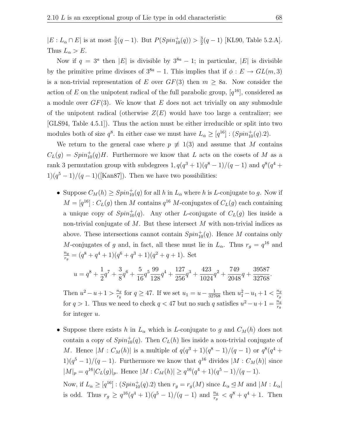$|E: L_{\alpha} \cap E|$  is at most  $\frac{3}{2}(q-1)$ . But  $P(Spin_{10}^{+}(q)) > \frac{3}{2}$  $\frac{3}{2}(q-1)$  [KL90, Table 5.2.A]. Thus  $L_{\alpha} > E$ .

Now if  $q = 3^a$  then |E| is divisible by  $3^{8a} - 1$ ; in particular, |E| is divisible by the primitive prime divisors of  $3^{8a} - 1$ . This implies that if  $\phi : E \to GL(m, 3)$ is a non-trivial representation of E over  $GF(3)$  then  $m \geq 8a$ . Now consider the action of E on the unipotent radical of the full parabolic group,  $[q^{16}]$ , considered as a module over  $GF(3)$ . We know that E does not act trivially on any submodule of the unipotent radical (otherwise  $Z(E)$  would have too large a centralizer; see [GLS94, Table 4.5.1]). Thus the action must be either irreducible or split into two modules both of size  $q^8$ . In either case we must have  $L_\alpha \geq [q^{16}] : (Spin_{10}^+(q).2)$ .

We return to the general case where  $p \neq 1(3)$  and assume that M contains  $C<sub>L</sub>(g) = Spin<sub>10</sub><sup>+</sup>(q)H$ . Furthermore we know that L acts on the cosets of M as a rank 3 permutation group with subdegrees  $1, q(q^3 + 1)(q^8 - 1)/(q - 1)$  and  $q^8(q^4 +$  $1\left(\frac{q^5-1}{q-1}\right)\left(\frac{Kan87}{R}\right)$ . Then we have two possibilities:

• Suppose  $C_M(h) \geq Spin_{10}^+(q)$  for all h in  $L_{\alpha}$  where h is L-conjugate to g. Now if  $M = [q^{16}] : C_L(g)$  then M contains  $q^{16}$  M-conjugates of  $C_L(g)$  each containing a unique copy of  $Spin_{10}^+(q)$ . Any other L-conjugate of  $C<sub>L</sub>(g)$  lies inside a non-trivial conjugate of M. But these intersect M with non-trivial indices as above. These intersections cannot contain  $Spin_{10}^+(q)$ . Hence M contains only M-conjugates of g and, in fact, all these must lie in  $L_{\alpha}$ . Thus  $r_g = q^{16}$  and  $n_g$  $\frac{n_g}{r_g} = (q^8 + q^4 + 1)(q^6 + q^3 + 1)(q^2 + q + 1)$ . Set

$$
u=q^8+\frac{1}{2}q^7+\frac{3}{8}q^6+\frac{5}{16}q^5\frac{99}{128}q^4+\frac{127}{256}q^3+\frac{423}{1024}q^2+\frac{749}{2048}q+\frac{39587}{32768}.
$$

Then  $u^2-u+1>\frac{n_g}{r_g}$  $\frac{n_g}{r_g}$  for  $q \ge 47$ . If we set  $u_1 = u - \frac{1}{32768}$  then  $u_1^2 - u_1 + 1 < \frac{n_g}{r_g}$ rg for  $q > 1$ . Thus we need to check  $q < 47$  but no such q satisfies  $u^2 - u + 1 = \frac{n_g}{r_g}$ rg for integer  $u$ .

• Suppose there exists h in  $L_{\alpha}$  which is L-conjugate to g and  $C_M(h)$  does not contain a copy of  $Spin_{10}^+(q)$ . Then  $C_L(h)$  lies inside a non-trivial conjugate of *M*. Hence  $|M : C_M(h)|$  is a multiple of  $q(q^3 + 1)(q^8 - 1)/(q - 1)$  or  $q^8(q^4 +$  $1\left(q^5-1\right)/(q-1)$ . Furthermore we know that  $q^{16}$  divides  $|M: C_M(h)|$  since  $|M|_p = q^{16} |C_L(g)|_p$ . Hence  $|M : C_M(h)| \geq q^{16} (q^4 + 1)(q^5 - 1)/(q - 1)$ .

Now, if  $L_{\alpha} \geq [q^{16}] : (Spin_{10}^+(q).2)$  then  $r_g = r_g(M)$  since  $L_{\alpha} \leq M$  and  $|M : L_{\alpha}|$ is odd. Thus  $r_g \ge q^{16}(q^4+1)(q^5-1)/(q-1)$  and  $\frac{n_g}{r_g} < q^8+q^4+1$ . Then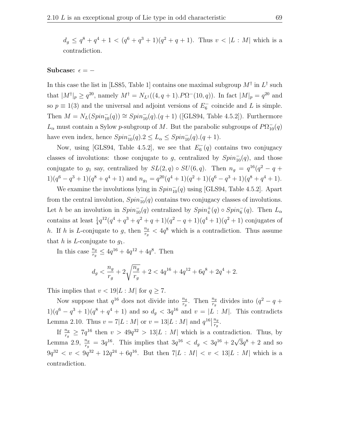$d_g \leq q^8 + q^4 + 1 < (q^6 + q^3 + 1)(q^2 + q + 1)$ . Thus  $v < |L : M|$  which is a contradiction.

#### Subcase:  $\epsilon = -$

In this case the list in [LS85, Table 1] contains one maximal subgroup  $M^{\dagger}$  in  $L^{\dagger}$  such that  $|M^{\dagger}|_p \geq q^{20}$ , namely  $M^{\dagger} = N_{L^{\dagger}}((4, q + 1).P\Omega^-(10, q))$ . In fact  $|M|_p = q^{20}$  and so  $p \equiv 1(3)$  and the universal and adjoint versions of  $E_6^-$  coincide and L is simple. Then  $M = N_L(Spin_{10}^-(q)) \cong Spin_{10}^-(q)$ . (q + 1) ([GLS94, Table 4.5.2]). Furthermore  $L_{\alpha}$  must contain a Sylow p-subgroup of M. But the parabolic subgroups of  $P\Omega_{10}^{-}(q)$ have even index, hence  $Spin_{10}^-(q).2 \leq L_\alpha \leq Spin_{10}^-(q).(q+1).$ 

Now, using [GLS94, Table 4.5.2], we see that  $E_6^-(q)$  contains two conjugacy classes of involutions: those conjugate to g, centralized by  $Spin_{10}^{-}(q)$ , and those conjugate to  $g_1$  say, centralized by  $SL(2,q) \circ SU(6,q)$ . Then  $n_g = q^{16}(q^2 - q + q^2)$  $1)(q^6 - q^3 + 1)(q^8 + q^4 + 1)$  and  $n_{g_1} = q^{20}(q^4 + 1)(q^2 + 1)(q^6 - q^3 + 1)(q^8 + q^4 + 1)$ .

We examine the involutions lying in  $Spin_{10}^{-}(q)$  using [GLS94, Table 4.5.2]. Apart from the central involution,  $Spin_{10}^{-}(q)$  contains two conjugacy classes of involutions. Let h be an involution in  $Spin_{10}^-(q)$  centralized by  $Spin_4^+(q) \circ Spin_6^-(q)$ . Then  $L_{\alpha}$ contains at least  $\frac{1}{4}q^{12}(q^4+q^3+q^2+q+1)(q^2-q+1)(q^4+1)(q^2+1)$  conjugates of h. If h is L-conjugate to g, then  $\frac{n_g}{r_g} < 4q^8$  which is a contradiction. Thus assume that h is L-conjugate to  $g_1$ .

In this case  $\frac{n_g}{r_g}$  $\frac{n_g}{r_g} \leq 4q^{16} + 4q^{12} + 4q^8$ . Then

$$
d_g < \frac{n_g}{r_g} + 2\sqrt{\frac{n_g}{r_g}} + 2 < 4q^{16} + 4q^{12} + 6q^8 + 2q^4 + 2.
$$

This implies that  $v < 19|L : M|$  for  $q \geq 7$ .

Now suppose that  $q^{16}$  does not divide into  $\frac{n_g}{r_g}$ . Then  $\frac{n_g}{r_g}$  divides into  $(q^2 - q + q)$  $1)(q^6 - q^3 + 1)(q^8 + q^4 + 1)$  and so  $d_g < 3q^{16}$  and  $v = |L : M|$ . This contradicts Lemma 2.10. Thus  $v = 7|L : M|$  or  $v = 13|L : M|$  and  $q^{16}|$  $n_g$  $\frac{n_g}{r_g}$  .

If  $\frac{n_g}{r_g} \geq 7q^{16}$  then  $v > 49q^{32} > 13|L : M|$  which is a contradiction. Thus, by Lemma 2.9,  $\frac{n_g}{r_g} = 3q^{16}$ . This implies that  $3q^{16} < d_g < 3q^{16} + 2\sqrt{3}q^8 + 2$  and so  $9q^{32} < v < 9q^{32} + 12q^{24} + 6q^{16}$ . But then  $7|L : M| < v < 13|L : M|$  which is a contradiction.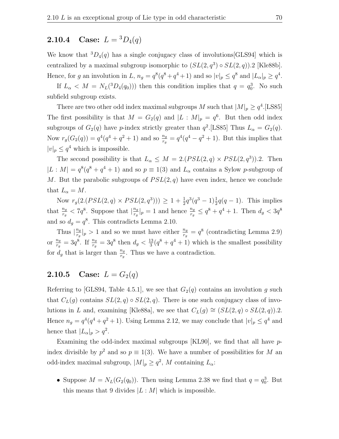### **2.10.4** Case:  $L = {}^{3}D_{4}(q)$

We know that  ${}^{3}D_{4}(q)$  has a single conjugacy class of involutions GLS94 which is centralized by a maximal subgroup isomorphic to  $(SL(2, q^3) \circ SL(2, q))$ . [Kle88b]. Hence, for g an involution in L,  $n_g = q^8(q^8 + q^4 + 1)$  and so  $|v|_p \le q^8$  and  $|L_\alpha|_p \ge q^4$ .

If  $L_{\alpha} < M = N_L({}^3D_4(q_0)))$  then this condition implies that  $q = q_0^3$ . No such subfield subgroup exists.

There are two other odd index maximal subgroups M such that  $|M|_p \geq q^4$ . [LS85] The first possibility is that  $M = G_2(q)$  and  $|L : M|_p = q^6$ . But then odd index subgroups of  $G_2(q)$  have *p*-index strictly greater than  $q^2$ . [LS85] Thus  $L_{\alpha} = G_2(q)$ . Now  $r_g(G_2(q)) = q^4(q^4+q^2+1)$  and so  $\frac{n_g}{r_g}$  $\frac{n_g}{r_g} = q^4(q^4 - q^2 + 1)$ . But this implies that  $|v|_p \leq q^4$  which is impossible.

The second possibility is that  $L_{\alpha} \leq M = 2.(PSL(2, q) \times PSL(2, q^3))$ . Then  $|L: M| = q<sup>8</sup>(q<sup>8</sup> + q<sup>4</sup> + 1)$  and so  $p \equiv 1(3)$  and  $L_{\alpha}$  contains a Sylow p-subgroup of M. But the parabolic subgroups of  $PSL(2, q)$  have even index, hence we conclude that  $L_{\alpha} = M$ .

Now  $r_g(2.(PSL(2,q) \times PSL(2,q^3))) \geq 1 + \frac{1}{2}$  $\frac{1}{2}q^{3}(q^{3}-1)\frac{1}{2}q(q-1)$ . This implies that  $\frac{n_g}{r_g} < 7q^8$ . Suppose that  $\left|\frac{n_g}{r_g}\right|$  $\frac{n_g}{r_g}|_p = 1$  and hence  $\frac{n_g}{r_g} \leq q^8 + q^4 + 1$ . Then  $d_g < 3q^8$ and so  $d_g = q^8$ . This contradicts Lemma 2.10.

Thus  $\left| \frac{n_g}{r_g} \right|$  $\frac{n_g}{r_g}|_p > 1$  and so we must have either  $\frac{n_g}{r_g} = q^8$  (contradicting Lemma 2.9) or  $\frac{n_g}{r}$  $\frac{n_g}{r_g} = 3q^8$ . If  $\frac{n_g}{r_g} = 3q^8$  then  $d_g < \frac{13}{3}$  $\frac{13}{3}(q^8+q^4+1)$  which is the smallest possibility for  $d_g$  that is larger than  $\frac{n_g}{r_g}$ . Thus we have a contradiction.

### **2.10.5** Case:  $L = G_2(q)$

Referring to [GLS94, Table 4.5.1], we see that  $G_2(q)$  contains an involution g such that  $C_{L}(g)$  contains  $SL(2, q) \circ SL(2, q)$ . There is one such conjugacy class of involutions in L and, examining [Kle88a], we see that  $C_L(g) \cong (SL(2,q) \circ SL(2,q))$ .2. Hence  $n_g = q^4(q^4 + q^2 + 1)$ . Using Lemma 2.12, we may conclude that  $|v|_p \le q^4$  and hence that  $|L_{\alpha}|_p > q^2$ .

Examining the odd-index maximal subgroups  $[KL90]$ , we find that all have pindex divisible by  $p^2$  and so  $p \equiv 1(3)$ . We have a number of possibilities for M an odd-index maximal subgroup,  $|M|_p \geq q^2$ , M containing  $L_\alpha$ :

• Suppose  $M = N_L(G_2(q_0))$ . Then using Lemma 2.38 we find that  $q = q_0^3$ . But this means that 9 divides  $|L : M|$  which is impossible.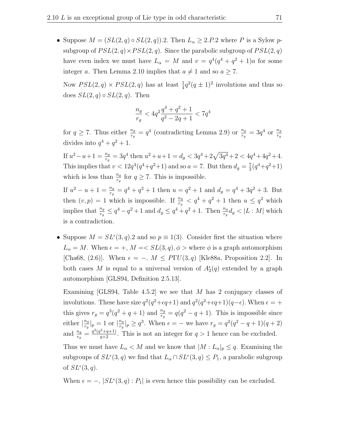• Suppose  $M = (SL(2,q) \circ SL(2,q))$ . Then  $L_{\alpha} \geq 2.P.2$  where P is a Sylow psubgroup of  $PSL(2, q) \times PSL(2, q)$ . Since the parabolic subgroup of  $PSL(2, q)$ have even index we must have  $L_{\alpha} = M$  and  $v = q^4(q^4 + q^2 + 1)a$  for some integer a. Then Lemma 2.10 implies that  $a \neq 1$  and so  $a \geq 7$ .

Now  $PSL(2,q) \times PSL(2,q)$  has at least  $\frac{1}{4}q^2(q \pm 1)^2$  involutions and thus so does  $SL(2,q) \circ SL(2,q)$ . Then

$$
\frac{n_g}{r_g} < 4q^2 \frac{q^4 + q^2 + 1}{q^2 - 2q + 1} < 7q^4
$$

for  $q \ge 7$ . Thus either  $\frac{n_q}{r_g} = q^4$  (contradicting Lemma 2.9) or  $\frac{n_g}{r_g}$  $\frac{n_g}{r_g} = 3q^4$  or  $\frac{n_g}{r_g}$ rg divides into  $q^4 + q^2 + 1$ .

If  $u^2 - u + 1 = \frac{n_g}{r_g}$  $\frac{n_g}{r_g} = 3q^4$  then  $u^2 + u + 1 = d_g < 3q^4 + 2\sqrt{3q^4} + 2 < 4q^4 + 4q^2 + 4$ . This implies that  $v < 12q^4(q^4+q^2+1)$  and so  $a = 7$ . But then  $d_g = \frac{7}{3}$  $\frac{7}{3}(q^4+q^2+1)$ which is less than  $\frac{n_g}{r_g}$  for  $q \ge 7$ . This is impossible.

If  $u^2 - u + 1 = \frac{n_g}{r_g}$  $\frac{n_g}{r_g} = q^4 + q^2 + 1$  then  $u = q^2 + 1$  and  $d_g = q^4 + 3q^2 + 3$ . But then  $(v, p) = 1$  which is impossible. If  $\frac{n_g}{r_g} < q^4 + q^2 + 1$  then  $u \leq q^2$  which implies that  $\frac{n_g}{r_g} \leq q^4 - q^2 + 1$  and  $d_g \leq q^4 + q^2 + 1$ . Then  $\frac{n_g}{r_g}d_g < |L : M|$  which is a contradiction.

• Suppose  $M = SL^{\epsilon}(3, q)$ . 2 and so  $p \equiv 1(3)$ . Consider first the situation where  $L_{\alpha} = M$ . When  $\epsilon = +, M = < SL(3, q), \phi >$  where  $\phi$  is a graph automorphism [Cha68, (2.6)]. When  $\epsilon = -$ ,  $M \leq P\Gamma U(3,q)$  [Kle88a, Proposition 2.2]. In both cases M is equal to a universal version of  $A_2^{\epsilon}(q)$  extended by a graph automorphism [GLS94, Definition 2.5.13].

Examining  $[GLS94, Table 4.5.2]$  we see that M has 2 conjugacy classes of involutions. These have size  $q^2(q^2+\epsilon q+1)$  and  $q^2(q^2+\epsilon q+1)(q-\epsilon)$ . When  $\epsilon = +$ this gives  $r_g = q^3(q^2 + q + 1)$  and  $\frac{n_g}{r_g} = q(q^2 - q + 1)$ . This is impossible since either  $\left|\frac{n_g}{r_g}\right|$  $\frac{n_g}{r_g}|_p = 1$  or  $\left|\frac{n_g}{r_g}\right|$  $\frac{n_g}{r_g}|_p \ge q^3$ . When  $\epsilon = -$  we have  $r_g = q^2(q^2 - q + 1)(q + 2)$ and  $\frac{n_g}{r_g} = \frac{q^2(q^2+q+1)}{q+2}$ . This is not an integer for  $q > 1$  hence can be excluded.

Thus we must have  $L_{\alpha} < M$  and we know that  $|M : L_{\alpha}|_p \leq q$ . Examining the subgroups of  $SL^{\epsilon}(3,q)$  we find that  $L_{\alpha} \cap SL^{\epsilon}(3,q) \leq P_1$ , a parabolic subgroup of  $SL^{\epsilon}(3,q)$ .

When  $\epsilon = -$ ,  $|SL^{\epsilon}(3, q) : P_1|$  is even hence this possibility can be excluded.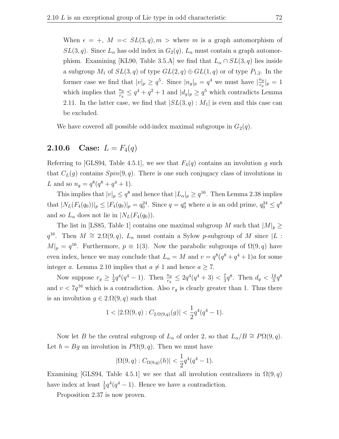When  $\epsilon = +$ ,  $M = < SL(3, q), m >$  where m is a graph automorphism of  $SL(3, q)$ . Since  $L_{\alpha}$  has odd index in  $G_2(q)$ ,  $L_{\alpha}$  must contain a graph automorphism. Examining [KL90, Table 3.5.A] we find that  $L_{\alpha} \cap SL(3,q)$  lies inside a subgroup  $M_1$  of  $SL(3, q)$  of type  $GL(2, q) \oplus GL(1, q)$  or of type  $P_{1,2}$ . In the former case we find that  $|v|_p \ge q^5$ . Since  $|n_g|_p = q^4$  we must have  $\left|\frac{n_g}{r_g}\right|$  $\frac{n_g}{r_g}|_p = 1$ which implies that  $\frac{n_g}{r_g} \leq q^4 + q^2 + 1$  and  $|d_g|_p \geq q^5$  which contradicts Lemma 2.11. In the latter case, we find that  $|SL(3,q):M_1|$  is even and this case can be excluded.

We have covered all possible odd-index maximal subgroups in  $G_2(q)$ .

### **2.10.6** Case:  $L = F_4(q)$

Referring to [GLS94, Table 4.5.1], we see that  $F_4(q)$  contains an involution g such that  $C_{L}(g)$  contains  $Spin(9, q)$ . There is one such conjugacy class of involutions in L and so  $n_g = q^8(q^8 + q^4 + 1)$ .

This implies that  $|v|_p \le q^8$  and hence that  $|L_\alpha|_p \ge q^{16}$ . Then Lemma 2.38 implies that  $|N_L(F_4(q_0))|_p \leq |F_4(q_0)|_p = q_0^{24}$ . Since  $q = q_0^a$  where a is an odd prime,  $q_0^{24} \leq q^8$ and so  $L_{\alpha}$  does not lie in  $|N_L(F_4(q_0))$ .

The list in [LS85, Table 1] contains one maximal subgroup M such that  $|M|_p \ge$  $q^{16}$ . Then  $M \cong 2.\Omega(9,q)$ ,  $L_{\alpha}$  must contain a Sylow p-subgroup of M since  $|L|$ :  $M|_p = q^{16}$ . Furthermore,  $p \equiv 1(3)$ . Now the parabolic subgroups of  $\Omega(9, q)$  have even index, hence we may conclude that  $L_{\alpha} = M$  and  $v = q^{8}(q^{8} + q^{4} + 1)a$  for some integer a. Lemma 2.10 implies that  $a \neq 1$  and hence  $a \geq 7$ .

Now suppose  $r_g \geq \frac{1}{2}$  $\frac{1}{2}q^4(q^4-1)$ . Then  $\frac{n_g}{r_g} \leq 2q^4(q^4+3) < \frac{7}{3}$  $\frac{7}{3}q^8$ . Then  $d_g < \frac{14}{3}$  $\frac{14}{3}q^{8}$ and  $v < 7q^{16}$  which is a contradiction. Also  $r_g$  is clearly greater than 1. Thus there is an involution  $g \in 2.\Omega(9,q)$  such that

$$
1 < |2.\Omega(9,q): C_{2.\Omega(9,q)}(g)| < \frac{1}{2}q^4(q^4-1).
$$

Now let B be the central subgroup of  $L_{\alpha}$  of order 2, so that  $L_{\alpha}/B \cong P\Omega(9, q)$ . Let  $h = Bg$  an involution in  $P\Omega(9, q)$ . Then we must have

$$
|\Omega(9,q):C_{\Omega(9,q)}(h)| < \frac{1}{2}q^4(q^4-1).
$$

Examining [GLS94, Table 4.5.1] we see that all involution centralizers in  $\Omega(9,q)$ have index at least  $\frac{1}{2}q^4(q^4-1)$ . Hence we have a contradiction.

Proposition 2.37 is now proven.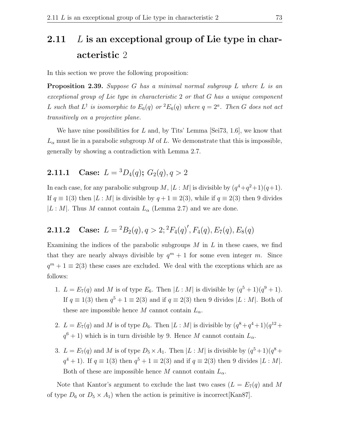# 2.11 L is an exceptional group of Lie type in characteristic 2

In this section we prove the following proposition:

**Proposition 2.39.** Suppose G has a minimal normal subgroup L where L is an exceptional group of Lie type in characteristic 2 or that G has a unique component L such that  $L^{\dagger}$  is isomorphic to  $E_6(q)$  or  ${}^2E_6(q)$  where  $q=2^a$ . Then G does not act transitively on a projective plane.

We have nine possibilities for  $L$  and, by Tits' Lemma [Sei73, 1.6], we know that  $L_{\alpha}$  must lie in a parabolic subgroup M of L. We demonstrate that this is impossible, generally by showing a contradiction with Lemma 2.7.

### **2.11.1** Case:  $L = {}^{3}D_{4}(q)$ ;  $G_{2}(q), q > 2$

In each case, for any parabolic subgroup  $M$ ,  $|L:M|$  is divisible by  $(q^4+q^2+1)(q+1)$ . If  $q \equiv 1(3)$  then  $|L : M|$  is divisible by  $q + 1 \equiv 2(3)$ , while if  $q \equiv 2(3)$  then 9 divides  $|L : M|$ . Thus M cannot contain  $L_{\alpha}$  (Lemma 2.7) and we are done.

### **2.11.2** Case:  $L = {}^{2}B_{2}(q), q > 2; {}^{2}F_{4}(q)', F_{4}(q), E_{7}(q), E_{8}(q)$

Examining the indices of the parabolic subgroups  $M$  in  $L$  in these cases, we find that they are nearly always divisible by  $q^m + 1$  for some even integer m. Since  $q<sup>m</sup> + 1 \equiv 2(3)$  these cases are excluded. We deal with the exceptions which are as follows:

- 1.  $L = E_7(q)$  and M is of type  $E_6$ . Then  $|L : M|$  is divisible by  $(q^5 + 1)(q^9 + 1)$ . If  $q \equiv 1(3)$  then  $q^5 + 1 \equiv 2(3)$  and if  $q \equiv 2(3)$  then 9 divides  $|L : M|$ . Both of these are impossible hence M cannot contain  $L_{\alpha}$ .
- 2.  $L = E_7(q)$  and M is of type  $D_6$ . Then  $|L : M|$  is divisible by  $(q^8 + q^4 + 1)(q^{12} +$  $q^6 + 1$ ) which is in turn divisible by 9. Hence M cannot contain  $L_{\alpha}$ .
- 3.  $L = E_7(q)$  and M is of type  $D_5 \times A_1$ . Then  $|L : M|$  is divisible by  $(q^5 + 1)(q^8 +$  $q^4 + 1$ ). If  $q \equiv 1(3)$  then  $q^5 + 1 \equiv 2(3)$  and if  $q \equiv 2(3)$  then 9 divides  $|L : M|$ . Both of these are impossible hence M cannot contain  $L_{\alpha}$ .

Note that Kantor's argument to exclude the last two cases  $(L = E_7(q)$  and M of type  $D_6$  or  $D_5 \times A_1$ ) when the action is primitive is incorrect [Kan87].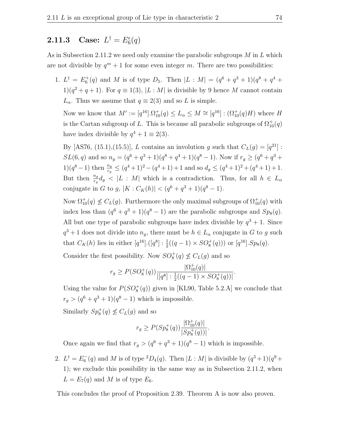#### $\textbf{2.11.3} \quad \textbf{Case:} \ \ L^{\dagger} = E_6^{\epsilon}$  $^{\epsilon}_{6}(q)$

As in Subsection 2.11.2 we need only examine the parabolic subgroups  $M$  in  $L$  which are not divisible by  $q^m + 1$  for some even integer m. There are two possibilities:

1.  $L^{\dagger} = E_6^+(q)$  and M is of type  $D_5$ . Then  $|L : M| = (q^6 + q^3 + 1)(q^8 + q^4 +$ 1)( $q^2 + q + 1$ ). For  $q \equiv 1(3)$ ,  $|L : M|$  is divisible by 9 hence M cannot contain  $L_{\alpha}$ . Thus we assume that  $q \equiv 2(3)$  and so L is simple.

Now we know that  $M' := [q^{16}]\cdot \Omega_{10}^+(q) \leq L_\alpha \leq M \cong [q^{16}] : (\Omega_{10}^+(q)H)$  where H is the Cartan subgroup of L. This is because all parabolic subgroups of  $\Omega_{10}^{+}(q)$ have index divisible by  $q^4 + 1 \equiv 2(3)$ .

By [AS76, (15.1), (15.5)], L contains an involution g such that  $C_L(g) = [q^{21}]$ :  $SL(6, q)$  and so  $n_g = (q^6 + q^3 + 1)(q^8 + q^4 + 1)(q^8 - 1)$ . Now if  $r_g \ge (q^6 + q^3 +$ 1) $(q^8-1)$  then  $\frac{n_g}{r_g} \leq (q^4+1)^2 - (q^4+1)+1$  and so  $d_g \leq (q^4+1)^2 + (q^4+1)+1$ . But then  $\frac{n_g}{r_g}d_g$  < |L : M| which is a contradiction. Thus, for all  $h \in L_\alpha$ conjugate in G to g,  $|K: C_K(h)| < (q^6 + q^3 + 1)(q^8 - 1)$ .

Now  $\Omega_{10}^+(q) \nleq C_L(q)$ . Furthermore the only maximal subgroups of  $\Omega_{10}^+(q)$  with index less than  $(q^6 + q^3 + 1)(q^8 - 1)$  are the parabolic subgroups and  $Sp_8(q)$ . All but one type of parabolic subgroups have index divisible by  $q^3 + 1$ . Since  $q^3 + 1$  does not divide into  $n_g$ , there must be  $h \in L_\alpha$  conjugate in G to g such that  $C_K(h)$  lies in either  $[q^{16}] \cdot ([q^8] : \frac{1}{2}]$  $\frac{1}{2}((q-1)\times SO_8^+(q)))$  or  $[q^{16}].Sp_8(q)$ .

Consider the first possibility. Now  $SO_8^+(q) \nleq C_L(g)$  and so

$$
r_g \ge P(SO_8^+(q)) \frac{|\Omega^+_{10}(q)|}{|[q^8]:\frac{1}{2}((q-1)\times SO_8^+(q))|}
$$

.

Using the value for  $P(SO<sub>8</sub><sup>+</sup>(q))$  given in [KL90, Table 5.2.A] we conclude that  $r_g > (q^6 + q^3 + 1)(q^8 - 1)$  which is impossible.

Similarly  $Sp_8^+(q) \not\leq C_L(g)$  and so

$$
r_g \ge P(Sp_8^+(q)) \frac{|\Omega_{10}^+(q)|}{|Sp_8^+(q))|}.
$$

Once again we find that  $r_g > (q^6 + q^3 + 1)(q^8 - 1)$  which is impossible.

2.  $L^{\dagger} = E_6^-(q)$  and M is of type  ${}^2D_4(q)$ . Then  $|L : M|$  is divisible by  $(q^5+1)(q^9+$ 1); we exclude this possibility in the same way as in Subsection 2.11.2, when  $L = E_7(q)$  and M is of type  $E_6$ .

This concludes the proof of Proposition 2.39. Theorem A is now also proven.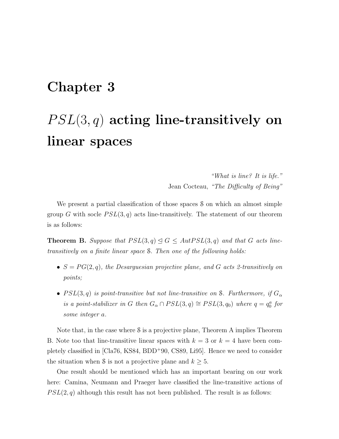# Chapter 3

# $PSL(3, q)$  acting line-transitively on linear spaces

"What is line? It is life." Jean Cocteau, "The Difficulty of Being"

We present a partial classification of those spaces S on which an almost simple group G with socle  $PSL(3, q)$  acts line-transitively. The statement of our theorem is as follows:

**Theorem B.** Suppose that  $PSL(3, q) \leq G \leq AutPSL(3, q)$  and that G acts linetransitively on a finite linear space S. Then one of the following holds:

- $S = PG(2, q)$ , the Desarguesian projective plane, and G acts 2-transitively on points;
- $PSL(3, q)$  is point-transitive but not line-transitive on S. Furthermore, if  $G_{\alpha}$ is a point-stabilizer in G then  $G_{\alpha} \cap PSL(3, q) \cong PSL(3, q_0)$  where  $q = q_0^a$  for some integer a.

Note that, in the case where S is a projective plane, Theorem A implies Theorem B. Note too that line-transitive linear spaces with  $k = 3$  or  $k = 4$  have been completely classified in [Cla76, KS84, BDD<sup>+</sup>90, CS89, Li95]. Hence we need to consider the situation when S is not a projective plane and  $k \geq 5$ .

One result should be mentioned which has an important bearing on our work here: Camina, Neumann and Praeger have classified the line-transitive actions of  $PSL(2, q)$  although this result has not been published. The result is as follows: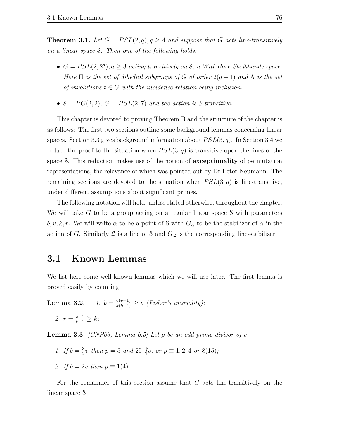**Theorem 3.1.** Let  $G = PSL(2, q), q \geq 4$  and suppose that G acts line-transitively on a linear space S. Then one of the following holds:

- $G = PSL(2, 2<sup>a</sup>), a \geq 3$  acting transitively on S, a Witt-Bose-Shrikhande space. Here  $\Pi$  is the set of dihedral subgroups of G of order  $2(q+1)$  and  $\Lambda$  is the set of involutions  $t \in G$  with the incidence relation being inclusion.
- $S = PG(2, 2), G = PSL(2, 7)$  and the action is 2-transitive.

This chapter is devoted to proving Theorem B and the structure of the chapter is as follows: The first two sections outline some background lemmas concerning linear spaces. Section 3.3 gives background information about  $PSL(3, q)$ . In Section 3.4 we reduce the proof to the situation when  $PSL(3, q)$  is transitive upon the lines of the space S. This reduction makes use of the notion of exceptionality of permutation representations, the relevance of which was pointed out by Dr Peter Neumann. The remaining sections are devoted to the situation when  $PSL(3, q)$  is line-transitive, under different assumptions about significant primes.

The following notation will hold, unless stated otherwise, throughout the chapter. We will take  $G$  to be a group acting on a regular linear space  $S$  with parameters  $b, v, k, r$ . We will write  $\alpha$  to be a point of S with  $G_{\alpha}$  to be the stabilizer of  $\alpha$  in the action of G. Similarly  $\mathfrak L$  is a line of S and  $G_{\mathfrak L}$  is the corresponding line-stabilizer.

### 3.1 Known Lemmas

We list here some well-known lemmas which we will use later. The first lemma is proved easily by counting.

 $Lemma 3.2.$  $\frac{v(v-1)}{k(k-1)} \geq v$  (Fisher's inequality);

$$
2. \ r = \frac{v-1}{k-1} \ge k;
$$

**Lemma 3.3.** [CNP03, Lemma 6.5] Let p be an odd prime divisor of v.

- 1. If  $b = \frac{3}{2}$  $\frac{3}{2}v$  then  $p = 5$  and  $25 \not| v$ , or  $p \equiv 1, 2, 4$  or  $8(15)$ ;
- 2. If  $b = 2v$  then  $p \equiv 1(4)$ .

For the remainder of this section assume that G acts line-transitively on the linear space S.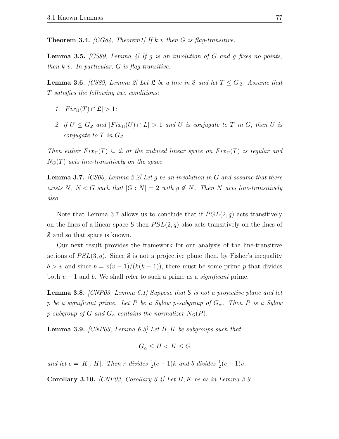**Theorem 3.4.** [CG84, Theorem1] If  $k|v$  then G is flag-transitive.

**Lemma 3.5.** [CS89, Lemma 4] If g is an involution of G and g fixes no points, then  $k|v$ . In particular, G is flag-transitive.

**Lemma 3.6.** [CS89, Lemma 2] Let  $\mathfrak{L}$  be a line in S and let  $T \leq G_{\mathfrak{L}}$ . Assume that T satisfies the following two conditions:

- 1.  $|Fix_{\Pi}(T) \cap \mathfrak{L}| > 1;$
- 2. if  $U \leq G_{\mathfrak{L}}$  and  $|Fix_{\Pi}(U) \cap L| > 1$  and U is conjugate to T in G, then U is conjugate to T in  $G_{\mathfrak{L}}$ .

Then either  $Fix_{\Pi}(T) \subseteq \mathfrak{L}$  or the induced linear space on  $Fix_{\Pi}(T)$  is regular and  $N_G(T)$  acts line-transitively on the space.

**Lemma 3.7.** [CS00, Lemma 2.2] Let g be an involution in G and assume that there exists N,  $N \triangleleft G$  such that  $|G : N| = 2$  with  $g \notin N$ . Then N acts line-transitively also.

Note that Lemma 3.7 allows us to conclude that if  $PGL(2, q)$  acts transitively on the lines of a linear space S then  $PSL(2, q)$  also acts transitively on the lines of S and so that space is known.

Our next result provides the framework for our analysis of the line-transitive actions of  $PSL(3, q)$ . Since S is not a projective plane then, by Fisher's inequality  $b > v$  and since  $b = v(v-1)/(k(k-1))$ , there must be some prime p that divides both  $v - 1$  and b. We shall refer to such a prime as a *significant* prime.

Lemma 3.8. [CNP03, Lemma 6.1] Suppose that S is not a projective plane and let p be a significant prime. Let P be a Sylow p-subgroup of  $G_{\alpha}$ . Then P is a Sylow p-subgroup of G and  $G_{\alpha}$  contains the normalizer  $N_G(P)$ .

**Lemma 3.9.** [CNP03, Lemma 6.3] Let  $H, K$  be subgroups such that

$$
G_{\alpha} \le H < K \le G
$$

and let  $c = |K : H|$ . Then r divides  $\frac{1}{2}(c-1)k$  and b divides  $\frac{1}{2}(c-1)v$ .

**Corollary 3.10.** [CNP03, Corollary 6.4] Let H, K be as in Lemma 3.9.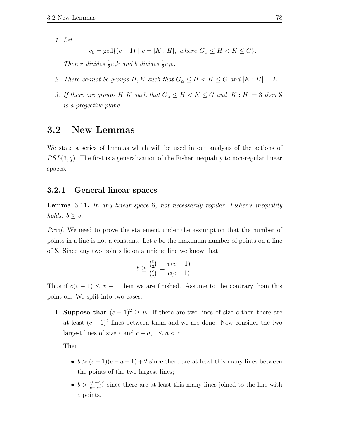1. Let

$$
c_0 = \gcd\{(c-1) \mid c = |K : H|, \text{ where } G_{\alpha} \le H < K \le G\}.
$$

Then r divides  $\frac{1}{2}c_0k$  and b divides  $\frac{1}{2}c_0v$ .

- 2. There cannot be groups H, K such that  $G_{\alpha} \leq H < K \leq G$  and  $|K : H| = 2$ .
- 3. If there are groups H, K such that  $G_{\alpha} \leq H < K \leq G$  and  $|K : H| = 3$  then S is a projective plane.

### 3.2 New Lemmas

We state a series of lemmas which will be used in our analysis of the actions of  $PSL(3, q)$ . The first is a generalization of the Fisher inequality to non-regular linear spaces.

#### 3.2.1 General linear spaces

Lemma 3.11. In any linear space S, not necessarily regular, Fisher's inequality holds:  $b \geq v$ .

Proof. We need to prove the statement under the assumption that the number of points in a line is not a constant. Let c be the maximum number of points on a line of S. Since any two points lie on a unique line we know that

$$
b \ge \frac{\binom{v}{2}}{\binom{c}{2}} = \frac{v(v-1)}{c(c-1)}.
$$

Thus if  $c(c-1) \leq v-1$  then we are finished. Assume to the contrary from this point on. We split into two cases:

1. Suppose that  $(c-1)^2 \geq v$ . If there are two lines of size c then there are at least  $(c-1)^2$  lines between them and we are done. Now consider the two largest lines of size c and  $c - a, 1 \le a < c$ .

Then

- $b > (c-1)(c-a-1) + 2$  since there are at least this many lines between the points of the two largest lines;
- $b > \frac{(v-c)c}{c-a-1}$  $\frac{(v-c)c}{c-a-1}$  since there are at least this many lines joined to the line with c points.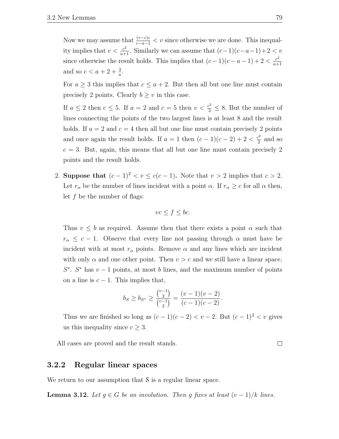Now we may assume that  $\frac{(v-c)c}{c-a-1} < v$  since otherwise we are done. This inequality implies that  $v < \frac{c^2}{a+1}$ . Similarly we can assume that  $(c-1)(c-a-1)+2 < v$ since otherwise the result holds. This implies that  $(c-1)(c-a-1)+2 < \frac{c^2}{a+1}$  $a+1$ and so  $c < a+2+\frac{3}{a}$  $\frac{3}{a}$ .

For  $a \geq 3$  this implies that  $c \leq a+2$ . But then all but one line must contain precisely 2 points. Clearly  $b \geq v$  in this case.

If  $a \leq 2$  then  $c \leq 5$ . If  $a = 2$  and  $c = 5$  then  $v < \frac{c^2}{3} \leq 8$ . But the number of lines connecting the points of the two largest lines is at least 8 and the result holds. If  $a = 2$  and  $c = 4$  then all but one line must contain precisely 2 points and once again the result holds. If  $a = 1$  then  $(c - 1)(c - 2) + 2 < \frac{c^2}{2}$  $\frac{2^2}{2}$  and so  $c = 3$ . But, again, this means that all but one line must contain precisely 2 points and the result holds.

2. Suppose that  $(c-1)^2 < v \leq c(c-1)$ . Note that  $v > 2$  implies that  $c > 2$ . Let  $r_{\alpha}$  be the number of lines incident with a point  $\alpha$ . If  $r_{\alpha} \ge c$  for all  $\alpha$  then, let  $f$  be the number of flags:

$$
vc \le f \le bc.
$$

Thus  $v \leq b$  as required. Assume then that there exists a point  $\alpha$  such that  $r_{\alpha} \leq c - 1$ . Observe that every line not passing through  $\alpha$  must have be incident with at most  $r_{\alpha}$  points. Remove  $\alpha$  and any lines which are incident with only  $\alpha$  and one other point. Then  $v > c$  and we still have a linear space,  $S^*$ .  $S^*$  has  $v-1$  points, at most b lines, and the maximum number of points on a line is  $c - 1$ . This implies that,

$$
b_S \ge b_{S^*} \ge \frac{\binom{v-1}{2}}{\binom{c-1}{2}} = \frac{(v-1)(v-2)}{(c-1)(c-2)}.
$$

Thus we are finished so long as  $(c-1)(c-2) < v-2$ . But  $(c-1)^2 < v$  gives us this inequality since  $c \geq 3$ .

All cases are proved and the result stands.

### 3.2.2 Regular linear spaces

We return to our assumption that  $\delta$  is a regular linear space.

**Lemma 3.12.** Let  $q \in G$  be an involution. Then q fixes at least  $(v-1)/k$  lines.

 $\Box$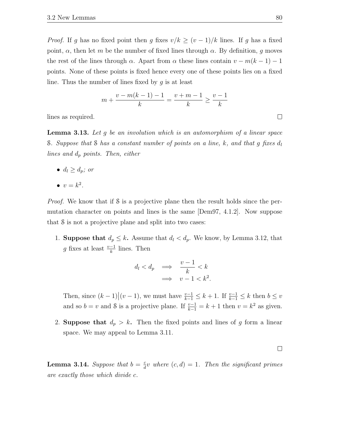*Proof.* If g has no fixed point then g fixes  $v/k \ge (v-1)/k$  lines. If g has a fixed point,  $\alpha$ , then let m be the number of fixed lines through  $\alpha$ . By definition, g moves the rest of the lines through  $\alpha$ . Apart from  $\alpha$  these lines contain  $v - m(k-1) - 1$ points. None of these points is fixed hence every one of these points lies on a fixed line. Thus the number of lines fixed by  $q$  is at least

$$
m + \frac{v - m(k - 1) - 1}{k} = \frac{v + m - 1}{k} \ge \frac{v - 1}{k}
$$

lines as required.

Lemma 3.13. Let g be an involution which is an automorphism of a linear space S. Suppose that S has a constant number of points on a line, k, and that g fixes  $d_l$ lines and  $d_p$  points. Then, either

- $d_l \geq d_p$ ; or
- $v = k^2$ .

*Proof.* We know that if S is a projective plane then the result holds since the permutation character on points and lines is the same [Dem97, 4.1.2]. Now suppose that S is not a projective plane and split into two cases:

1. Suppose that  $d_p \leq k$ . Assume that  $d_l < d_p$ . We know, by Lemma 3.12, that g fixes at least  $\frac{v-1}{k}$  lines. Then

$$
d_l < d_p \quad \Longrightarrow \quad \frac{v-1}{k} < k
$$
\n
$$
\Longrightarrow \quad v-1 < k^2.
$$

Then, since  $(k-1)(v-1)$ , we must have  $\frac{v-1}{k-1} \leq k+1$ . If  $\frac{v-1}{k-1} \leq k$  then  $b \leq v$ and so  $b = v$  and S is a projective plane. If  $\frac{v-1}{k-1} = k+1$  then  $v = k^2$  as given.

2. Suppose that  $d_p > k$ . Then the fixed points and lines of g form a linear space. We may appeal to Lemma 3.11.

**Lemma 3.14.** Suppose that  $b = \frac{c}{d}$  $\frac{c}{d}v$  where  $(c,d) = 1$ . Then the significant primes are exactly those which divide c.

 $\Box$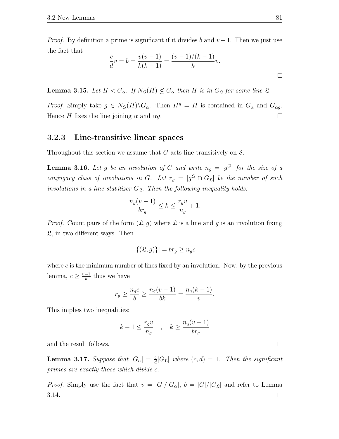*Proof.* By definition a prime is significant if it divides b and  $v - 1$ . Then we just use the fact that

$$
\frac{c}{d}v = b = \frac{v(v-1)}{k(k-1)} = \frac{(v-1)/(k-1)}{k}v.
$$

**Lemma 3.15.** Let  $H < G_\alpha$ . If  $N_G(H) \nleq G_\alpha$  then H is in  $G_{\mathfrak{L}}$  for some line  $\mathfrak{L}$ .

*Proof.* Simply take  $g \in N_G(H) \backslash G_\alpha$ . Then  $H^g = H$  is contained in  $G_\alpha$  and  $G_{\alpha g}$ . Hence H fixes the line joining  $\alpha$  and  $\alpha q$ .  $\Box$ 

#### 3.2.3 Line-transitive linear spaces

Throughout this section we assume that G acts line-transitively on S.

**Lemma 3.16.** Let g be an involution of G and write  $n_g = |g^G|$  for the size of a conjugacy class of involutions in G. Let  $r_g = |g^G \cap G_{\mathfrak{L}}|$  be the number of such involutions in a line-stabilizer  $G_{\mathfrak{L}}$ . Then the following inequality holds:

$$
\frac{n_g(v-1)}{br_g} \le k \le \frac{r_g v}{n_g} + 1.
$$

*Proof.* Count pairs of the form  $(\mathfrak{L}, g)$  where  $\mathfrak{L}$  is a line and g is an involution fixing  $\mathfrak{L}$ , in two different ways. Then

$$
|\{(\mathfrak{L},g)\}| = br_g \ge n_g c
$$

where  $c$  is the minimum number of lines fixed by an involution. Now, by the previous lemma,  $c \geq \frac{v-1}{k}$  thus we have

$$
r_g \ge \frac{n_g c}{b} \ge \frac{n_g (v-1)}{bk} = \frac{n_g (k-1)}{v}.
$$

This implies two inequalities:

$$
k - 1 \le \frac{r_g v}{n_g} \quad , \quad k \ge \frac{n_g (v - 1)}{b r_g}
$$

and the result follows.

**Lemma 3.17.** Suppose that  $|G_{\alpha}| = \frac{c}{d}$  $\frac{c}{d}|G_{\mathfrak{L}}|$  where  $(c,d) = 1$ . Then the significant primes are exactly those which divide c.

*Proof.* Simply use the fact that  $v = |G|/|G_{\alpha}|$ ,  $b = |G|/|G_{\mathfrak{L}}|$  and refer to Lemma 3.14. $\Box$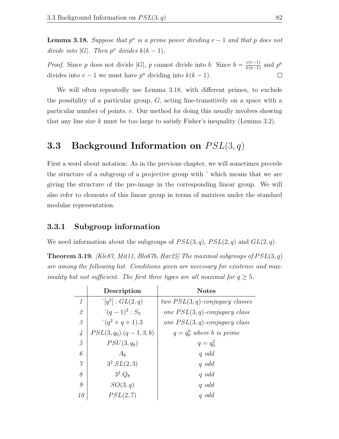**Lemma 3.18.** Suppose that  $p^a$  is a prime power dividing  $v-1$  and that p does not divide into |G|. Then  $p^a$  divides  $k(k-1)$ .

*Proof.* Since p does not divide |G|, p cannot divide into b. Since  $b = \frac{v(v-1)}{k(k-1)}$  and  $p^a$ divides into  $v - 1$  we must have  $p^a$  dividing into  $k(k - 1)$ .  $\Box$ 

We will often repeatedly use Lemma 3.18, with different primes, to exclude the possibility of a particular group,  $G$ , acting line-transitively on a space with a particular number of points, v. Our method for doing this usually involves showing that any line size k must be too large to satisfy Fisher's inequality (Lemma 3.2).

### 3.3 Background Information on  $PSL(3, q)$

First a word about notation: As in the previous chapter, we will sometimes precede the structure of a subgroup of a projective group with ˆ which means that we are giving the structure of the pre-image in the corresponding linear group. We will also refer to elements of this linear group in terms of matrices under the standard modular representation.

#### 3.3.1 Subgroup information

We need information about the subgroups of  $PSL(3, q)$ ,  $PSL(2, q)$  and  $GL(2, q)$ .

**Theorem 3.19.** [Kle87, Mit11, Blo67b, Har25] The maximal subgroups of  $PSL(3, q)$ are among the following list. Conditions given are necessary for existence and maximality but not sufficient. The first three types are all maximal for  $q \geq 5$ .

|                | Description                | <b>Notes</b>                      |
|----------------|----------------------------|-----------------------------------|
| 1              | $\hat{q}^{2}: GL(2,q)$     | two $PSL(3,q)$ -conjugacy classes |
| $\mathscr{Q}$  | $\hat{q}(q-1)^2 : S_3$     | one $PSL(3, q)$ -conjugacy class  |
| $\mathcal G$   | $\hat{q}^2 + q + 1$ .3     | one $PSL(3, q)$ -conjugacy class  |
| $\frac{1}{4}$  | $PSL(3,q_0)$ . $(q-1,3,b)$ | $q = q_0^b$ where b is prime      |
| $\overline{5}$ | $PSU(3,q_0)$               | $q = q_0^2$                       |
| 6              | $A_6$                      | q odd                             |
| $\gamma$       | $3^2. SL(2,3)$             | q odd                             |
| 8              | $3^2.Q_8$                  | q odd                             |
| 9              | SO(3,q)                    | q odd                             |
| 10             | PSL(2,7)                   | q odd                             |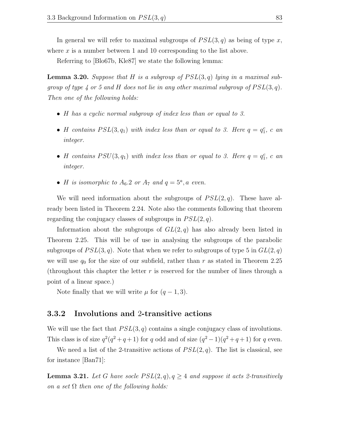In general we will refer to maximal subgroups of  $PSL(3, q)$  as being of type x, where  $x$  is a number between 1 and 10 corresponding to the list above.

Referring to [Blo67b, Kle87] we state the following lemma:

**Lemma 3.20.** Suppose that H is a subgroup of  $PSL(3,q)$  lying in a maximal subgroup of type 4 or 5 and H does not lie in any other maximal subgroup of  $PSL(3, q)$ . Then one of the following holds:

- H has a cyclic normal subgroup of index less than or equal to 3.
- H contains  $PSL(3, q_1)$  with index less than or equal to 3. Here  $q = q_1^c$ , c and integer.
- H contains  $PSU(3, q_1)$  with index less than or equal to 3. Here  $q = q_1^c$ , c and integer.
- *H* is isomorphic to  $A_6.2$  or  $A_7$  and  $q = 5^a$ , a even.

We will need information about the subgroups of  $PSL(2, q)$ . These have already been listed in Theorem 2.24. Note also the comments following that theorem regarding the conjugacy classes of subgroups in  $PSL(2, q)$ .

Information about the subgroups of  $GL(2, q)$  has also already been listed in Theorem 2.25. This will be of use in analysing the subgroups of the parabolic subgroups of  $PSL(3, q)$ . Note that when we refer to subgroups of type 5 in  $GL(2, q)$ we will use  $q_0$  for the size of our subfield, rather than r as stated in Theorem 2.25 (throughout this chapter the letter  $r$  is reserved for the number of lines through a point of a linear space.)

Note finally that we will write  $\mu$  for  $(q-1, 3)$ .

#### 3.3.2 Involutions and 2-transitive actions

We will use the fact that  $PSL(3, q)$  contains a single conjugacy class of involutions. This class is of size  $q^2(q^2+q+1)$  for q odd and of size  $(q^2-1)(q^2+q+1)$  for q even.

We need a list of the 2-transitive actions of  $PSL(2, q)$ . The list is classical, see for instance [Ban71]:

**Lemma 3.21.** Let G have socle  $PSL(2,q), q \geq 4$  and suppose it acts 2-transitively on a set  $\Omega$  then one of the following holds: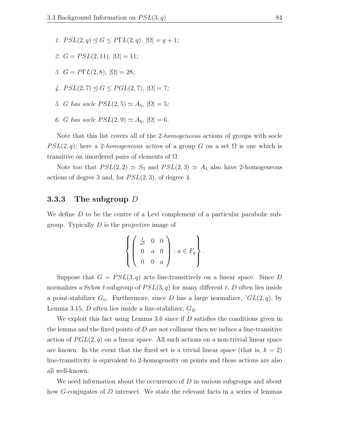- 1.  $PSL(2,q) \leq G \leq P\Gamma L(2,q), |\Omega| = q+1;$
- 2.  $G = PSL(2, 11), |\Omega| = 11$ ;
- 3.  $G = P\Gamma L(2,8), |\Omega| = 28;$
- 4.  $PSL(2, 7) \leq G \leq PGL(2, 7), |\Omega| = 7;$
- 5. G has socle  $PSL(2, 5) \simeq A_5$ ,  $|\Omega| = 5$ ;
- 6. G has socle  $PSL(2,9) \simeq A_6$ ,  $|\Omega| = 6$ .

Note that this list covers all of the 2-homogeneous actions of groups with socle  $PSL(2,q)$ ; here a 2-homogeneous action of a group G on a set  $\Omega$  is one which is transitive on unordered pairs of elements of  $\Omega$ .

Note too that  $PSL(2, 2) \simeq S_3$  and  $PSL(2, 3) \simeq A_4$  also have 2-homogeneous actions of degree 3 and, for  $PSL(2,3)$ , of degree 4.

#### 3.3.3 The subgroup D

We define  $D$  to be the centre of a Levi complement of a particular parabolic subgroup. Typically D is the projective image of

$$
\left\{ \left( \begin{array}{ccc} \frac{1}{a^2} & 0 & 0 \\ 0 & a & 0 \\ 0 & 0 & a \end{array} \right) : a \in F_q \right\}.
$$

Suppose that  $G = PSL(3, q)$  acts line-transitively on a linear space. Since D normalizes a Sylow *t*-subgroup of  $PSL(3, q)$  for many different t, D often lies inside a point-stabilizer  $G_{\alpha}$ . Furthermore, since D has a large normalizer,  $\hat{G}L(2,q)$ , by Lemma 3.15, D often lies inside a line-stabilizer,  $G_{\mathfrak{L}}$ .

We exploit this fact using Lemma 3.6 since if  $D$  satisfies the conditions given in the lemma and the fixed points of  $D$  are not collinear then we induce a line-transitive action of  $PGL(2, q)$  on a linear space. All such actions on a non-trivial linear space are known. In the event that the fixed set is a trivial linear space (that is,  $k = 2$ ) line-transitivity is equivalent to 2-homogeneity on points and these actions are also all well-known.

We need information about the occurrence of  $D$  in various subgroups and about how G-conjugates of D intersect. We state the relevant facts in a series of lemmas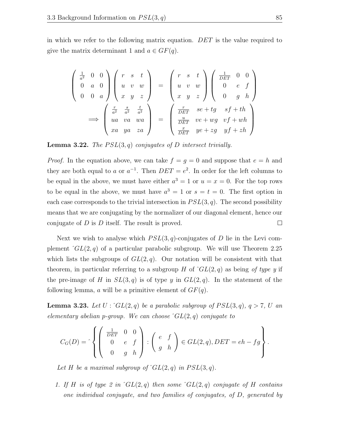in which we refer to the following matrix equation. DET is the value required to give the matrix determinant 1 and  $a \in GF(q)$ .

$$
\begin{pmatrix}\n\frac{1}{a^2} & 0 & 0 \\
0 & a & 0 \\
0 & 0 & a\n\end{pmatrix}\n\begin{pmatrix}\nr & s & t \\
u & v & w \\
x & y & z\n\end{pmatrix} = \begin{pmatrix}\nr & s & t \\
u & v & w \\
x & y & z\n\end{pmatrix}\n\begin{pmatrix}\n\frac{1}{DEF} & 0 & 0 \\
0 & e & f \\
0 & g & h\n\end{pmatrix}
$$
\n
$$
\implies \begin{pmatrix}\n\frac{r}{a^2} & \frac{s}{a^2} & \frac{t}{a^2} \\
ua & va & wa \\
xa & ya & za\n\end{pmatrix} = \begin{pmatrix}\n\frac{r}{DEF} & se + tg & sf + th \\
\frac{u}{DEF} & ve + wg & vf + wh \\
\frac{x}{DEF} & ye + zg & yf + zh\n\end{pmatrix}
$$

**Lemma 3.22.** The  $PSL(3, q)$  conjugates of D intersect trivially.

*Proof.* In the equation above, we can take  $f = g = 0$  and suppose that  $e = h$  and they are both equal to a or  $a^{-1}$ . Then  $DET = e^2$ . In order for the left columns to be equal in the above, we must have either  $a^3 = 1$  or  $u = x = 0$ . For the top rows to be equal in the above, we must have  $a^3 = 1$  or  $s = t = 0$ . The first option in each case corresponds to the trivial intersection in  $PSL(3, q)$ . The second possibility means that we are conjugating by the normalizer of our diagonal element, hence our conjugate of D is D itself. The result is proved.  $\Box$ 

Next we wish to analyse which  $PSL(3, q)$ -conjugates of D lie in the Levi complement  $\hat{G}L(2,q)$  of a particular parabolic subgroup. We will use Theorem 2.25 which lists the subgroups of  $GL(2, q)$ . Our notation will be consistent with that theorem, in particular referring to a subgroup H of  $\hat{G}L(2,q)$  as being of type y if the pre-image of H in  $SL(3,q)$  is of type y in  $GL(2,q)$ . In the statement of the following lemma, a will be a primitive element of  $GF(q)$ .

**Lemma 3.23.** Let  $U : \hat{GL}(2,q)$  be a parabolic subgroup of  $PSL(3,q)$ ,  $q > 7$ ,  $U$  and elementary abelian p-group. We can choose  $\hat{\mathcal{L}}(2,q)$  conjugate to

$$
C_G(D) = \begin{bmatrix} \begin{pmatrix} \frac{1}{DEF} & 0 & 0 \\ 0 & e & f \\ 0 & g & h \end{pmatrix} : \begin{pmatrix} e & f \\ g & h \end{pmatrix} \in GL(2, q), DET = eh - fg \end{bmatrix}.
$$

Let H be a maximal subgroup of  $\hat{\mathcal{L}}(L(2,q))$  in  $PSL(3,q)$ .

1. If H is of type 2 in  $\hat{G}L(2,q)$  then some  $\hat{G}L(2,q)$  conjugate of H contains one individual conjugate, and two families of conjugates, of D, generated by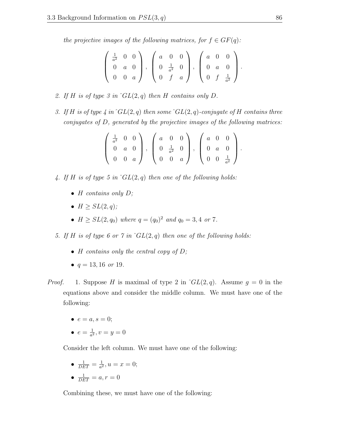the projective images of the following matrices, for  $f \in GF(q)$ :

$$
\left(\begin{array}{ccc} \frac{1}{a^2} & 0 & 0 \\ 0 & a & 0 \\ 0 & 0 & a \end{array}\right), \left(\begin{array}{ccc} a & 0 & 0 \\ 0 & \frac{1}{a^2} & 0 \\ 0 & f & a \end{array}\right), \left(\begin{array}{ccc} a & 0 & 0 \\ 0 & a & 0 \\ 0 & f & \frac{1}{a^2} \end{array}\right).
$$

- 2. If H is of type 3 in  $GL(2,q)$  then H contains only D.
- 3. If H is of type 4 in  $GL(2,q)$  then some  $GL(2,q)$ -conjugate of H contains three conjugates of D, generated by the projective images of the following matrices:

$$
\left(\begin{array}{ccc} \frac{1}{a^2} & 0 & 0 \\ 0 & a & 0 \\ 0 & 0 & a \end{array}\right), \left(\begin{array}{ccc} a & 0 & 0 \\ 0 & \frac{1}{a^2} & 0 \\ 0 & 0 & a \end{array}\right), \left(\begin{array}{ccc} a & 0 & 0 \\ 0 & a & 0 \\ 0 & 0 & \frac{1}{a^2} \end{array}\right).
$$

- 4. If H is of type 5 in  $GL(2,q)$  then one of the following holds:
	- H contains only  $D$ ;
	- $H \ge SL(2,q);$
	- $H \ge SL(2, q_0)$  where  $q = (q_0)^2$  and  $q_0 = 3, 4$  or 7.
- 5. If H is of type 6 or 7 in  $GL(2,q)$  then one of the following holds:
	- H contains only the central copy of  $D$ ;
	- $q = 13, 16$  or 19.
- *Proof.* 1. Suppose H is maximal of type 2 in  $\partial L(2,q)$ . Assume  $g = 0$  in the equations above and consider the middle column. We must have one of the following:
	- $e = a, s = 0;$
	- $e = \frac{1}{a^2}$  $\frac{1}{a^2}$ ,  $v = y = 0$

Consider the left column. We must have one of the following:

- $\bullet$   $\frac{1}{DET} = \frac{1}{a^2}$  $\frac{1}{a^2}$ ,  $u = x = 0$ ;
- $\frac{1}{DET} = a, r = 0$

Combining these, we must have one of the following: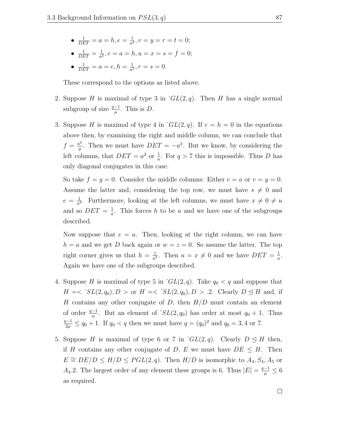- $\bullet$   $\frac{1}{DET} = a = h, e = \frac{1}{a^2}$  $\frac{1}{a^2}$ ,  $v = y = r = t = 0$ ;
- $\bullet$   $\frac{1}{DET} = \frac{1}{a^2}$  $\frac{1}{a^2}$ ,  $e = a = h$ ,  $u = x = s = f = 0$ ;
- $\frac{1}{DEF} = a = e, h = \frac{1}{a^2}$  $\frac{1}{a^2}$ ,  $r = s = 0$ .

These correspond to the options as listed above.

- 2. Suppose H is maximal of type 3 in  $\hat{C}L(2,q)$ . Then H has a single normal subgroup of size  $\frac{q-1}{\mu}$ . This is D.
- 3. Suppose H is maximal of type 4 in  $\hat{GL}(2,q)$ . If  $e = h = 0$  in the equations above then, by examining the right and middle column, we can conclude that  $f=\frac{a^2}{a}$  $\frac{a^2}{g}$ . Then we must have  $DET = -a^2$ . But we know, by considering the left columns, that  $DET = a^2$  or  $\frac{1}{a}$ . For  $q > 7$  this is impossible. Thus D has only diagonal conjugates in this case.

So take  $f = g = 0$ . Consider the middle columns: Either  $e = a$  or  $v = y = 0$ . Assume the latter and, considering the top row, we must have  $s \neq 0$  and  $e = \frac{1}{a^2}$  $\frac{1}{a^2}$ . Furthermore, looking at the left columns, we must have  $x \neq 0 \neq u$ and so  $DET = \frac{1}{a}$  $\frac{1}{a}$ . This forces h to be a and we have one of the subgroups described.

Now suppose that  $e = a$ . Then, looking at the right column, we can have  $h = a$  and we get D back again or  $w = z = 0$ . So assume the latter. The top right corner gives us that  $h = \frac{1}{a^2}$  $\frac{1}{a^2}$ . Then  $u = x \neq 0$  and we have  $DET = \frac{1}{a}$  $\frac{1}{a}$ . Again we have one of the subgroups described.

- 4. Suppose H is maximal of type 5 in  $GL(2,q)$ . Take  $q_0 < q$  and suppose that  $H = \langle \hat{\;} SL(2,q_0), D \rangle$  or  $H = \langle \hat{\;} SL(2,q_0), D \rangle$ . Clearly  $D \leq H$  and, if H contains any other conjugate of D, then  $H/D$  must contain an element of order  $\frac{q-1}{\mu}$ . But an element of  $\hat{S}L(2,q_0)$  has order at most  $q_0 + 1$ . Thus  $\frac{q-1}{2\mu} \le q_0 + 1$ . If  $q_0 < q$  then we must have  $q = (q_0)^2$  and  $q_0 = 3, 4$  or 7.
- 5. Suppose H is maximal of type 6 or 7 in  $\hat{G}L(2,q)$ . Clearly  $D \leq H$  then, if H contains any other conjugate of D, E we must have  $DE \leq H$ . Then  $E \cong DE/D \leq H/D \leq PGL(2,q)$ . Then  $H/D$  is isomorphic to  $A_4, S_4, A_5$  or A<sub>4</sub>.2. The largest order of any element these groups is 6. Thus  $|E| = \frac{q-1}{\mu} \le 6$ as required.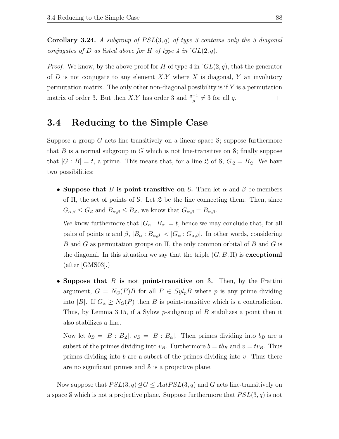**Corollary 3.24.** A subgroup of  $PSL(3, q)$  of type 3 contains only the 3 diagonal conjugates of D as listed above for H of type  $\frac{1}{4}$  in  $\hat{C}L(2,q)$ .

*Proof.* We know, by the above proof for H of type 4 in  $GL(2, q)$ , that the generator of D is not conjugate to any element  $X.Y$  where X is diagonal, Y an involutory permutation matrix. The only other non-diagonal possibility is if  $Y$  is a permutation matrix of order 3. But then X.Y has order 3 and  $\frac{q-1}{\mu} \neq 3$  for all q.  $\Box$ 

### 3.4 Reducing to the Simple Case

Suppose a group G acts line-transitively on a linear space  $\mathcal{S}$ ; suppose furthermore that  $B$  is a normal subgroup in  $G$  which is not line-transitive on  $\mathcal{S}$ ; finally suppose that  $|G : B| = t$ , a prime. This means that, for a line  $\mathfrak{L}$  of  $\mathfrak{S}, G_{\mathfrak{L}} = B_{\mathfrak{L}}$ . We have two possibilities:

• Suppose that B is point-transitive on S. Then let  $\alpha$  and  $\beta$  be members of  $\Pi$ , the set of points of S. Let  $\mathfrak L$  be the line connecting them. Then, since  $G_{\alpha,\beta} \leq G_{\mathfrak{L}}$  and  $B_{\alpha,\beta} \leq B_{\mathfrak{L}}$ , we know that  $G_{\alpha,\beta} = B_{\alpha,\beta}$ .

We know furthermore that  $|G_{\alpha}:B_{\alpha}|=t$ , hence we may conclude that, for all pairs of points  $\alpha$  and  $\beta$ ,  $|B_{\alpha}:B_{\alpha,\beta}|<|G_{\alpha}:G_{\alpha,\beta}|$ . In other words, considering B and G as permutation groups on  $\Pi$ , the only common orbital of B and G is the diagonal. In this situation we say that the triple  $(G, B, \Pi)$  is exceptional (after [GMS03].)

• Suppose that  $B$  is not point-transitive on S. Then, by the Frattini argument,  $G = N_G(P)B$  for all  $P \in Syl_pB$  where p is any prime dividing into |B|. If  $G_{\alpha} \geq N_G(P)$  then B is point-transitive which is a contradiction. Thus, by Lemma 3.15, if a Sylow  $p$ -subgroup of  $B$  stabilizes a point then it also stabilizes a line.

Now let  $b_B = |B : B_{\mathfrak{L}}|$ ,  $v_B = |B : B_{\alpha}|$ . Then primes dividing into  $b_B$  are a subset of the primes dividing into  $v_B$ . Furthermore  $b = tb_B$  and  $v = tv_B$ . Thus primes dividing into b are a subset of the primes dividing into  $v$ . Thus there are no significant primes and S is a projective plane.

Now suppose that  $PSL(3, q) \trianglelefteq G \leq AutPSL(3, q)$  and G acts line-transitively on a space S which is not a projective plane. Suppose furthermore that  $PSL(3, q)$  is not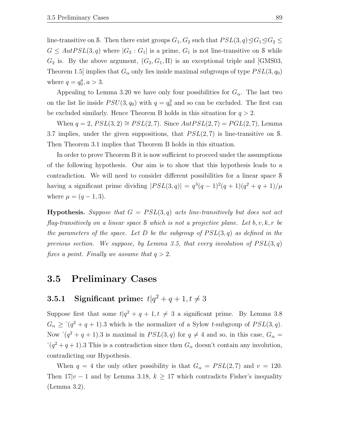line-transitive on S. Then there exist groups  $G_1, G_2$  such that  $PSL(3, q) \trianglelefteq G_1 \trianglelefteq G_2 \leq$  $G \leq AutPSL(3,q)$  where  $|G_2 : G_1|$  is a prime,  $G_1$  is not line-transitive on S while  $G_2$  is. By the above argument,  $(G_2, G_1, \Pi)$  is an exceptional triple and [GMS03, Theorem 1.5] implies that  $G_{\alpha}$  only lies inside maximal subgroups of type  $PSL(3, q_0)$ where  $q = q_0^a, a > 3$ .

Appealing to Lemma 3.20 we have only four possibilities for  $G_{\alpha}$ . The last two on the list lie inside  $PSU(3, q_0)$  with  $q = q_0^2$  and so can be excluded. The first can be excluded similarly. Hence Theorem B holds in this situation for  $q > 2$ .

When  $q = 2$ ,  $PSL(3, 2) \cong PSL(2, 7)$ . Since  $AutPSL(2, 7) = PGL(2, 7)$ , Lemma 3.7 implies, under the given suppositions, that  $PSL(2, 7)$  is line-transitive on S. Then Theorem 3.1 implies that Theorem B holds in this situation.

In order to prove Theorem B it is now sufficient to proceed under the assumptions of the following hypothesis. Our aim is to show that this hypothesis leads to a contradiction. We will need to consider different possibilities for a linear space S having a significant prime dividing  $|PSL(3,q)| = q^3(q-1)^2(q+1)(q^2+q+1)/\mu$ where  $\mu = (q - 1, 3)$ .

**Hypothesis.** Suppose that  $G = PSL(3,q)$  acts line-transitively but does not act flag-transitively on a linear space S which is not a projective plane. Let  $b, v, k, r$  be the parameters of the space. Let D be the subgroup of  $PSL(3,q)$  as defined in the previous section. We suppose, by Lemma 3.5, that every involution of  $PSL(3, q)$ fixes a point. Finally we assume that  $q > 2$ .

### 3.5 Preliminary Cases

# **3.5.1** Significant prime:  $t|q^2 + q + 1, t \neq 3$

Suppose first that some  $t|q^2 + q + 1, t \neq 3$  a significant prime. By Lemma 3.8  $G_{\alpha} \geq \hat{q}^2 + q + 1$ . 3 which is the normalizer of a Sylow *t*-subgroup of  $PSL(3, q)$ . Now  $\hat{q}^2 + q + 1$ . 3 is maximal in  $PSL(3, q)$  for  $q \neq 4$  and so, in this case,  $G_{\alpha} =$  $\hat{q}(q^2+q+1)$ .3 This is a contradiction since then  $G_\alpha$  doesn't contain any involution, contradicting our Hypothesis.

When  $q = 4$  the only other possibility is that  $G_{\alpha} = PSL(2, 7)$  and  $v = 120$ . Then  $17|v-1$  and by Lemma 3.18,  $k \ge 17$  which contradicts Fisher's inequality (Lemma 3.2).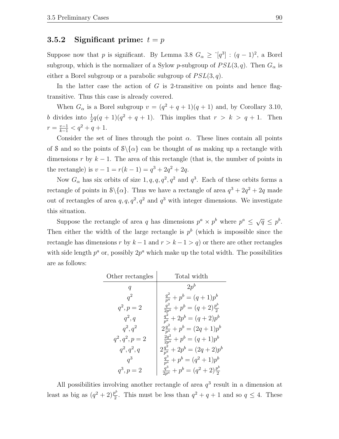#### 3.5.2 Significant prime:  $t = p$

Suppose now that p is significant. By Lemma 3.8  $G_{\alpha} \geq \hat{q}^3$  :  $(q-1)^2$ , a Borel subgroup, which is the normalizer of a Sylow p-subgroup of  $PSL(3, q)$ . Then  $G_{\alpha}$  is either a Borel subgroup or a parabolic subgroup of  $PSL(3, q)$ .

In the latter case the action of  $G$  is 2-transitive on points and hence flagtransitive. Thus this case is already covered.

When  $G_{\alpha}$  is a Borel subgroup  $v = (q^2 + q + 1)(q + 1)$  and, by Corollary 3.10, b divides into  $\frac{1}{2}q(q+1)(q^2+q+1)$ . This implies that  $r > k > q+1$ . Then  $r = \frac{v-1}{k-1} < q^2 + q + 1.$ 

Consider the set of lines through the point  $\alpha$ . These lines contain all points of S and so the points of  $\{\alpha\}$  can be thought of as making up a rectangle with dimensions r by  $k - 1$ . The area of this rectangle (that is, the number of points in the rectangle) is  $v - 1 = r(k - 1) = q^3 + 2q^2 + 2q$ .

Now  $G_{\alpha}$  has six orbits of size  $1, q, q, q^2, q^2$  and  $q^3$ . Each of these orbits forms a rectangle of points in  $\{\alpha\}$ . Thus we have a rectangle of area  $q^3 + 2q^2 + 2q$  made out of rectangles of area  $q, q, q^2, q^2$  and  $q^3$  with integer dimensions. We investigate this situation.

Suppose the rectangle of area q has dimensions  $p^a \times p^b$  where  $p^a \leq \sqrt{q} \leq p^b$ . Then either the width of the large rectangle is  $p<sup>b</sup>$  (which is impossible since the rectangle has dimensions r by  $k-1$  and  $r > k-1 > q$  or there are other rectangles with side length  $p^a$  or, possibly  $2p^a$  which make up the total width. The possibilities are as follows:

| Other rectangles  | Total width                                   |
|-------------------|-----------------------------------------------|
| q                 | $2p^b$                                        |
| $q^2$             | $\frac{q^2}{p^a} + p^b = (q+1)p^b$            |
| $q^2, p = 2$      | $\frac{q^2}{2p^a} + p^b = (q+2)\frac{p^b}{2}$ |
| $q^2, q$          | $rac{q^2}{r^a} + 2p^b = (q+2)p^b$             |
| $q^2, q^2$        | $2\frac{q^2}{n^a}+p^b=(2q+1)p^b$              |
| $q^2, q^2, p = 2$ | $\frac{2q^2}{2n^a} + p^b = (q+1)p^b$          |
| $q^2, q^2, q$     | $2\frac{q^2}{n^a}+2p^b=(2q+2)p^b$             |
| $q^3$             | $\frac{q^3}{p^a} + p^b = (q^2 + 1)p^b$        |
| $q^3, p = 2$      | $\frac{q^3}{2n^a}+p^b=(q^2+2)\frac{p^b}{2}$   |

All possibilities involving another rectangle of area  $q<sup>3</sup>$  result in a dimension at least as big as  $(q^2+2)\frac{p^b}{2}$  $\frac{q^2}{2}$ . This must be less than  $q^2 + q + 1$  and so  $q \leq 4$ . These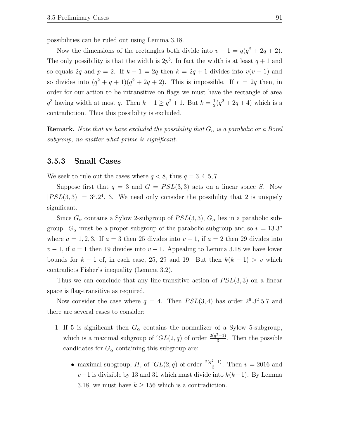possibilities can be ruled out using Lemma 3.18.

Now the dimensions of the rectangles both divide into  $v - 1 = q(q^2 + 2q + 2)$ . The only possibility is that the width is  $2p^b$ . In fact the width is at least  $q+1$  and so equals 2q and p = 2. If  $k - 1 = 2q$  then  $k = 2q + 1$  divides into  $v(v - 1)$  and so divides into  $(q^2 + q + 1)(q^2 + 2q + 2)$ . This is impossible. If  $r = 2q$  then, in order for our action to be intransitive on flags we must have the rectangle of area  $q^3$  having width at most q. Then  $k - 1 \ge q^2 + 1$ . But  $k = \frac{1}{2}$  $\frac{1}{2}(q^2 + 2q + 4)$  which is a contradiction. Thus this possibility is excluded.

**Remark.** Note that we have excluded the possibility that  $G_{\alpha}$  is a parabolic or a Borel subgroup, no matter what prime is significant.

#### 3.5.3 Small Cases

We seek to rule out the cases where  $q < 8$ , thus  $q = 3, 4, 5, 7$ .

Suppose first that  $q = 3$  and  $G = PSL(3,3)$  acts on a linear space S. Now  $|PSL(3,3)| = 3<sup>3</sup> \cdot 2<sup>4</sup> \cdot 13$ . We need only consider the possibility that 2 is uniquely significant.

Since  $G_{\alpha}$  contains a Sylow 2-subgroup of  $PSL(3,3)$ ,  $G_{\alpha}$  lies in a parabolic subgroup.  $G_{\alpha}$  must be a proper subgroup of the parabolic subgroup and so  $v = 13.3^{\circ}$ where  $a = 1, 2, 3$ . If  $a = 3$  then 25 divides into  $v - 1$ , if  $a = 2$  then 29 divides into  $v-1$ , if  $a=1$  then 19 divides into  $v-1$ . Appealing to Lemma 3.18 we have lower bounds for  $k - 1$  of, in each case, 25, 29 and 19. But then  $k(k - 1) > v$  which contradicts Fisher's inequality (Lemma 3.2).

Thus we can conclude that any line-transitive action of  $PSL(3,3)$  on a linear space is flag-transitive as required.

Now consider the case where  $q = 4$ . Then  $PSL(3, 4)$  has order  $2^6 \cdot 3^2 \cdot 5 \cdot 7$  and there are several cases to consider:

- 1. If 5 is significant then  $G_{\alpha}$  contains the normalizer of a Sylow 5-subgroup, which is a maximal subgroup of  $\hat{C}GL(2,q)$  of order  $\frac{2(q^2-1)}{3}$ . Then the possible candidates for  $G_{\alpha}$  containing this subgroup are:
	- maximal subgroup, H, of  $\hat{C}GL(2,q)$  of order  $\frac{2(q^2-1)}{3}$ . Then  $v=2016$  and  $v-1$  is divisible by 13 and 31 which must divide into  $k(k-1)$ . By Lemma 3.18, we must have  $k \ge 156$  which is a contradiction.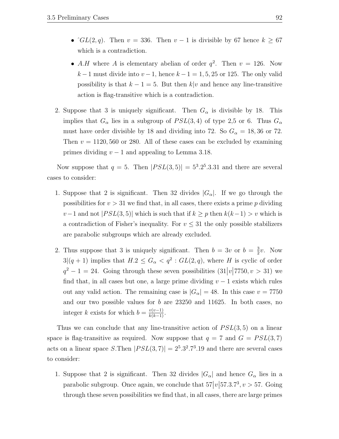- $\hat{G}L(2,q)$ . Then  $v = 336$ . Then  $v 1$  is divisible by 67 hence  $k \geq 67$ which is a contradiction.
- *A.H* where *A* is elementary abelian of order  $q^2$ . Then  $v = 126$ . Now  $k-1$  must divide into  $v-1$ , hence  $k-1=1, 5, 25$  or 125. The only valid possibility is that  $k - 1 = 5$ . But then  $k|v$  and hence any line-transitive action is flag-transitive which is a contradiction.
- 2. Suppose that 3 is uniquely significant. Then  $G_{\alpha}$  is divisible by 18. This implies that  $G_{\alpha}$  lies in a subgroup of  $PSL(3, 4)$  of type 2,5 or 6. Thus  $G_{\alpha}$ must have order divisible by 18 and dividing into 72. So  $G_{\alpha} = 18,36$  or 72. Then  $v = 1120,560$  or 280. All of these cases can be excluded by examining primes dividing  $v - 1$  and appealing to Lemma 3.18.

Now suppose that  $q = 5$ . Then  $|PSL(3,5)| = 5^3 \cdot 2^5 \cdot 3 \cdot 31$  and there are several cases to consider:

- 1. Suppose that 2 is significant. Then 32 divides  $|G_{\alpha}|$ . If we go through the possibilities for  $v > 31$  we find that, in all cases, there exists a prime p dividing  $v-1$  and not  $|PSL(3, 5)|$  which is such that if  $k \geq p$  then  $k(k-1) > v$  which is a contradiction of Fisher's inequality. For  $v \leq 31$  the only possible stabilizers are parabolic subgroups which are already excluded.
- 2. Thus suppose that 3 is uniquely significant. Then  $b = 3v$  or  $b = \frac{3}{2}$  $\frac{3}{2}v$ . Now  $3|(q+1)$  implies that  $H.2 \leq G_{\alpha} < q^2$ :  $GL(2,q)$ , where H is cyclic of order  $q^2 - 1 = 24$ . Going through these seven possibilities  $(31|v|7750, v > 31)$  we find that, in all cases but one, a large prime dividing  $v - 1$  exists which rules out any valid action. The remaining case is  $|G_{\alpha}| = 48$ . In this case  $v = 7750$ and our two possible values for b are 23250 and 11625. In both cases, no integer k exists for which  $b = \frac{v(v-1)}{k(k-1)}$ .

Thus we can conclude that any line-transitive action of  $PSL(3, 5)$  on a linear space is flag-transitive as required. Now suppose that  $q = 7$  and  $G = PSL(3, 7)$ acts on a linear space S.Then  $|PSL(3, 7)| = 2^5 \cdot 3^2 \cdot 7^3 \cdot 19$  and there are several cases to consider:

1. Suppose that 2 is significant. Then 32 divides  $|G_{\alpha}|$  and hence  $G_{\alpha}$  lies in a parabolic subgroup. Once again, we conclude that  $57|v|57.3.7^3, v > 57$ . Going through these seven possibilities we find that, in all cases, there are large primes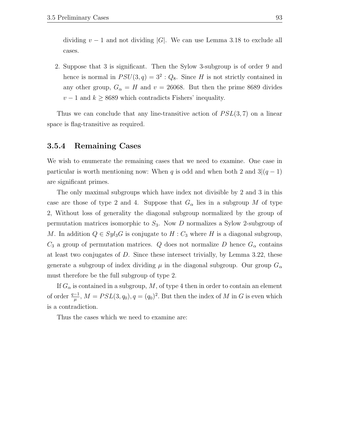dividing  $v - 1$  and not dividing |G|. We can use Lemma 3.18 to exclude all cases.

2. Suppose that 3 is significant. Then the Sylow 3-subgroup is of order 9 and hence is normal in  $PSU(3, q) = 3^2 : Q_8$ . Since H is not strictly contained in any other group,  $G_{\alpha} = H$  and  $v = 26068$ . But then the prime 8689 divides  $v - 1$  and  $k \ge 8689$  which contradicts Fishers' inequality.

Thus we can conclude that any line-transitive action of  $PSL(3, 7)$  on a linear space is flag-transitive as required.

#### 3.5.4 Remaining Cases

We wish to enumerate the remaining cases that we need to examine. One case in particular is worth mentioning now: When q is odd and when both 2 and  $3|(q-1)$ are significant primes.

The only maximal subgroups which have index not divisible by 2 and 3 in this case are those of type 2 and 4. Suppose that  $G_{\alpha}$  lies in a subgroup M of type 2, Without loss of generality the diagonal subgroup normalized by the group of permutation matrices isomorphic to  $S_3$ . Now D normalizes a Sylow 2-subgroup of M. In addition  $Q \in Syl_3G$  is conjugate to  $H : C_3$  where H is a diagonal subgroup,  $C_3$  a group of permutation matrices. Q does not normalize D hence  $G_\alpha$  contains at least two conjugates of  $D$ . Since these intersect trivially, by Lemma 3.22, these generate a subgroup of index dividing  $\mu$  in the diagonal subgroup. Our group  $G_{\alpha}$ must therefore be the full subgroup of type 2.

If  $G_{\alpha}$  is contained in a subgroup, M, of type 4 then in order to contain an element of order  $\frac{q-1}{\mu}$ ,  $M = PSL(3, q_0)$ ,  $q = (q_0)^2$ . But then the index of M in G is even which is a contradiction.

Thus the cases which we need to examine are: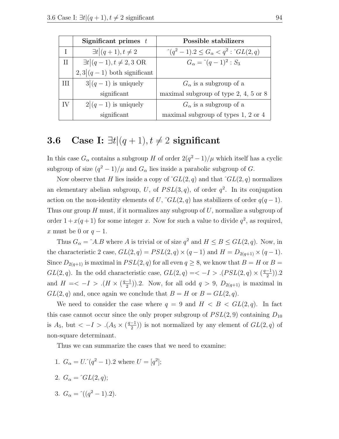|    | Significant primes $t$                       | Possible stabilizers                                         |
|----|----------------------------------------------|--------------------------------------------------------------|
|    | $\exists t   (q+1), t \neq 2$                | $\hat{q}^2 - 1$ .2 $\leq G_{\alpha} < q^2$ : $\hat{G}L(2,q)$ |
| П  | $\exists t   (q-1), t \neq 2, 3 \text{ OR }$ | $G_{\alpha} = \hat{g}(q-1)^2 : S_3$                          |
|    | $2,3 (q-1)$ both significant                 |                                                              |
| Ш  | $3 (q-1)$ is uniquely                        | $G_{\alpha}$ is a subgroup of a                              |
|    | significant                                  | maximal subgroup of type $2, 4, 5$ or $8$                    |
| IV | $2 (q-1)$ is uniquely                        | $G_{\alpha}$ is a subgroup of a                              |
|    | significant                                  | maximal subgroup of types $1, 2$ or $4$                      |

### 3.6 Case I:  $\exists t | (q+1), t \neq 2$  significant

In this case  $G_{\alpha}$  contains a subgroup H of order  $2(q^2-1)/\mu$  which itself has a cyclic subgroup of size  $(q^2 - 1)/\mu$  and  $G_{\alpha}$  lies inside a parabolic subgroup of G.

Now observe that H lies inside a copy of  $\hat{G}L(2,q)$  and that  $\hat{G}L(2,q)$  normalizes an elementary abelian subgroup, U, of  $PSL(3, q)$ , of order  $q^2$ . In its conjugation action on the non-identity elements of U,  $\hat{L}(Z, q)$  has stabilizers of order  $q(q-1)$ . Thus our group H must, if it normalizes any subgroup of  $U$ , normalize a subgroup of order  $1+x(q+1)$  for some integer x. Now for such a value to divide  $q^2$ , as required, x must be 0 or  $q-1$ .

Thus  $G_{\alpha} = \hat{A} \cdot B$  where A is trivial or of size  $q^2$  and  $H \leq B \leq GL(2, q)$ . Now, in the characteristic 2 case,  $GL(2,q) = PSL(2,q) \times (q-1)$  and  $H = D_{2(q+1)} \times (q-1)$ . Since  $D_{2(q+1)}$  is maximal in  $PSL(2,q)$  for all even  $q \geq 8$ , we know that  $B = H$  or  $B =$  $GL(2,q)$ . In the odd characteristic case,  $GL(2,q) = \langle -I \rangle$ .  $(PSL(2,q) \times \left(\frac{q-1}{2}\right)).2$ and  $H = \langle -I \rangle$  ( $H \times (\frac{q-1}{2})$ ).2. Now, for all odd  $q > 9$ ,  $D_{2(q+1)}$  is maximal in  $GL(2, q)$  and, once again we conclude that  $B = H$  or  $B = GL(2, q)$ .

We need to consider the case where  $q = 9$  and  $H < B < GL(2, q)$ . In fact this case cannot occur since the only proper subgroup of  $PSL(2, 9)$  containing  $D_{10}$ is  $A_5$ , but  $\langle -I \rangle$ .  $(A_5 \times (\frac{q-1}{2}))$  is not normalized by any element of  $GL(2, q)$  of non-square determinant.

Thus we can summarize the cases that we need to examine:

- 1.  $G_{\alpha} = U \cdot (q^2 1) \cdot 2$  where  $U = [q^2];$
- 2.  $G_{\alpha} = \hat{C}L(2,q);$
- 3.  $G_{\alpha} = \hat{ }((q^2 1).2).$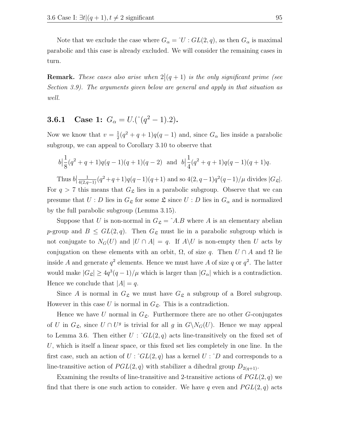Note that we exclude the case where  $G_{\alpha} = \gamma U : GL(2, q)$ , as then  $G_{\alpha}$  is maximal parabolic and this case is already excluded. We will consider the remaining cases in turn.

**Remark.** These cases also arise when  $2|(q + 1)$  is the only significant prime (see Section 3.9). The arguments given below are general and apply in that situation as well.

# **3.6.1** Case 1:  $G_{\alpha} = U.(\hat{C}(q^2-1).2)$ .

Now we know that  $v=\frac{1}{2}$  $\frac{1}{2}(q^2+q+1)q(q-1)$  and, since  $G_\alpha$  lies inside a parabolic subgroup, we can appeal to Corollary 3.10 to observe that

$$
b\left|\frac{1}{8}(q^2+q+1)q(q-1)(q+1)(q-2)\right|
$$
 and  $b\left|\frac{1}{4}(q^2+q+1)q(q-1)(q+1)q\right|$ .

Thus  $b\left| \frac{1}{4(2,q-1)}(q^2+q+1)q(q-1)(q+1) \right|$  and so  $4(2,q-1)q^2(q-1)/\mu$  divides  $|G_{\mathcal{L}}|$ . For  $q > 7$  this means that  $G_{\mathfrak{L}}$  lies in a parabolic subgroup. Observe that we can presume that  $U : D$  lies in  $G_{\mathfrak{L}}$  for some  $\mathfrak{L}$  since  $U : D$  lies in  $G_{\alpha}$  and is normalized by the full parabolic subgroup (Lemma 3.15).

Suppose that U is non-normal in  $G_{\mathfrak{L}} = \hat{A} \cdot B$  where A is an elementary abelian p-group and  $B \le GL(2,q)$ . Then  $G_{\mathcal{L}}$  must lie in a parabolic subgroup which is not conjugate to  $N_G(U)$  and  $|U \cap A| = q$ . If  $A \setminus U$  is non-empty then U acts by conjugation on these elements with an orbit,  $\Omega$ , of size q. Then  $U \cap A$  and  $\Omega$  lie inside A and generate  $q^2$  elements. Hence we must have A of size q or  $q^2$ . The latter would make  $|G_{\mathcal{L}}| \geq 4q^3(q-1)/\mu$  which is larger than  $|G_{\alpha}|$  which is a contradiction. Hence we conclude that  $|A| = q$ .

Since A is normal in  $G_{\mathfrak{L}}$  we must have  $G_{\mathfrak{L}}$  a subgroup of a Borel subgroup. However in this case U is normal in  $G_{\mathfrak{L}}$ . This is a contradiction.

Hence we have U normal in  $G_{\mathfrak{L}}$ . Furthermore there are no other G-conjugates of U in  $G_{\mathfrak{L}}$ , since  $U \cap U^g$  is trivial for all g in  $G \backslash N_G(U)$ . Hence we may appeal to Lemma 3.6. Then either  $U : \hat{G}L(2,q)$  acts line-transitively on the fixed set of U, which is itself a linear space, or this fixed set lies completely in one line. In the first case, such an action of  $U : GL(2,q)$  has a kernel  $U : \hat{D}$  and corresponds to a line-transitive action of  $PGL(2,q)$  with stabilizer a dihedral group  $D_{2(q+1)}$ .

Examining the results of line-transitive and 2-transitive actions of  $PGL(2, q)$  we find that there is one such action to consider. We have q even and  $PGL(2, q)$  acts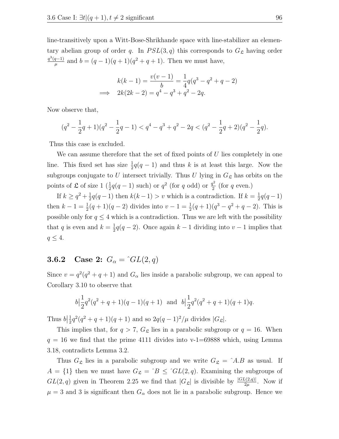line-transitively upon a Witt-Bose-Shrikhande space with line-stabilizer an elementary abelian group of order q. In  $PSL(3, q)$  this corresponds to  $G_{\mathfrak{L}}$  having order  $q^3(q-1)$  and  $b = (q-1)(q+1)(q^2+q+1)$ . Then we must have,

$$
k(k-1) = \frac{v(v-1)}{b} = \frac{1}{4}q(q^3 - q^2 + q - 2)
$$
  

$$
\implies 2k(2k-2) = q^4 - q^3 + q^2 - 2q.
$$

Now observe that,

$$
(q^2-\frac{1}{2}q+1)(q^2-\frac{1}{2}q-1) < q^4-q^3+q^2-2q < (q^2-\frac{1}{2}q+2)(q^2-\frac{1}{2}q).
$$

Thus this case is excluded.

We can assume therefore that the set of fixed points of  $U$  lies completely in one line. This fixed set has size  $\frac{1}{2}q(q-1)$  and thus k is at least this large. Now the subgroups conjugate to U intersect trivially. Thus U lying in  $G_{\mathfrak{L}}$  has orbits on the points of  $\mathfrak L$  of size  $1\left(\frac{1}{2}\right)$  $\frac{1}{2}q(q-1)$  such) or  $q^2$  (for q odd) or  $\frac{q^2}{2}$  $\frac{q^2}{2}$  (for q even.)

If  $k \geq q^2 + \frac{1}{2}$  $\frac{1}{2}q(q-1)$  then  $k(k-1) > v$  which is a contradiction. If  $k = \frac{1}{2}$  $rac{1}{2}q(q-1)$ then  $k-1=\frac{1}{2}$  $\frac{1}{2}(q+1)(q-2)$  divides into  $v-1=\frac{1}{2}$  $\frac{1}{2}(q+1)(q^3-q^2+q-2)$ . This is possible only for  $q \leq 4$  which is a contradiction. Thus we are left with the possibility that q is even and  $k=\frac{1}{2}$  $\frac{1}{2}q(q-2)$ . Once again  $k-1$  dividing into  $v-1$  implies that  $q \leq 4$ .

### **3.6.2** Case 2:  $G_{\alpha} = \hat{G}L(2,q)$

Since  $v = q^2(q^2 + q + 1)$  and  $G_\alpha$  lies inside a parabolic subgroup, we can appeal to Corollary 3.10 to observe that

$$
b\left|\frac{1}{2}q^2(q^2+q+1)(q-1)(q+1)\right|
$$
 and  $b\left|\frac{1}{2}q^2(q^2+q+1)(q+1)q\right|$ .

Thus  $b\left|\frac{1}{2}\right|$  $\frac{1}{2}q^2(q^2+q+1)(q+1)$  and so  $2q(q-1)^2/\mu$  divides  $|G_{\mathcal{L}}|$ .

This implies that, for  $q > 7$ ,  $G_{\mathfrak{L}}$  lies in a parabolic subgroup or  $q = 16$ . When  $q = 16$  we find that the prime 4111 divides into v-1=69888 which, using Lemma 3.18, contradicts Lemma 3.2.

Thus  $G_{\mathfrak{L}}$  lies in a parabolic subgroup and we write  $G_{\mathfrak{L}} = \hat{A} \cdot B$  as usual. If  $A = \{1\}$  then we must have  $G_{\mathfrak{L}} = {}^{\hat{c}}B \le {}^{\hat{c}}GL(2,q)$ . Examining the subgroups of  $GL(2,q)$  given in Theorem 2.25 we find that  $|G_{\mathcal{L}}|$  is divisible by  $\frac{|GL(2,q)|}{2\mu}$ . Now if  $\mu = 3$  and 3 is significant then  $G_{\alpha}$  does not lie in a parabolic subgroup. Hence we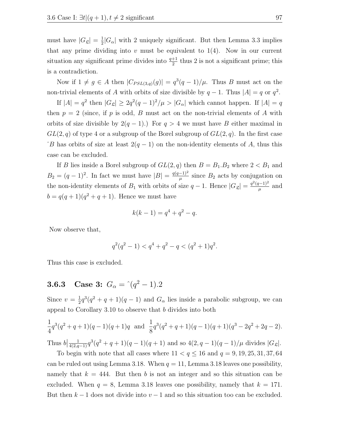must have  $|G_{\mathfrak{L}}| = \frac{1}{2}$  $\frac{1}{2}|G_{\alpha}|$  with 2 uniquely significant. But then Lemma 3.3 implies that any prime dividing into v must be equivalent to  $1(4)$ . Now in our current situation any significant prime divides into  $\frac{q+1}{2}$  thus 2 is not a significant prime; this is a contradiction.

Now if  $1 \neq g \in A$  then  $|C_{PSL(3,q)}(g)| = q^3(q-1)/\mu$ . Thus B must act on the non-trivial elements of A with orbits of size divisible by  $q-1$ . Thus  $|A|=q$  or  $q^2$ .

If  $|A| = q^2$  then  $|G_{\mathfrak{L}}| \geq 2q^2(q-1)^2/\mu > |G_{\alpha}|$  which cannot happen. If  $|A| = q$ then  $p = 2$  (since, if p is odd, B must act on the non-trivial elements of A with orbits of size divisible by  $2(q-1)$ .) For  $q > 4$  we must have B either maximal in  $GL(2,q)$  of type 4 or a subgroup of the Borel subgroup of  $GL(2,q)$ . In the first case  $\hat{B}$  has orbits of size at least  $2(q-1)$  on the non-identity elements of A, thus this case can be excluded.

If B lies inside a Borel subgroup of  $GL(2, q)$  then  $B = B_1.B_2$  where  $2 < B_1$  and  $B_2 = (q-1)^2$ . In fact we must have  $|B| = \frac{q(q-1)^2}{\mu}$  since  $B_2$  acts by conjugation on the non-identity elements of  $B_1$  with orbits of size  $q-1$ . Hence  $|G_{\mathfrak{L}}| = \frac{q^2(q-1)^2}{\mu}$  and  $b = q(q+1)(q^2+q+1)$ . Hence we must have

$$
k(k-1) = q^4 + q^2 - q.
$$

Now observe that,

$$
q^2(q^2 - 1) < q^4 + q^2 - q < (q^2 + 1)q^2.
$$

Thus this case is excluded.

# **3.6.3** Case 3:  $G_{\alpha} = \hat{ } (q^2 - 1) . 2$

Since  $v=\frac{1}{2}$  $\frac{1}{2}q^3(q^2+q+1)(q-1)$  and  $G_\alpha$  lies inside a parabolic subgroup, we can appeal to Corollary 3.10 to observe that b divides into both

$$
\frac{1}{4}q^3(q^2+q+1)(q-1)(q+1)q \text{ and } \frac{1}{8}q^3(q^2+q+1)(q-1)(q+1)(q^3-2q^2+2q-2).
$$

Thus  $b\left(\frac{1}{4(2,q-1)}q^3(q^2+q+1)(q-1)(q+1)\right)$  and so  $4(2,q-1)(q-1)/\mu$  divides  $|G_{\mathcal{L}}|$ .

To begin with note that all cases where  $11 < q \le 16$  and  $q = 9, 19, 25, 31, 37, 64$ can be ruled out using Lemma 3.18. When  $q = 11$ , Lemma 3.18 leaves one possibility, namely that  $k = 444$ . But then b is not an integer and so this situation can be excluded. When  $q = 8$ , Lemma 3.18 leaves one possibility, namely that  $k = 171$ . But then  $k-1$  does not divide into  $v-1$  and so this situation too can be excluded.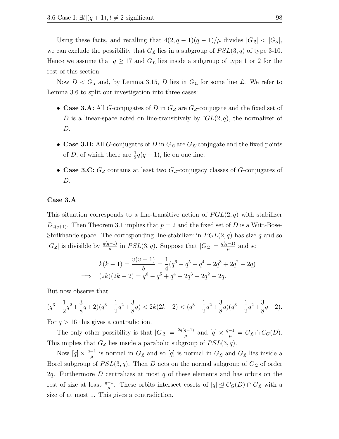Using these facts, and recalling that  $4(2, q - 1)(q - 1)/\mu$  divides  $|G_{\mathfrak{L}}| < |G_{\alpha}|$ , we can exclude the possibility that  $G_{\mathfrak{L}}$  lies in a subgroup of  $PSL(3, q)$  of type 3-10. Hence we assume that  $q \geq 17$  and  $G_{\mathfrak{L}}$  lies inside a subgroup of type 1 or 2 for the rest of this section.

Now  $D < G_{\alpha}$  and, by Lemma 3.15, D lies in  $G_{\mathfrak{L}}$  for some line  $\mathfrak{L}$ . We refer to Lemma 3.6 to split our investigation into three cases:

- Case 3.A: All G-conjugates of D in  $G_{\mathfrak{L}}$  are  $G_{\mathfrak{L}}$ -conjugate and the fixed set of D is a linear-space acted on line-transitively by  $\hat{C}L(2,q)$ , the normalizer of D.
- Case 3.B: All G-conjugates of D in  $G_{\mathfrak{L}}$  are  $G_{\mathfrak{L}}$ -conjugate and the fixed points of D, of which there are  $\frac{1}{2}q(q-1)$ , lie on one line;
- Case 3.C:  $G_{\mathfrak{L}}$  contains at least two  $G_{\mathfrak{L}}$ -conjugacy classes of G-conjugates of  $D$ .

#### Case 3.A

This situation corresponds to a line-transitive action of  $PGL(2,q)$  with stabilizer  $D_{2(q+1)}$ . Then Theorem 3.1 implies that  $p = 2$  and the fixed set of D is a Witt-Bose-Shrikhande space. The corresponding line-stabilizer in  $PGL(2,q)$  has size q and so  $|G_{\mathcal{L}}|$  is divisible by  $\frac{q(q-1)}{\mu}$  in  $PSL(3, q)$ . Suppose that  $|G_{\mathcal{L}}| = \frac{q(q-1)}{\mu}$  and so

$$
k(k-1) = \frac{v(v-1)}{b} = \frac{1}{4}(q^6 - q^5 + q^4 - 2q^3 + 2q^2 - 2q)
$$
  
\n
$$
\implies (2k)(2k-2) = q^6 - q^5 + q^4 - 2q^3 + 2q^2 - 2q.
$$

But now observe that

$$
(q^3-\frac{1}{2}q^2+\frac{3}{8}q+2)(q^3-\frac{1}{2}q^2+\frac{3}{8}q)<2k(2k-2)<(q^3-\frac{1}{2}q^2+\frac{3}{8}q)(q^3-\frac{1}{2}q^2+\frac{3}{8}q-2).
$$

For  $q > 16$  this gives a contradiction.

The only other possibility is that  $|G_{\mathfrak{L}}| = \frac{2q(q-1)}{\mu}$  and  $[q] \times \frac{q-1}{\mu} = G_{\mathfrak{L}} \cap C_G(D)$ . This implies that  $G_{\mathcal{L}}$  lies inside a parabolic subgroup of  $PSL(3, q)$ .

Now  $[q] \times \frac{q-1}{\mu}$  is normal in  $G_{\mathfrak{L}}$  and so  $[q]$  is normal in  $G_{\mathfrak{L}}$  and  $G_{\mathfrak{L}}$  lies inside a Borel subgroup of  $PSL(3, q)$ . Then D acts on the normal subgroup of  $G_{\mathfrak{L}}$  of order 2q. Furthermore D centralizes at most q of these elements and has orbits on the rest of size at least  $\frac{q-1}{\mu}$ . These orbits intersect cosets of  $[q] \leq C_G(D) \cap G_{\mathfrak{L}}$  with a size of at most 1. This gives a contradiction.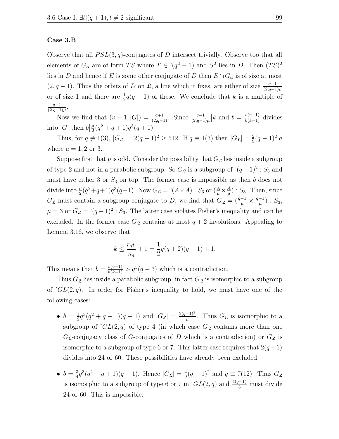#### Case 3.B

Observe that all  $PSL(3, q)$ -conjugates of D intersect trivially. Observe too that all elements of  $G_{\alpha}$  are of form TS where  $T \in \hat{q}^2 - 1$  and  $S^2$  lies in D. Then  $(TS)^2$ lies in D and hence if E is some other conjugate of D then  $E \cap G_{\alpha}$  is of size at most  $(2, q-1)$ . Thus the orbits of D on  $\mathfrak{L}$ , a line which it fixes, are either of size  $\frac{q-1}{(2,q-1)\mu}$ or of size 1 and there are  $\frac{1}{2}q(q-1)$  of these. We conclude that k is a multiple of  $q-1$  $\frac{q-1}{(2,q-1)\mu}$ .

Now we find that  $(v-1, |G|) = \frac{q+1}{(2q-1)}$ . Since  $\frac{q-1}{(2q-1)\mu}|k$  and  $b = \frac{v(v-1)}{k(k-1)}$  divides into |G| then  $b$ |  $\mu$  $\frac{\mu}{2}(q^2+q+1)q^3(q+1).$ 

Thus, for  $q \neq 1(3)$ ,  $|G_{\mathcal{L}}| = 2(q-1)^2 \geq 512$ . If  $q \equiv 1(3)$  then  $|G_{\mathcal{L}}| = \frac{2}{9}$  $rac{2}{9}(q-1)^2.a$ where  $a = 1, 2$  or 3.

Suppose first that p is odd. Consider the possibility that  $G_{\mathfrak{L}}$  lies inside a subgroup of type 2 and not in a parabolic subgroup. So  $G_{\mathfrak{L}}$  is a subgroup of  $\hat{ }$   $(q-1)^2$  :  $S_3$  and must have either 3 or  $S_3$  on top. The former case is impossible as then b does not divide into  $\frac{\mu}{2}(q^2+q+1)q^3(q+1)$ . Now  $G_{\mathfrak{L}} = \hat{ }^{\,\,}(A \times A)$  :  $S_3$  or  $(\frac{A}{\mu})$  $\frac{A}{\mu} \times \frac{A}{\mu}$  $\frac{A}{\mu}$ ) :  $S_3$ . Then, since  $G_{\mathfrak{L}}$  must contain a subgroup conjugate to D, we find that  $G_{\mathfrak{L}} = (\frac{q-1}{\mu} \times \frac{q-1}{\mu}) : S_3$ ,  $\mu = 3$  or  $G_{\mathfrak{L}} = \hat{g}(q-1)^2 : S_3$ . The latter case violates Fisher's inequality and can be excluded. In the former case  $G_{\mathfrak{L}}$  contains at most  $q + 2$  involutions. Appealing to Lemma 3.16, we observe that

$$
k \le \frac{r_g v}{n_g} + 1 = \frac{1}{2}q(q+2)(q-1) + 1.
$$

This means that  $b = \frac{v(v-1)}{k(k-1)} > q^5(q-3)$  which is a contradiction.

Thus  $G_{\mathfrak{L}}$  lies inside a parabolic subgroup; in fact  $G_{\mathfrak{L}}$  is isomorphic to a subgroup of  $\hat{G}L(2,q)$ . In order for Fisher's inequality to hold, we must have one of the following cases:

- $\bullet$   $b = \frac{1}{2}$  $\frac{1}{2}q^3(q^2+q+1)(q+1)$  and  $|G_{\mathfrak{L}}| = \frac{2(q-1)^2}{\mu}$ . Thus  $G_{\mathfrak{L}}$  is isomorphic to a subgroup of  $\hat{G}L(2,q)$  of type 4 (in which case  $G_{\mathfrak{L}}$  contains more than one  $G_{\mathfrak{L}}$ -conjugacy class of G-conjugates of D which is a contradiction) or  $G_{\mathfrak{L}}$  is isomorphic to a subgroup of type 6 or 7. This latter case requires that  $2(q-1)$ divides into 24 or 60. These possibilities have already been excluded.
- $b = \frac{3}{4}$  $\frac{3}{4}q^3(q^2+q+1)(q+1)$ . Hence  $|G_{\mathfrak{L}}| = \frac{4}{9}$  $\frac{4}{9}(q-1)^2$  and  $q \equiv 7(12)$ . Thus  $G_{\mathfrak{L}}$ is isomorphic to a subgroup of type 6 or 7 in  $\hat{G}L(2,q)$  and  $\frac{4(q-1)}{3}$  must divide 24 or 60. This is impossible.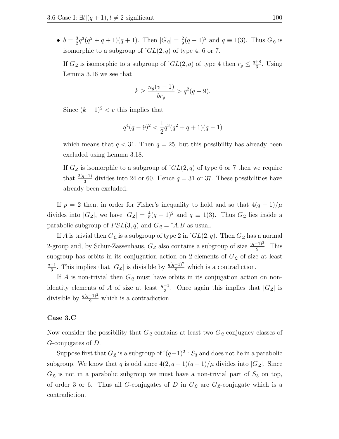$\bullet$   $b = \frac{3}{2}$  $\frac{3}{2}q^3(q^2+q+1)(q+1)$ . Then  $|G_{\mathfrak{L}}|=\frac{2}{9}$  $\frac{2}{9}(q-1)^2$  and  $q \equiv 1(3)$ . Thus  $G_{\mathfrak{L}}$  is isomorphic to a subgroup of  $\hat{C}GL(2,q)$  of type 4, 6 or 7.

If  $G_{\mathfrak{L}}$  is isomorphic to a subgroup of  $\hat{C}GL(2,q)$  of type 4 then  $r_g \leq \frac{q+8}{3}$  $rac{+8}{3}$ . Using Lemma 3.16 we see that

$$
k \ge \frac{n_g(v-1)}{br_g} > q^2(q-9).
$$

Since  $(k-1)^2 < v$  this implies that

$$
q^4(q-9)^2 < \frac{1}{2}q^3(q^2+q+1)(q-1)
$$

which means that  $q < 31$ . Then  $q = 25$ , but this possibility has already been excluded using Lemma 3.18.

If  $G_{\mathfrak{L}}$  is isomorphic to a subgroup of  $\hat{C}GL(2,q)$  of type 6 or 7 then we require that  $\frac{2(q-1)}{3}$  divides into 24 or 60. Hence  $q = 31$  or 37. These possibilities have already been excluded.

If  $p = 2$  then, in order for Fisher's inequality to hold and so that  $4(q - 1)/\mu$ divides into  $|G_{\mathfrak{L}}|$ , we have  $|G_{\mathfrak{L}}| = \frac{4}{9}$  $\frac{4}{9}(q-1)^2$  and  $q \equiv 1(3)$ . Thus  $G_{\mathcal{L}}$  lies inside a parabolic subgroup of  $PSL(3, q)$  and  $G_{\mathfrak{L}} = \hat{A} \cdot B$  as usual.

If A is trivial then  $G_{\mathfrak{L}}$  is a subgroup of type 2 in  $\hat{G}L(2,q)$ . Then  $G_{\mathfrak{L}}$  has a normal 2-group and, by Schur-Zassenhaus,  $G_{\mathfrak{L}}$  also contains a subgroup of size  $\frac{(q-1)^2}{9}$ . This subgroup has orbits in its conjugation action on 2-elements of  $G_{\mathfrak{L}}$  of size at least  $\frac{q-1}{3}$ . This implies that  $|G_{\mathcal{L}}|$  is divisible by  $\frac{q(q-1)^2}{9}$  which is a contradiction.

If A is non-trivial then  $G_{\mathfrak{L}}$  must have orbits in its conjugation action on nonidentity elements of A of size at least  $\frac{q-1}{3}$ . Once again this implies that  $|G_{\mathcal{L}}|$  is divisible by  $\frac{q(q-1)^2}{9}$  which is a contradiction.

#### Case 3.C

Now consider the possibility that  $G_{\mathfrak{L}}$  contains at least two  $G_{\mathfrak{L}}$ -conjugacy classes of G-conjugates of D.

Suppose first that  $G_{\mathfrak{L}}$  is a subgroup of  $\hat{ }$   $(q-1)^2$  :  $S_3$  and does not lie in a parabolic subgroup. We know that q is odd since  $4(2, q - 1)(q - 1)/\mu$  divides into  $|G_{\mathfrak{L}}|$ . Since  $G_{\mathfrak{L}}$  is not in a parabolic subgroup we must have a non-trivial part of  $S_3$  on top, of order 3 or 6. Thus all G-conjugates of D in  $G_{\mathfrak{L}}$  are  $G_{\mathfrak{L}}$ -conjugate which is a contradiction.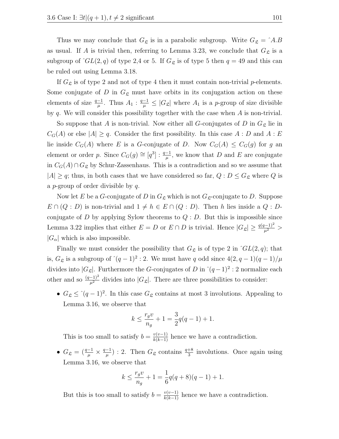Thus we may conclude that  $G_{\mathfrak{L}}$  is in a parabolic subgroup. Write  $G_{\mathfrak{L}} = \hat{A} \cdot B$ as usual. If A is trivial then, referring to Lemma 3.23, we conclude that  $G_{\mathfrak{L}}$  is a subgroup of  $\hat{G}L(2,q)$  of type 2,4 or 5. If  $G_{\mathfrak{L}}$  is of type 5 then  $q = 49$  and this can be ruled out using Lemma 3.18.

If  $G_{\mathfrak{L}}$  is of type 2 and not of type 4 then it must contain non-trivial p-elements. Some conjugate of D in  $G_{\mathfrak{L}}$  must have orbits in its conjugation action on these elements of size  $\frac{q-1}{\mu}$ . Thus  $A_1: \frac{q-1}{\mu} \leq |G_{\mathfrak{L}}|$  where  $A_1$  is a p-group of size divisible by  $q$ . We will consider this possibility together with the case when  $A$  is non-trivial.

So suppose that A is non-trivial. Now either all G-conjugates of D in  $G_{\mathfrak{L}}$  lie in  $C_G(A)$  or else  $|A| \geq q$ . Consider the first possibility. In this case  $A : D$  and  $A : E$ lie inside  $C_G(A)$  where E is a G-conjugate of D. Now  $C_G(A) \leq C_G(g)$  for g an element or order p. Since  $C_G(g) \cong [q^3] : \frac{q-1}{\mu}$ , we know that D and E are conjugate in  $C_G(A) \cap G_{\mathfrak{L}}$  by Schur-Zassenhaus. This is a contradiction and so we assume that  $|A| \geq q$ ; thus, in both cases that we have considered so far,  $Q : D \leq G_{\mathfrak{L}}$  where Q is a *p*-group of order divisible by  $q$ .

Now let E be a G-conjugate of D in  $G_{\mathfrak{L}}$  which is not  $G_{\mathfrak{L}}$ -conjugate to D. Suppose  $E \cap (Q : D)$  is non-trivial and  $1 \neq h \in E \cap (Q : D)$ . Then h lies inside a  $Q : D$ conjugate of  $D$  by applying Sylow theorems to  $Q : D$ . But this is impossible since Lemma 3.22 implies that either  $E = D$  or  $E \cap D$  is trivial. Hence  $|G_{\mathfrak{L}}| \ge \frac{q(q-1)^2}{\mu^2} >$  $|G_{\alpha}|$  which is also impossible.

Finally we must consider the possibility that  $G_{\mathfrak{L}}$  is of type 2 in  $\hat{G}L(2,q)$ ; that is,  $G_{\mathfrak{L}}$  is a subgroup of  $\hat{p}(q-1)^2:2$ . We must have q odd since  $4(2,q-1)(q-1)/\mu$ divides into  $|G_{\mathfrak{L}}|$ . Furthermore the G-conjugates of D in  $\hat{P}(q-1)^2:2$  normalize each other and so  $\frac{(q-1)^2}{\mu^2}$  divides into  $|G_{\mathfrak{L}}|$ . There are three possibilities to consider:

•  $G_{\mathfrak{L}} \leq (q-1)^2$ . In this case  $G_{\mathfrak{L}}$  contains at most 3 involutions. Appealing to Lemma 3.16, we observe that

$$
k \le \frac{r_g v}{n_g} + 1 = \frac{3}{2}q(q-1) + 1.
$$

This is too small to satisfy  $b = \frac{v(v-1)}{k(k-1)}$  hence we have a contradiction.

•  $G_{\mathfrak{L}} = \left(\frac{q-1}{\mu} \times \frac{q-1}{\mu}\right)$ : 2. Then  $G_{\mathfrak{L}}$  contains  $\frac{q+8}{3}$  involutions. Once again using Lemma 3.16, we observe that

$$
k \le \frac{r_g v}{n_g} + 1 = \frac{1}{6}q(q+8)(q-1) + 1.
$$

But this is too small to satisfy  $b = \frac{v(v-1)}{k(k-1)}$  hence we have a contradiction.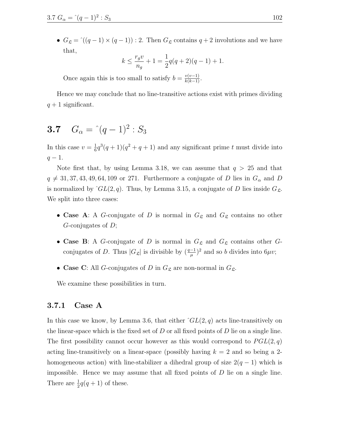•  $G_{\mathfrak{L}} = \hat{ }((q-1) \times (q-1)) : 2$ . Then  $G_{\mathfrak{L}}$  contains  $q+2$  involutions and we have that,

$$
k \le \frac{r_g v}{n_g} + 1 = \frac{1}{2}q(q+2)(q-1) + 1.
$$

Once again this is too small to satisfy  $b = \frac{v(v-1)}{k(k-1)}$ .

Hence we may conclude that no line-transitive actions exist with primes dividing  $q + 1$  significant.

# **3.7**  $G_{\alpha} = \hat{q}(q-1)^2 : S_3$

In this case  $v = \frac{1}{6}$  $\frac{1}{6}q^3(q+1)(q^2+q+1)$  and any significant prime t must divide into  $q-1$ .

Note first that, by using Lemma 3.18, we can assume that  $q > 25$  and that  $q \neq 31, 37, 43, 49, 64, 109$  or 271. Furthermore a conjugate of D lies in  $G_{\alpha}$  and D is normalized by  $\hat{C}GL(2,q)$ . Thus, by Lemma 3.15, a conjugate of D lies inside  $G_{\mathfrak{L}}$ . We split into three cases:

- Case A: A G-conjugate of D is normal in  $G_{\mathfrak{L}}$  and  $G_{\mathfrak{L}}$  contains no other  $G$ -conjugates of  $D$ ;
- Case B: A G-conjugate of D is normal in  $G_{\mathfrak{L}}$  and  $G_{\mathfrak{L}}$  contains other Gconjugates of D. Thus  $|G_{\mathfrak{L}}|$  is divisible by  $(\frac{q-1}{\mu})^2$  and so b divides into  $6\mu v$ ;
- Case C: All *G*-conjugates of D in  $G_{\mathfrak{L}}$  are non-normal in  $G_{\mathfrak{L}}$ .

We examine these possibilities in turn.

#### 3.7.1 Case A

In this case we know, by Lemma 3.6, that either  $\hat{C}L(2,q)$  acts line-transitively on the linear-space which is the fixed set of  $D$  or all fixed points of  $D$  lie on a single line. The first possibility cannot occur however as this would correspond to  $PGL(2, q)$ acting line-transitively on a linear-space (possibly having  $k = 2$  and so being a 2homogeneous action) with line-stabilizer a dihedral group of size  $2(q-1)$  which is impossible. Hence we may assume that all fixed points of  $D$  lie on a single line. There are  $\frac{1}{2}q(q+1)$  of these.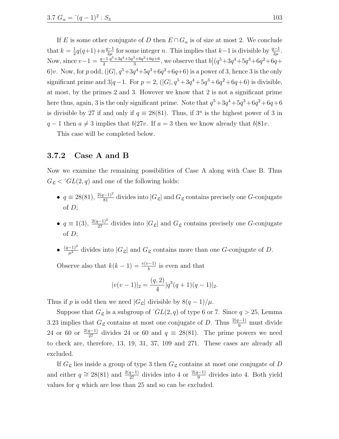If E is some other conjugate of D then  $E \cap G_\alpha$  is of size at most 2. We conclude that  $k=\frac{1}{2}$  $\frac{1}{2}q(q+1)+n\frac{q-1}{2\mu}$  for some integer n. This implies that  $k-1$  is divisible by  $\frac{q-1}{2\mu}$ . Now, since  $v-1 = \frac{q-1}{2}$  $q^5+3q^4+5q^3+6q^2+6q+6$  $\frac{3+6q^2+6q+6}{3}$ , we observe that  $b|(q^5+3q^4+5q^3+6q^2+6q+8)$ 6)v. Now, for p odd,  $(|G|, q^5 + 3q^4 + 5q^3 + 6q^2 + 6q + 6)$  is a power of 3, hence 3 is the only significant prime and  $3|q-1$ . For  $p = 2$ ,  $(|G|, q^5 + 3q^4 + 5q^3 + 6q^2 + 6q + 6)$  is divisible, at most, by the primes 2 and 3. However we know that 2 is not a significant prime here thus, again, 3 is the only significant prime. Note that  $q^5+3q^4+5q^3+6q^2+6q+6$ is divisible by 27 if and only if  $q \equiv 28(81)$ . Thus, if  $3^a$  is the highest power of 3 in  $q-1$  then  $a \neq 3$  implies that  $b|27v$ . If  $a=3$  then we know already that  $b|81v$ .

This case will be completed below.

### 3.7.2 Case A and B

Now we examine the remaining possibilities of Case A along with Case B. Thus  $G_{\mathfrak{L}} < \hat{C}GL(2,q)$  and one of the following holds:

- $q \equiv 28(81)$ ,  $\frac{2(q-1)^2}{81}$  divides into  $|G_{\mathfrak{L}}|$  and  $G_{\mathfrak{L}}$  contains precisely one G-conjugate of D;
- $q \equiv 1(3)$ ,  $\frac{2(q-1)^2}{27}$  divides into  $|G_{\mathfrak{L}}|$  and  $G_{\mathfrak{L}}$  contains precisely one G-conjugate of  $D$ ;
- $\frac{(q-1)^2}{\mu^2}$  divides into  $|G_{\mathfrak{L}}|$  and  $G_{\mathfrak{L}}$  contains more than one G-conjugate of D.

Observe also that  $k(k-1) = \frac{v(v-1)}{b}$  is even and that

$$
|v(v-1)|_2 = \frac{(q,2)}{4} |q^3(q+1)(q-1)|_2.
$$

Thus if p is odd then we need  $|G_{\mathfrak{L}}|$  divisible by  $8(q-1)/\mu$ .

Suppose that  $G_{\mathfrak{L}}$  is a subgroup of  $\hat{C}GL(2,q)$  of type 6 or 7. Since  $q > 25$ , Lemma 3.23 implies that  $G_{\mathfrak{L}}$  contains at most one conjugate of D. Thus  $\frac{2(q-1)}{9}$  must divide 24 or 60 or  $\frac{2(q-1)}{27}$  divides 24 or 60 and  $q \equiv 28(81)$ . The prime powers we need to check are, therefore, 13, 19, 31, 37, 109 and 271. These cases are already all excluded.

If  $G_{\mathfrak{L}}$  lies inside a group of type 3 then  $G_{\mathfrak{L}}$  contains at most one conjugate of D and either  $q \approx 28(81)$  and  $\frac{2(q-1)}{27}$  divides into 4 or  $\frac{2(q-1)}{9}$  divides into 4. Both yield values for q which are less than 25 and so can be excluded.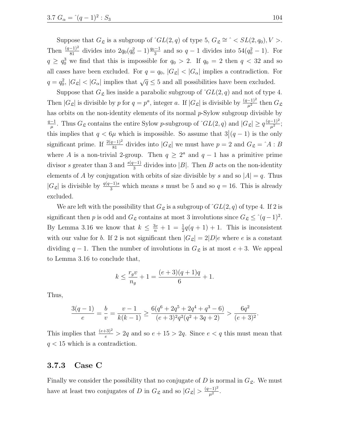Suppose that  $G_{\mathfrak{L}}$  is a subgroup of  $\hat{\;} GL(2,q)$  of type 5,  $G_{\mathfrak{L}} \cong \hat{\;} < SL(2,q_0), V>$ . Then  $\frac{(q-1)^2}{81}$  divides into  $2q_0(q_0^2-1)\frac{q_0-1}{3}$  and so  $q-1$  divides into  $54(q_0^2-1)$ . For  $q \ge q_0^3$  we find that this is impossible for  $q_0 > 2$ . If  $q_0 = 2$  then  $q < 32$  and so all cases have been excluded. For  $q = q_0$ ,  $|G_{\mathfrak{L}}| < |G_{\alpha}|$  implies a contradiction. For  $q = q_0^2$ ,  $|G_{\mathfrak{L}}| < |G_{\alpha}|$  implies that  $\sqrt{q} \leq 5$  and all possibilities have been excluded.

Suppose that  $G_{\mathfrak{L}}$  lies inside a parabolic subgroup of  $\hat{C}GL(2,q)$  and not of type 4. Then  $|G_{\mathfrak{L}}|$  is divisible by p for  $q = p^a$ , integer a. If  $|G_{\mathfrak{L}}|$  is divisible by  $\frac{(q-1)^2}{\mu^2}$  then  $G_{\mathfrak{L}}$ has orbits on the non-identity elements of its normal  $p$ -Sylow subgroup divisible by  $\frac{q-1}{\mu}$ . Thus  $G_{\mathfrak{L}}$  contains the entire Sylow p-subgroup of  $\hat{C}GL(2,q)$  and  $|G_{\mathfrak{L}}| \ge q\frac{(q-1)^2}{\mu^2};$ this implies that  $q < 6\mu$  which is impossible. So assume that  $3|(q-1)$  is the only significant prime. If  $\frac{2(q-1)^2}{81}$  divides into  $|G_{\mathfrak{L}}|$  we must have  $p = 2$  and  $G_{\mathfrak{L}} = \hat{ } \ A : B$ where A is a non-trivial 2-group. Then  $q \geq 2^a$  and  $q-1$  has a primitive prime divisor s greater than 3 and  $\frac{s(q-1)}{3}$  divides into |B|. Then B acts on the non-identity elements of A by conjugation with orbits of size divisible by s and so  $|A| = q$ . Thus  $|G_{\mathcal{L}}|$  is divisible by  $\frac{q(q-1)s}{3}$  which means s must be 5 and so  $q = 16$ . This is already excluded.

We are left with the possibility that  $G_{\mathfrak{L}}$  is a subgroup of  $\tilde{C}L(2,q)$  of type 4. If 2 is significant then p is odd and  $G_{\mathfrak{L}}$  contains at most 3 involutions since  $G_{\mathfrak{L}} \leq (q-1)^2$ . By Lemma 3.16 we know that  $k \leq \frac{3v}{n} + 1 = \frac{1}{2}$  $\frac{1}{2}q(q+1)+1$ . This is inconsistent with our value for b. If 2 is not significant then  $|G_{\mathcal{L}}| = 2|D|e$  where e is a constant dividing  $q-1$ . Then the number of involutions in  $G_{\mathfrak{L}}$  is at most  $e+3$ . We appeal to Lemma 3.16 to conclude that,

$$
k \le \frac{r_g v}{n_g} + 1 = \frac{(e+3)(q+1)q}{6} + 1.
$$

Thus,

$$
\frac{3(q-1)}{e} = \frac{b}{v} = \frac{v-1}{k(k-1)} \ge \frac{6(q^6 + 2q^5 + 2q^4 + q^3 - 6)}{(e+3)^2 q^2 (q^2 + 3q + 2)} > \frac{6q^2}{(e+3)^2}.
$$

This implies that  $\frac{(e+3)^2}{e} > 2q$  and so  $e + 15 > 2q$ . Since  $e < q$  this must mean that  $q < 15$  which is a contradiction.

#### 3.7.3 Case C

Finally we consider the possibility that no conjugate of D is normal in  $G_{\mathfrak{L}}$ . We must have at least two conjugates of D in  $G_{\mathfrak{L}}$  and so  $|G_{\mathfrak{L}}| > \frac{(q-1)^2}{\mu^2}$ .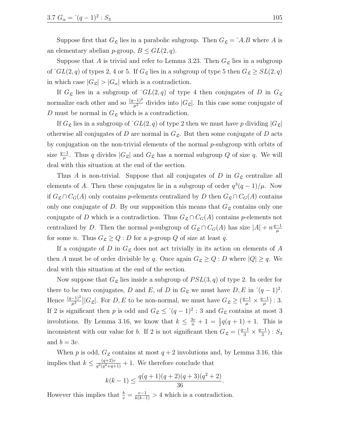Suppose first that  $G_{\mathfrak{L}}$  lies in a parabolic subgroup. Then  $G_{\mathfrak{L}} = \hat{A} \cdot B$  where A is an elementary abelian *p*-group,  $B \le GL(2, q)$ .

Suppose that A is trivial and refer to Lemma 3.23. Then  $G_{\mathfrak{L}}$  lies in a subgroup of  $\hat{G}L(2,q)$  of types 2, 4 or 5. If  $G_{\mathfrak{L}}$  lies in a subgroup of type 5 then  $G_{\mathfrak{L}} \ge SL(2,q)$ in which case  $|G_{\mathfrak{L}}| > |G_{\alpha}|$  which is a contradiction.

If  $G_{\mathfrak{L}}$  lies in a subgroup of  $\hat{C}GL(2,q)$  of type 4 then conjugates of D in  $G_{\mathfrak{L}}$ normalize each other and so  $\frac{(q-1)^2}{\mu^2}$  divides into  $|G_{\mathfrak{L}}|$ . In this case some conjugate of D must be normal in  $G_{\mathfrak{L}}$  which is a contradiction.

If  $G_{\mathfrak{L}}$  lies in a subgroup of  $\hat{C}L(2,q)$  of type 2 then we must have p dividing  $|G_{\mathfrak{L}}|$ otherwise all conjugates of D are normal in  $G_{\mathfrak{L}}$ . But then some conjugate of D acts by conjugation on the non-trivial elements of the normal p-subgroup with orbits of size  $\frac{q-1}{\mu}$ . Thus q divides  $|G_{\mathfrak{L}}|$  and  $G_{\mathfrak{L}}$  has a normal subgroup Q of size q. We will deal with this situation at the end of the section.

Thus A is non-trivial. Suppose that all conjugates of D in  $G_{\mathfrak{L}}$  centralize all elements of A. Then these conjugates lie in a subgroup of order  $q^3(q-1)/\mu$ . Now if  $G_{\mathfrak{L}} \cap C_G(A)$  only contains p-elements centralized by D then  $G_{\mathfrak{L}} \cap C_G(A)$  contains only one conjugate of D. By our supposition this means that  $G_{\mathfrak{L}}$  contains only one conjugate of D which is a contradiction. Thus  $G_{\mathfrak{L}} \cap C_{G}(A)$  contains p-elements not centralized by D. Then the normal p-subgroup of  $G_{\mathfrak{L}} \cap C_G(A)$  has size  $|A| + n \frac{q-1}{\mu}$ for some *n*. Thus  $G_{\mathfrak{L}} \geq Q : D$  for a *p*-group *Q* of size at least *q*.

If a conjugate of D in  $G_{\mathfrak{L}}$  does not act trivially in its action on elements of A then A must be of order divisible by q. Once again  $G_{\mathfrak{L}} \geq Q : D$  where  $|Q| \geq q$ . We deal with this situation at the end of the section.

Now suppose that  $G_{\mathfrak{L}}$  lies inside a subgroup of  $PSL(3, q)$  of type 2. In order for there to be two conjugates, D and E, of D in  $G_{\mathfrak{L}}$  we must have  $D, E$  in  $\hat{p}(q-1)^2$ . Hence  $\frac{(q-1)^2}{\mu^2}$  |  $|G_{\mathfrak{L}}|$ . For D, E to be non-normal, we must have  $G_{\mathfrak{L}} \geq \left(\frac{q-1}{\mu} \times \frac{q-1}{\mu}\right)$ : 3. If 2 is significant then p is odd and  $G_{\mathfrak{L}} \leq (q-1)^2 : 3$  and  $G_{\mathfrak{L}}$  contains at most 3 involutions. By Lemma 3.16, we know that  $k \leq \frac{3v}{n} + 1 = \frac{1}{2}$  $\frac{1}{2}q(q+1)+1$ . This is inconsistent with our value for b. If 2 is not significant then  $G_{\mathfrak{L}} = (\frac{q-1}{3} \times \frac{q-1}{3}) : S_3$ and  $b = 3v$ .

When p is odd,  $G_{\mathfrak{L}}$  contains at most  $q+2$  involutions and, by Lemma 3.16, this implies that  $k \leq \frac{(q+2)v}{q^2(q^2+q+1)}$  $\frac{(q+2)v}{q^2(q^2+q+1)}+1$ . We therefore conclude that

$$
k(k-1) \le \frac{q(q+1)(q+2)(q+3)(q^2+2)}{36}.
$$

However this implies that  $\frac{b}{v} = \frac{v-1}{k(k-1)} > 4$  which is a contradiction.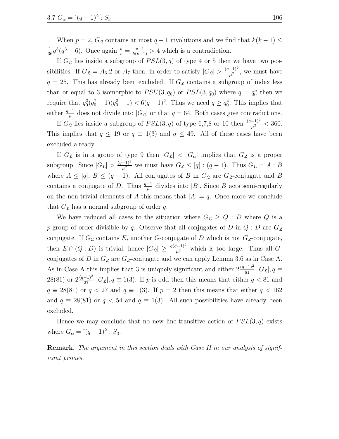When  $p = 2$ ,  $G_{\mathfrak{L}}$  contains at most  $q - 1$  involutions and we find that  $k(k - 1) \leq$  $\frac{1}{36}q^3(q^3+6)$ . Once again  $\frac{b}{v} = \frac{v-1}{k(k-1)} > 4$  which is a contradiction.

If  $G_{\mathfrak{L}}$  lies inside a subgroup of  $PSL(3, q)$  of type 4 or 5 then we have two possibilities. If  $G_{\mathfrak{L}} = A_6.2$  or  $A_7$  then, in order to satisfy  $|G_{\mathfrak{L}}| > \frac{(q-1)^2}{\mu^2}$ , we must have  $q = 25$ . This has already been excluded. If  $G_{\mathfrak{L}}$  contains a subgroup of index less than or equal to 3 isomorphic to  $PSU(3, q_0)$  or  $PSL(3, q_0)$  where  $q = q_0^a$  then we require that  $q_0^3(q_0^2 - 1)(q_0^3 - 1) < 6(q - 1)^2$ . Thus we need  $q \ge q_0^4$ . This implies that either  $\frac{q-1}{\mu}$  does not divide into  $|G_{\mathfrak{L}}|$  or that  $q = 64$ . Both cases give contradictions.

If  $G_{\mathfrak{L}}$  lies inside a subgroup of  $PSL(3,q)$  of type 6,7,8 or 10 then  $\frac{(q-1)^2}{\mu^2}$  < 360. This implies that  $q \leq 19$  or  $q \equiv 1(3)$  and  $q \leq 49$ . All of these cases have been excluded already.

If  $G_{\mathfrak{L}}$  is in a group of type 9 then  $|G_{\mathfrak{L}}| < |G_{\alpha}|$  implies that  $G_{\mathfrak{L}}$  is a proper subgroup. Since  $|G_{\mathfrak{L}}| > \frac{(q-1)^2}{\mu^2}$  we must have  $G_{\mathfrak{L}} \leq [q] : (q-1)$ . Thus  $G_{\mathfrak{L}} = A : B$ where  $A \leq [q], B \leq (q-1)$ . All conjugates of B in  $G_{\mathfrak{L}}$  are  $G_{\mathfrak{L}}$ -conjugate and B contains a conjugate of D. Thus  $\frac{q-1}{\mu}$  divides into |B|. Since B acts semi-regularly on the non-trivial elements of A this means that  $|A| = q$ . Once more we conclude that  $G_{\mathfrak{L}}$  has a normal subgroup of order q.

We have reduced all cases to the situation where  $G_{\mathfrak{L}} \geq Q : D$  where Q is a p-group of order divisible by q. Observe that all conjugates of D in  $Q : D$  are  $G_{\mathfrak{L}}$ conjugate. If  $G_{\mathfrak{L}}$  contains E, another G-conjugate of D which is not  $G_{\mathfrak{L}}$ -conjugate, then  $E \cap (Q : D)$  is trivial; hence  $|G_{\mathfrak{L}}| \geq \frac{q(q-1)^2}{\mu^2}$  which is too large. Thus all Gconjugates of D in  $G_{\mathfrak{L}}$  are  $G_{\mathfrak{L}}$ -conjugate and we can apply Lemma 3.6 as in Case A. As in Case A this implies that 3 is uniquely significant and either  $2\frac{(q-1)^2}{81}$   $||G_{\mathcal{L}}||$ ,  $q \equiv$ 28(81) or  $2\frac{(q-1)^2}{27}$  || $G_{\mathfrak{L}}$ ,  $q \equiv 1(3)$ . If p is odd then this means that either  $q < 81$  and  $q \equiv 28(81)$  or  $q < 27$  and  $q \equiv 1(3)$ . If  $p = 2$  then this means that either  $q < 162$ and  $q \equiv 28(81)$  or  $q < 54$  and  $q \equiv 1(3)$ . All such possibilities have already been excluded.

Hence we may conclude that no new line-transitive action of  $PSL(3, q)$  exists where  $G_{\alpha} = \hat{q}(q-1)^2 : S_3$ .

Remark. The argument in this section deals with Case II in our analysis of significant primes.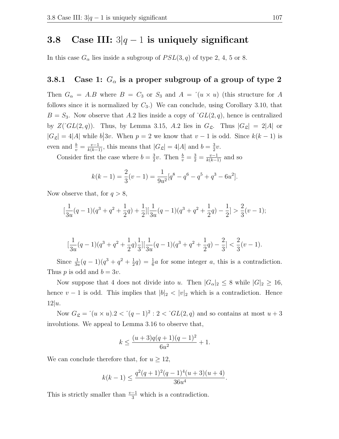### 3.8 Case III:  $3|q-1$  is uniquely significant

In this case  $G_{\alpha}$  lies inside a subgroup of  $PSL(3, q)$  of type 2, 4, 5 or 8.

### 3.8.1 Case 1:  $G_{\alpha}$  is a proper subgroup of a group of type 2

Then  $G_{\alpha} = A.B$  where  $B = C_3$  or  $S_3$  and  $A = \hat{a}(u \times u)$  (this structure for A follows since it is normalized by  $C_3$ .) We can conclude, using Corollary 3.10, that  $B = S_3$ . Now observe that A.2 lies inside a copy of  $\hat{C}GL(2,q)$ , hence is centralized by  $Z(\hat{C}GL(2,q))$ . Thus, by Lemma 3.15, A.2 lies in  $G_{\mathfrak{L}}$ . Thus  $|G_{\mathfrak{L}}| = 2|A|$  or  $|G_{\mathcal{L}}| = 4|A|$  while  $b|3v$ . When  $p = 2$  we know that  $v - 1$  is odd. Since  $k(k - 1)$  is even and  $\frac{b}{v} = \frac{v-1}{k(k-1)}$ , this means that  $|G_{\mathcal{L}}| = 4|A|$  and  $b = \frac{3}{2}$  $rac{3}{2}v.$ 

Consider first the case where  $b=\frac{3}{2}$  $\frac{3}{2}v$ . Then  $\frac{b}{v} = \frac{3}{2} = \frac{v-1}{k(k-1)}$  and so

$$
k(k-1) = \frac{2}{3}(v-1) = \frac{1}{9u^2}[q^8 - q^6 - q^5 + q^3 - 6u^2].
$$

Now observe that, for  $q > 8$ ,

$$
\left[\frac{1}{3u}(q-1)(q^3+q^2+\frac{1}{2}q)+\frac{1}{2}\right]\left[\frac{1}{3u}(q-1)(q^3+q^2+\frac{1}{2}q)-\frac{1}{2}\right] > \frac{2}{3}(v-1);
$$

$$
\left[\frac{1}{3u}(q-1)(q^3+q^2+\frac{1}{2}q)\frac{1}{3}[(\frac{1}{3u}(q-1)(q^3+q^2+\frac{1}{2}q)-\frac{2}{3}]<\frac{2}{3}(v-1).
$$

Since  $\frac{1}{3u}(q-1)(q^3+q^2+\frac{1}{2})$  $\frac{1}{2}q) = \frac{1}{6}$  $\frac{1}{6}a$  for some integer a, this is a contradiction. Thus p is odd and  $b = 3v$ .

Now suppose that 4 does not divide into u. Then  $|G_{\alpha}|_2 \leq 8$  while  $|G|_2 \geq 16$ , hence  $v - 1$  is odd. This implies that  $|b|_2 < |v|_2$  which is a contradiction. Hence  $12|u.$ 

Now  $G_{\mathfrak{L}} = \hat{ } (u \times u).2 < \hat{ } (q-1)^2 : 2 < \hat{ } GL(2,q)$  and so contains at most  $u+3$ involutions. We appeal to Lemma 3.16 to observe that,

$$
k \le \frac{(u+3)q(q+1)(q-1)^2}{6u^2} + 1.
$$

We can conclude therefore that, for  $u \geq 12$ ,

$$
k(k-1) \le \frac{q^2(q+1)^2(q-1)^4(u+3)(u+4)}{36u^4}.
$$

This is strictly smaller than  $\frac{v-1}{3}$  which is a contradiction.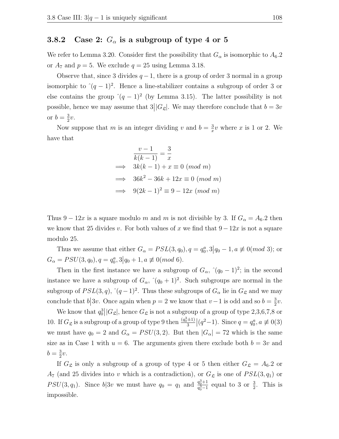### 3.8.2 Case 2:  $G_{\alpha}$  is a subgroup of type 4 or 5

We refer to Lemma 3.20. Consider first the possibility that  $G_{\alpha}$  is isomorphic to  $A_6.2$ or  $A_7$  and  $p = 5$ . We exclude  $q = 25$  using Lemma 3.18.

Observe that, since 3 divides  $q-1$ , there is a group of order 3 normal in a group isomorphic to  $\hat{q}(q-1)^2$ . Hence a line-stabilizer contains a subgroup of order 3 or else contains the group  $\hat{q}$  ( $q-1$ )<sup>2</sup> (by Lemma 3.15). The latter possibility is not possible, hence we may assume that  $3||G_{\mathfrak{L}}|$ . We may therefore conclude that  $b = 3v$ or  $b=\frac{3}{2}$  $\frac{3}{2}v$ .

Now suppose that m is an integer dividing v and  $b = \frac{3}{r}$  $\frac{3}{x}v$  where x is 1 or 2. We have that

$$
\frac{v-1}{k(k-1)} = \frac{3}{x}
$$
  
\n
$$
\implies 3k(k-1) + x \equiv 0 \pmod{m}
$$
  
\n
$$
\implies 36k^2 - 36k + 12x \equiv 0 \pmod{m}
$$
  
\n
$$
\implies 9(2k-1)^2 \equiv 9 - 12x \pmod{m}
$$

Thus  $9 - 12x$  is a square modulo m and m is not divisible by 3. If  $G_{\alpha} = A_6.2$  then we know that 25 divides v. For both values of x we find that  $9-12x$  is not a square modulo 25.

Thus we assume that either  $G_{\alpha} = PSL(3, q_0), q = q_0^a, 3|q_0 - 1, a \not\equiv 0 (mod 3)$ ; or  $G_{\alpha} = PSU(3, q_0), q = q_0^a, 3|q_0 + 1, a \not\equiv 0 (mod 6).$ 

Then in the first instance we have a subgroup of  $G_{\alpha}$ ,  $(q_0 - 1)^2$ ; in the second instance we have a subgroup of  $G_{\alpha}$ ,  $(q_0 + 1)^2$ . Such subgroups are normal in the subgroup of  $PSL(3, q)$ ,  $\hat{ } (q-1)^2$ . Thus these subgroups of  $G_{\alpha}$  lie in  $G_{\mathfrak{L}}$  and we may conclude that  $b \mid 3v$ . Once again when  $p = 2$  we know that  $v - 1$  is odd and so  $b = \frac{3}{2}$  $rac{3}{2}v.$ 

We know that  $q_0^3||G_{\mathfrak{L}}|$ , hence  $G_{\mathfrak{L}}$  is not a subgroup of a group of type 2,3,6,7,8 or 10. If  $G_{\mathfrak{L}}$  is a subgroup of a group of type 9 then  $\frac{(q_0^3 \pm 1)}{3} |(q^2-1)$ . Since  $q = q_0^a, a \not\equiv 0$ (3) we must have  $q_0 = 2$  and  $G_\alpha = PSU(3, 2)$ . But then  $|G_\alpha| = 72$  which is the same size as in Case 1 with  $u = 6$ . The arguments given there exclude both  $b = 3v$  and  $b=\frac{3}{2}$  $\frac{3}{2}v$ .

If  $G_{\mathfrak{L}}$  is only a subgroup of a group of type 4 or 5 then either  $G_{\mathfrak{L}} = A_6.2$  or  $A_7$  (and 25 divides into v which is a contradiction), or  $G_{\mathfrak{L}}$  is one of  $PSL(3, q_1)$  or  $PSU(3, q_1)$ . Since  $b|3v$  we must have  $q_0 = q_1$  and  $\frac{q_0^3 + 1}{q_0^3 - 1}$  $\frac{q_0^3+1}{q_0^3-1}$  equal to 3 or  $\frac{3}{2}$ . This is impossible.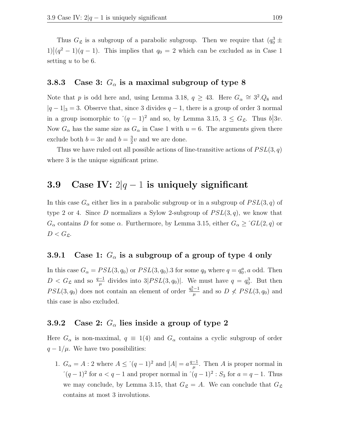Thus  $G_{\mathfrak{L}}$  is a subgroup of a parabolic subgroup. Then we require that  $(q_0^3 \pm$ 1)  $\left| \frac{q^2 - 1}{q - 1} \right|$ . This implies that  $q_0 = 2$  which can be excluded as in Case 1 setting  $u$  to be 6.

### 3.8.3 Case 3:  $G_{\alpha}$  is a maximal subgroup of type 8

Note that p is odd here and, using Lemma 3.18,  $q \geq 43$ . Here  $G_{\alpha} \cong 3^2 \cdot Q_8$  and  $|q-1|_3 = 3$ . Observe that, since 3 divides  $q-1$ , there is a group of order 3 normal in a group isomorphic to  $\hat{q}(-1)^2$  and so, by Lemma 3.15,  $3 \leq G_{\mathfrak{L}}$ . Thus  $b|3v$ . Now  $G_{\alpha}$  has the same size as  $G_{\alpha}$  in Case 1 with  $u = 6$ . The arguments given there exclude both  $b=3v$  and  $b=\frac{3}{2}$  $\frac{3}{2}v$  and we are done.

Thus we have ruled out all possible actions of line-transitive actions of  $PSL(3, q)$ where 3 is the unique significant prime.

### 3.9 Case IV:  $2|q-1$  is uniquely significant

In this case  $G_{\alpha}$  either lies in a parabolic subgroup or in a subgroup of  $PSL(3, q)$  of type 2 or 4. Since D normalizes a Sylow 2-subgroup of  $PSL(3, q)$ , we know that  $G_{\alpha}$  contains D for some  $\alpha$ . Furthermore, by Lemma 3.15, either  $G_{\alpha} \geq {}^{\hat{c}}GL(2,q)$  or  $D < G_{\mathfrak{L}}$ .

### 3.9.1 Case 1:  $G_{\alpha}$  is a subgroup of a group of type 4 only

In this case  $G_{\alpha} = PSL(3, q_0)$  or  $PSL(3, q_0)$ . 3 for some  $q_0$  where  $q = q_0^a$ , a odd. Then  $D < G_{\mathfrak{L}}$  and so  $\frac{q-1}{\mu}$  divides into 3|PSL(3, q<sub>0</sub>)|. We must have  $q = q_0^3$ . But then  $PSL(3, q_0)$  does not contain an element of order  $\frac{q_0^3-1}{\mu}$  and so  $D \nless PSL(3, q_0)$  and this case is also excluded.

### 3.9.2 Case 2:  $G_{\alpha}$  lies inside a group of type 2

Here  $G_{\alpha}$  is non-maximal,  $q \equiv 1(4)$  and  $G_{\alpha}$  contains a cyclic subgroup of order  $q - 1/\mu$ . We have two possibilities:

1.  $G_{\alpha} = A : 2$  where  $A \leq (q-1)^2$  and  $|A| = a \frac{q-1}{\mu}$ . Then A is proper normal in  $\hat{p}(q-1)^2$  for  $a < q-1$  and proper normal in  $\hat{p}(q-1)^2 : S_3$  for  $a = q-1$ . Thus we may conclude, by Lemma 3.15, that  $G_{\mathfrak{L}} = A$ . We can conclude that  $G_{\mathfrak{L}}$ contains at most 3 involutions.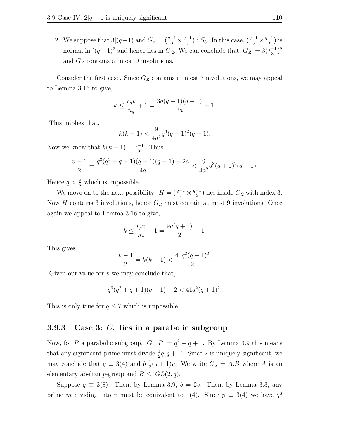2. We suppose that  $3|(q-1)$  and  $G_{\alpha} = (\frac{q-1}{3} \times \frac{q-1}{3}) : S_3$ . In this case,  $(\frac{q-1}{3} \times \frac{q-1}{3})$  is normal in  $\hat{q}(q-1)^2$  and hence lies in  $G_{\mathfrak{L}}$ . We can conclude that  $|G_{\mathfrak{L}}| = 3(\frac{q-1}{3})^2$ and  $G_{\mathfrak{L}}$  contains at most 9 involutions.

Consider the first case. Since  $G_{\mathfrak{L}}$  contains at most 3 involutions, we may appeal to Lemma 3.16 to give,

$$
k \le \frac{r_g v}{n_g} + 1 = \frac{3q(q+1)(q-1)}{2a} + 1.
$$

This implies that,

$$
k(k-1) < \frac{9}{4a^2}q^3(q+1)^2(q-1).
$$

Now we know that  $k(k-1) = \frac{v-1}{2}$ . Thus

$$
\frac{v-1}{2} = \frac{q^3(q^2+q+1)(q+1)(q-1)-2a}{4a} < \frac{9}{4a^2}q^3(q+1)^2(q-1).
$$

Hence  $q < \frac{9}{a}$  which is impossible.

We move on to the next possibility:  $H = \left(\frac{q-1}{3} \times \frac{q-1}{3}\right)$  lies inside  $G_{\mathfrak{L}}$  with index 3. Now H contains 3 involutions, hence  $G_{\mathfrak{L}}$  must contain at most 9 involutions. Once again we appeal to Lemma 3.16 to give,

$$
k \le \frac{r_g v}{n_g} + 1 = \frac{9q(q+1)}{2} + 1.
$$

This gives,

$$
\frac{v-1}{2} = k(k-1) < \frac{41q^2(q+1)^2}{2}.
$$

Given our value for  $v$  we may conclude that,

$$
q^3(q^2+q+1)(q+1) - 2 < 41q^2(q+1)^2.
$$

This is only true for  $q \leq 7$  which is impossible.

## 3.9.3 Case 3:  $G_{\alpha}$  lies in a parabolic subgroup

Now, for P a parabolic subgroup,  $|G : P| = q^2 + q + 1$ . By Lemma 3.9 this means that any significant prime must divide  $\frac{1}{2}q(q+1)$ . Since 2 is uniquely significant, we may conclude that  $q \equiv 3(4)$  and  $b\left|\frac{1}{2}\right|$  $\frac{1}{2}(q+1)v$ . We write  $G_{\alpha} = A.B$  where A is an elementary abelian *p*-group and  $B \leq \hat{\ } GL(2,q)$ .

Suppose  $q \equiv 3(8)$ . Then, by Lemma 3.9,  $b = 2v$ . Then, by Lemma 3.3, any prime m dividing into v must be equivalent to 1(4). Since  $p \equiv 3(4)$  we have  $q^3$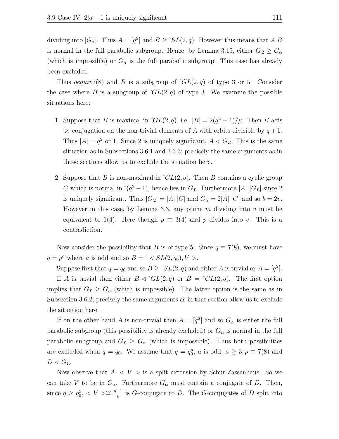dividing into  $|G_{\alpha}|$ . Thus  $A = [q^2]$  and  $B \geq {}^{\hat{}}SL(2,q)$ . However this means that  $A.B$ is normal in the full parabolic subgroup. Hence, by Lemma 3.15, either  $G_{\mathfrak{L}} \geq G_{\alpha}$ (which is impossible) or  $G_{\alpha}$  is the full parabolic subgroup. This case has already been excluded.

Thus  $qequiv7(8)$  and B is a subgroup of  $\hat{C}GL(2,q)$  of type 3 or 5. Consider the case where B is a subgroup of  $\hat{G}L(2,q)$  of type 3. We examine the possible situations here:

- 1. Suppose that B is maximal in  $\hat{C}L(2,q)$ , i.e.  $|B| = 2(q^2 1)/\mu$ . Then B acts by conjugation on the non-trivial elements of A with orbits divisible by  $q + 1$ . Thus  $|A| = q^2$  or 1. Since 2 is uniquely significant,  $A < G_{\mathfrak{L}}$ . This is the same situation as in Subsections 3.6.1 and 3.6.3; precisely the same arguments as in those sections allow us to exclude the situation here.
- 2. Suppose that B is non-maximal in  $\hat{G}L(2,q)$ . Then B contains a cyclic group C which is normal in  $\hat{q}^2 - 1$ , hence lies in  $G_{\mathfrak{L}}$ . Furthermore  $|A|||G_{\mathfrak{L}}|$  since 2 is uniquely significant. Thus  $|G_{\mathfrak{L}}| = |A|.|C|$  and  $G_{\alpha} = 2|A|.|C|$  and so  $b = 2v$ . However in this case, by Lemma 3.3, any prime  $m$  dividing into  $v$  must be equivalent to 1(4). Here though  $p \equiv 3(4)$  and p divides into v. This is a contradiction.

Now consider the possibility that B is of type 5. Since  $q \equiv 7(8)$ , we must have  $q = p^a$  where a is odd and so  $B = \hat{ } < SL(2, q_0), V >$ .

Suppose first that  $q = q_0$  and so  $B \geq {}^{\hat{}}SL(2,q)$  and either A is trivial or  $A = [q^2]$ .

If A is trivial then either  $B \triangleleft {}^{\hat{C}}GL(2,q)$  or  $B = {}^{\hat{C}}GL(2,q)$ . The first option implies that  $G_{\mathfrak{L}} \geq G_{\alpha}$  (which is impossible). The latter option is the same as in Subsection 3.6.2; precisely the same arguments as in that section allow us to exclude the situation here.

If on the other hand A is non-trivial then  $A = [q^2]$  and so  $G_\alpha$  is either the full parabolic subgroup (this possibility is already excluded) or  $G_{\alpha}$  is normal in the full parabolic subgroup and  $G_{\mathfrak{L}} \geq G_{\alpha}$  (which is impossible). Thus both possibilities are excluded when  $q = q_0$ . We assume that  $q = q_0^a$ , a is odd,  $a \geq 3$ ,  $p \equiv 7(8)$  and  $D < G_{\mathfrak{L}}$ .

Now observe that  $A \leq V > 1$  is a split extension by Schur-Zassenhaus. So we can take V to be in  $G_{\alpha}$ . Furthermore  $G_{\alpha}$  must contain a conjugate of D. Then, since  $q \ge q_0^3$ ,  $\lt V \ge \frac{q-1}{\mu}$  is G-conjugate to D. The G-conjugates of D split into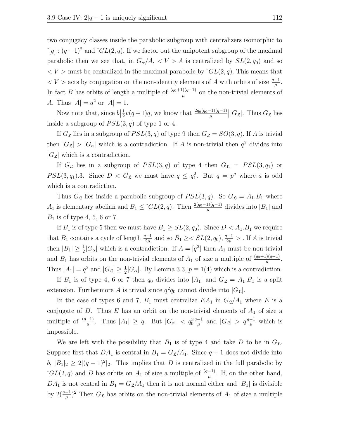two conjugacy classes inside the parabolic subgroup with centralizers isomorphic to  $\hat{q}: (q-1)^2$  and  $\hat{G}L(2,q)$ . If we factor out the unipotent subgroup of the maximal parabolic then we see that, in  $G_{\alpha}/A$ ,  $\langle V \rangle A$  is centralized by  $SL(2, q_0)$  and so  $\langle V \rangle$  must be centralized in the maximal parabolic by  $\hat{\mathcal{L}}(2,q)$ . This means that  $V >$  acts by conjugation on the non-identity elements of A with orbits of size  $\frac{q-1}{\mu}$ . In fact B has orbits of length a multiple of  $\frac{(q_0+1)(q-1)}{\mu}$  on the non-trivial elements of A. Thus  $|A| = q^2$  or  $|A| = 1$ .

Now note that, since  $b\left|\frac{1}{2}\right|$  $\frac{1}{2}v(q+1)q$ , we know that  $\frac{2q_0(q_0-1)(q-1)}{\mu}||G_{\mathfrak{L}}|$ . Thus  $G_{\mathfrak{L}}$  lies inside a subgroup of  $PSL(3, q)$  of type 1 or 4.

If  $G_{\mathfrak{L}}$  lies in a subgroup of  $PSL(3, q)$  of type 9 then  $G_{\mathfrak{L}} = SO(3, q)$ . If A is trivial then  $|G_{\mathcal{L}}| > |G_{\alpha}|$  which is a contradiction. If A is non-trivial then  $q^2$  divides into  $|G_{\mathfrak{L}}|$  which is a contradiction.

If  $G_{\mathfrak{L}}$  lies in a subgroup of  $PSL(3, q)$  of type 4 then  $G_{\mathfrak{L}} = PSL(3, q_1)$  or  $PSL(3, q_1)$ .3. Since  $D < G_{\mathfrak{L}}$  we must have  $q \leq q_1^2$ . But  $q = p^a$  where a is odd which is a contradiction.

Thus  $G_{\mathfrak{L}}$  lies inside a parabolic subgroup of  $PSL(3, q)$ . So  $G_{\mathfrak{L}} = A_1.B_1$  where  $A_1$  is elementary abelian and  $B_1 \leq \hat{\ } GL(2,q)$ . Then  $\frac{2(q_0-1)(q-1)}{\mu}$  divides into  $|B_1|$  and  $B_1$  is of type 4, 5, 6 or 7.

If  $B_1$  is of type 5 then we must have  $B_1 \ge SL(2, q_0)$ . Since  $D < A_1.B_1$  we require that  $B_1$  contains a cycle of length  $\frac{q-1}{2\mu}$  and so  $B_1 \geq \lt S L(2, q_0), \frac{q-1}{2\mu} >$ . If A is trivial then  $|B_1| \geq \frac{1}{2}$  $\frac{1}{2}|G_{\alpha}|$  which is a contradiction. If  $A=[q^2]$  then  $A_1$  must be non-trivial and  $B_1$  has orbits on the non-trivial elements of  $A_1$  of size a multiple of  $\frac{(q_0+1)(q-1)}{\mu}$ . Thus  $|A_1| = q^2$  and  $|G_{\mathcal{L}}| \geq \frac{1}{2}$  $\frac{1}{2}|G_{\alpha}|$ . By Lemma 3.3,  $p \equiv 1(4)$  which is a contradiction.

If  $B_1$  is of type 4, 6 or 7 then  $q_0$  divides into  $|A_1|$  and  $G_{\mathfrak{L}} = A_1.B_1$  is a split extension. Furthermore A is trivial since  $q^2q_0$  cannot divide into  $|G_{\mathfrak{L}}|$ .

In the case of types 6 and 7,  $B_1$  must centralize  $EA_1$  in  $G_{\mathcal{L}}/A_1$  where E is a conjugate of D. Thus E has an orbit on the non-trivial elements of  $A_1$  of size a multiple of  $\frac{(q-1)}{\mu}$ . Thus  $|A_1| \ge q$ . But  $|G_{\alpha}| < q_0^3 \frac{q-1}{\mu}$  and  $|G_{\mathfrak{L}}| > q \frac{q-1}{\mu}$  which is impossible.

We are left with the possibility that  $B_1$  is of type 4 and take D to be in  $G_{\mathfrak{L}}$ . Suppose first that  $DA_1$  is central in  $B_1 = G_{\mathcal{L}}/A_1$ . Since  $q + 1$  does not divide into  $b, |B_1|_2 \geq 2|(q-1)^2|_2$ . This implies that D is centralized in the full parabolic by  $\hat{\mathcal{L}}GL(2,q)$  and D has orbits on  $A_1$  of size a multiple of  $\frac{(q-1)}{\mu}$ . If, on the other hand,  $DA_1$  is not central in  $B_1 = G_{\mathfrak{L}}/A_1$  then it is not normal either and  $|B_1|$  is divisible by  $2(\frac{q-1}{\mu})^2$  Then  $G_{\mathfrak{L}}$  has orbits on the non-trivial elements of  $A_1$  of size a multiple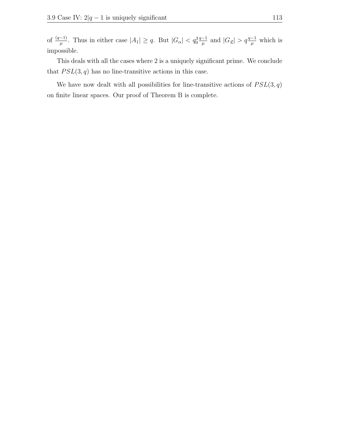of  $\frac{(q-1)}{\mu}$ . Thus in either case  $|A_1| \ge q$ . But  $|G_{\alpha}| < q_0^3 \frac{q-1}{\mu}$  and  $|G_{\mathfrak{L}}| > q \frac{q-1}{\mu}$  which is impossible.

This deals with all the cases where 2 is a uniquely significant prime. We conclude that  $PSL(3, q)$  has no line-transitive actions in this case.

We have now dealt with all possibilities for line-transitive actions of  $PSL(3, q)$ on finite linear spaces. Our proof of Theorem B is complete.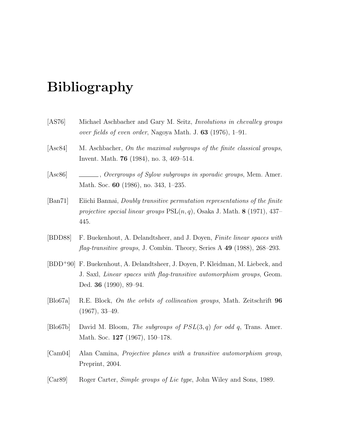# Bibliography

- [AS76] Michael Aschbacher and Gary M. Seitz, Involutions in chevalley groups over fields of even order, Nagoya Math. J. 63 (1976), 1–91.
- $[Asc84]$  M. Aschbacher, On the maximal subgroups of the finite classical groups, Invent. Math. 76 (1984), no. 3, 469–514.
- [Asc86] , Overgroups of Sylow subgroups in sporadic groups, Mem. Amer. Math. Soc. **60** (1986), no. 343, 1–235.
- [Ban71] Eiichi Bannai, Doubly transitive permutation representations of the finite projective special linear groups  $PSL(n, q)$ , Osaka J. Math. 8 (1971), 437– 445.
- [BDD88] F. Buekenhout, A. Delandtsheer, and J. Doyen, Finite linear spaces with flag-transitive groups, J. Combin. Theory, Series A 49 (1988), 268–293.
- [BDD<sup>+</sup>90] F. Buekenhout, A. Delandtsheer, J. Doyen, P. Kleidman, M. Liebeck, and J. Saxl, Linear spaces with flag-transitive automorphism groups, Geom. Ded. 36 (1990), 89–94.
- [Blo67a] R.E. Block, On the orbits of collineation groups, Math. Zeitschrift 96 (1967), 33–49.
- [Blo67b] David M. Bloom, The subgroups of  $PSL(3, q)$  for odd q, Trans. Amer. Math. Soc. 127 (1967), 150–178.
- [Cam04] Alan Camina, Projective planes with a transitive automorphism group, Preprint, 2004.
- [Car89] Roger Carter, Simple groups of Lie type, John Wiley and Sons, 1989.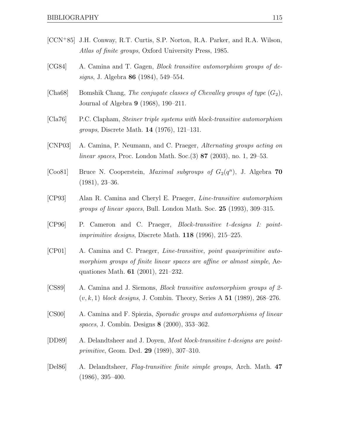- [CCN<sup>+</sup>85] J.H. Conway, R.T. Curtis, S.P. Norton, R.A. Parker, and R.A. Wilson, Atlas of finite groups, Oxford University Press, 1985.
- [CG84] A. Camina and T. Gagen, Block transitive automorphism groups of designs, J. Algebra 86 (1984), 549–554.
- [Cha68] Bomshik Chang, The conjugate classes of Chevalley groups of type  $(G_2)$ , Journal of Algebra 9 (1968), 190–211.
- [Cla76] P.C. Clapham, Steiner triple systems with block-transitive automorphism groups, Discrete Math. 14 (1976), 121–131.
- [CNP03] A. Camina, P. Neumann, and C. Praeger, Alternating groups acting on linear spaces, Proc. London Math. Soc.(3) 87 (2003), no. 1, 29–53.
- [Coo81] Bruce N. Cooperstein, *Maximal subgroups of*  $G_2(q^n)$ , J. Algebra 70 (1981), 23–36.
- [CP93] Alan R. Camina and Cheryl E. Praeger, Line-transitive automorphism groups of linear spaces, Bull. London Math. Soc. 25 (1993), 309–315.
- [CP96] P. Cameron and C. Praeger, Block-transitive t-designs I: pointimprimitive designs, Discrete Math. 118 (1996), 215–225.
- [CP01] A. Camina and C. Praeger, Line-transitive, point quasiprimitive automorphism groups of finite linear spaces are affine or almost simple, Aequationes Math. 61 (2001), 221–232.
- [CS89] A. Camina and J. Siemons, Block transitive automorphism groups of 2-  $(v, k, 1)$  block designs, J. Combin. Theory, Series A 51 (1989), 268–276.
- [CS00] A. Camina and F. Spiezia, Sporadic groups and automorphisms of linear spaces, J. Combin. Designs 8 (2000), 353–362.
- [DD89] A. Delandtsheer and J. Doyen, Most block-transitive t-designs are pointprimitive, Geom. Ded. 29 (1989), 307–310.
- [Del86] A. Delandtsheer, Flag-transitive finite simple groups, Arch. Math. 47 (1986), 395–400.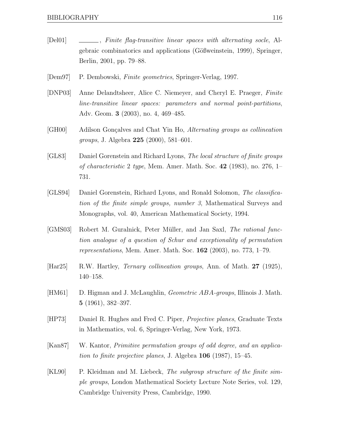- [Del01] , Finite flag-transitive linear spaces with alternating socle, Algebraic combinatorics and applications (Gößweinstein, 1999), Springer, Berlin, 2001, pp. 79–88.
- [Dem97] P. Dembowski, Finite geometries, Springer-Verlag, 1997.
- [DNP03] Anne Delandtsheer, Alice C. Niemeyer, and Cheryl E. Praeger, Finite line-transitive linear spaces: parameters and normal point-partitions, Adv. Geom. 3 (2003), no. 4, 469–485.
- [GH00] Adilson Gonçalves and Chat Yin Ho, Alternating groups as collineation groups, J. Algebra 225 (2000), 581–601.
- [GL83] Daniel Gorenstein and Richard Lyons, The local structure of finite groups of characteristic 2 type, Mem. Amer. Math. Soc.  $42$  (1983), no. 276, 1– 731.
- [GLS94] Daniel Gorenstein, Richard Lyons, and Ronald Solomon, The classification of the finite simple groups, number 3, Mathematical Surveys and Monographs, vol. 40, American Mathematical Society, 1994.
- [GMS03] Robert M. Guralnick, Peter Müller, and Jan Saxl, *The rational func*tion analogue of a question of Schur and exceptionality of permutation representations, Mem. Amer. Math. Soc. 162 (2003), no. 773, 1–79.
- [Har25] R.W. Hartley, Ternary collineation groups, Ann. of Math. 27 (1925), 140–158.
- [HM61] D. Higman and J. McLaughlin, *Geometric ABA-groups*, Illinois J. Math. 5 (1961), 382–397.
- [HP73] Daniel R. Hughes and Fred C. Piper, *Projective planes*, Graduate Texts in Mathematics, vol. 6, Springer-Verlag, New York, 1973.
- [Kan87] W. Kantor, Primitive permutation groups of odd degree, and an application to finite projective planes, J. Algebra 106 (1987), 15–45.
- [KL90] P. Kleidman and M. Liebeck, The subgroup structure of the finite simple groups, London Mathematical Society Lecture Note Series, vol. 129, Cambridge University Press, Cambridge, 1990.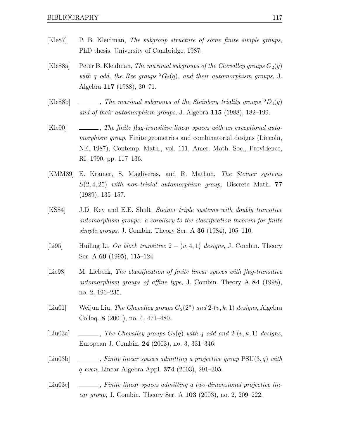- [Kle87] P. B. Kleidman, *The subgroup structure of some finite simple groups*, PhD thesis, University of Cambridge, 1987.
- [Kle88a] Peter B. Kleidman, The maximal subgroups of the Chevalley groups  $G_2(q)$ with q odd, the Ree groups  ${}^2G_2(q)$ , and their automorphism groups, J. Algebra 117 (1988), 30–71.
- [Kle88b]  $\quad \underline{\hspace{2cm}}$ , The maximal subgroups of the Steinberg triality groups  ${}^{3}D_{4}(q)$ and of their automorphism groups, J. Algebra 115 (1988), 182–199.
- [Kle90]  $\qquad \qquad \qquad$ , The finite flag-transitive linear spaces with an exceptional automorphism group, Finite geometries and combinatorial designs (Lincoln, NE, 1987), Contemp. Math., vol. 111, Amer. Math. Soc., Providence, RI, 1990, pp. 117–136.
- [KMM89] E. Kramer, S. Magliveras, and R. Mathon, The Steiner systems  $S(2, 4, 25)$  with non-trivial automorphism group, Discrete Math. 77 (1989), 135–157.
- [KS84] J.D. Key and E.E. Shult, Steiner triple systems with doubly transitive automorphism groups: a corollary to the classification theorem for finite simple groups, J. Combin. Theory Ser. A  $36$  (1984), 105–110.
- [Li95] Huiling Li, On block transitive  $2 (v, 4, 1)$  designs, J. Combin. Theory Ser. A 69 (1995), 115–124.
- [Lie98] M. Liebeck, The classification of finite linear spaces with flag-transitive automorphism groups of affine type, J. Combin. Theory A 84 (1998), no. 2, 196–235.
- [Liu01] Weijun Liu, The Chevalley groups  $G_2(2^n)$  and  $2-(v, k, 1)$  designs, Algebra Colloq. 8 (2001), no. 4, 471–480.
- [Liu03a]  $\qquad \qquad$ , The Chevalley groups  $G_2(q)$  with q odd and  $2-(v, k, 1)$  designs, European J. Combin. 24 (2003), no. 3, 331–346.
- [Liu03b]  $\quad \quad \quad \_ \quad$ , Finite linear spaces admitting a projective group  $PSU(3, q)$  with q even, Linear Algebra Appl. 374 (2003), 291–305.
- [Liu03c] , Finite linear spaces admitting a two-dimensional projective linear group, J. Combin. Theory Ser. A 103 (2003), no. 2, 209–222.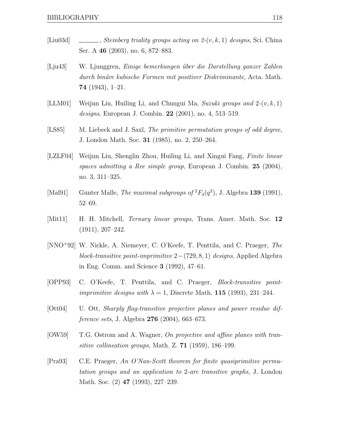- [Liu03d] , Steinberg triality groups acting on  $2-(v, k, 1)$  designs, Sci. China Ser. A 46 (2003), no. 6, 872–883.
- [Lju43] W. Ljunggren, Einige bemerkungen über die Darstellung ganzer Zahlen durch binäre kubische Formen mit positiver Diskriminante, Acta. Math. 74 (1943), 1–21.
- [LLM01] Weijun Liu, Huiling Li, and Chungui Ma, Suzuki groups and  $2-(v, k, 1)$ ] designs, European J. Combin. 22 (2001), no. 4, 513–519.
- [LS85] M. Liebeck and J. Saxl, *The primitive permutation groups of odd degree*, J. London Math. Soc. 31 (1985), no. 2, 250–264.
- [LZLF04] Weijun Liu, Shenglin Zhou, Huiling Li, and Xingui Fang, Finite linear spaces admitting a Ree simple group, European J. Combin. 25 (2004), no. 3, 311–325.
- [Mal91] Gunter Malle, *The maximal subgroups of*  ${}^2F_4(q^2)$ , J. Algebra **139** (1991), 52–69.
- [Mit11] H. H. Mitchell, *Ternary linear groups*, Trans. Amer. Math. Soc. 12 (1911), 207–242.
- [NNO<sup>+</sup>92] W. Nickle, A. Niemeyer, C. O'Keefe, T. Penttila, and C. Praeger, The block-transitive point-imprimitive 2−(729, 8, 1) designs, Applied Algebra in Eng. Comm. and Science 3 (1992), 47–61.
- [OPP93] C. O'Keefe, T. Penttila, and C. Praeger, Block-transitive point*imprimitive designs with*  $\lambda = 1$ , Discrete Math. **115** (1993), 231-244.
- [Ott04] U. Ott, Sharply flag-transitive projective planes and power residue difference sets, J. Algebra 276 (2004), 663–673.
- [OW59] T.G. Ostrom and A. Wagner, On projective and affine planes with transitive collineation groups, Math. Z.  $71$  (1959), 186–199.
- [Pra93] C.E. Praeger, An O'Nan-Scott theorem for finite quasiprimitive permutation groups and an application to 2-arc transitive graphs, J. London Math. Soc. (2) **47** (1993), 227-239.